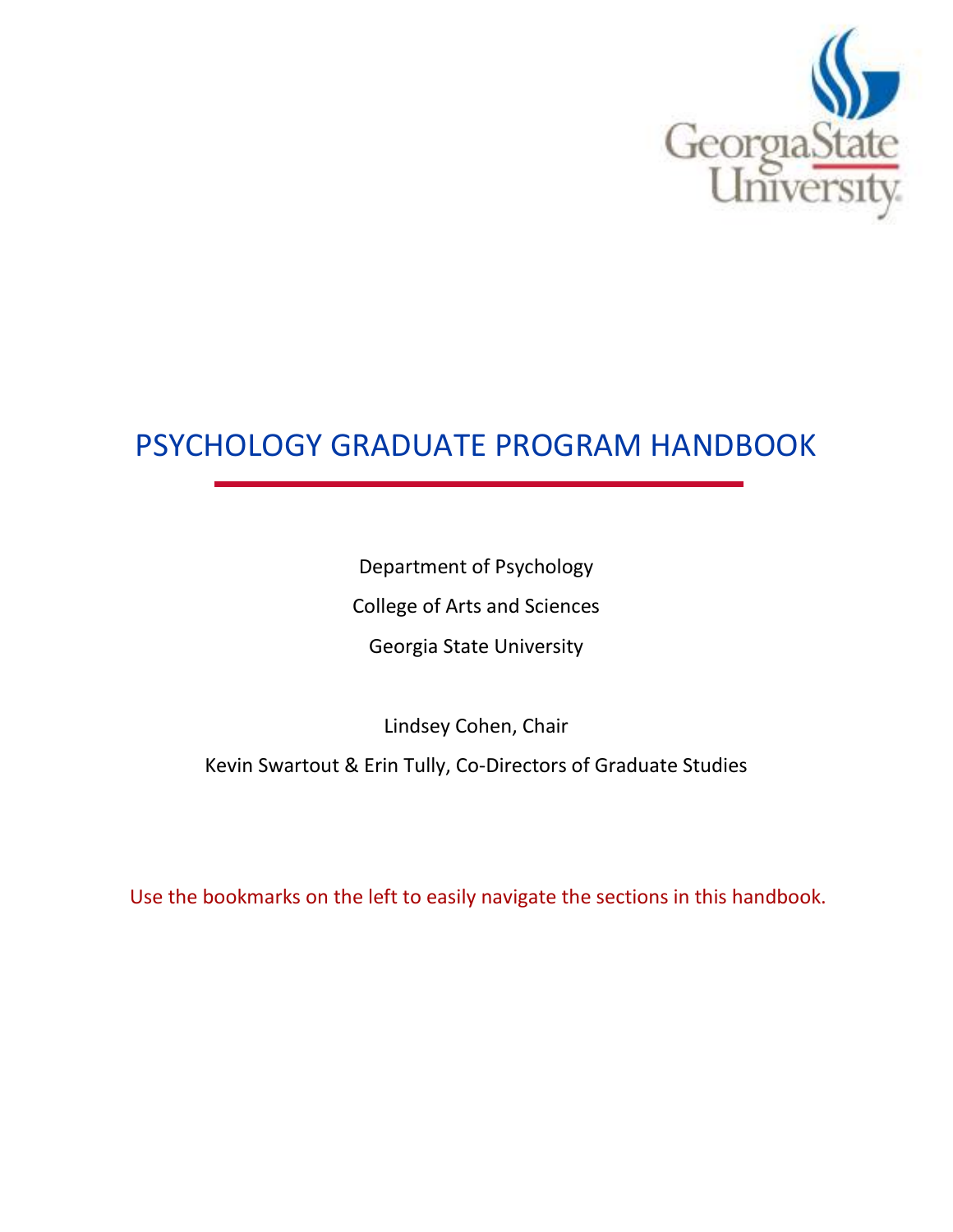

# PSYCHOLOGY GRADUATE PROGRAM HANDBOOK

Department of Psychology College of Arts and Sciences Georgia State University

Lindsey Cohen, Chair Kevin Swartout & Erin Tully, Co-Directors of Graduate Studies

Use the bookmarks on the left to easily navigate the sections in this handbook.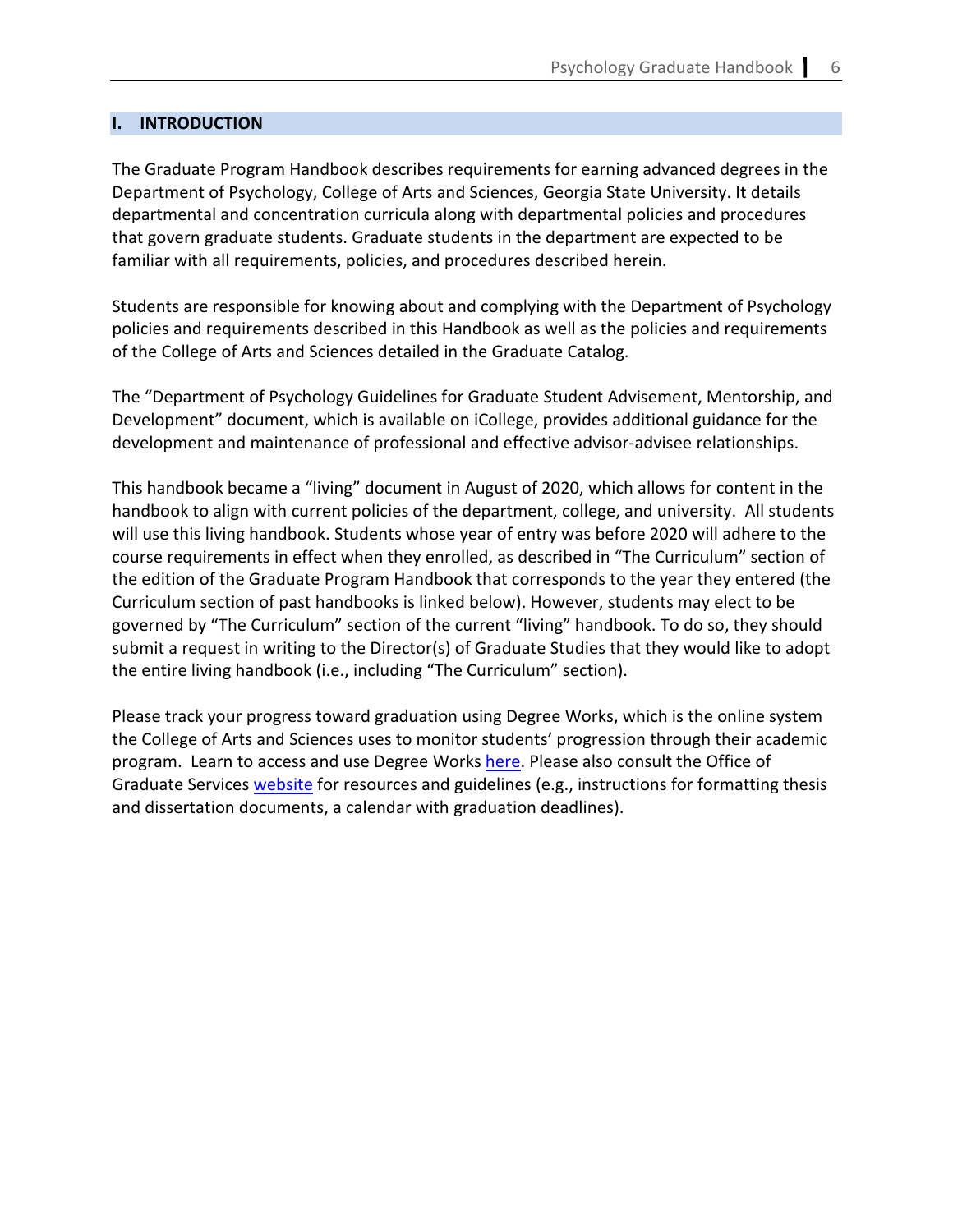#### **I. INTRODUCTION**

The Graduate Program Handbook describes requirements for earning advanced degrees in the Department of Psychology, College of Arts and Sciences, Georgia State University. It details departmental and concentration curricula along with departmental policies and procedures that govern graduate students. Graduate students in the department are expected to be familiar with all requirements, policies, and procedures described herein.

Students are responsible for knowing about and complying with the Department of Psychology policies and requirements described in this Handbook as well as the policies and requirements of the College of Arts and Sciences detailed in the Graduate Catalog.

The "Department of Psychology Guidelines for Graduate Student Advisement, Mentorship, and Development" document, which is available on iCollege, provides additional guidance for the development and maintenance of professional and effective advisor-advisee relationships.

This handbook became a "living" document in August of 2020, which allows for content in the handbook to align with current policies of the department, college, and university. All students will use this living handbook. Students whose year of entry was before 2020 will adhere to the course requirements in effect when they enrolled, as described in "The Curriculum" section of the edition of the Graduate Program Handbook that corresponds to the year they entered (the Curriculum section of past handbooks is linked below). However, students may elect to be governed by "The Curriculum" section of the current "living" handbook. To do so, they should submit a request in writing to the Director(s) of Graduate Studies that they would like to adopt the entire living handbook (i.e., including "The Curriculum" section).

Please track your progress toward graduation using Degree Works, which is the online system the College of Arts and Sciences uses to monitor students' progression through their academic program. Learn to access and use Degree Works [here.](https://cas.gsu.edu/graduate-services/student-resources/degree-works/) Please also consult the Office of Graduate Services [website](https://cas.gsu.edu/graduate-services/student-resources/) for resources and guidelines (e.g., instructions for formatting thesis and dissertation documents, a calendar with graduation deadlines).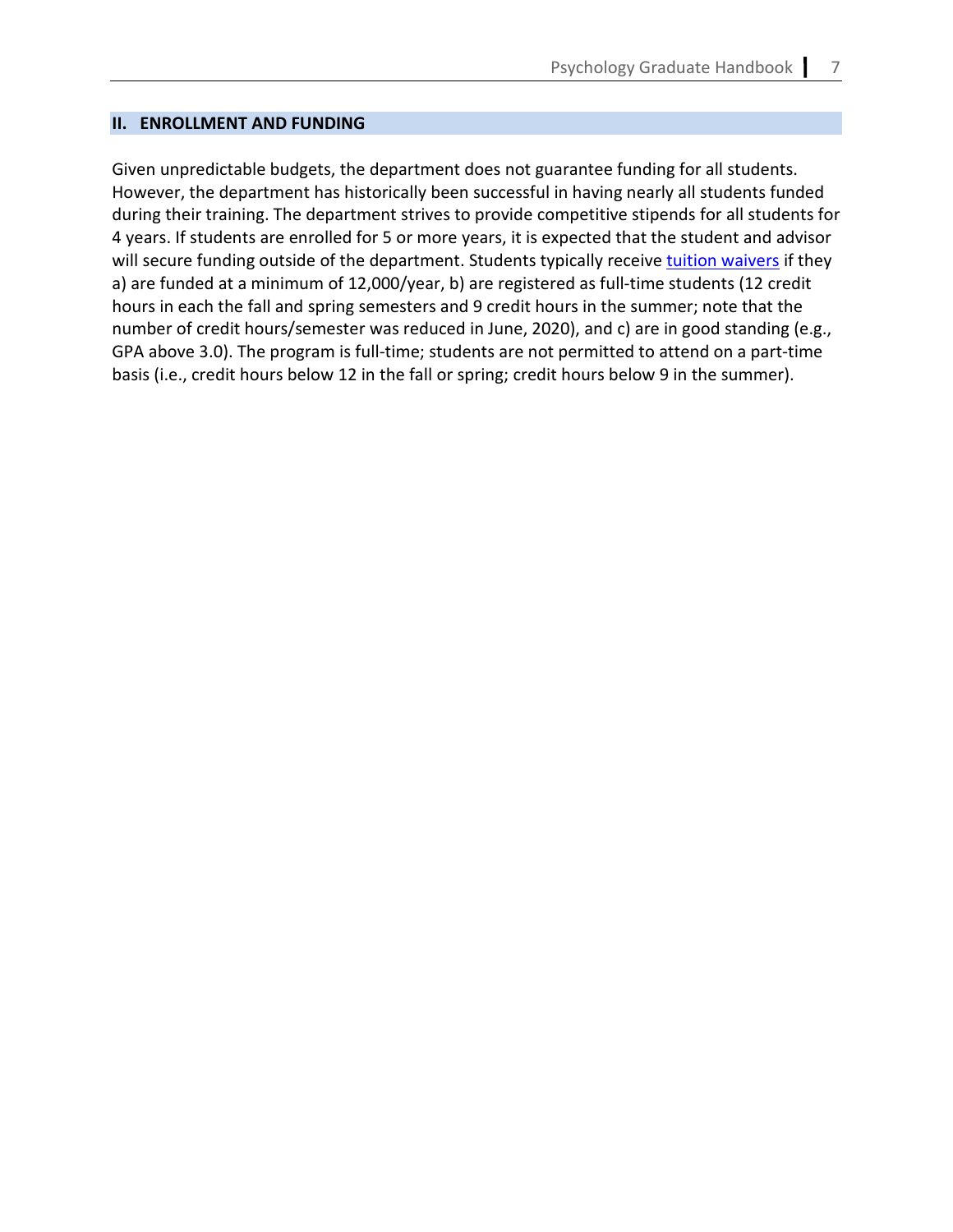#### **II. ENROLLMENT AND FUNDING**

Given unpredictable budgets, the department does not guarantee funding for all students. However, the department has historically been successful in having nearly all students funded during their training. The department strives to provide competitive stipends for all students for 4 years. If students are enrolled for 5 or more years, it is expected that the student and advisor will secure funding outside of the department. Students typically receive [tuition waivers](https://cas.gsu.edu/files/2020/03/CAS_GA_STIPEND_AND_WAIVER_POLICY.pdf) if they a) are funded at a minimum of 12,000/year, b) are registered as full-time students (12 credit hours in each the fall and spring semesters and 9 credit hours in the summer; note that the number of credit hours/semester was reduced in June, 2020), and c) are in good standing (e.g., GPA above 3.0). The program is full-time; students are not permitted to attend on a part-time basis (i.e., credit hours below 12 in the fall or spring; credit hours below 9 in the summer).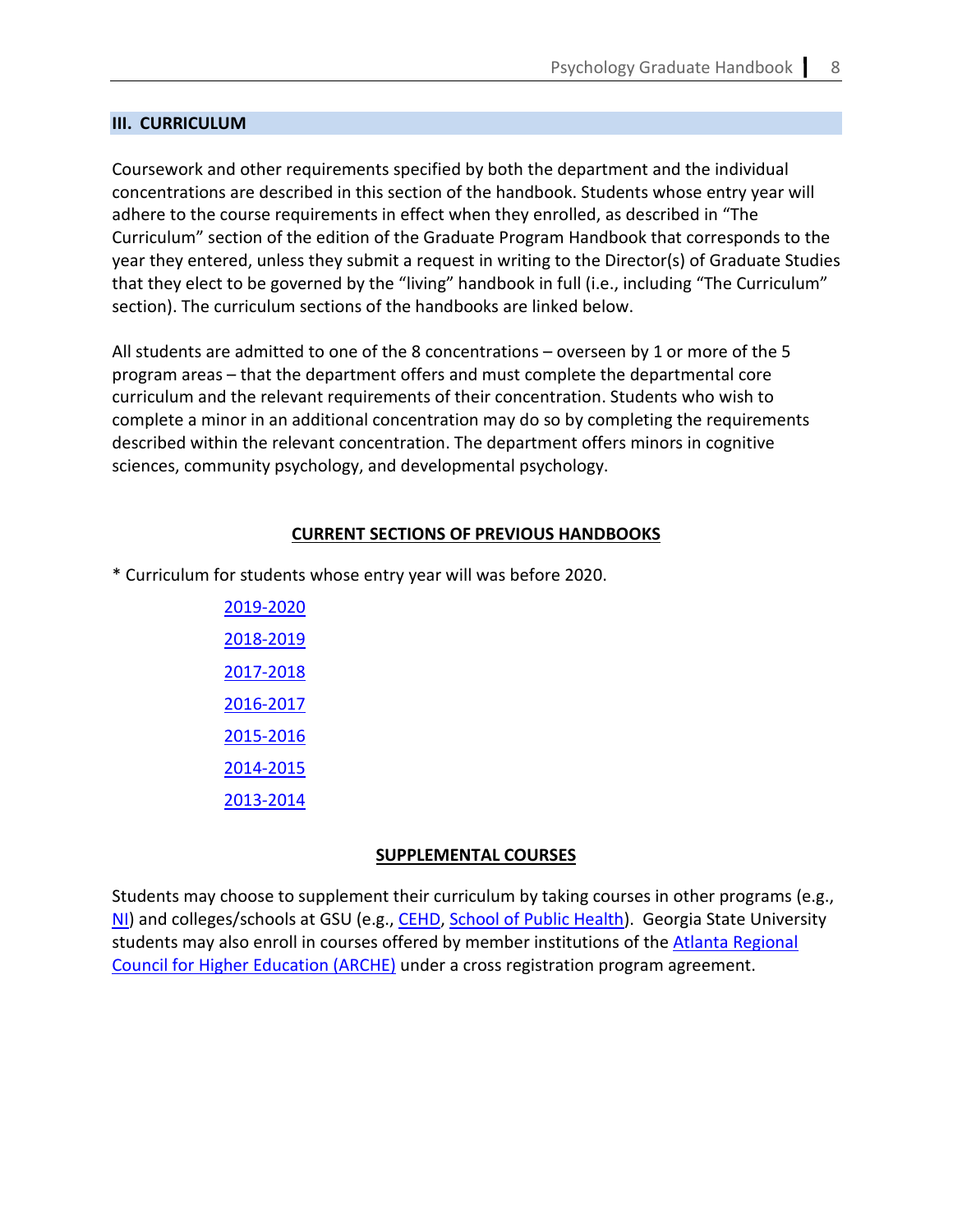#### **III. CURRICULUM**

Coursework and other requirements specified by both the department and the individual concentrations are described in this section of the handbook. Students whose entry year will adhere to the course requirements in effect when they enrolled, as described in "The Curriculum" section of the edition of the Graduate Program Handbook that corresponds to the year they entered, unless they submit a request in writing to the Director(s) of Graduate Studies that they elect to be governed by the "living" handbook in full (i.e., including "The Curriculum" section). The curriculum sections of the handbooks are linked below.

All students are admitted to one of the 8 concentrations – overseen by 1 or more of the 5 program areas – that the department offers and must complete the departmental core curriculum and the relevant requirements of their concentration. Students who wish to complete a minor in an additional concentration may do so by completing the requirements described within the relevant concentration. The department offers minors in cognitive sciences, community psychology, and developmental psychology.

#### **CURRENT SECTIONS OF PREVIOUS HANDBOOKS**

\* Curriculum for students whose entry year will was before 2020.

[2019-2020](https://psychology.gsu.edu/document/graduate-handbooks-archive/?ind=1615910586742&filename=PSYC-Grad-Curriculum-2019-2020_Redacted.pdf&wpdmdl=5474&refresh=6050d81f70c7d1615910943) [2018-2019](https://psychology.gsu.edu/document/graduate-handbooks-archive/?ind=1615910584897&filename=PSYC-Grad-Curriculum-2018-2019_Redacted.pdf&wpdmdl=5474&refresh=6050d81f70fd71615910943) [2017-2018](https://psychology.gsu.edu/document/graduate-handbooks-archive/?ind=1615910583154&filename=PSYC-Grad-Curriculum-2017-2018_Redacted.pdf&wpdmdl=5474&refresh=6050d81f7131d1615910943) [2016-2017](https://psychology.gsu.edu/document/graduate-handbooks-archive/?ind=1615910581314&filename=PSYC-Grad-Curriculum-2016-2017_Redacted.pdf&wpdmdl=5474&refresh=6050d81f7165d1615910943) [2015-2016](https://psychology.gsu.edu/document/graduate-handbooks-archive/?ind=1615910579571&filename=PSYC-Grad-Curriculum-2015-2016_Redacted.pdf&wpdmdl=5474&refresh=6050d81f71a291615910943) [2014-2015](https://psychology.gsu.edu/document/graduate-handbooks-archive/?ind=1615910578036&filename=PSYC-Grad-Curriculum-2014-2015_Redacted.pdf&wpdmdl=5474&refresh=6050d81f71ec41615910943) [2013-2014](https://psychology.gsu.edu/document/graduate-handbooks-archive/?ind=1615910576531&filename=PSYC-Grad-Curriculum-2013-2014_Redacted.pdf&wpdmdl=5474&refresh=6050d81f722cd1615910943)

## **SUPPLEMENTAL COURSES**

<span id="page-3-0"></span>Students may choose to supplement their curriculum by taking courses in other programs (e.g., [NI\)](https://neuroscience.gsu.edu/) and colleges/schools at GSU (e.g., [CEHD,](https://education.gsu.edu/) [School of Public Health\)](https://publichealth.gsu.edu/). Georgia State University students may also enroll in courses offered by member institutions of the [Atlanta Regional](https://registrar.gsu.edu/registration/arche/)  [Council for Higher Education \(ARCHE\)](https://registrar.gsu.edu/registration/arche/) under a cross registration program agreement.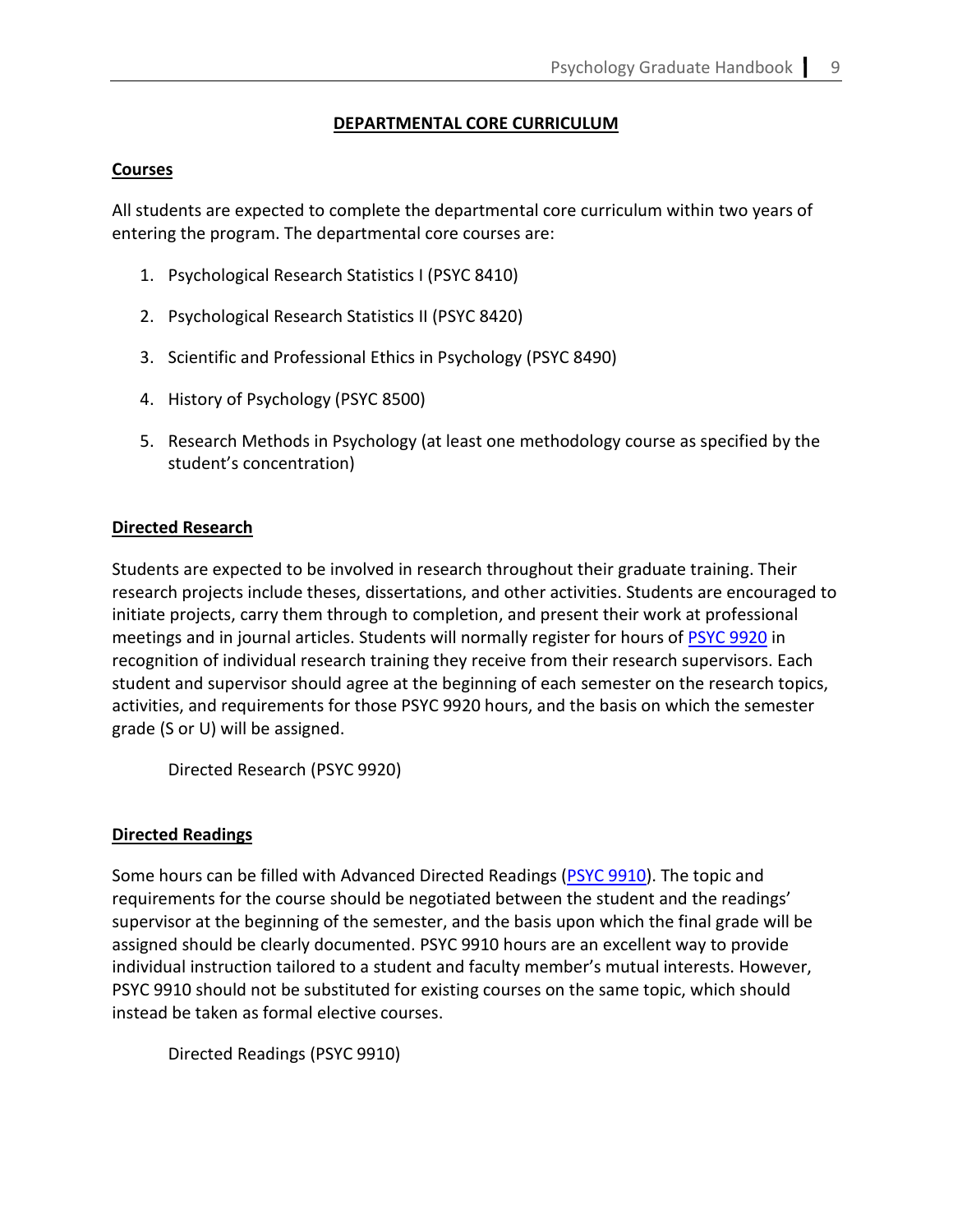## **DEPARTMENTAL CORE CURRICULUM**

#### **Courses**

All students are expected to complete the departmental core curriculum within two years of entering the program. The departmental core courses are:

- 1. Psychological Research Statistics I (PSYC 8410)
- 2. Psychological Research Statistics II (PSYC 8420)
- 3. Scientific and Professional Ethics in Psychology (PSYC 8490)
- 4. History of Psychology (PSYC 8500)
- 5. Research Methods in Psychology (at least one methodology course as specified by the student's concentration)

#### **Directed Research**

Students are expected to be involved in research throughout their graduate training. Their research projects include theses, dissertations, and other activities. Students are encouraged to initiate projects, carry them through to completion, and present their work at professional meetings and in journal articles. Students will normally register for hours of [PSYC 9920](https://cas.gsu.edu/request-for-authorization-psyc-9920/) in recognition of individual research training they receive from their research supervisors. Each student and supervisor should agree at the beginning of each semester on the research topics, activities, and requirements for those PSYC 9920 hours, and the basis on which the semester grade (S or U) will be assigned.

Directed Research (PSYC 9920)

## **Directed Readings**

Some hours can be filled with Advanced Directed Readings [\(PSYC 9910\)](https://cas.gsu.edu/request-for-authorization-for-psych-9910/). The topic and requirements for the course should be negotiated between the student and the readings' supervisor at the beginning of the semester, and the basis upon which the final grade will be assigned should be clearly documented. PSYC 9910 hours are an excellent way to provide individual instruction tailored to a student and faculty member's mutual interests. However, PSYC 9910 should not be substituted for existing courses on the same topic, which should instead be taken as formal elective courses.

```
Directed Readings (PSYC 9910)
```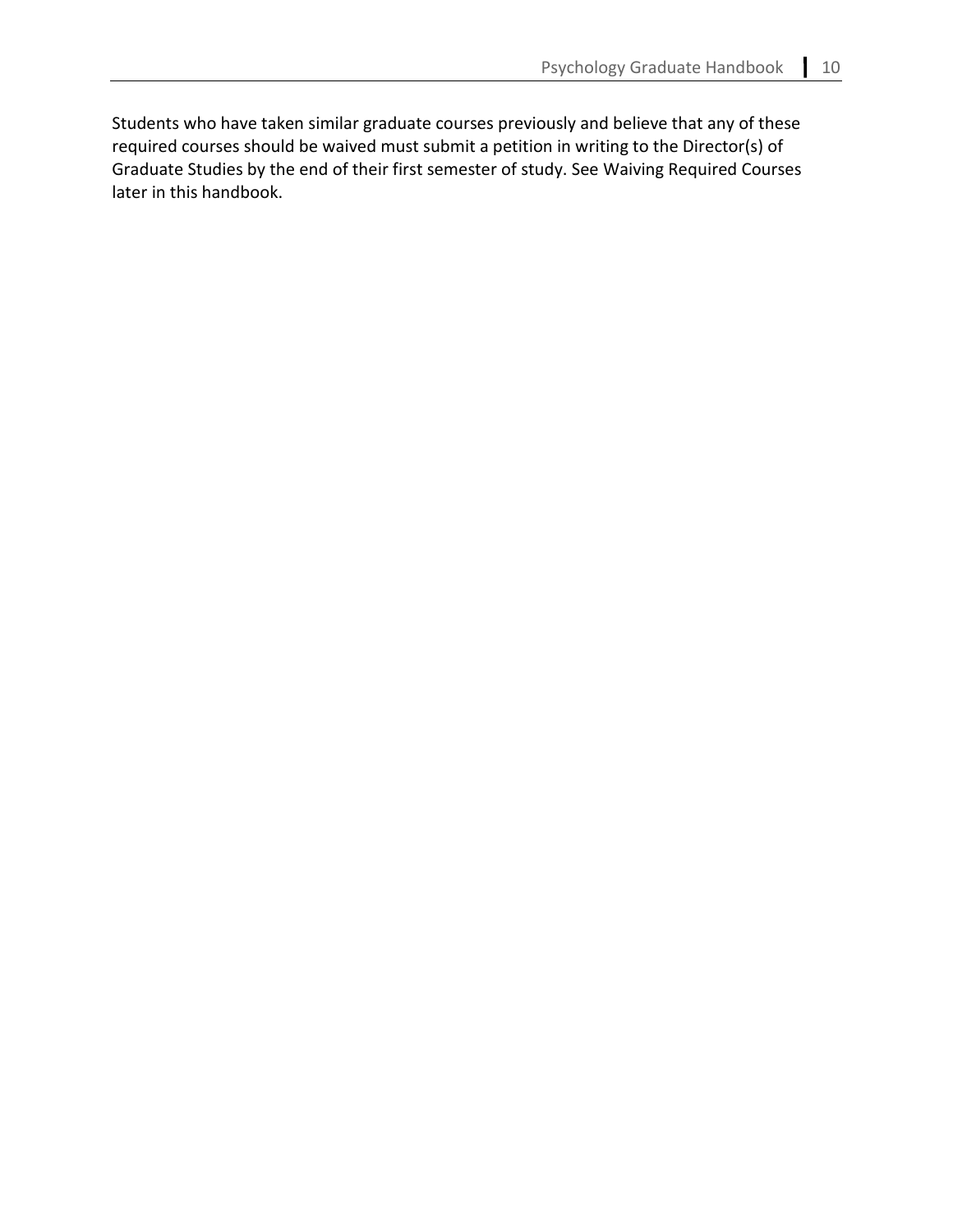Students who have taken similar graduate courses previously and believe that any of these required courses should be waived must submit a petition in writing to the Director(s) of Graduate Studies by the end of their first semester of study. See Waiving Required Courses later in this handbook.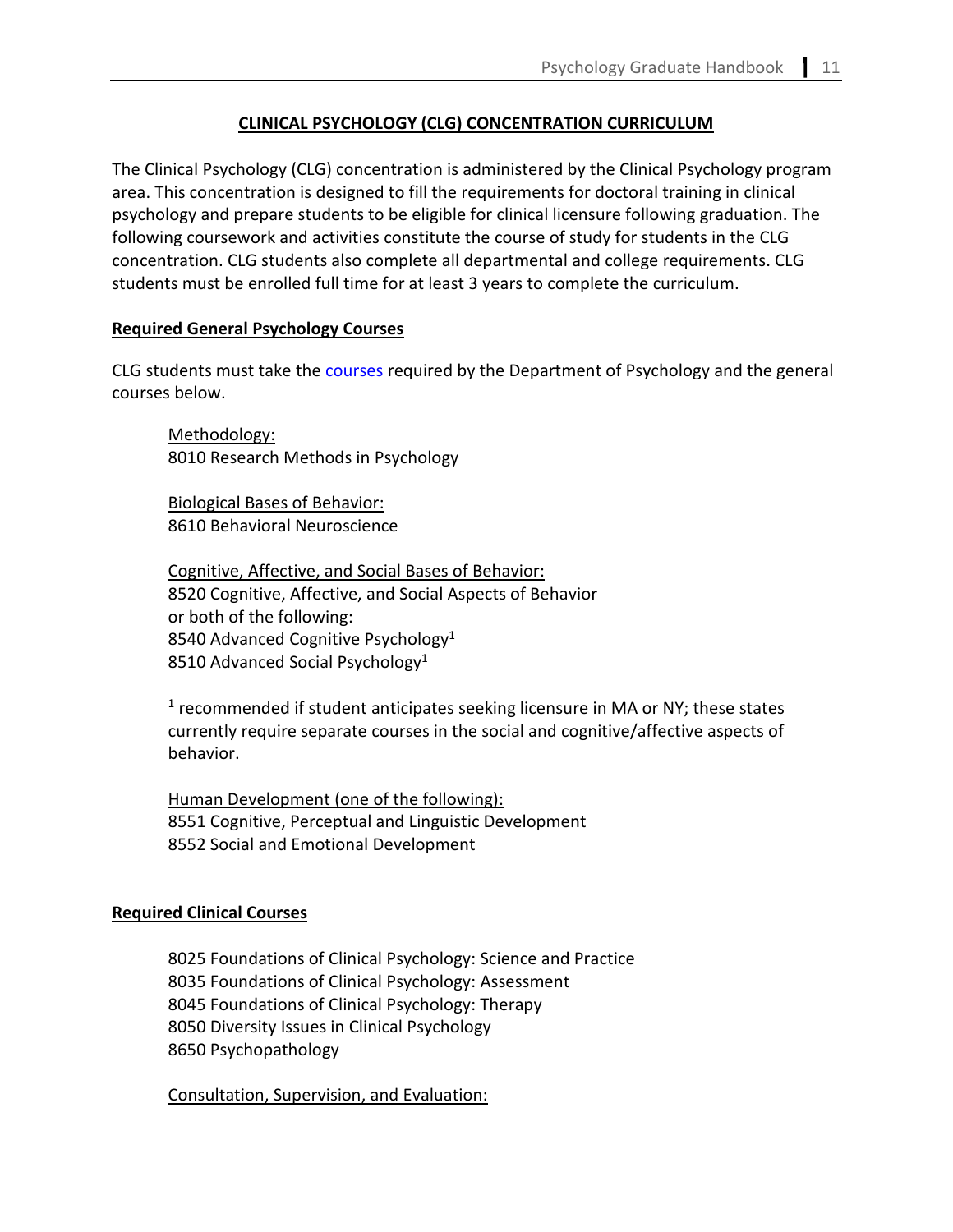# **CLINICAL PSYCHOLOGY (CLG) CONCENTRATION CURRICULUM**

The Clinical Psychology (CLG) concentration is administered by the Clinical Psychology program area. This concentration is designed to fill the requirements for doctoral training in clinical psychology and prepare students to be eligible for clinical licensure following graduation. The following coursework and activities constitute the course of study for students in the CLG concentration. CLG students also complete all departmental and college requirements. CLG students must be enrolled full time for at least 3 years to complete the curriculum.

# <span id="page-6-0"></span>**Required General Psychology Courses**

CLG students must take the **courses** required by the Department of Psychology and the general courses below.

Methodology: 8010 Research Methods in Psychology

Biological Bases of Behavior: 8610 Behavioral Neuroscience

Cognitive, Affective, and Social Bases of Behavior: 8520 Cognitive, Affective, and Social Aspects of Behavior or both of the following: 8540 Advanced Cognitive Psychology<sup>1</sup> 8510 Advanced Social Psychology<sup>1</sup>

 $<sup>1</sup>$  recommended if student anticipates seeking licensure in MA or NY; these states</sup> currently require separate courses in the social and cognitive/affective aspects of behavior.

Human Development (one of the following): 8551 Cognitive, Perceptual and Linguistic Development 8552 Social and Emotional Development

## <span id="page-6-1"></span>**Required Clinical Courses**

8025 Foundations of Clinical Psychology: Science and Practice 8035 Foundations of Clinical Psychology: Assessment 8045 Foundations of Clinical Psychology: Therapy 8050 Diversity Issues in Clinical Psychology 8650 Psychopathology

Consultation, Supervision, and Evaluation: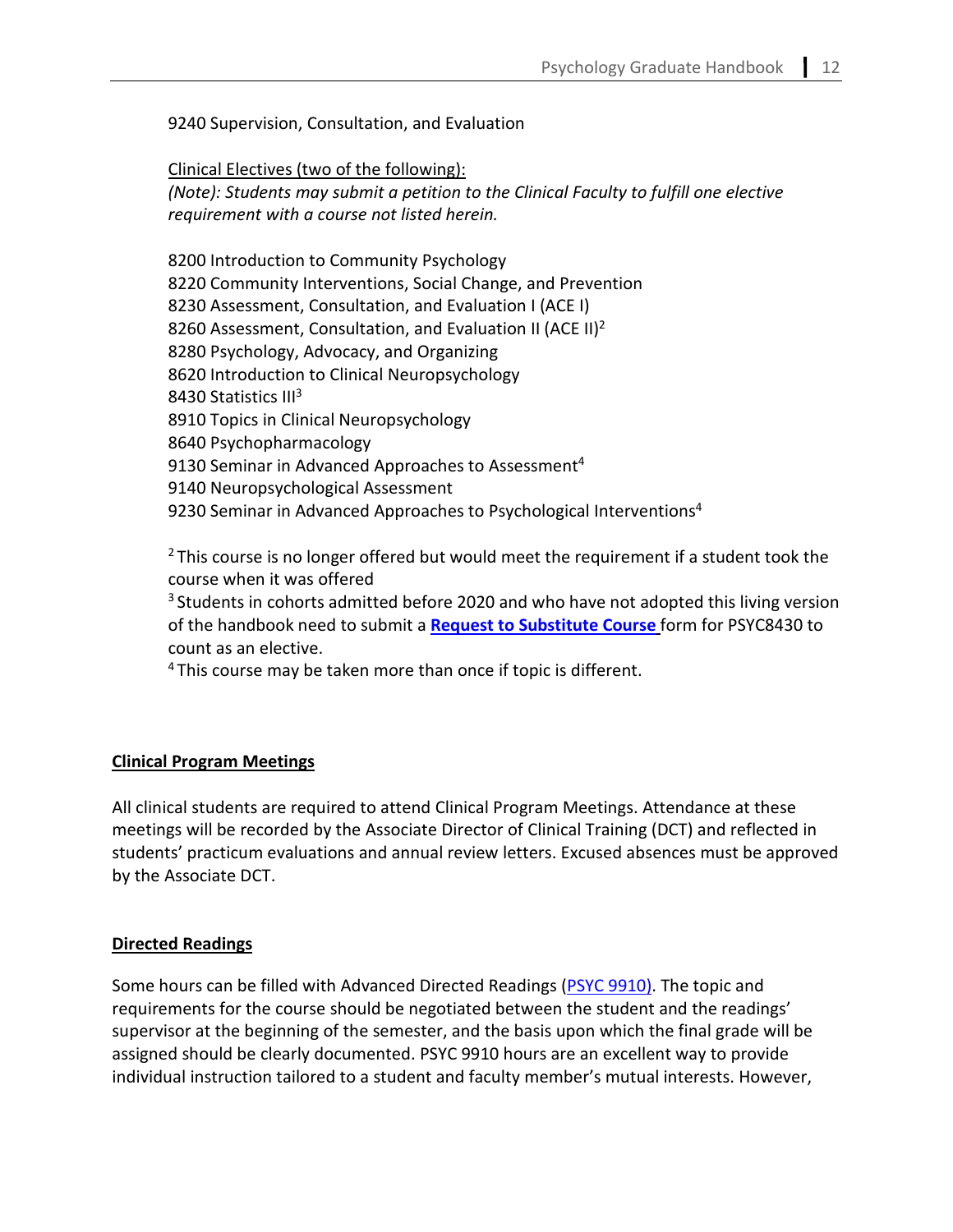9240 Supervision, Consultation, and Evaluation

Clinical Electives (two of the following): *(Note): Students may submit a petition to the Clinical Faculty to fulfill one elective requirement with a course not listed herein.*

8200 Introduction to Community Psychology 8220 Community Interventions, Social Change, and Prevention 8230 Assessment, Consultation, and Evaluation I (ACE I) 8260 Assessment, Consultation, and Evaluation II (ACE II)<sup>2</sup> 8280 Psychology, Advocacy, and Organizing 8620 Introduction to Clinical Neuropsychology 8430 Statistics III<sup>3</sup> 8910 Topics in Clinical Neuropsychology 8640 Psychopharmacology 9130 Seminar in Advanced Approaches to Assessment<sup>4</sup> 9140 Neuropsychological Assessment 9230 Seminar in Advanced Approaches to Psychological Interventions<sup>4</sup>

 $2$  This course is no longer offered but would meet the requirement if a student took the course when it was offered

 $3$  Students in cohorts admitted before 2020 and who have not adopted this living version of the handbook need to submit a **[Request to Substitute Course](https://cas.gsu.edu/request-to-substitute-courses/)** form for PSYC8430 to count as an elective.

 $4$ This course may be taken more than once if topic is different.

# <span id="page-7-0"></span>**Clinical Program Meetings**

All clinical students are required to attend Clinical Program Meetings. Attendance at these meetings will be recorded by the Associate Director of Clinical Training (DCT) and reflected in students' practicum evaluations and annual review letters. Excused absences must be approved by the Associate DCT.

## **Directed Readings**

Some hours can be filled with Advanced Directed Readings [\(PSYC 9910\).](https://cas.gsu.edu/request-for-authorization-for-psych-9910/) The topic and requirements for the course should be negotiated between the student and the readings' supervisor at the beginning of the semester, and the basis upon which the final grade will be assigned should be clearly documented. PSYC 9910 hours are an excellent way to provide individual instruction tailored to a student and faculty member's mutual interests. However,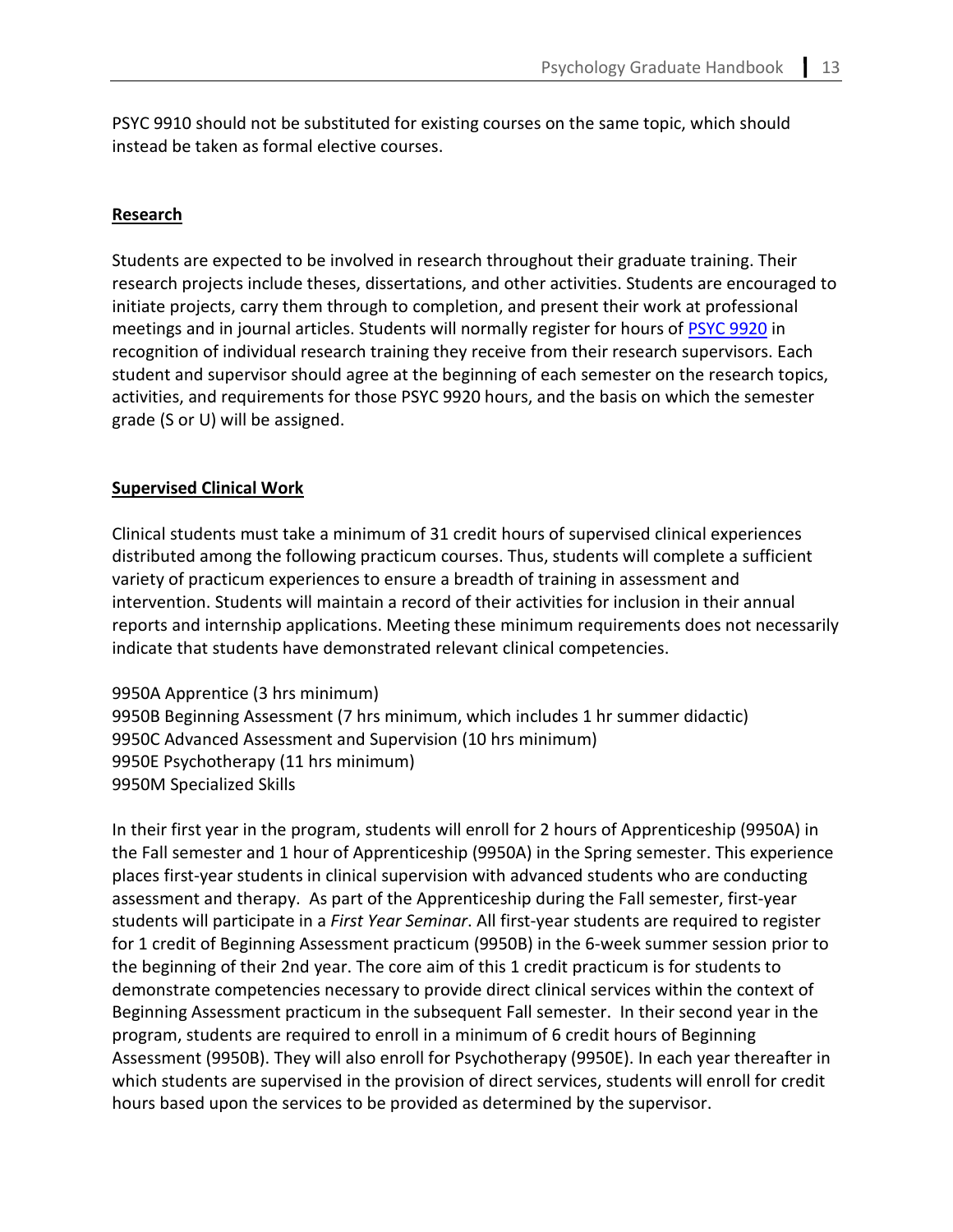PSYC 9910 should not be substituted for existing courses on the same topic, which should instead be taken as formal elective courses.

## **Research**

Students are expected to be involved in research throughout their graduate training. Their research projects include theses, dissertations, and other activities. Students are encouraged to initiate projects, carry them through to completion, and present their work at professional meetings and in journal articles. Students will normally register for hours of [PSYC 9920](https://cas.gsu.edu/request-for-authorization-psyc-9920/) in recognition of individual research training they receive from their research supervisors. Each student and supervisor should agree at the beginning of each semester on the research topics, activities, and requirements for those PSYC 9920 hours, and the basis on which the semester grade (S or U) will be assigned.

#### <span id="page-8-0"></span>**Supervised Clinical Work**

Clinical students must take a minimum of 31 credit hours of supervised clinical experiences distributed among the following practicum courses. Thus, students will complete a sufficient variety of practicum experiences to ensure a breadth of training in assessment and intervention. Students will maintain a record of their activities for inclusion in their annual reports and internship applications. Meeting these minimum requirements does not necessarily indicate that students have demonstrated relevant clinical competencies.

9950A Apprentice (3 hrs minimum) 9950B Beginning Assessment (7 hrs minimum, which includes 1 hr summer didactic) 9950C Advanced Assessment and Supervision (10 hrs minimum) 9950E Psychotherapy (11 hrs minimum) 9950M Specialized Skills

In their first year in the program, students will enroll for 2 hours of Apprenticeship (9950A) in the Fall semester and 1 hour of Apprenticeship (9950A) in the Spring semester. This experience places first-year students in clinical supervision with advanced students who are conducting assessment and therapy. As part of the Apprenticeship during the Fall semester, first-year students will participate in a *First Year Seminar*. All first-year students are required to register for 1 credit of Beginning Assessment practicum (9950B) in the 6-week summer session prior to the beginning of their 2nd year. The core aim of this 1 credit practicum is for students to demonstrate competencies necessary to provide direct clinical services within the context of Beginning Assessment practicum in the subsequent Fall semester. In their second year in the program, students are required to enroll in a minimum of 6 credit hours of Beginning Assessment (9950B). They will also enroll for Psychotherapy (9950E). In each year thereafter in which students are supervised in the provision of direct services, students will enroll for credit hours based upon the services to be provided as determined by the supervisor.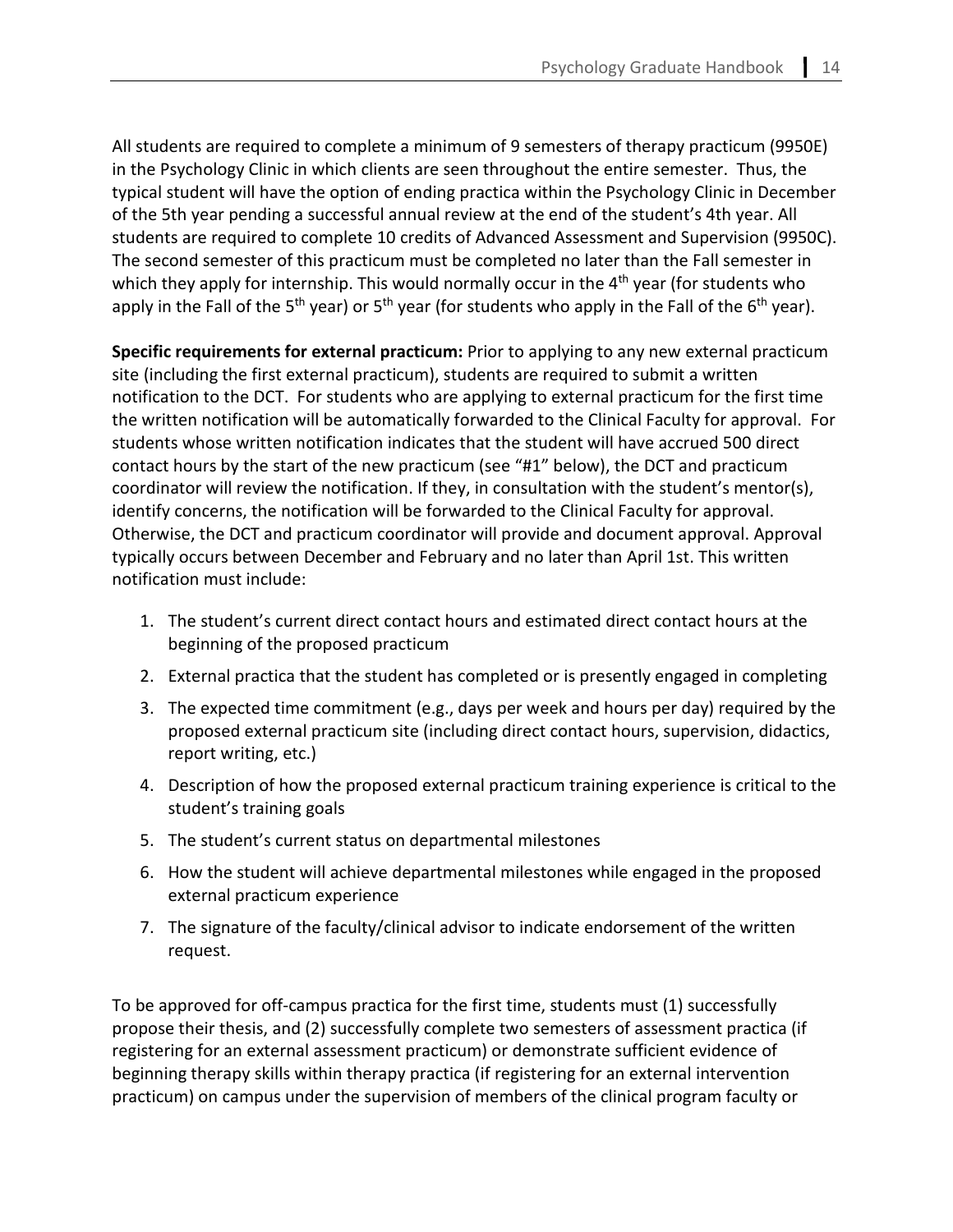All students are required to complete a minimum of 9 semesters of therapy practicum (9950E) in the Psychology Clinic in which clients are seen throughout the entire semester. Thus, the typical student will have the option of ending practica within the Psychology Clinic in December of the 5th year pending a successful annual review at the end of the student's 4th year. All students are required to complete 10 credits of Advanced Assessment and Supervision (9950C). The second semester of this practicum must be completed no later than the Fall semester in which they apply for internship. This would normally occur in the  $4<sup>th</sup>$  year (for students who apply in the Fall of the 5<sup>th</sup> year) or 5<sup>th</sup> year (for students who apply in the Fall of the 6<sup>th</sup> year).

**Specific requirements for external practicum:** Prior to applying to any new external practicum site (including the first external practicum), students are required to submit a written notification to the DCT. For students who are applying to external practicum for the first time the written notification will be automatically forwarded to the Clinical Faculty for approval. For students whose written notification indicates that the student will have accrued 500 direct contact hours by the start of the new practicum (see "#1" below), the DCT and practicum coordinator will review the notification. If they, in consultation with the student's mentor(s), identify concerns, the notification will be forwarded to the Clinical Faculty for approval. Otherwise, the DCT and practicum coordinator will provide and document approval. Approval typically occurs between December and February and no later than April 1st. This written notification must include:

- 1. The student's current direct contact hours and estimated direct contact hours at the beginning of the proposed practicum
- 2. External practica that the student has completed or is presently engaged in completing
- 3. The expected time commitment (e.g., days per week and hours per day) required by the proposed external practicum site (including direct contact hours, supervision, didactics, report writing, etc.)
- 4. Description of how the proposed external practicum training experience is critical to the student's training goals
- 5. The student's current status on departmental milestones
- 6. How the student will achieve departmental milestones while engaged in the proposed external practicum experience
- 7. The signature of the faculty/clinical advisor to indicate endorsement of the written request.

To be approved for off-campus practica for the first time, students must (1) successfully propose their thesis, and (2) successfully complete two semesters of assessment practica (if registering for an external assessment practicum) or demonstrate sufficient evidence of beginning therapy skills within therapy practica (if registering for an external intervention practicum) on campus under the supervision of members of the clinical program faculty or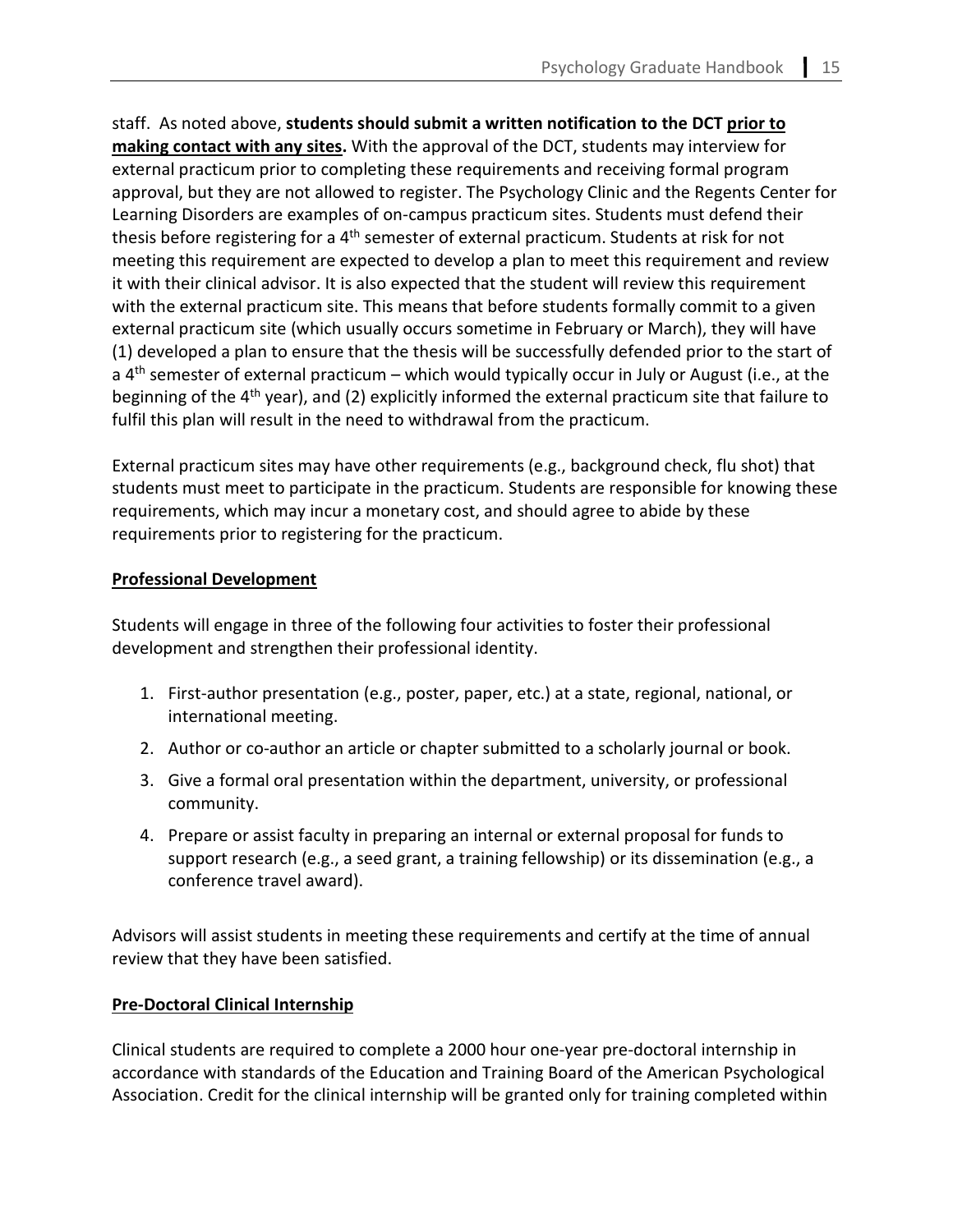staff. As noted above, **students should submit a written notification to the DCT prior to making contact with any sites.** With the approval of the DCT, students may interview for external practicum prior to completing these requirements and receiving formal program approval, but they are not allowed to register. The Psychology Clinic and the Regents Center for Learning Disorders are examples of on-campus practicum sites. Students must defend their thesis before registering for a 4<sup>th</sup> semester of external practicum. Students at risk for not meeting this requirement are expected to develop a plan to meet this requirement and review it with their clinical advisor. It is also expected that the student will review this requirement with the external practicum site. This means that before students formally commit to a given external practicum site (which usually occurs sometime in February or March), they will have (1) developed a plan to ensure that the thesis will be successfully defended prior to the start of a  $4<sup>th</sup>$  semester of external practicum – which would typically occur in July or August (i.e., at the beginning of the 4<sup>th</sup> year), and (2) explicitly informed the external practicum site that failure to fulfil this plan will result in the need to withdrawal from the practicum.

External practicum sites may have other requirements (e.g., background check, flu shot) that students must meet to participate in the practicum. Students are responsible for knowing these requirements, which may incur a monetary cost, and should agree to abide by these requirements prior to registering for the practicum.

# <span id="page-10-0"></span>**Professional Development**

Students will engage in three of the following four activities to foster their professional development and strengthen their professional identity.

- 1. First-author presentation (e.g., poster, paper, etc.) at a state, regional, national, or international meeting.
- 2. Author or co-author an article or chapter submitted to a scholarly journal or book.
- 3. Give a formal oral presentation within the department, university, or professional community.
- 4. Prepare or assist faculty in preparing an internal or external proposal for funds to support research (e.g., a seed grant, a training fellowship) or its dissemination (e.g., a conference travel award).

Advisors will assist students in meeting these requirements and certify at the time of annual review that they have been satisfied.

# <span id="page-10-1"></span>**Pre-Doctoral Clinical Internship**

Clinical students are required to complete a 2000 hour one-year pre-doctoral internship in accordance with standards of the Education and Training Board of the American Psychological Association. Credit for the clinical internship will be granted only for training completed within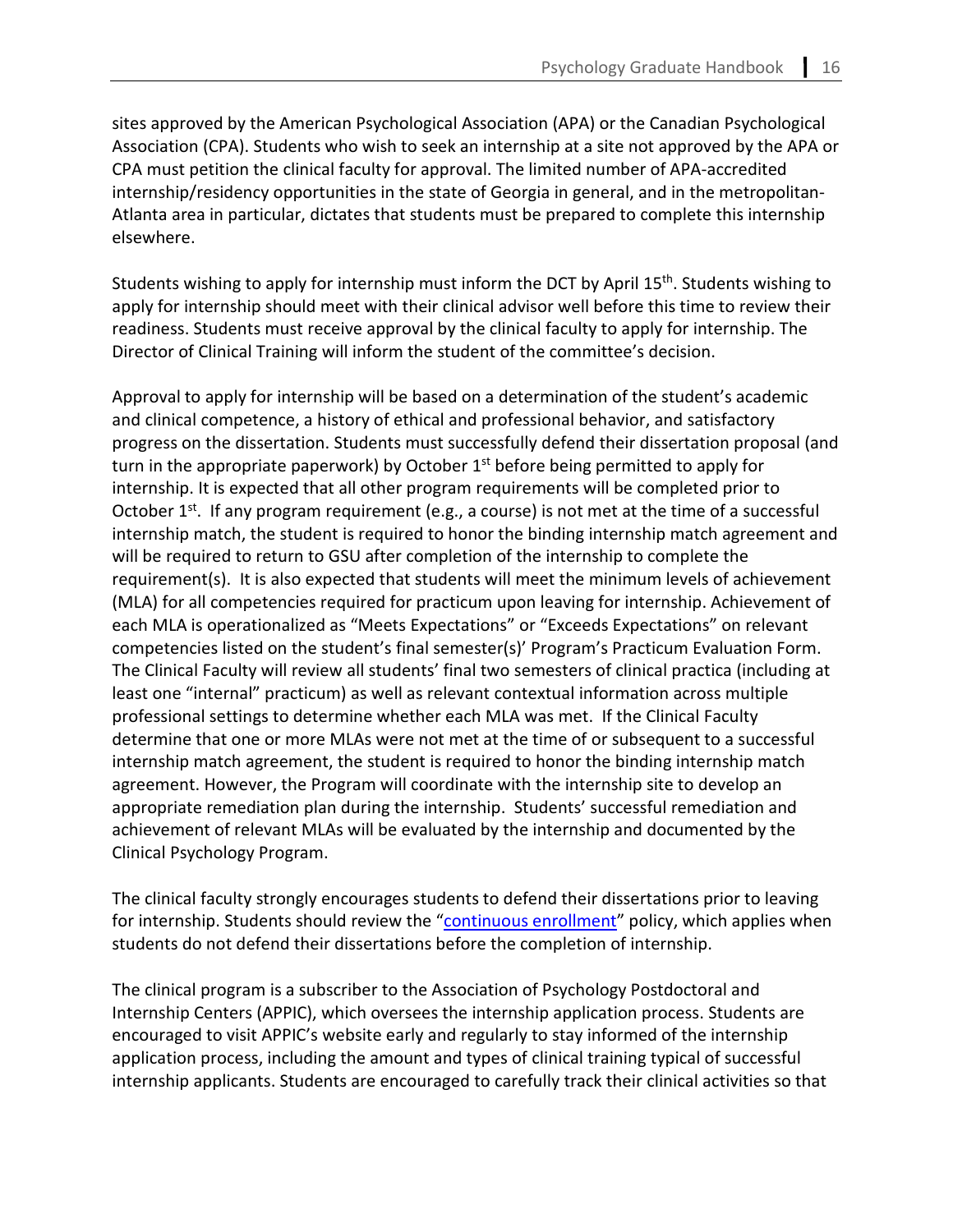sites approved by the American Psychological Association (APA) or the Canadian Psychological Association (CPA). Students who wish to seek an internship at a site not approved by the APA or CPA must petition the clinical faculty for approval. The limited number of APA-accredited internship/residency opportunities in the state of Georgia in general, and in the metropolitan-Atlanta area in particular, dictates that students must be prepared to complete this internship elsewhere.

Students wishing to apply for internship must inform the DCT by April 15<sup>th</sup>. Students wishing to apply for internship should meet with their clinical advisor well before this time to review their readiness. Students must receive approval by the clinical faculty to apply for internship. The Director of Clinical Training will inform the student of the committee's decision.

Approval to apply for internship will be based on a determination of the student's academic and clinical competence, a history of ethical and professional behavior, and satisfactory progress on the dissertation. Students must successfully defend their dissertation proposal (and turn in the appropriate paperwork) by October  $1<sup>st</sup>$  before being permitted to apply for internship. It is expected that all other program requirements will be completed prior to October  $1^{st}$ . If any program requirement (e.g., a course) is not met at the time of a successful internship match, the student is required to honor the binding internship match agreement and will be required to return to GSU after completion of the internship to complete the requirement(s). It is also expected that students will meet the minimum levels of achievement (MLA) for all competencies required for practicum upon leaving for internship. Achievement of each MLA is operationalized as "Meets Expectations" or "Exceeds Expectations" on relevant competencies listed on the student's final semester(s)' Program's Practicum Evaluation Form. The Clinical Faculty will review all students' final two semesters of clinical practica (including at least one "internal" practicum) as well as relevant contextual information across multiple professional settings to determine whether each MLA was met. If the Clinical Faculty determine that one or more MLAs were not met at the time of or subsequent to a successful internship match agreement, the student is required to honor the binding internship match agreement. However, the Program will coordinate with the internship site to develop an appropriate remediation plan during the internship. Students' successful remediation and achievement of relevant MLAs will be evaluated by the internship and documented by the Clinical Psychology Program.

The clinical faculty strongly encourages students to defend their dissertations prior to leaving for internship. Students should review the ["continuous enrollment"](https://cas.gsu.edu/graduate-student-continuous-enrollment-policy/) policy, which applies when students do not defend their dissertations before the completion of internship.

The clinical program is a subscriber to the Association of Psychology Postdoctoral and Internship Centers (APPIC), which oversees the internship application process. Students are encouraged to visit APPIC's website early and regularly to stay informed of the internship application process, including the amount and types of clinical training typical of successful internship applicants. Students are encouraged to carefully track their clinical activities so that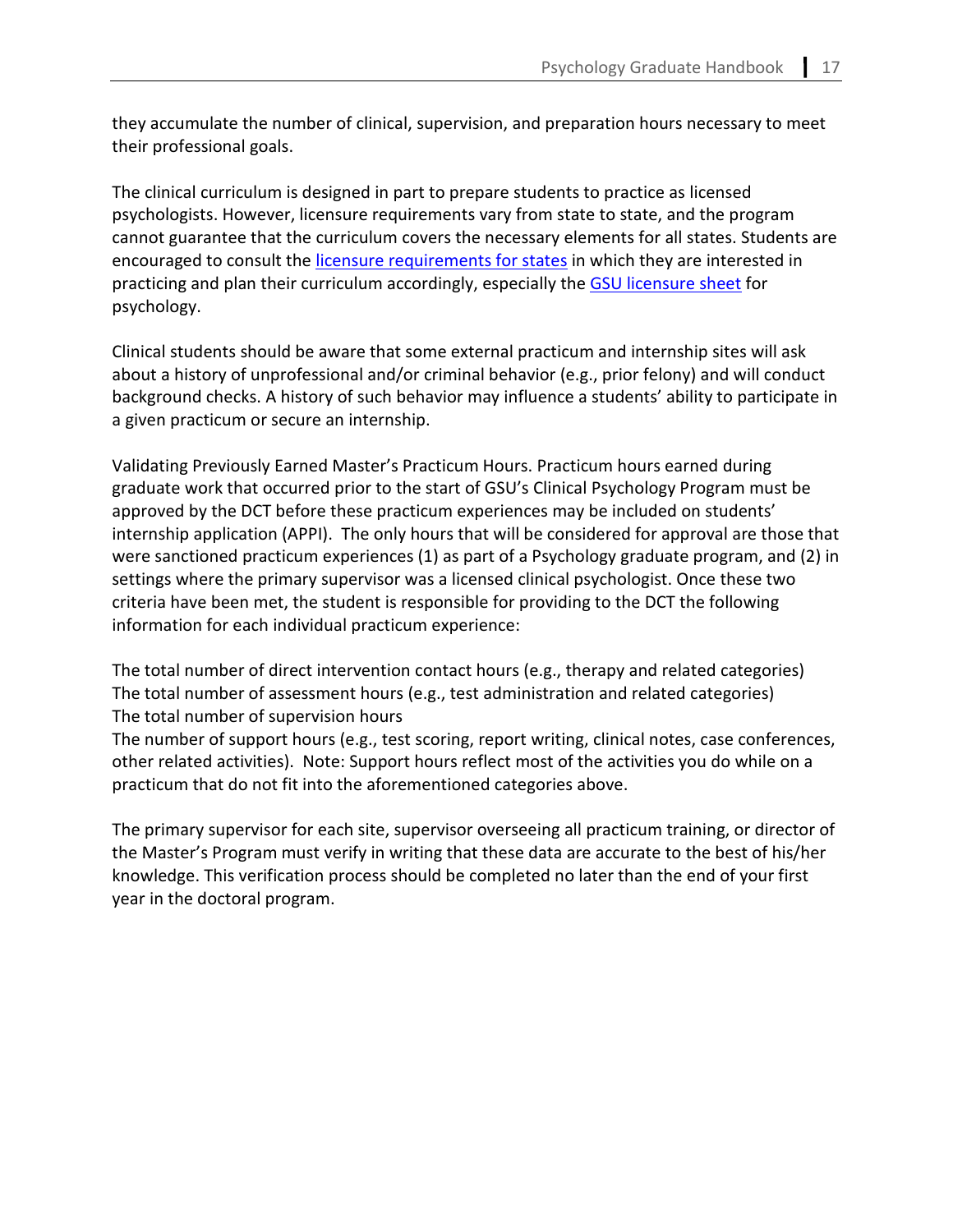they accumulate the number of clinical, supervision, and preparation hours necessary to meet their professional goals.

The clinical curriculum is designed in part to prepare students to practice as licensed psychologists. However, licensure requirements vary from state to state, and the program cannot guarantee that the curriculum covers the necessary elements for all states. Students are encouraged to consult the [licensure requirements for states](https://sacscoc.gsu.edu/student-consumer-info/professional-licensure/) in which they are interested in practicing and plan their curriculum accordingly, especially the [GSU licensure sheet](https://sacscoc.gsu.edu/files/2021/03/CASProfessional-Licensure-Sheet.pdf) for psychology.

Clinical students should be aware that some external practicum and internship sites will ask about a history of unprofessional and/or criminal behavior (e.g., prior felony) and will conduct background checks. A history of such behavior may influence a students' ability to participate in a given practicum or secure an internship.

Validating Previously Earned Master's Practicum Hours. Practicum hours earned during graduate work that occurred prior to the start of GSU's Clinical Psychology Program must be approved by the DCT before these practicum experiences may be included on students' internship application (APPI). The only hours that will be considered for approval are those that were sanctioned practicum experiences (1) as part of a Psychology graduate program, and (2) in settings where the primary supervisor was a licensed clinical psychologist. Once these two criteria have been met, the student is responsible for providing to the DCT the following information for each individual practicum experience:

The total number of direct intervention contact hours (e.g., therapy and related categories) The total number of assessment hours (e.g., test administration and related categories) The total number of supervision hours

The number of support hours (e.g., test scoring, report writing, clinical notes, case conferences, other related activities). Note: Support hours reflect most of the activities you do while on a practicum that do not fit into the aforementioned categories above.

The primary supervisor for each site, supervisor overseeing all practicum training, or director of the Master's Program must verify in writing that these data are accurate to the best of his/her knowledge. This verification process should be completed no later than the end of your first year in the doctoral program.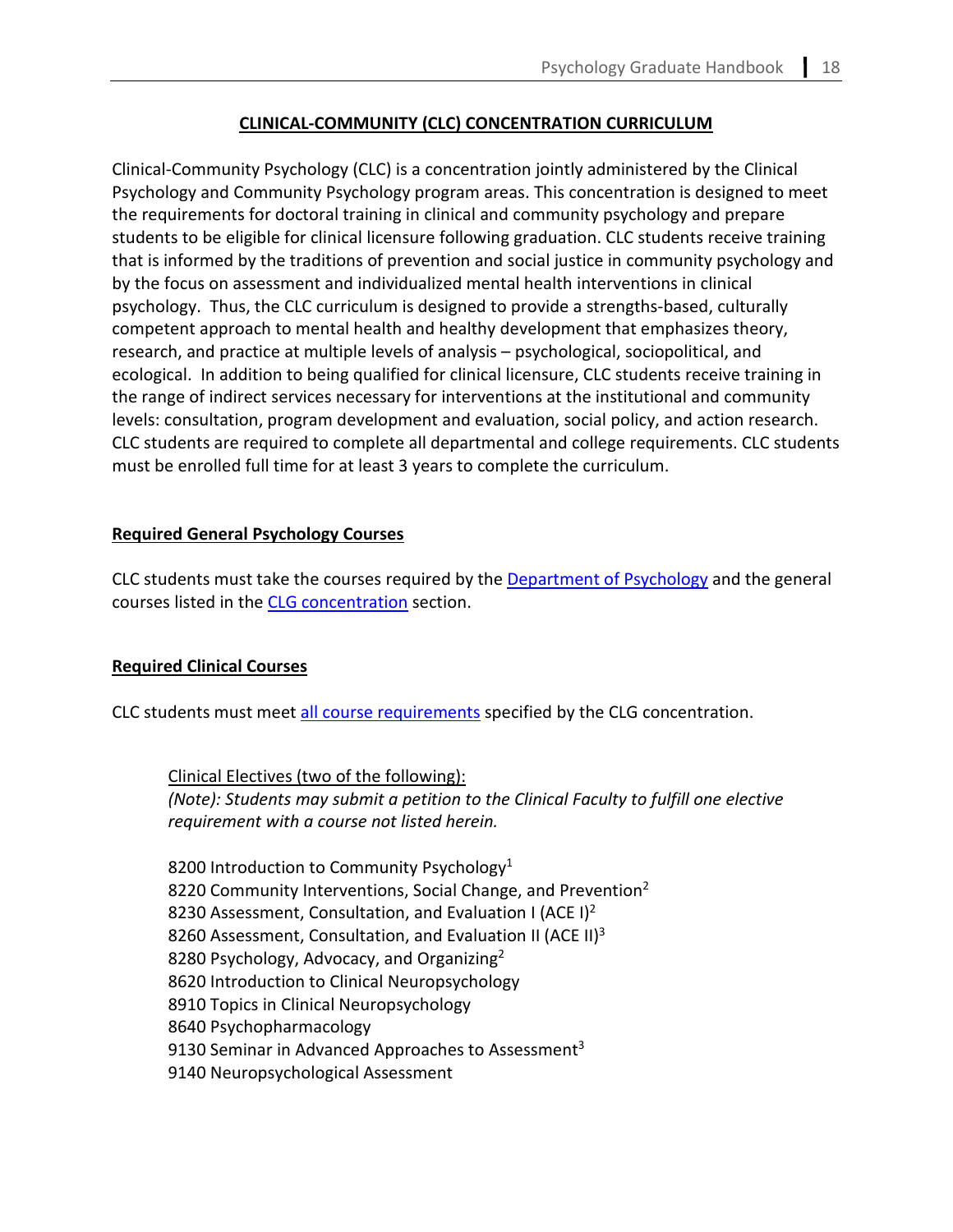# **CLINICAL-COMMUNITY (CLC) CONCENTRATION CURRICULUM**

Clinical-Community Psychology (CLC) is a concentration jointly administered by the Clinical Psychology and Community Psychology program areas. This concentration is designed to meet the requirements for doctoral training in clinical and community psychology and prepare students to be eligible for clinical licensure following graduation. CLC students receive training that is informed by the traditions of prevention and social justice in community psychology and by the focus on assessment and individualized mental health interventions in clinical psychology. Thus, the CLC curriculum is designed to provide a strengths-based, culturally competent approach to mental health and healthy development that emphasizes theory, research, and practice at multiple levels of analysis – psychological, sociopolitical, and ecological. In addition to being qualified for clinical licensure, CLC students receive training in the range of indirect services necessary for interventions at the institutional and community levels: consultation, program development and evaluation, social policy, and action research. CLC students are required to complete all departmental and college requirements. CLC students must be enrolled full time for at least 3 years to complete the curriculum.

# **Required General Psychology Courses**

CLC students must take the courses required by the [Department of Psychology](#page-3-0) and the general courses listed in the [CLG concentration](#page-6-0) section.

# **Required Clinical Courses**

CLC students must meet [all course requirements](#page-6-1) specified by the CLG concentration.

Clinical Electives (two of the following): *(Note): Students may submit a petition to the Clinical Faculty to fulfill one elective requirement with a course not listed herein.*

8200 Introduction to Community Psychology<sup>1</sup> 8220 Community Interventions, Social Change, and Prevention<sup>2</sup> 8230 Assessment, Consultation, and Evaluation I (ACE I)<sup>2</sup> 8260 Assessment, Consultation, and Evaluation II (ACE II)<sup>3</sup> 8280 Psychology, Advocacy, and Organizing<sup>2</sup> 8620 Introduction to Clinical Neuropsychology 8910 Topics in Clinical Neuropsychology 8640 Psychopharmacology 9130 Seminar in Advanced Approaches to Assessment<sup>3</sup> 9140 Neuropsychological Assessment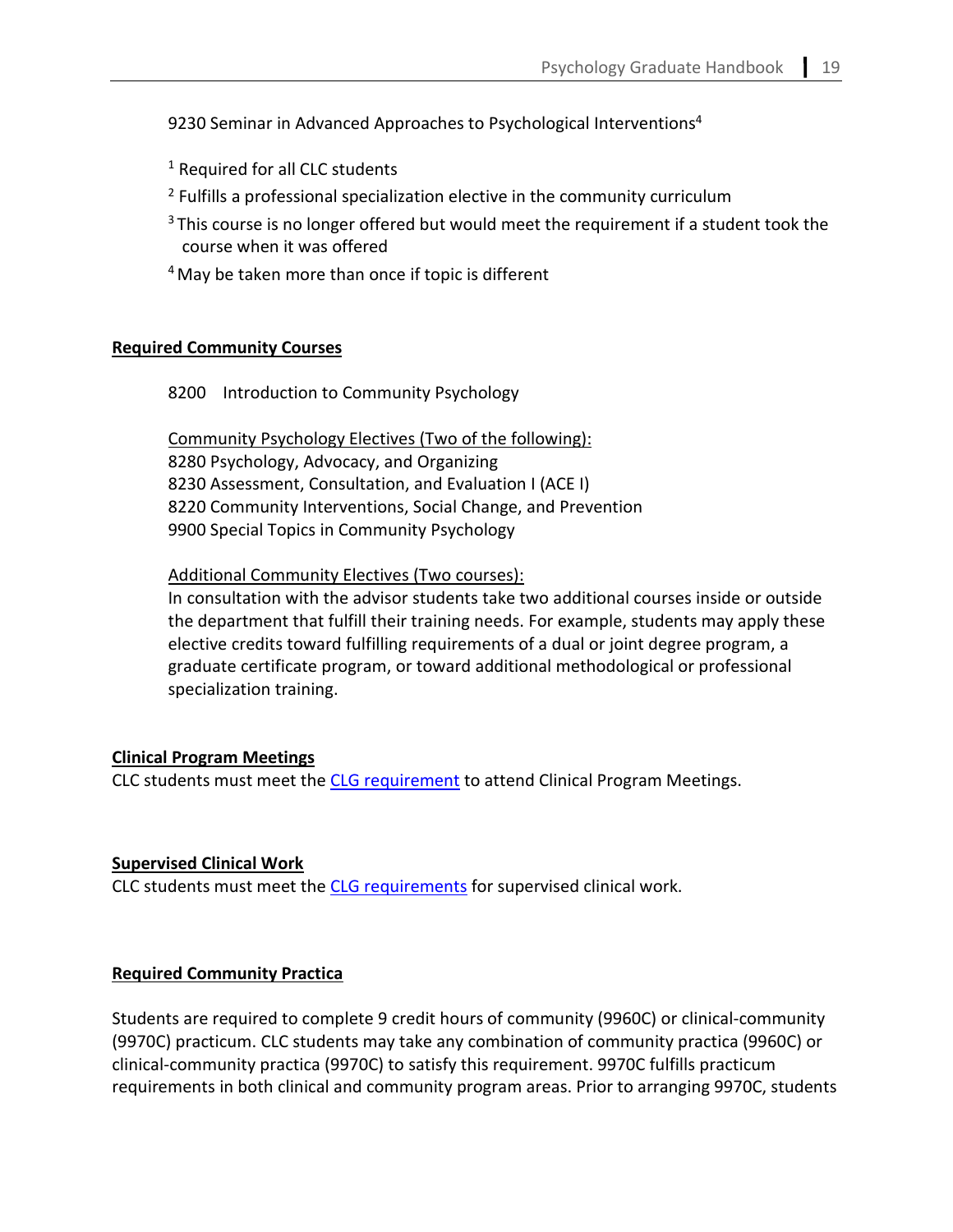9230 Seminar in Advanced Approaches to Psychological Interventions<sup>4</sup>

<sup>1</sup> Required for all CLC students

- <sup>2</sup> Fulfills a professional specialization elective in the community curriculum
- $3$  This course is no longer offered but would meet the requirement if a student took the course when it was offered
- $4$  May be taken more than once if topic is different

#### **Required Community Courses**

8200 Introduction to Community Psychology

Community Psychology Electives (Two of the following): 8280 Psychology, Advocacy, and Organizing 8230 Assessment, Consultation, and Evaluation I (ACE I) 8220 Community Interventions, Social Change, and Prevention 9900 Special Topics in Community Psychology

Additional Community Electives (Two courses):

In consultation with the advisor students take two additional courses inside or outside the department that fulfill their training needs. For example, students may apply these elective credits toward fulfilling requirements of a dual or joint degree program, a graduate certificate program, or toward additional methodological or professional specialization training.

#### **Clinical Program Meetings**

CLC students must meet the [CLG requirement](#page-7-0) to attend Clinical Program Meetings.

#### **Supervised Clinical Work**

CLC students must meet the [CLG requirements](#page-8-0) for supervised clinical work.

#### **Required Community Practica**

Students are required to complete 9 credit hours of community (9960C) or clinical-community (9970C) practicum. CLC students may take any combination of community practica (9960C) or clinical-community practica (9970C) to satisfy this requirement. 9970C fulfills practicum requirements in both clinical and community program areas. Prior to arranging 9970C, students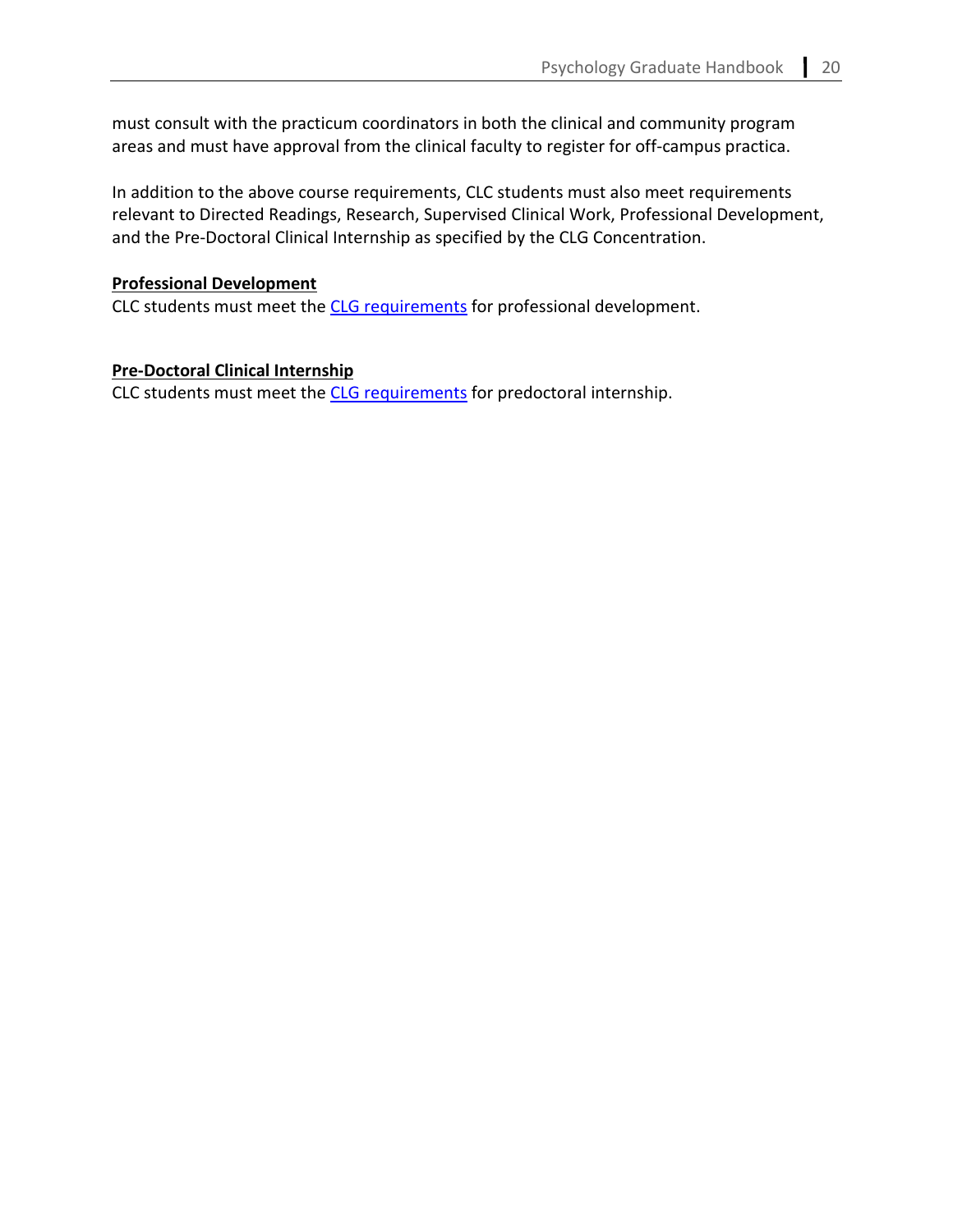must consult with the practicum coordinators in both the clinical and community program areas and must have approval from the clinical faculty to register for off-campus practica.

In addition to the above course requirements, CLC students must also meet requirements relevant to Directed Readings, Research, Supervised Clinical Work, Professional Development, and the Pre-Doctoral Clinical Internship as specified by the CLG Concentration.

#### **Professional Development**

CLC students must meet the [CLG requirements](#page-10-0) for professional development.

## **Pre-Doctoral Clinical Internship**

CLC students must meet the [CLG requirements](#page-10-1) for predoctoral internship.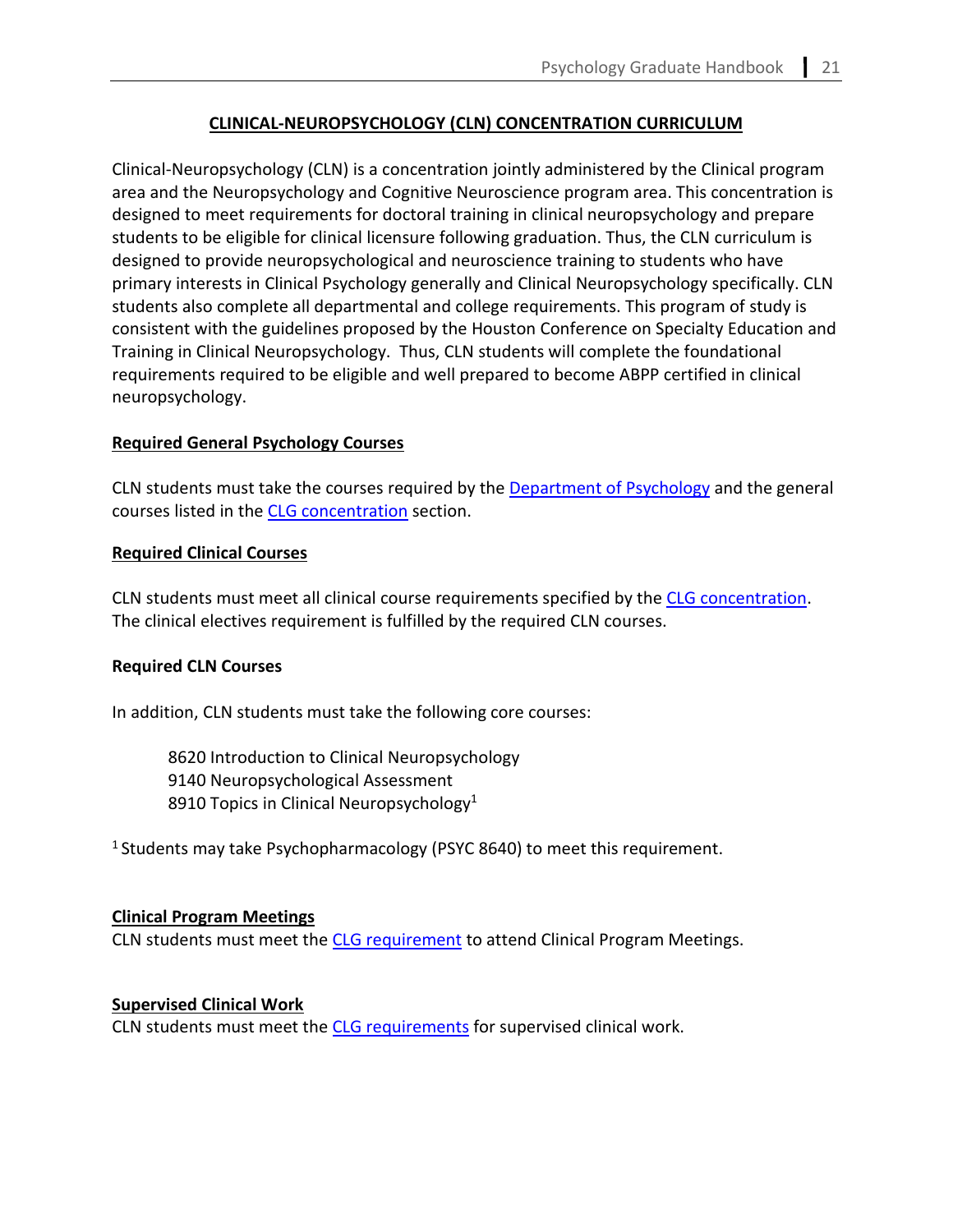# **CLINICAL-NEUROPSYCHOLOGY (CLN) CONCENTRATION CURRICULUM**

Clinical-Neuropsychology (CLN) is a concentration jointly administered by the Clinical program area and the Neuropsychology and Cognitive Neuroscience program area. This concentration is designed to meet requirements for doctoral training in clinical neuropsychology and prepare students to be eligible for clinical licensure following graduation. Thus, the CLN curriculum is designed to provide neuropsychological and neuroscience training to students who have primary interests in Clinical Psychology generally and Clinical Neuropsychology specifically. CLN students also complete all departmental and college requirements. This program of study is consistent with the guidelines proposed by the Houston Conference on Specialty Education and Training in Clinical Neuropsychology. Thus, CLN students will complete the foundational requirements required to be eligible and well prepared to become ABPP certified in clinical neuropsychology.

## **Required General Psychology Courses**

CLN students must take the courses required by the [Department of Psychology](#page-3-0) and the general courses listed in the [CLG concentration](#page-6-0) section.

## **Required Clinical Courses**

CLN students must meet all clinical course requirements specified by the [CLG concentration.](#page-6-1) The clinical electives requirement is fulfilled by the required CLN courses.

# **Required CLN Courses**

In addition, CLN students must take the following core courses:

8620 Introduction to Clinical Neuropsychology 9140 Neuropsychological Assessment 8910 Topics in Clinical Neuropsychology<sup>1</sup>

1 Students may take Psychopharmacology (PSYC 8640) to meet this requirement.

## **Clinical Program Meetings**

CLN students must meet the [CLG requirement](#page-7-0) to attend Clinical Program Meetings.

# **Supervised Clinical Work**

CLN students must meet the [CLG requirements](#page-8-0) for supervised clinical work.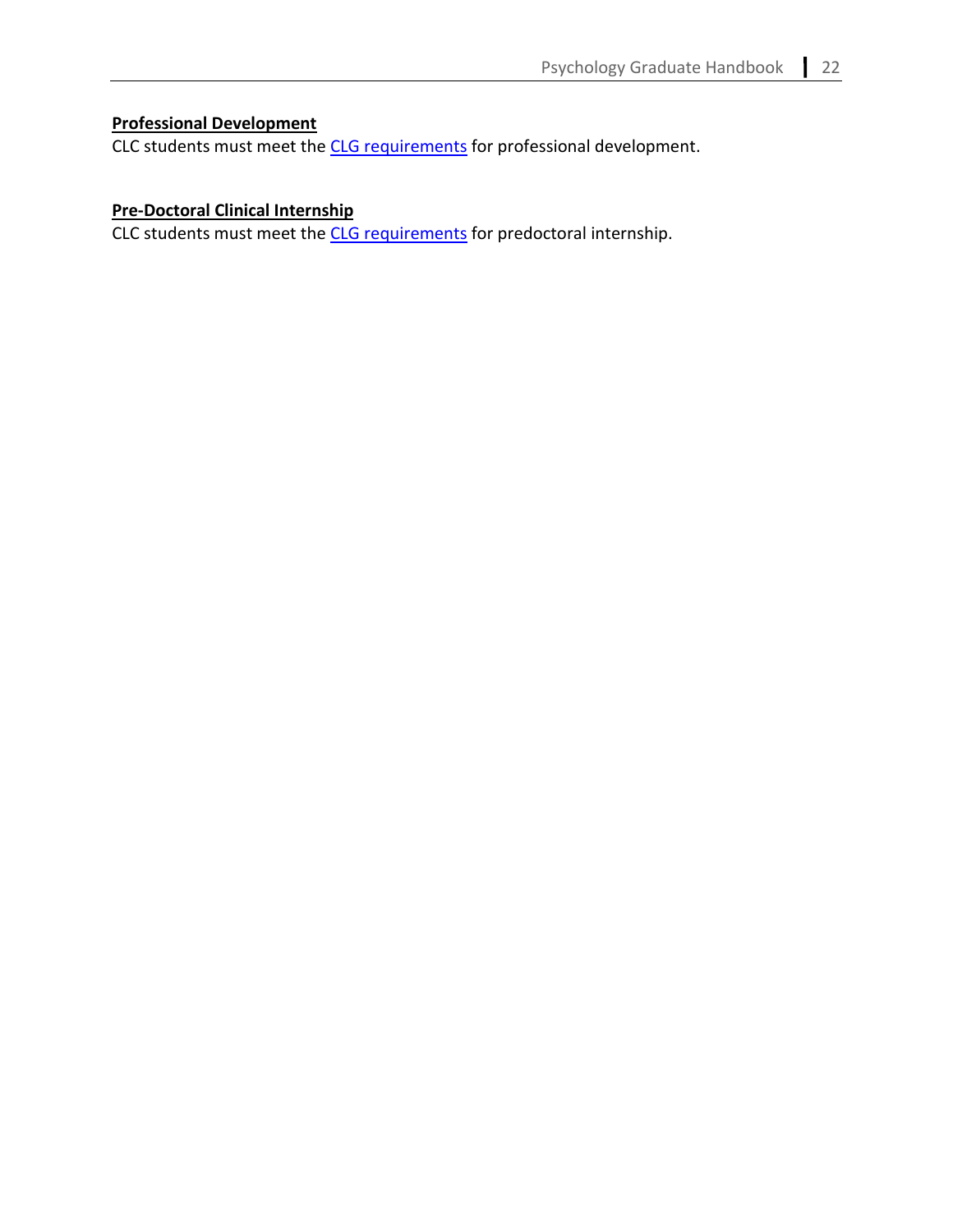# **Professional Development**

CLC students must meet the [CLG requirements](#page-10-0) for professional development.

# **Pre-Doctoral Clinical Internship**

CLC students must meet the [CLG requirements](#page-10-1) for predoctoral internship.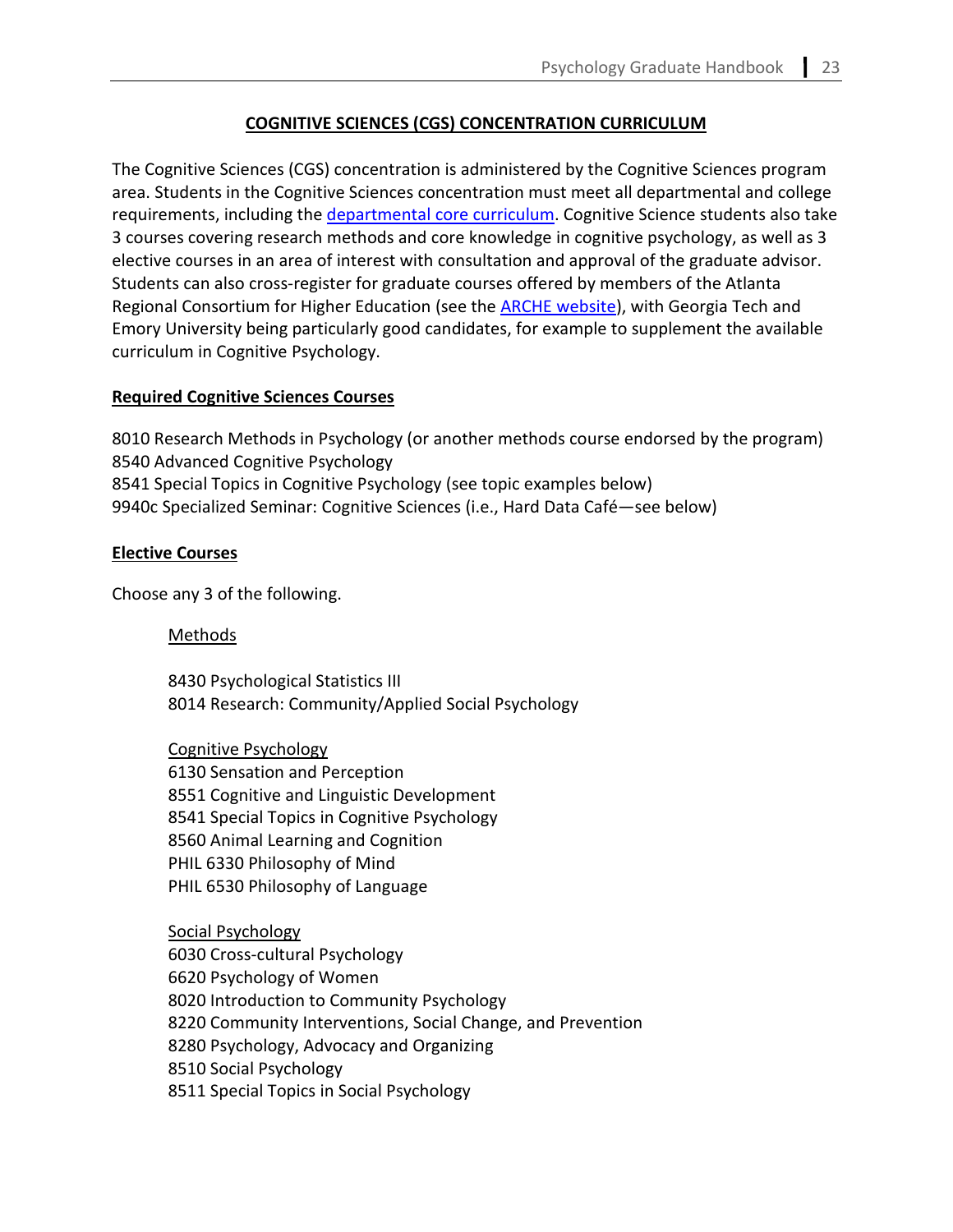# **COGNITIVE SCIENCES (CGS) CONCENTRATION CURRICULUM**

The Cognitive Sciences (CGS) concentration is administered by the Cognitive Sciences program area. Students in the Cognitive Sciences concentration must meet all departmental and college requirements, including the [departmental core curriculum.](#page-3-0) Cognitive Science students also take 3 courses covering research methods and core knowledge in cognitive psychology, as well as 3 elective courses in an area of interest with consultation and approval of the graduate advisor. Students can also cross-register for graduate courses offered by members of the Atlanta Regional Consortium for Higher Education (see the **ARCHE website)**, with Georgia Tech and Emory University being particularly good candidates, for example to supplement the available curriculum in Cognitive Psychology.

## **Required Cognitive Sciences Courses**

8010 Research Methods in Psychology (or another methods course endorsed by the program) 8540 Advanced Cognitive Psychology 8541 Special Topics in Cognitive Psychology (see topic examples below) 9940c Specialized Seminar: Cognitive Sciences (i.e., Hard Data Café—see below)

## **Elective Courses**

Choose any 3 of the following.

## Methods

8430 Psychological Statistics III 8014 Research: Community/Applied Social Psychology

Cognitive Psychology 6130 Sensation and Perception 8551 Cognitive and Linguistic Development 8541 Special Topics in Cognitive Psychology 8560 Animal Learning and Cognition PHIL 6330 Philosophy of Mind PHIL 6530 Philosophy of Language

Social Psychology 6030 Cross-cultural Psychology 6620 Psychology of Women 8020 Introduction to Community Psychology 8220 Community Interventions, Social Change, and Prevention 8280 Psychology, Advocacy and Organizing 8510 Social Psychology 8511 Special Topics in Social Psychology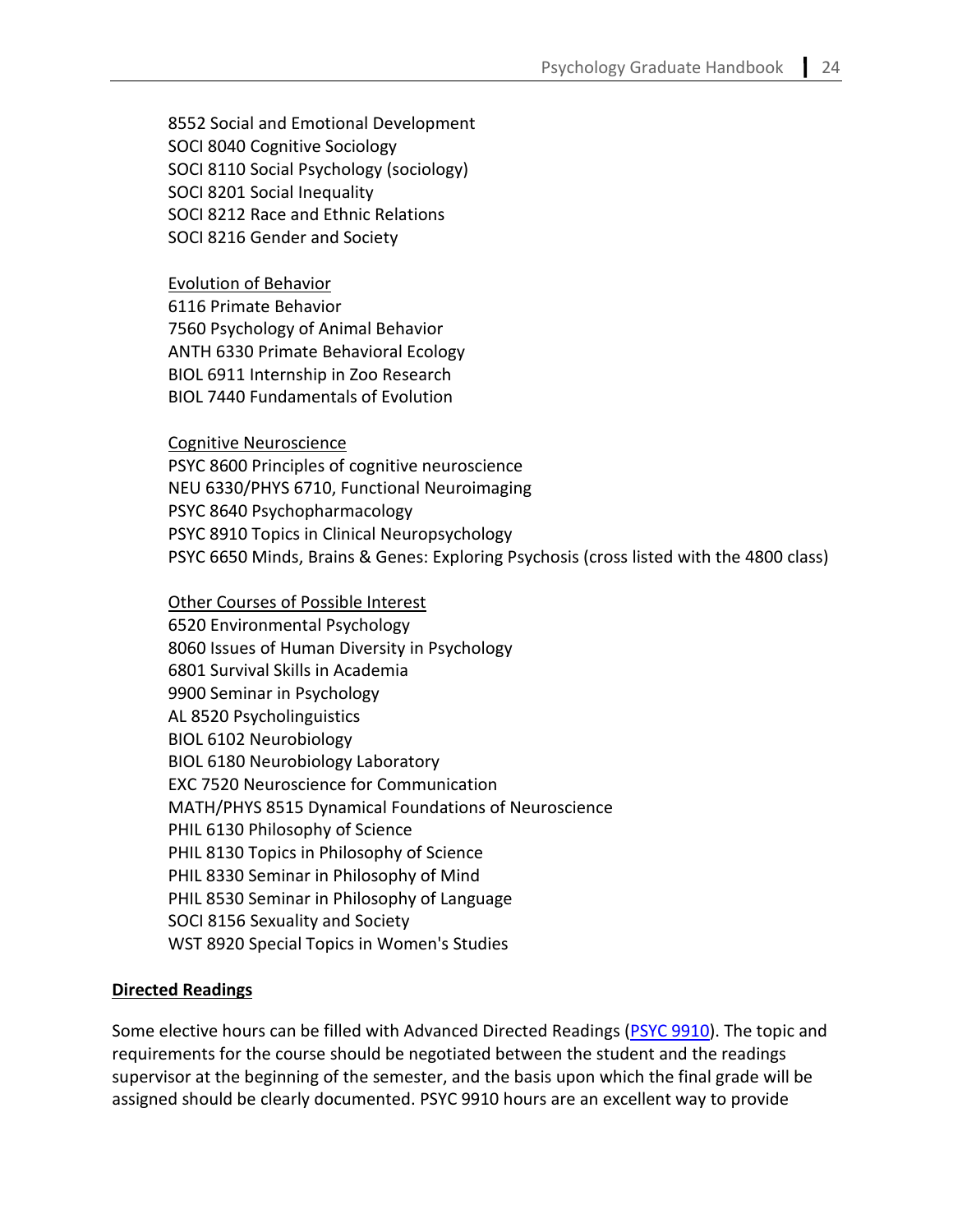8552 Social and Emotional Development SOCI 8040 Cognitive Sociology SOCI 8110 Social Psychology (sociology) SOCI 8201 Social Inequality SOCI 8212 Race and Ethnic Relations SOCI 8216 Gender and Society

#### Evolution of Behavior

6116 Primate Behavior 7560 Psychology of Animal Behavior ANTH 6330 Primate Behavioral Ecology BIOL 6911 Internship in Zoo Research BIOL 7440 Fundamentals of Evolution

#### Cognitive Neuroscience

PSYC 8600 Principles of cognitive neuroscience NEU 6330/PHYS 6710, Functional Neuroimaging PSYC 8640 Psychopharmacology PSYC 8910 Topics in Clinical Neuropsychology PSYC 6650 Minds, Brains & Genes: Exploring Psychosis (cross listed with the 4800 class)

## Other Courses of Possible Interest

6520 Environmental Psychology 8060 Issues of Human Diversity in Psychology 6801 Survival Skills in Academia 9900 Seminar in Psychology AL 8520 Psycholinguistics BIOL 6102 Neurobiology BIOL 6180 Neurobiology Laboratory EXC 7520 Neuroscience for Communication MATH/PHYS 8515 Dynamical Foundations of Neuroscience PHIL 6130 Philosophy of Science PHIL 8130 Topics in Philosophy of Science PHIL 8330 Seminar in Philosophy of Mind PHIL 8530 Seminar in Philosophy of Language SOCI 8156 Sexuality and Society WST 8920 Special Topics in Women's Studies

## **Directed Readings**

Some elective hours can be filled with Advanced Directed Readings [\(PSYC 9910\)](https://cas.gsu.edu/request-for-authorization-for-psych-9910/). The topic and requirements for the course should be negotiated between the student and the readings supervisor at the beginning of the semester, and the basis upon which the final grade will be assigned should be clearly documented. PSYC 9910 hours are an excellent way to provide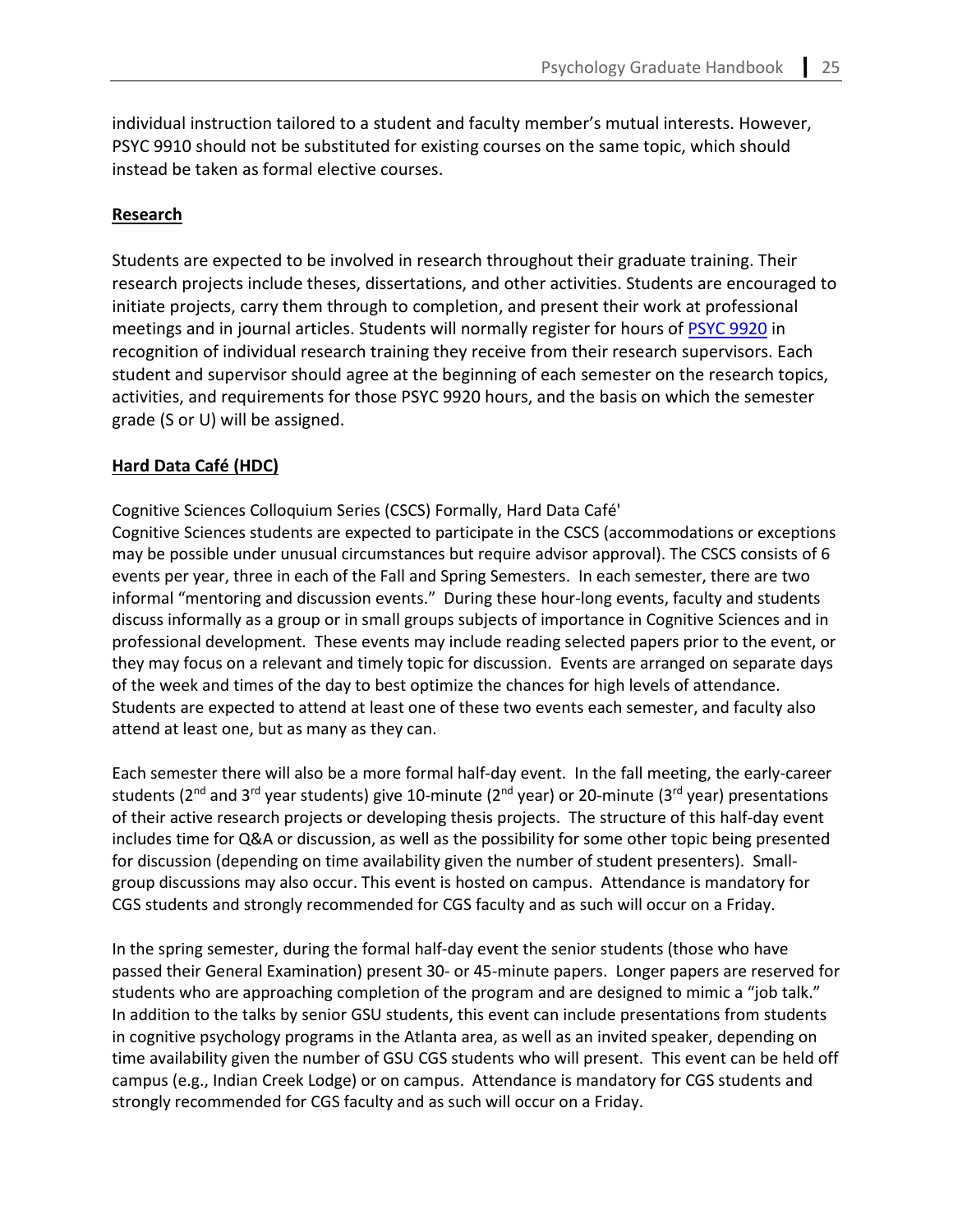individual instruction tailored to a student and faculty member's mutual interests. However, PSYC 9910 should not be substituted for existing courses on the same topic, which should instead be taken as formal elective courses.

#### **Research**

Students are expected to be involved in research throughout their graduate training. Their research projects include theses, dissertations, and other activities. Students are encouraged to initiate projects, carry them through to completion, and present their work at professional meetings and in journal articles. Students will normally register for hours of [PSYC 9920](https://cas.gsu.edu/request-for-authorization-psyc-9920/) in recognition of individual research training they receive from their research supervisors. Each student and supervisor should agree at the beginning of each semester on the research topics, activities, and requirements for those PSYC 9920 hours, and the basis on which the semester grade (S or U) will be assigned.

#### **Hard Data Café (HDC)**

Cognitive Sciences Colloquium Series (CSCS) Formally, Hard Data Café'

Cognitive Sciences students are expected to participate in the CSCS (accommodations or exceptions may be possible under unusual circumstances but require advisor approval). The CSCS consists of 6 events per year, three in each of the Fall and Spring Semesters. In each semester, there are two informal "mentoring and discussion events." During these hour-long events, faculty and students discuss informally as a group or in small groups subjects of importance in Cognitive Sciences and in professional development. These events may include reading selected papers prior to the event, or they may focus on a relevant and timely topic for discussion. Events are arranged on separate days of the week and times of the day to best optimize the chances for high levels of attendance. Students are expected to attend at least one of these two events each semester, and faculty also attend at least one, but as many as they can.

Each semester there will also be a more formal half-day event. In the fall meeting, the early-career students ( $2^{nd}$  and  $3^{rd}$  year students) give 10-minute ( $2^{nd}$  year) or 20-minute ( $3^{rd}$  year) presentations of their active research projects or developing thesis projects. The structure of this half-day event includes time for Q&A or discussion, as well as the possibility for some other topic being presented for discussion (depending on time availability given the number of student presenters). Smallgroup discussions may also occur. This event is hosted on campus. Attendance is mandatory for CGS students and strongly recommended for CGS faculty and as such will occur on a Friday.

In the spring semester, during the formal half-day event the senior students (those who have passed their General Examination) present 30- or 45-minute papers. Longer papers are reserved for students who are approaching completion of the program and are designed to mimic a "job talk." In addition to the talks by senior GSU students, this event can include presentations from students in cognitive psychology programs in the Atlanta area, as well as an invited speaker, depending on time availability given the number of GSU CGS students who will present. This event can be held off campus (e.g., Indian Creek Lodge) or on campus. Attendance is mandatory for CGS students and strongly recommended for CGS faculty and as such will occur on a Friday.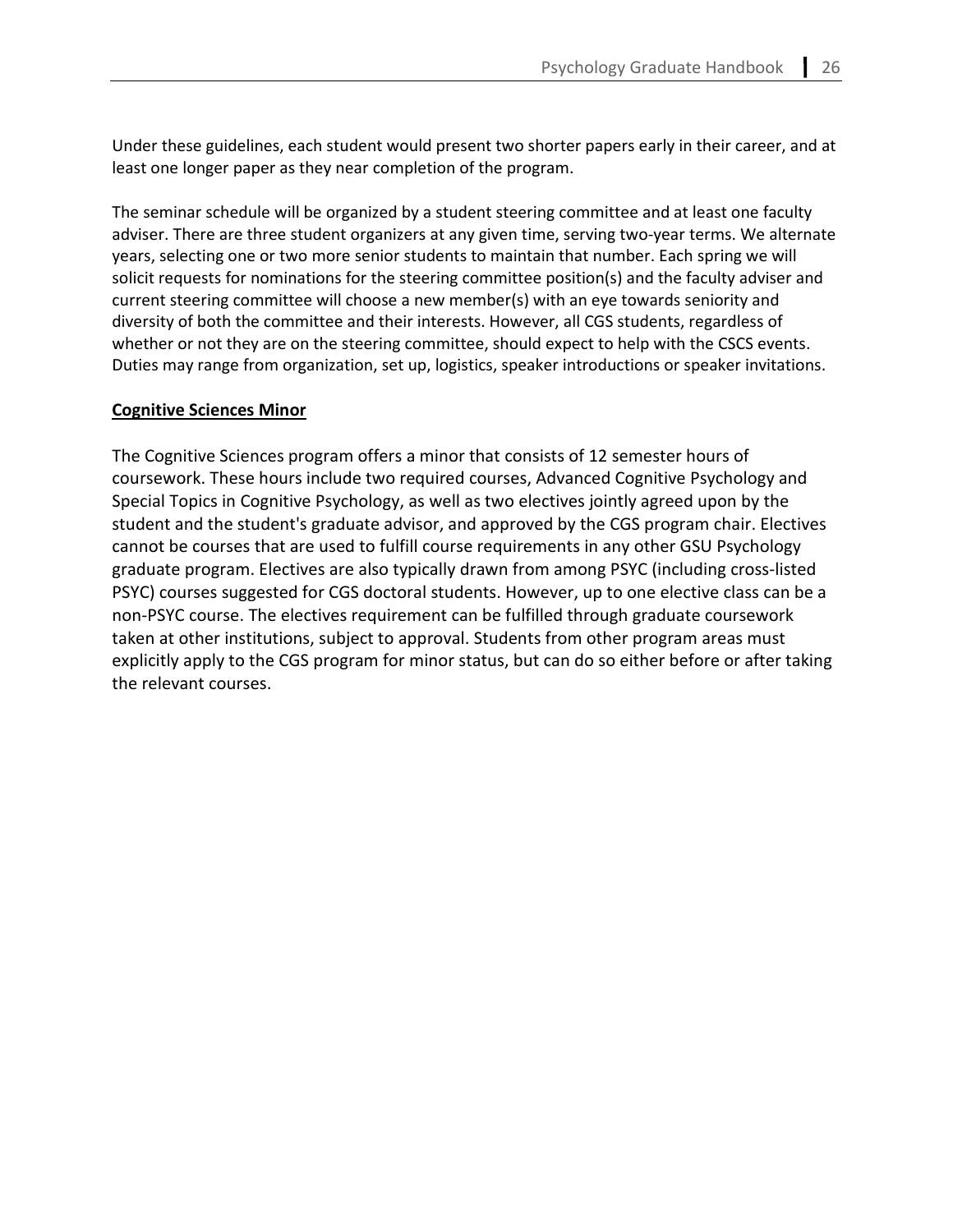Under these guidelines, each student would present two shorter papers early in their career, and at least one longer paper as they near completion of the program.

The seminar schedule will be organized by a student steering committee and at least one faculty adviser. There are three student organizers at any given time, serving two-year terms. We alternate years, selecting one or two more senior students to maintain that number. Each spring we will solicit requests for nominations for the steering committee position(s) and the faculty adviser and current steering committee will choose a new member(s) with an eye towards seniority and diversity of both the committee and their interests. However, all CGS students, regardless of whether or not they are on the steering committee, should expect to help with the CSCS events. Duties may range from organization, set up, logistics, speaker introductions or speaker invitations.

#### **Cognitive Sciences Minor**

The Cognitive Sciences program offers a minor that consists of 12 semester hours of coursework. These hours include two required courses, Advanced Cognitive Psychology and Special Topics in Cognitive Psychology, as well as two electives jointly agreed upon by the student and the student's graduate advisor, and approved by the CGS program chair. Electives cannot be courses that are used to fulfill course requirements in any other GSU Psychology graduate program. Electives are also typically drawn from among PSYC (including cross-listed PSYC) courses suggested for CGS doctoral students. However, up to one elective class can be a non-PSYC course. The electives requirement can be fulfilled through graduate coursework taken at other institutions, subject to approval. Students from other program areas must explicitly apply to the CGS program for minor status, but can do so either before or after taking the relevant courses.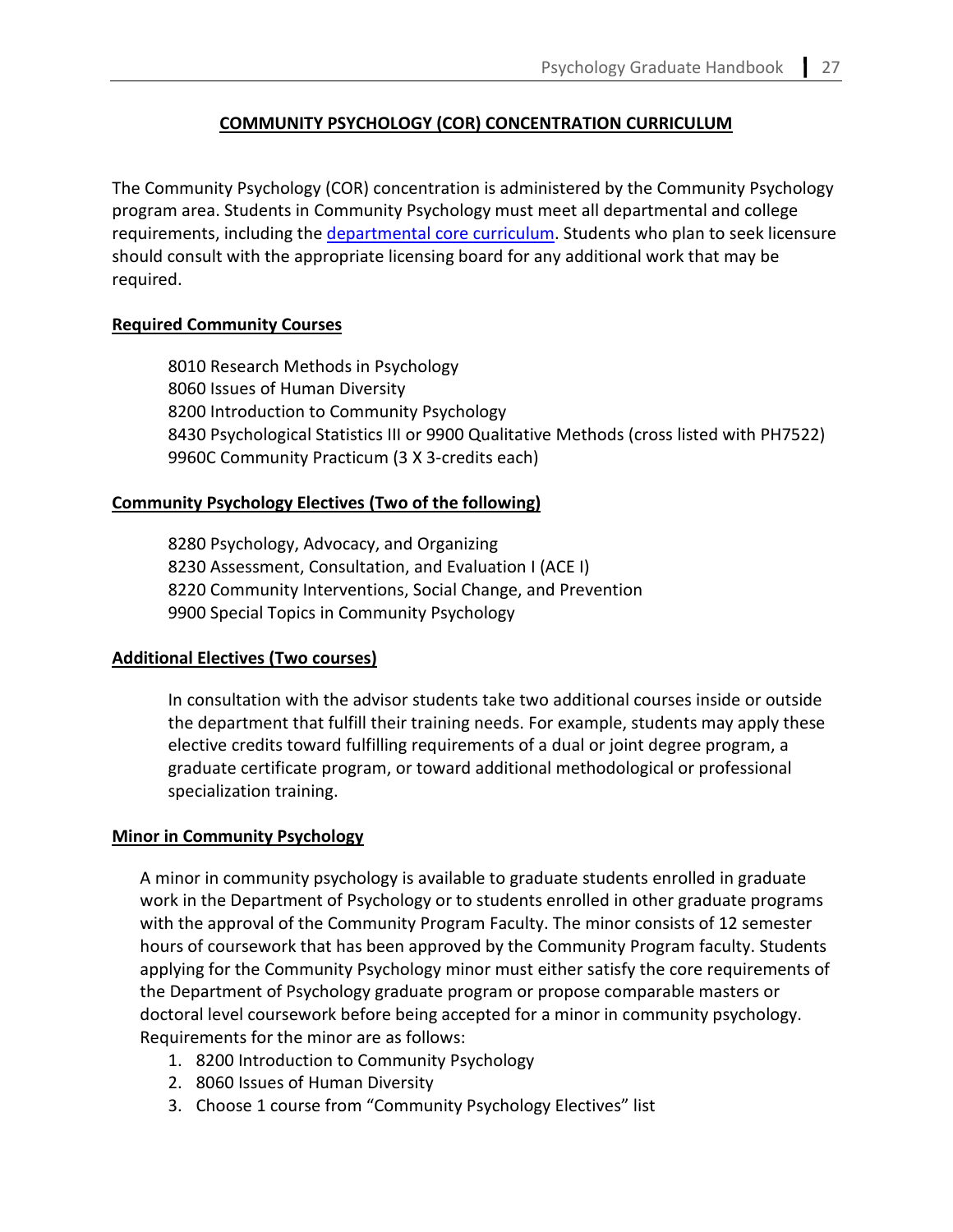# **COMMUNITY PSYCHOLOGY (COR) CONCENTRATION CURRICULUM**

The Community Psychology (COR) concentration is administered by the Community Psychology program area. Students in Community Psychology must meet all departmental and college requirements, including the [departmental core curriculum.](#page-3-0) Students who plan to seek licensure should consult with the appropriate licensing board for any additional work that may be required.

# **Required Community Courses**

8010 Research Methods in Psychology 8060 Issues of Human Diversity 8200 Introduction to Community Psychology 8430 Psychological Statistics III or 9900 Qualitative Methods (cross listed with PH7522) 9960C Community Practicum (3 X 3-credits each)

## **Community Psychology Electives (Two of the following)**

8280 Psychology, Advocacy, and Organizing 8230 Assessment, Consultation, and Evaluation I (ACE I) 8220 Community Interventions, Social Change, and Prevention 9900 Special Topics in Community Psychology

## **Additional Electives (Two courses)**

In consultation with the advisor students take two additional courses inside or outside the department that fulfill their training needs. For example, students may apply these elective credits toward fulfilling requirements of a dual or joint degree program, a graduate certificate program, or toward additional methodological or professional specialization training.

## **Minor in Community Psychology**

A minor in community psychology is available to graduate students enrolled in graduate work in the Department of Psychology or to students enrolled in other graduate programs with the approval of the Community Program Faculty. The minor consists of 12 semester hours of coursework that has been approved by the Community Program faculty. Students applying for the Community Psychology minor must either satisfy the core requirements of the Department of Psychology graduate program or propose comparable masters or doctoral level coursework before being accepted for a minor in community psychology. Requirements for the minor are as follows:

- 1. 8200 Introduction to Community Psychology
- 2. 8060 Issues of Human Diversity
- 3. Choose 1 course from "Community Psychology Electives" list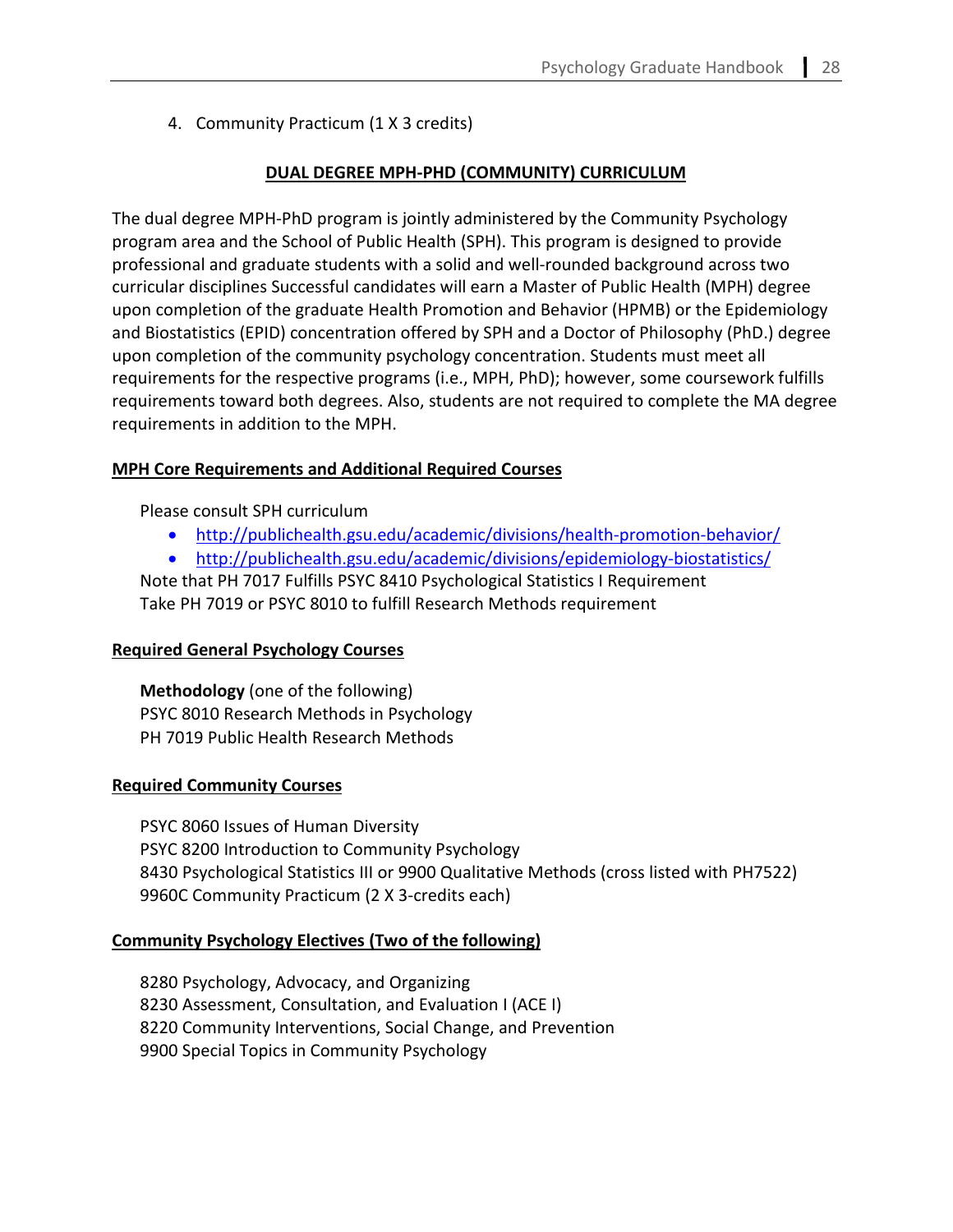4. Community Practicum (1 X 3 credits)

# **DUAL DEGREE MPH-PHD (COMMUNITY) CURRICULUM**

The dual degree MPH-PhD program is jointly administered by the Community Psychology program area and the School of Public Health (SPH). This program is designed to provide professional and graduate students with a solid and well-rounded background across two curricular disciplines Successful candidates will earn a Master of Public Health (MPH) degree upon completion of the graduate Health Promotion and Behavior (HPMB) or the Epidemiology and Biostatistics (EPID) concentration offered by SPH and a Doctor of Philosophy (PhD.) degree upon completion of the community psychology concentration. Students must meet all requirements for the respective programs (i.e., MPH, PhD); however, some coursework fulfills requirements toward both degrees. Also, students are not required to complete the MA degree requirements in addition to the MPH.

## **MPH Core Requirements and Additional Required Courses**

Please consult SPH curriculum

- <http://publichealth.gsu.edu/academic/divisions/health-promotion-behavior/>
- <http://publichealth.gsu.edu/academic/divisions/epidemiology-biostatistics/>

Note that PH 7017 Fulfills PSYC 8410 Psychological Statistics I Requirement Take PH 7019 or PSYC 8010 to fulfill Research Methods requirement

# **Required General Psychology Courses**

**Methodology** (one of the following) PSYC 8010 Research Methods in Psychology PH 7019 Public Health Research Methods

## **Required Community Courses**

PSYC 8060 Issues of Human Diversity PSYC 8200 Introduction to Community Psychology 8430 Psychological Statistics III or 9900 Qualitative Methods (cross listed with PH7522) 9960C Community Practicum (2 X 3-credits each)

# **Community Psychology Electives (Two of the following)**

8280 Psychology, Advocacy, and Organizing 8230 Assessment, Consultation, and Evaluation I (ACE I) 8220 Community Interventions, Social Change, and Prevention 9900 Special Topics in Community Psychology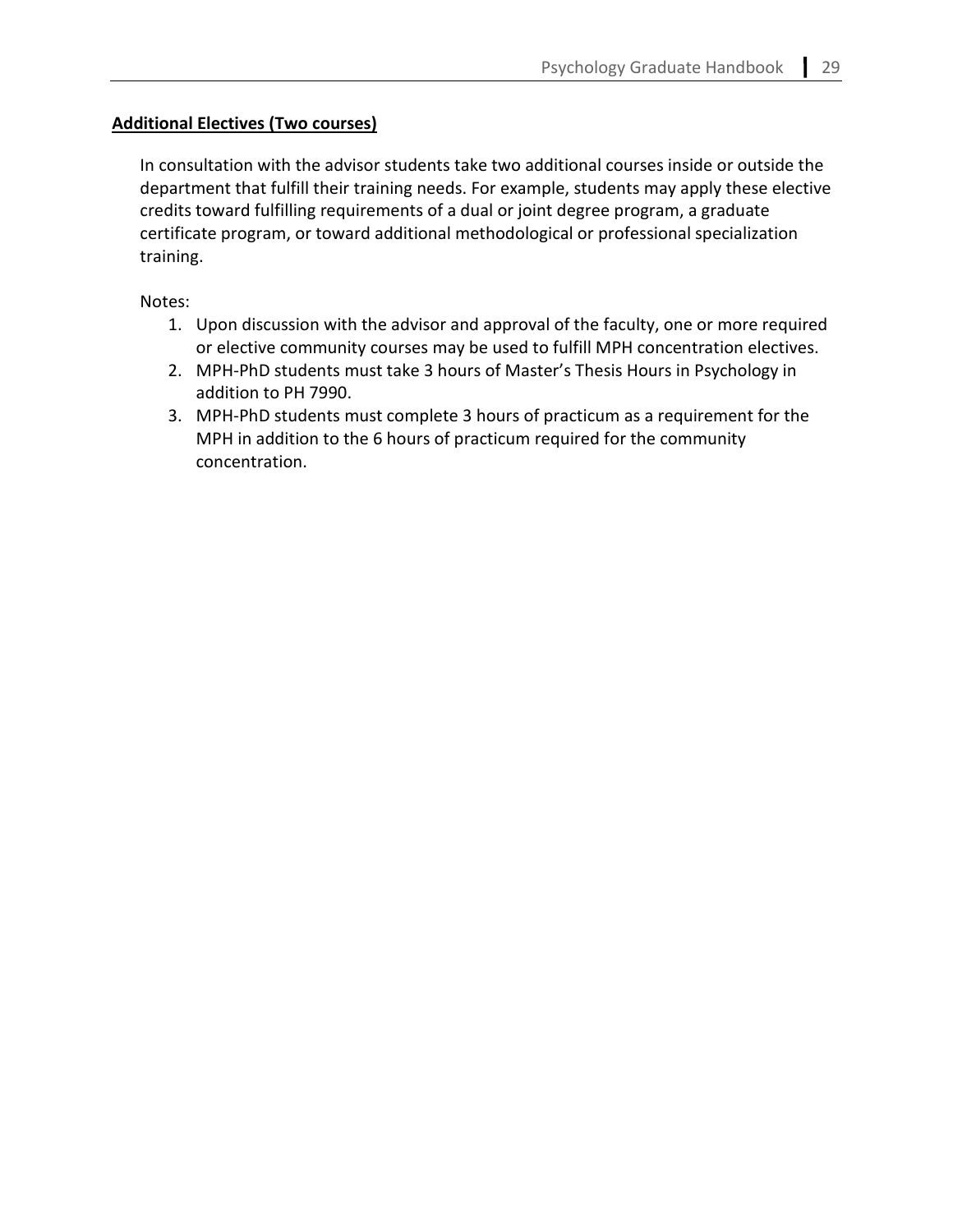# **Additional Electives (Two courses)**

In consultation with the advisor students take two additional courses inside or outside the department that fulfill their training needs. For example, students may apply these elective credits toward fulfilling requirements of a dual or joint degree program, a graduate certificate program, or toward additional methodological or professional specialization training.

Notes:

- 1. Upon discussion with the advisor and approval of the faculty, one or more required or elective community courses may be used to fulfill MPH concentration electives.
- 2. MPH-PhD students must take 3 hours of Master's Thesis Hours in Psychology in addition to PH 7990.
- 3. MPH-PhD students must complete 3 hours of practicum as a requirement for the MPH in addition to the 6 hours of practicum required for the community concentration.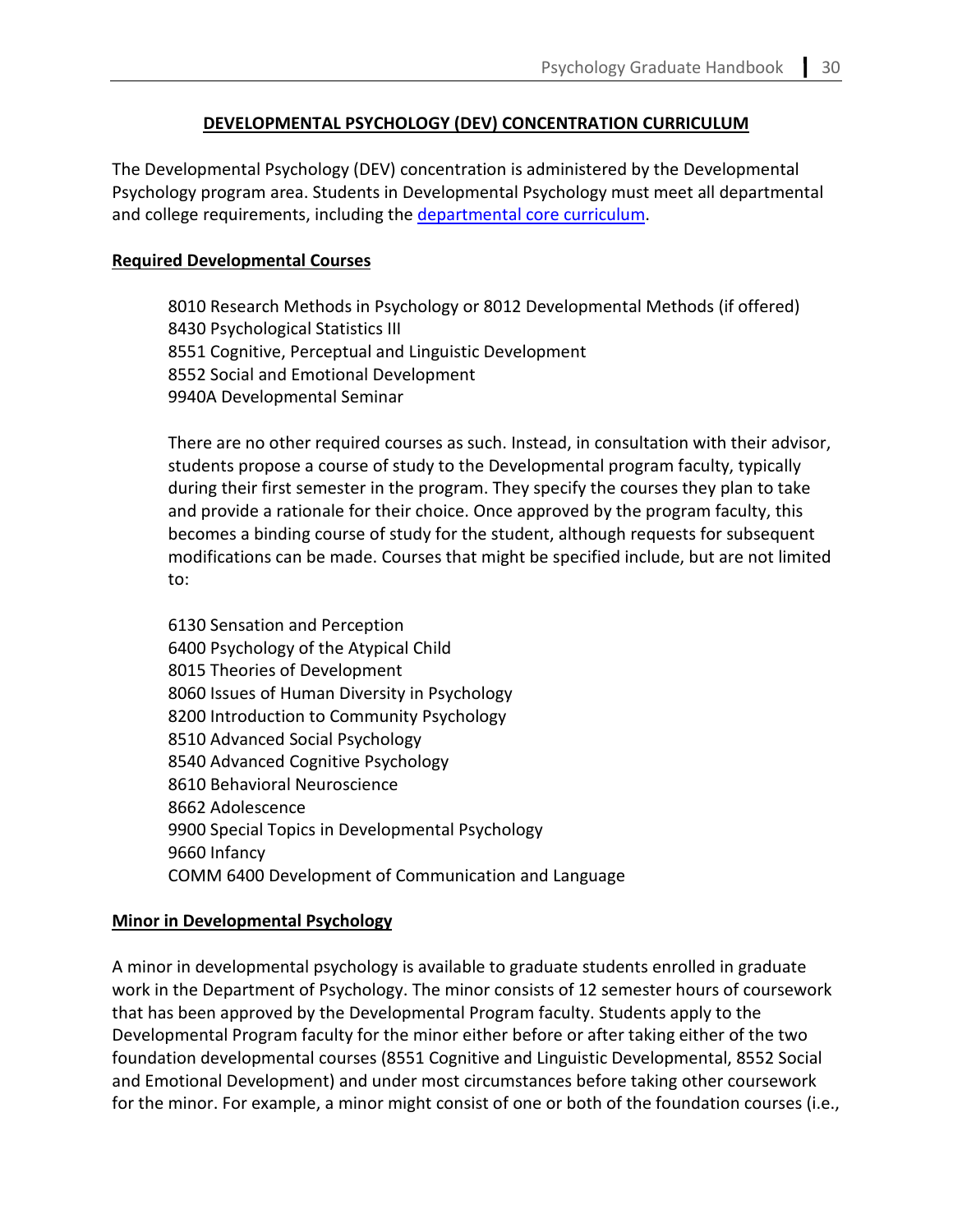## **DEVELOPMENTAL PSYCHOLOGY (DEV) CONCENTRATION CURRICULUM**

The Developmental Psychology (DEV) concentration is administered by the Developmental Psychology program area. Students in Developmental Psychology must meet all departmental and college requirements, including the departmental [core curriculum.](#page-3-0)

#### **Required Developmental Courses**

8010 Research Methods in Psychology or 8012 Developmental Methods (if offered) 8430 Psychological Statistics III 8551 Cognitive, Perceptual and Linguistic Development 8552 Social and Emotional Development 9940A Developmental Seminar

There are no other required courses as such. Instead, in consultation with their advisor, students propose a course of study to the Developmental program faculty, typically during their first semester in the program. They specify the courses they plan to take and provide a rationale for their choice. Once approved by the program faculty, this becomes a binding course of study for the student, although requests for subsequent modifications can be made. Courses that might be specified include, but are not limited to:

6130 Sensation and Perception 6400 Psychology of the Atypical Child 8015 Theories of Development 8060 Issues of Human Diversity in Psychology 8200 Introduction to Community Psychology 8510 Advanced Social Psychology 8540 Advanced Cognitive Psychology 8610 Behavioral Neuroscience 8662 Adolescence 9900 Special Topics in Developmental Psychology 9660 Infancy COMM 6400 Development of Communication and Language

#### **Minor in Developmental Psychology**

A minor in developmental psychology is available to graduate students enrolled in graduate work in the Department of Psychology. The minor consists of 12 semester hours of coursework that has been approved by the Developmental Program faculty. Students apply to the Developmental Program faculty for the minor either before or after taking either of the two foundation developmental courses (8551 Cognitive and Linguistic Developmental, 8552 Social and Emotional Development) and under most circumstances before taking other coursework for the minor. For example, a minor might consist of one or both of the foundation courses (i.e.,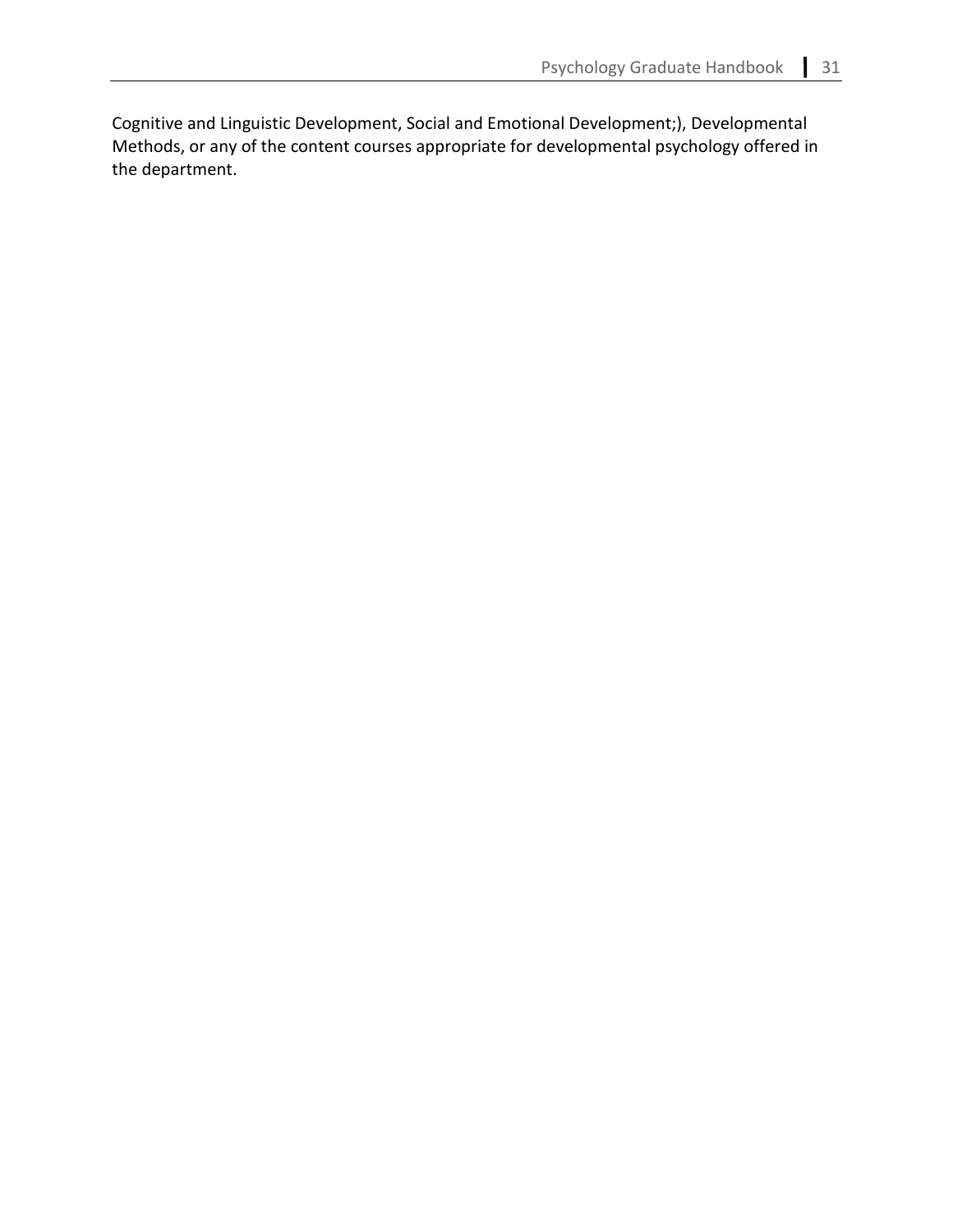Cognitive and Linguistic Development, Social and Emotional Development;), Developmental Methods, or any of the content courses appropriate for developmental psychology offered in the department.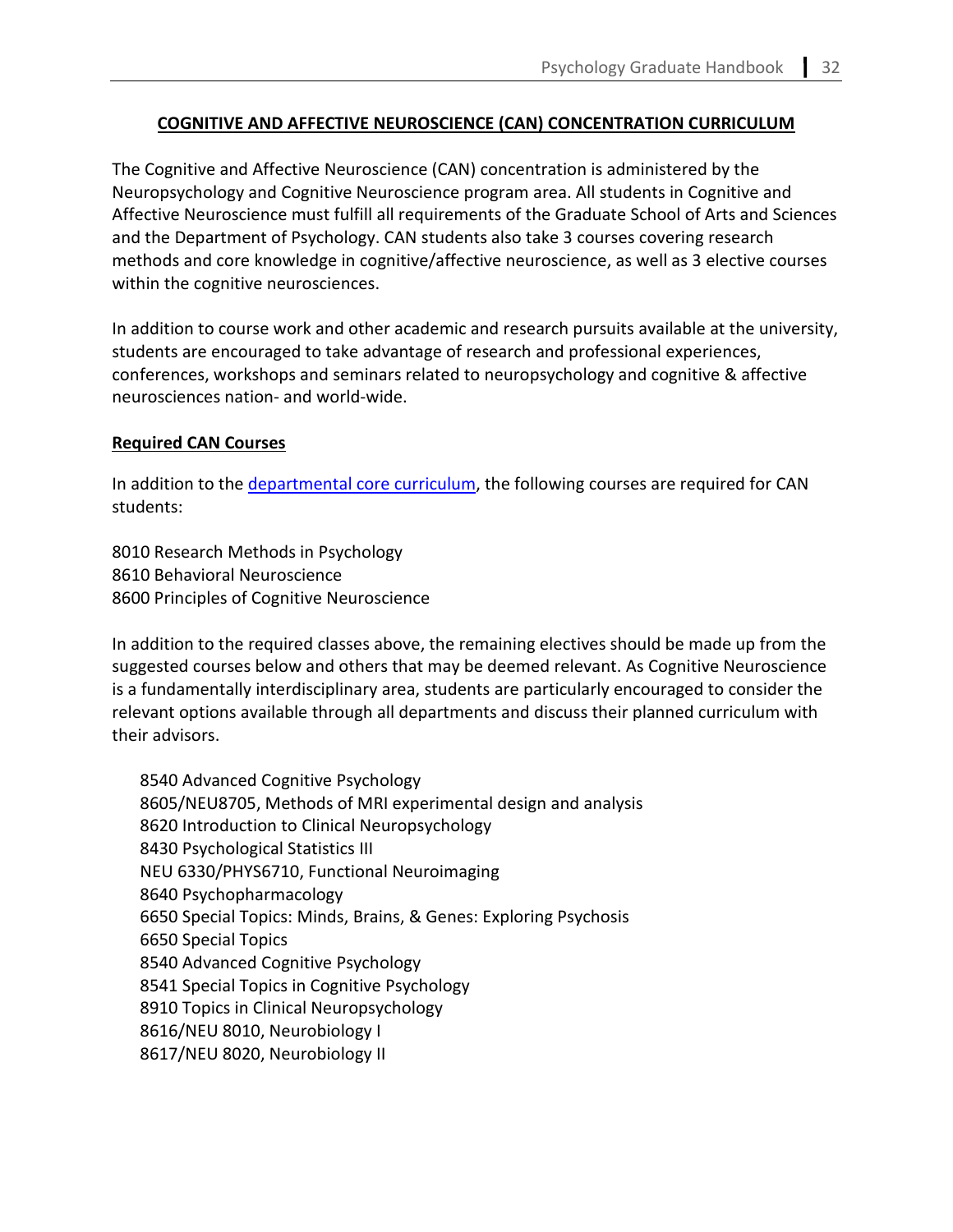## **COGNITIVE AND AFFECTIVE NEUROSCIENCE (CAN) CONCENTRATION CURRICULUM**

The Cognitive and Affective Neuroscience (CAN) concentration is administered by the Neuropsychology and Cognitive Neuroscience program area. All students in Cognitive and Affective Neuroscience must fulfill all requirements of the Graduate School of Arts and Sciences and the Department of Psychology. CAN students also take 3 courses covering research methods and core knowledge in cognitive/affective neuroscience, as well as 3 elective courses within the cognitive neurosciences.

In addition to course work and other academic and research pursuits available at the university, students are encouraged to take advantage of research and professional experiences, conferences, workshops and seminars related to neuropsychology and cognitive & affective neurosciences nation- and world-wide.

#### **Required CAN Courses**

In addition to the [departmental core curriculum,](#page-3-0) the following courses are required for CAN students:

8010 Research Methods in Psychology 8610 Behavioral Neuroscience 8600 Principles of Cognitive Neuroscience

In addition to the required classes above, the remaining electives should be made up from the suggested courses below and others that may be deemed relevant. As Cognitive Neuroscience is a fundamentally interdisciplinary area, students are particularly encouraged to consider the relevant options available through all departments and discuss their planned curriculum with their advisors.

8540 Advanced Cognitive Psychology 8605/NEU8705, Methods of MRI experimental design and analysis 8620 Introduction to Clinical Neuropsychology 8430 Psychological Statistics III NEU 6330/PHYS6710, Functional Neuroimaging 8640 Psychopharmacology 6650 Special Topics: Minds, Brains, & Genes: Exploring Psychosis 6650 Special Topics 8540 Advanced Cognitive Psychology 8541 Special Topics in Cognitive Psychology 8910 Topics in Clinical Neuropsychology 8616/NEU 8010, Neurobiology I 8617/NEU 8020, Neurobiology II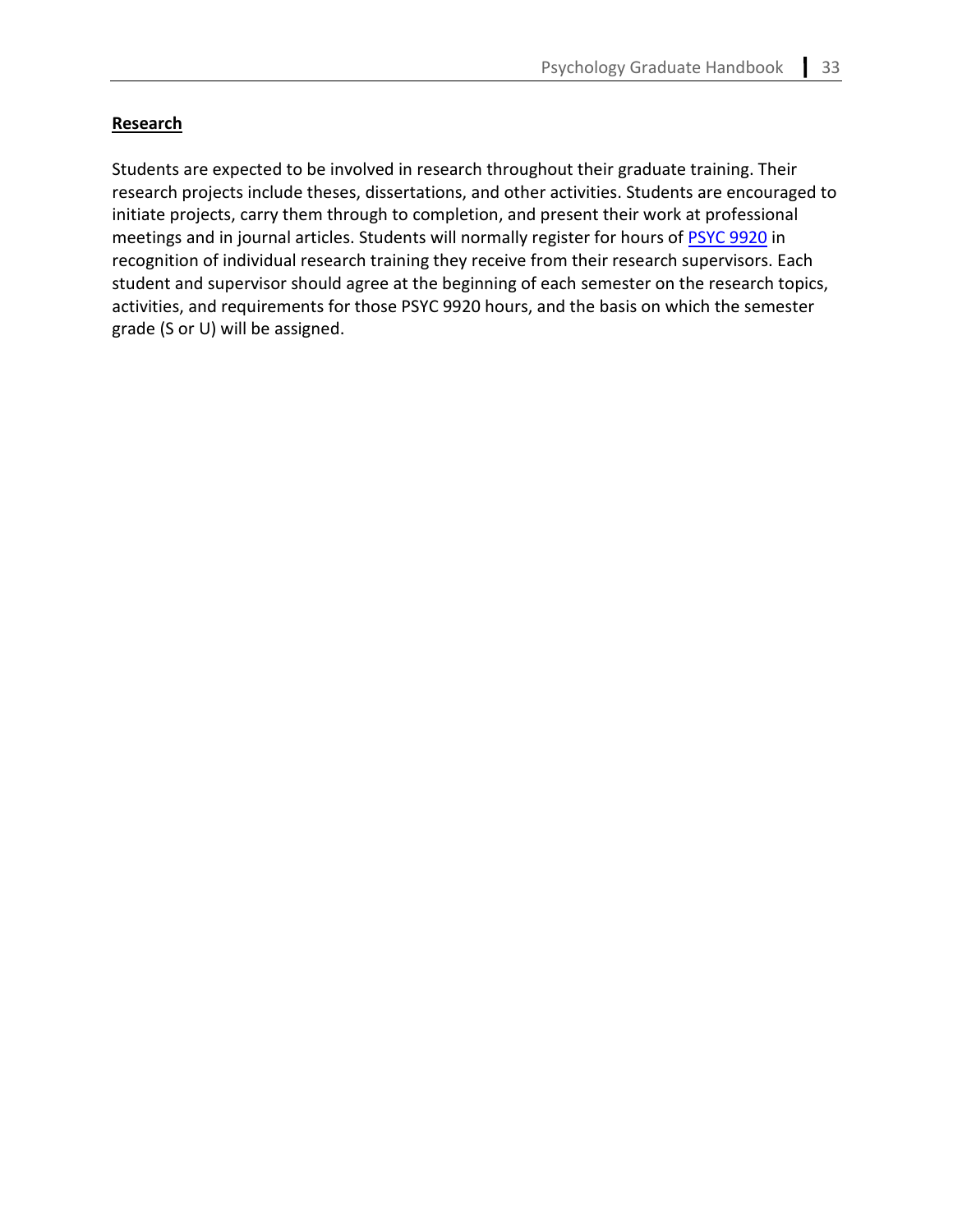## **Research**

Students are expected to be involved in research throughout their graduate training. Their research projects include theses, dissertations, and other activities. Students are encouraged to initiate projects, carry them through to completion, and present their work at professional meetings and in journal articles. Students will normally register for hours of **PSYC 9920** in recognition of individual research training they receive from their research supervisors. Each student and supervisor should agree at the beginning of each semester on the research topics, activities, and requirements for those PSYC 9920 hours, and the basis on which the semester grade (S or U) will be assigned.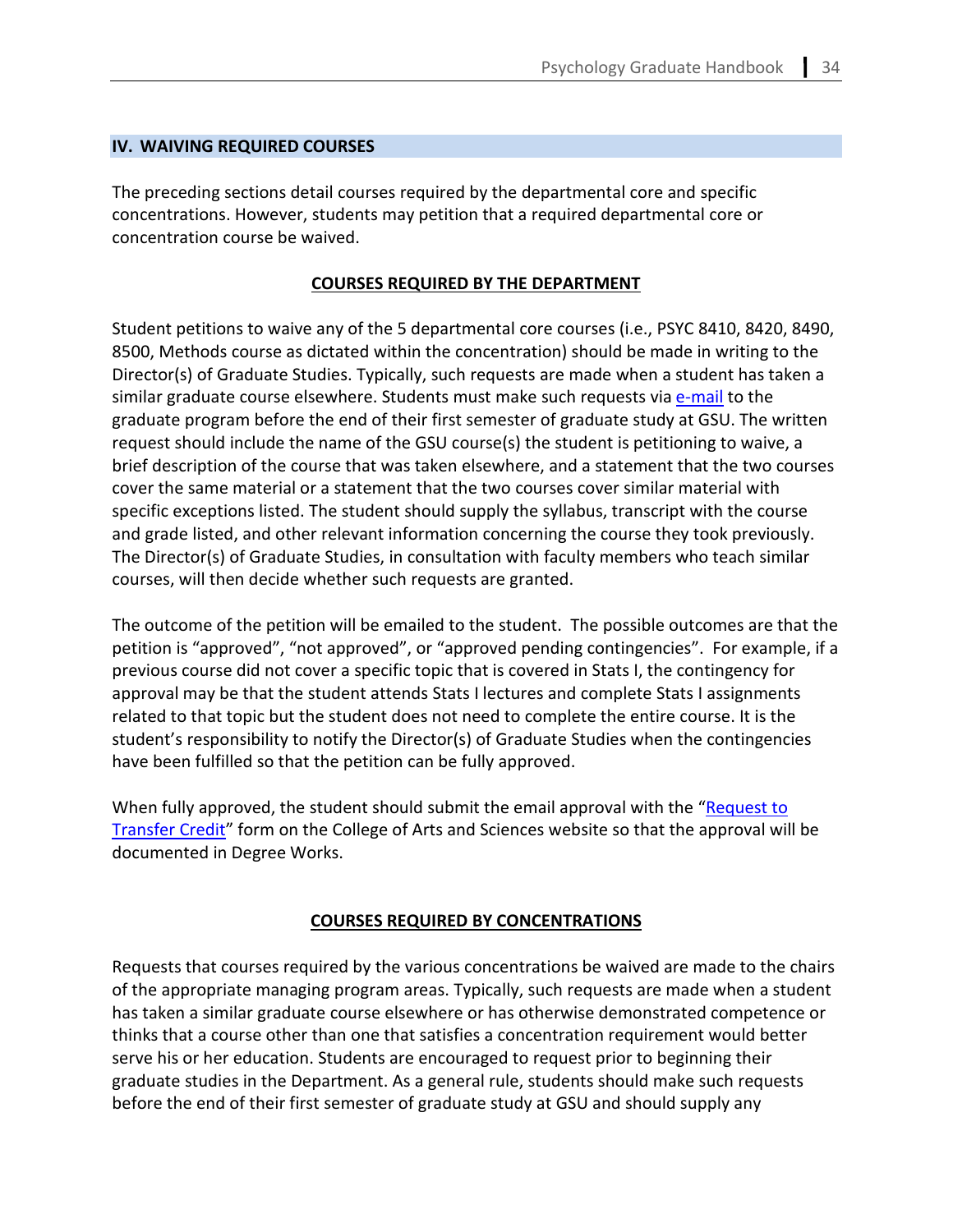#### **IV. WAIVING REQUIRED COURSES**

The preceding sections detail courses required by the departmental core and specific concentrations. However, students may petition that a required departmental core or concentration course be waived.

#### **COURSES REQUIRED BY THE DEPARTMENT**

Student petitions to waive any of the 5 departmental core courses (i.e., PSYC 8410, 8420, 8490, 8500, Methods course as dictated within the concentration) should be made in writing to the Director(s) of Graduate Studies. Typically, such requests are made when a student has taken a similar graduate course elsewhere. Students must make such requests via [e-mail](mailto:psygrad@gsu.edu) to the graduate program before the end of their first semester of graduate study at GSU. The written request should include the name of the GSU course(s) the student is petitioning to waive, a brief description of the course that was taken elsewhere, and a statement that the two courses cover the same material or a statement that the two courses cover similar material with specific exceptions listed. The student should supply the syllabus, transcript with the course and grade listed, and other relevant information concerning the course they took previously. The Director(s) of Graduate Studies, in consultation with faculty members who teach similar courses, will then decide whether such requests are granted.

The outcome of the petition will be emailed to the student. The possible outcomes are that the petition is "approved", "not approved", or "approved pending contingencies". For example, if a previous course did not cover a specific topic that is covered in Stats I, the contingency for approval may be that the student attends Stats I lectures and complete Stats I assignments related to that topic but the student does not need to complete the entire course. It is the student's responsibility to notify the Director(s) of Graduate Studies when the contingencies have been fulfilled so that the petition can be fully approved.

When fully approved, the student should submit the email approval with the ["Request to](https://cas.gsu.edu/request-to-transfer-credit/)  [Transfer Credit"](https://cas.gsu.edu/request-to-transfer-credit/) form on the College of Arts and Sciences website so that the approval will be documented in Degree Works.

## **COURSES REQUIRED BY CONCENTRATIONS**

Requests that courses required by the various concentrations be waived are made to the chairs of the appropriate managing program areas. Typically, such requests are made when a student has taken a similar graduate course elsewhere or has otherwise demonstrated competence or thinks that a course other than one that satisfies a concentration requirement would better serve his or her education. Students are encouraged to request prior to beginning their graduate studies in the Department. As a general rule, students should make such requests before the end of their first semester of graduate study at GSU and should supply any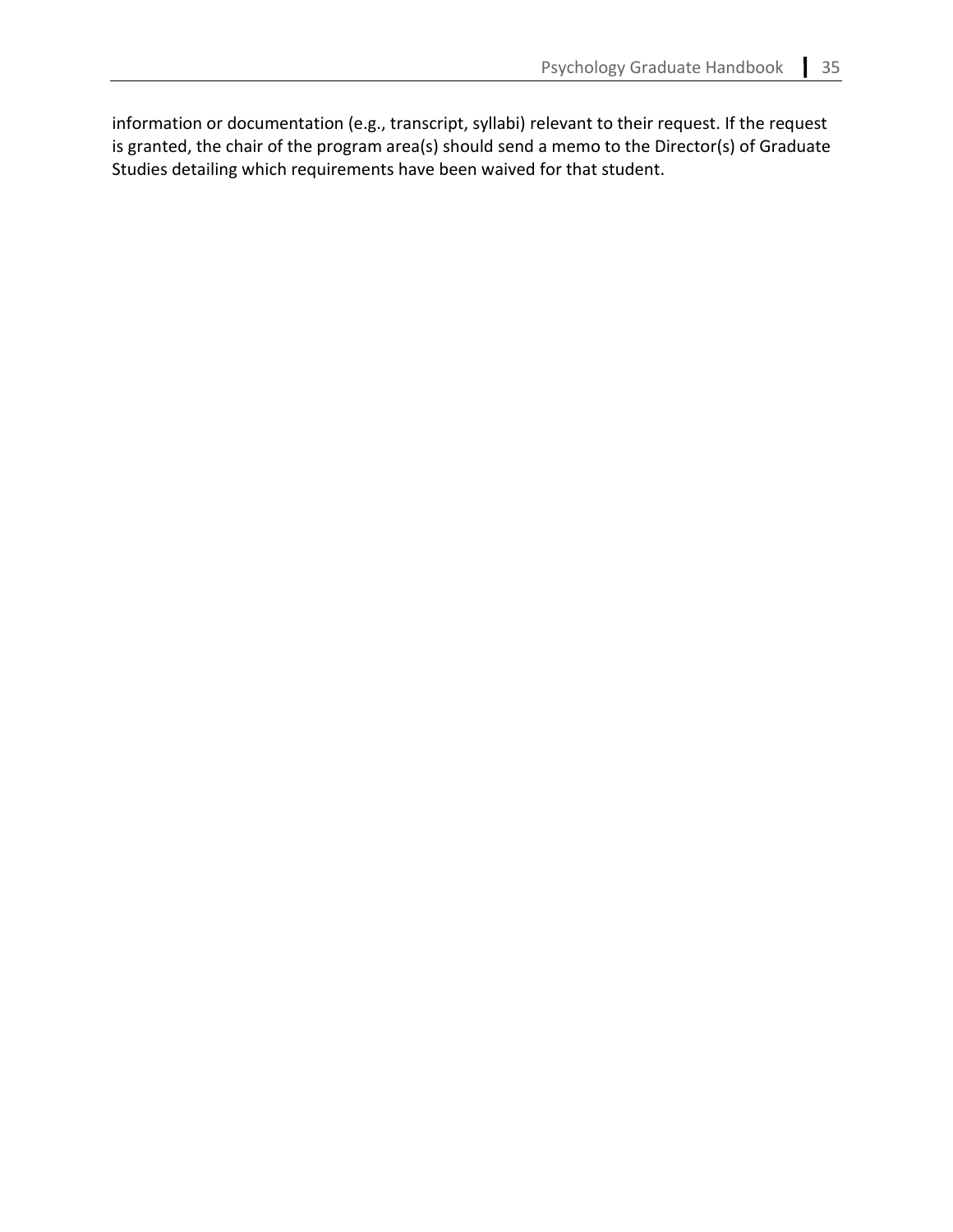information or documentation (e.g., transcript, syllabi) relevant to their request. If the request is granted, the chair of the program area(s) should send a memo to the Director(s) of Graduate Studies detailing which requirements have been waived for that student.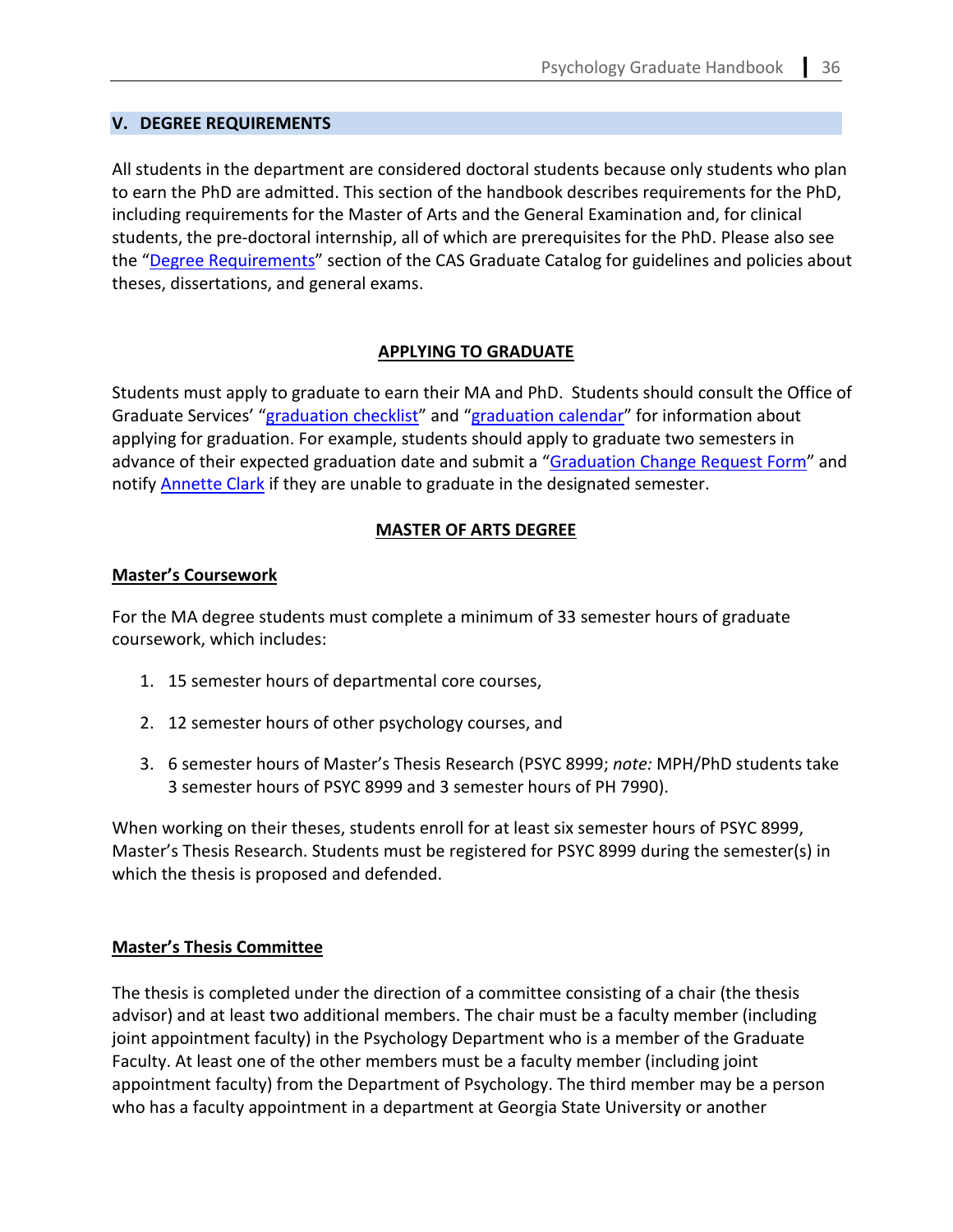## **V. DEGREE REQUIREMENTS**

All students in the department are considered doctoral students because only students who plan to earn the PhD are admitted. This section of the handbook describes requirements for the PhD, including requirements for the Master of Arts and the General Examination and, for clinical students, the pre-doctoral internship, all of which are prerequisites for the PhD. Please also see the ["Degree Requirements"](https://enrollment.gsu.edu/files/2020/04/Graduate-Catalog-2020-2021.pdf) section of the CAS Graduate Catalog for guidelines and policies about theses, dissertations, and general exams.

# **APPLYING TO GRADUATE**

Students must apply to graduate to earn their MA and PhD. Students should consult the Office of Graduate Services' ["graduation checklist"](https://cas.gsu.edu/graduation-checklist/) and ["graduation calendar"](https://cas.gsu.edu/graduation-calendar-deadlines/) for information about applying for graduation. For example, students should apply to graduate two semesters in advance of their expected graduation date and submit a ["Graduation Change Request Form"](https://registrar.gsu.edu/graduation/graduation-change/) and notify **Annette Clark** if they are unable to graduate in the designated semester.

# **MASTER OF ARTS DEGREE**

## **Master's Coursework**

For the MA degree students must complete a minimum of 33 semester hours of graduate coursework, which includes:

- 1. 15 semester hours of departmental core courses,
- 2. 12 semester hours of other psychology courses, and
- 3. 6 semester hours of Master's Thesis Research (PSYC 8999; *note:* MPH/PhD students take 3 semester hours of PSYC 8999 and 3 semester hours of PH 7990).

When working on their theses, students enroll for at least six semester hours of PSYC 8999, Master's Thesis Research. Students must be registered for PSYC 8999 during the semester(s) in which the thesis is proposed and defended.

# **Master's Thesis Committee**

The thesis is completed under the direction of a committee consisting of a chair (the thesis advisor) and at least two additional members. The chair must be a faculty member (including joint appointment faculty) in the Psychology Department who is a member of the Graduate Faculty. At least one of the other members must be a faculty member (including joint appointment faculty) from the Department of Psychology. The third member may be a person who has a faculty appointment in a department at Georgia State University or another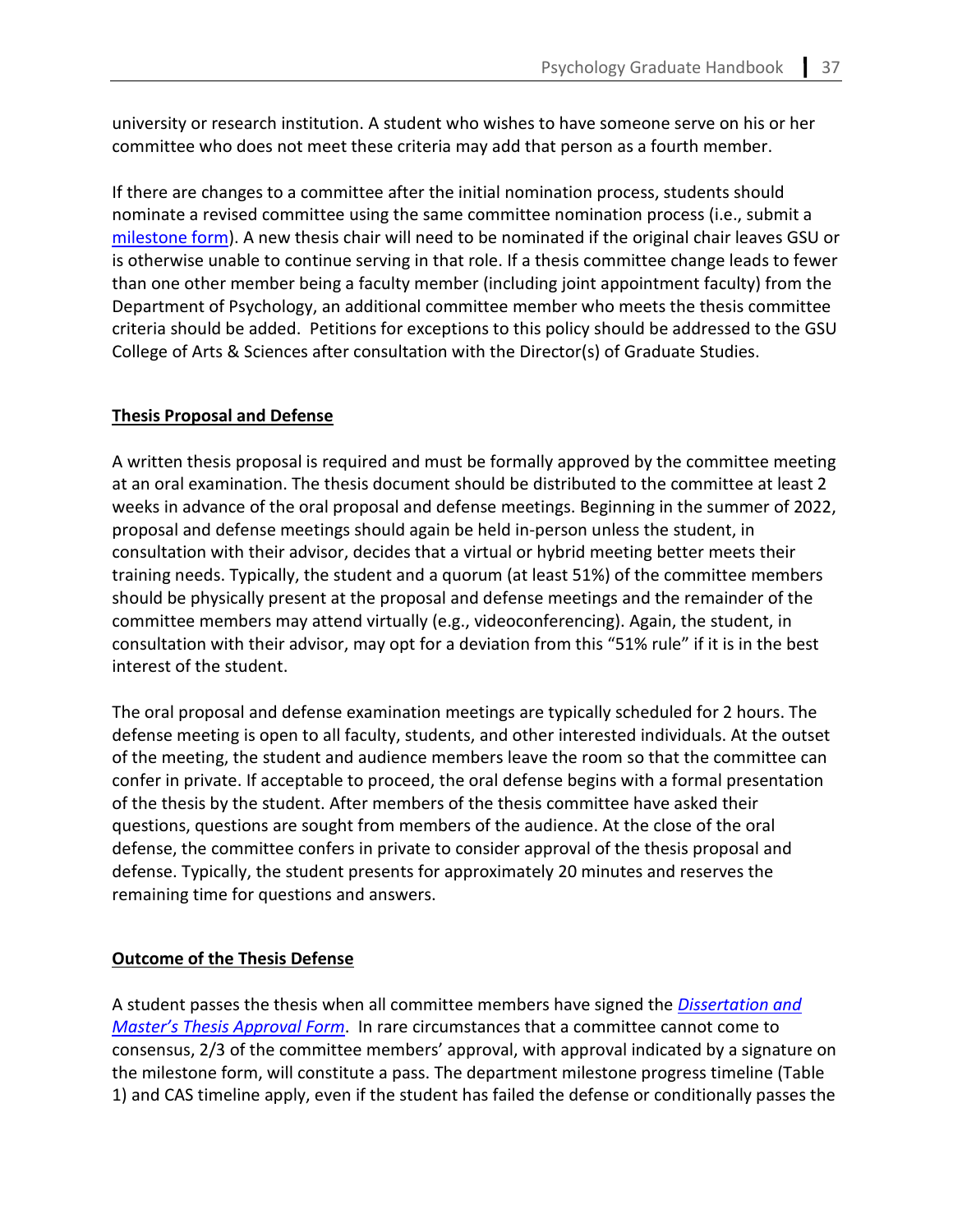university or research institution. A student who wishes to have someone serve on his or her committee who does not meet these criteria may add that person as a fourth member.

If there are changes to a committee after the initial nomination process, students should nominate a revised committee using the same committee nomination process (i.e., submit a [milestone form\)](#page-78-0). A new thesis chair will need to be nominated if the original chair leaves GSU or is otherwise unable to continue serving in that role. If a thesis committee change leads to fewer than one other member being a faculty member (including joint appointment faculty) from the Department of Psychology, an additional committee member who meets the thesis committee criteria should be added. Petitions for exceptions to this policy should be addressed to the GSU College of Arts & Sciences after consultation with the Director(s) of Graduate Studies.

## **Thesis Proposal and Defense**

A written thesis proposal is required and must be formally approved by the committee meeting at an oral examination. The thesis document should be distributed to the committee at least 2 weeks in advance of the oral proposal and defense meetings. Beginning in the summer of 2022, proposal and defense meetings should again be held in-person unless the student, in consultation with their advisor, decides that a virtual or hybrid meeting better meets their training needs. Typically, the student and a quorum (at least 51%) of the committee members should be physically present at the proposal and defense meetings and the remainder of the committee members may attend virtually (e.g., videoconferencing). Again, the student, in consultation with their advisor, may opt for a deviation from this "51% rule" if it is in the best interest of the student.

The oral proposal and defense examination meetings are typically scheduled for 2 hours. The defense meeting is open to all faculty, students, and other interested individuals. At the outset of the meeting, the student and audience members leave the room so that the committee can confer in private. If acceptable to proceed, the oral defense begins with a formal presentation of the thesis by the student. After members of the thesis committee have asked their questions, questions are sought from members of the audience. At the close of the oral defense, the committee confers in private to consider approval of the thesis proposal and defense. Typically, the student presents for approximately 20 minutes and reserves the remaining time for questions and answers.

## **Outcome of the Thesis Defense**

A student passes the thesis when all committee members have signed the *[Dissertation and](https://cas.gsu.edu/files/2019/11/Dissertation-or-Masters-Thesis-Approval-Form.pdf)  [Master's Thesis Approval Form](https://cas.gsu.edu/files/2019/11/Dissertation-or-Masters-Thesis-Approval-Form.pdf)*. In rare circumstances that a committee cannot come to consensus, 2/3 of the committee members' approval, with approval indicated by a signature on the milestone form, will constitute a pass. The department milestone progress timeline (Table 1) and CAS timeline apply, even if the student has failed the defense or conditionally passes the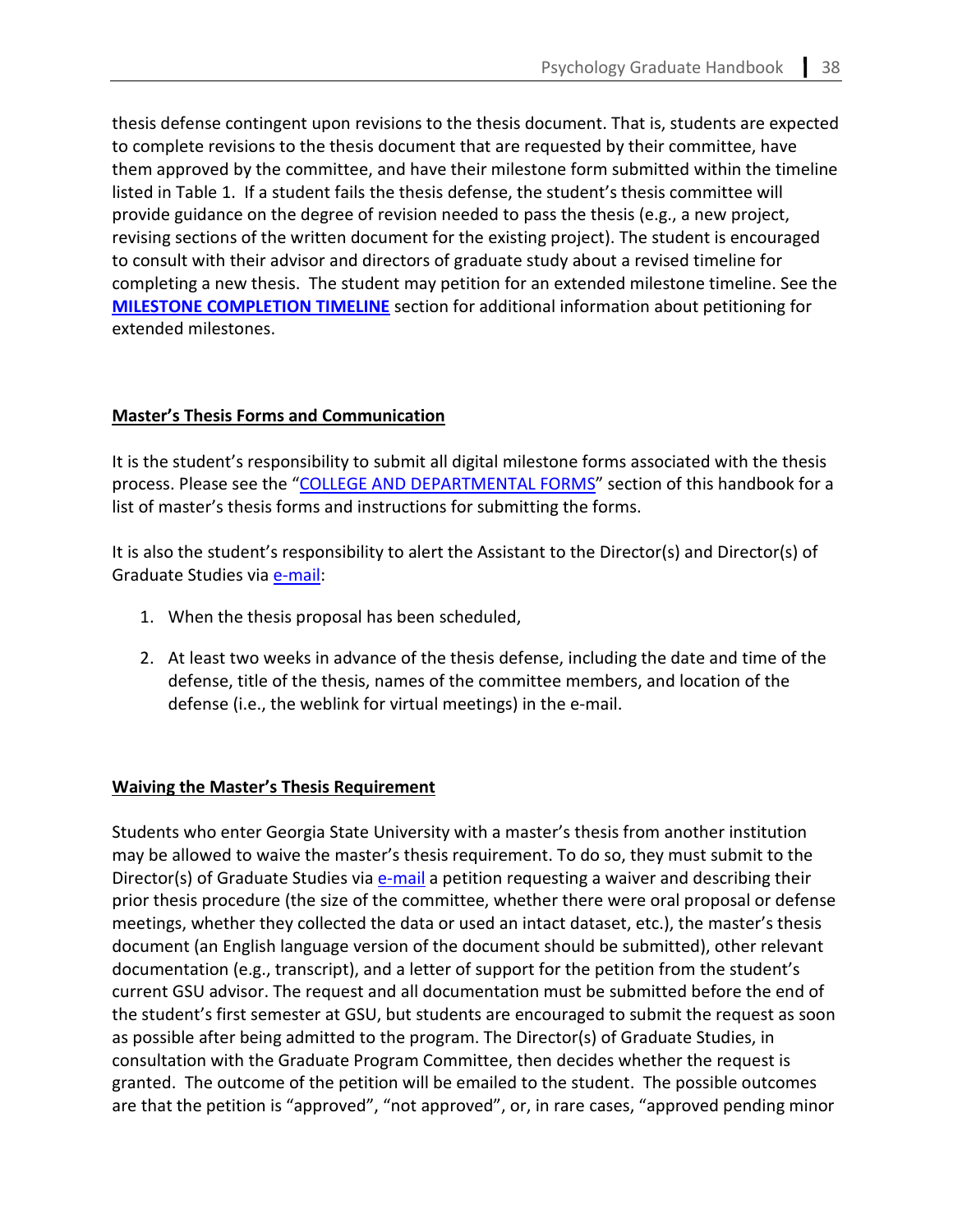thesis defense contingent upon revisions to the thesis document. That is, students are expected to complete revisions to the thesis document that are requested by their committee, have them approved by the committee, and have their milestone form submitted within the timeline listed in Table 1. If a student fails the thesis defense, the student's thesis committee will provide guidance on the degree of revision needed to pass the thesis (e.g., a new project, revising sections of the written document for the existing project). The student is encouraged to consult with their advisor and directors of graduate study about a revised timeline for completing a new thesis. The student may petition for an extended milestone timeline. See the **[MILESTONE COMPLETION TIMELINE](#page-52-0)** section for additional information about petitioning for extended milestones.

# **Master's Thesis Forms and Communication**

It is the student's responsibility to submit all digital milestone forms associated with the thesis process. Please see the ["COLLEGE AND DEPARTMENTAL FORMS"](#page-78-0) section of this handbook for a list of master's thesis forms and instructions for submitting the forms.

It is also the student's responsibility to alert the Assistant to the Director(s) and Director(s) of Graduate Studies via [e-mail:](mailto:psygrad@gsu.edu)

- 1. When the thesis proposal has been scheduled,
- 2. At least two weeks in advance of the thesis defense, including the date and time of the defense, title of the thesis, names of the committee members, and location of the defense (i.e., the weblink for virtual meetings) in the e-mail.

# **Waiving the Master's Thesis Requirement**

Students who enter Georgia State University with a master's thesis from another institution may be allowed to waive the master's thesis requirement. To do so, they must submit to the Director(s) of Graduate Studies via **e-mail** a petition requesting a waiver and describing their prior thesis procedure (the size of the committee, whether there were oral proposal or defense meetings, whether they collected the data or used an intact dataset, etc.), the master's thesis document (an English language version of the document should be submitted), other relevant documentation (e.g., transcript), and a letter of support for the petition from the student's current GSU advisor. The request and all documentation must be submitted before the end of the student's first semester at GSU, but students are encouraged to submit the request as soon as possible after being admitted to the program. The Director(s) of Graduate Studies, in consultation with the Graduate Program Committee, then decides whether the request is granted. The outcome of the petition will be emailed to the student. The possible outcomes are that the petition is "approved", "not approved", or, in rare cases, "approved pending minor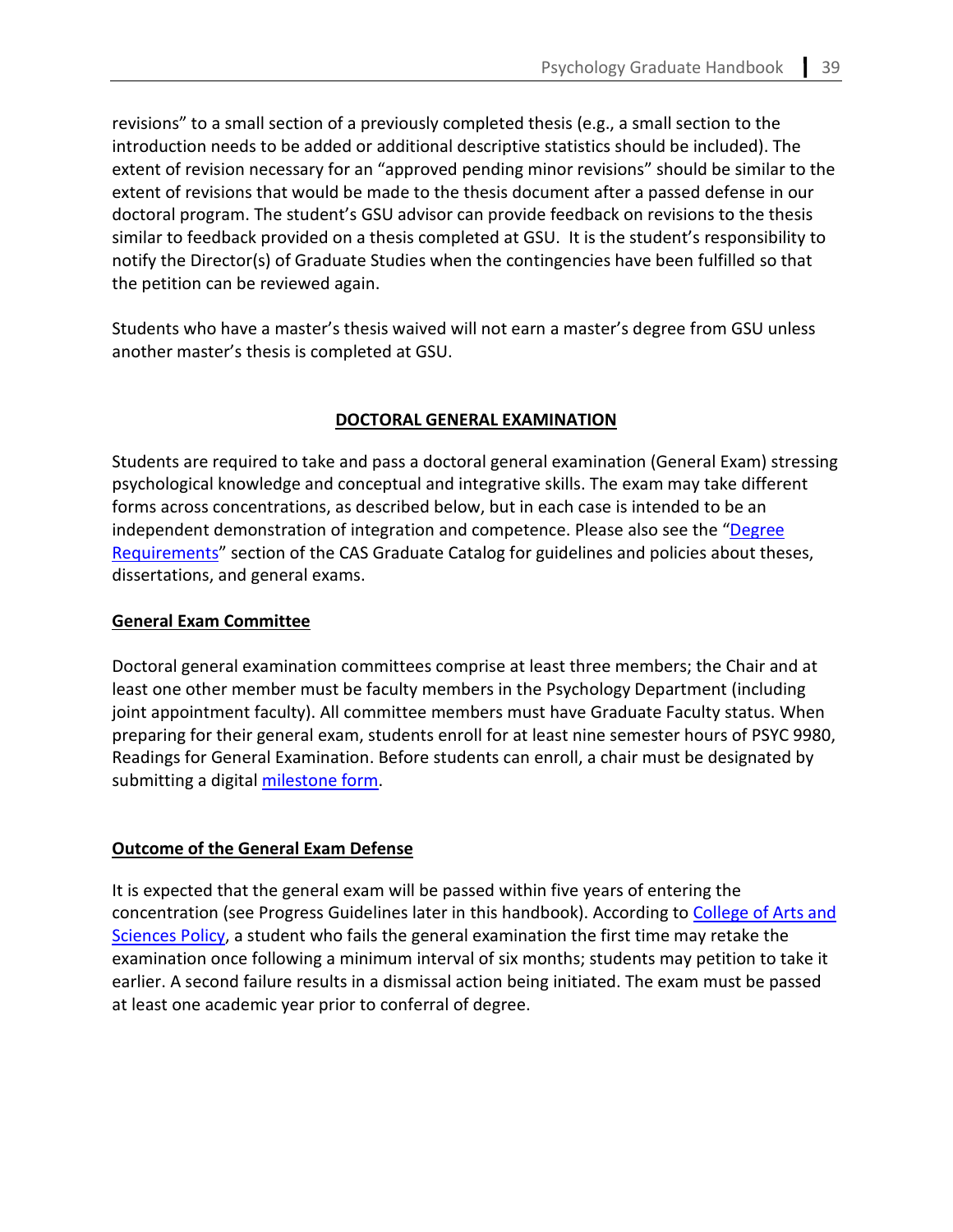revisions" to a small section of a previously completed thesis (e.g., a small section to the introduction needs to be added or additional descriptive statistics should be included). The extent of revision necessary for an "approved pending minor revisions" should be similar to the extent of revisions that would be made to the thesis document after a passed defense in our doctoral program. The student's GSU advisor can provide feedback on revisions to the thesis similar to feedback provided on a thesis completed at GSU. It is the student's responsibility to notify the Director(s) of Graduate Studies when the contingencies have been fulfilled so that the petition can be reviewed again.

Students who have a master's thesis waived will not earn a master's degree from GSU unless another master's thesis is completed at GSU.

# **DOCTORAL GENERAL EXAMINATION**

Students are required to take and pass a doctoral general examination (General Exam) stressing psychological knowledge and conceptual and integrative skills. The exam may take different forms across concentrations, as described below, but in each case is intended to be an independent demonstration of integration and competence. Please also see the "Degree [Requirements"](https://enrollment.gsu.edu/files/2020/04/Graduate-Catalog-2020-2021.pdf) section of the CAS Graduate Catalog for guidelines and policies about theses, dissertations, and general exams.

# **General Exam Committee**

Doctoral general examination committees comprise at least three members; the Chair and at least one other member must be faculty members in the Psychology Department (including joint appointment faculty). All committee members must have Graduate Faculty status. When preparing for their general exam, students enroll for at least nine semester hours of PSYC 9980, Readings for General Examination. Before students can enroll, a chair must be designated by submitting a digital [milestone](https://cas.gsu.edu/non-course-milestones/) form.

## **Outcome of the General Exam Defense**

It is expected that the general exam will be passed within five years of entering the concentration (see Progress Guidelines later in this handbook). According to [College of Arts and](https://catalog.gsu.edu/graduate20202021/college-of-arts-and-sciences/#degree-requirements)  [Sciences Policy,](https://catalog.gsu.edu/graduate20202021/college-of-arts-and-sciences/#degree-requirements) a student who fails the general examination the first time may retake the examination once following a minimum interval of six months; students may petition to take it earlier. A second failure results in a dismissal action being initiated. The exam must be passed at least one academic year prior to conferral of degree.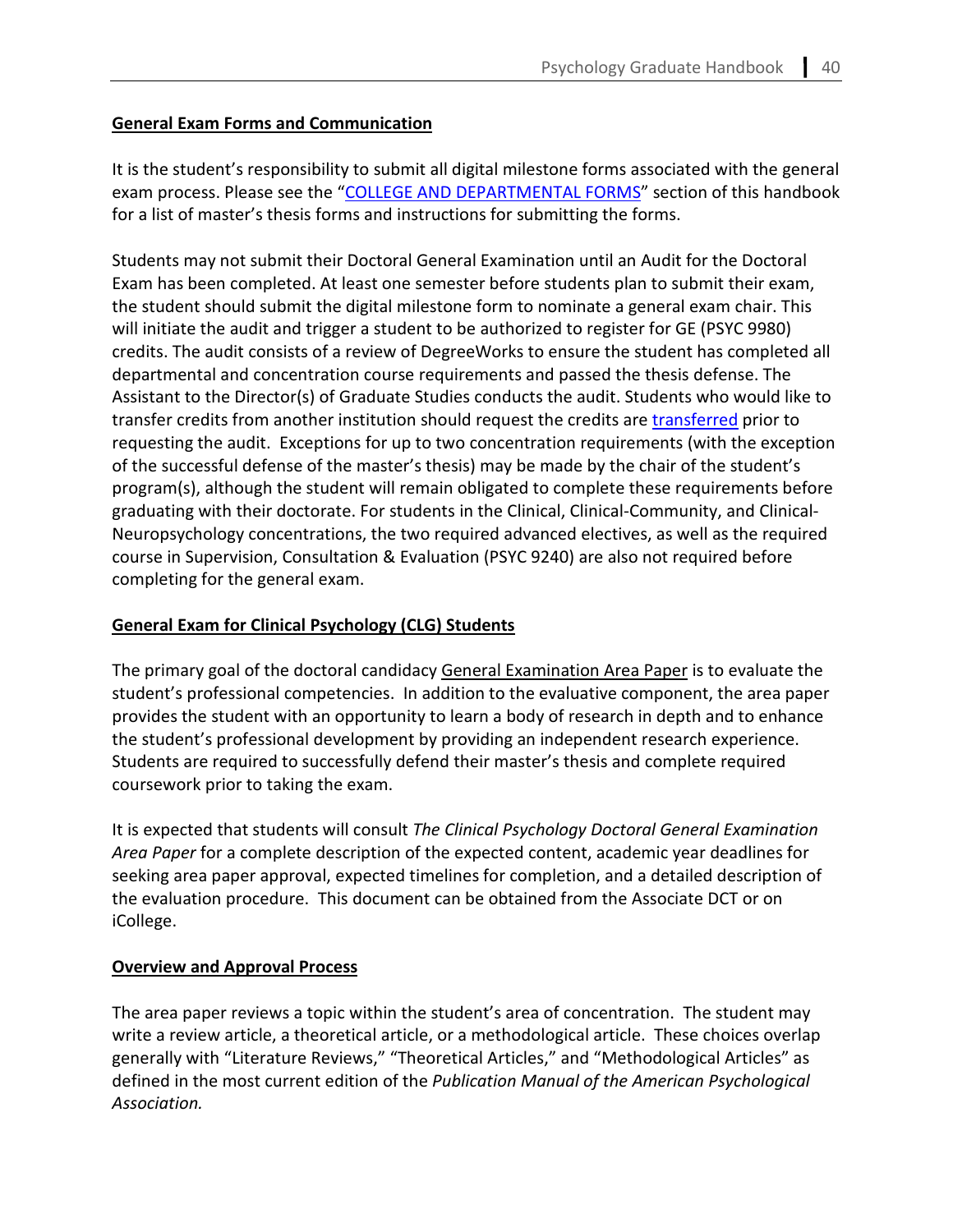# **General Exam Forms and Communication**

It is the student's responsibility to submit all digital milestone forms associated with the general exam process. Please see the ["COLLEGE AND DEPARTMENTAL FORMS"](#page-79-0) section of this handbook for a list of master's thesis forms and instructions for submitting the forms.

Students may not submit their Doctoral General Examination until an Audit for the Doctoral Exam has been completed. At least one semester before students plan to submit their exam, the student should submit the digital milestone form to nominate a general exam chair. This will initiate the audit and trigger a student to be authorized to register for GE (PSYC 9980) credits. The audit consists of a review of DegreeWorks to ensure the student has completed all departmental and concentration course requirements and passed the thesis defense. The Assistant to the Director(s) of Graduate Studies conducts the audit. Students who would like to transfer credits from another institution should request the credits are [transferred](https://cas.gsu.edu/request-to-transfer-credit/) prior to requesting the audit. Exceptions for up to two concentration requirements (with the exception of the successful defense of the master's thesis) may be made by the chair of the student's program(s), although the student will remain obligated to complete these requirements before graduating with their doctorate. For students in the Clinical, Clinical-Community, and Clinical-Neuropsychology concentrations, the two required advanced electives, as well as the required course in Supervision, Consultation & Evaluation (PSYC 9240) are also not required before completing for the general exam.

# **General Exam for Clinical Psychology (CLG) Students**

The primary goal of the doctoral candidacy General Examination Area Paper is to evaluate the student's professional competencies. In addition to the evaluative component, the area paper provides the student with an opportunity to learn a body of research in depth and to enhance the student's professional development by providing an independent research experience. Students are required to successfully defend their master's thesis and complete required coursework prior to taking the exam.

It is expected that students will consult *The Clinical Psychology Doctoral General Examination Area Paper* for a complete description of the expected content, academic year deadlines for seeking area paper approval, expected timelines for completion, and a detailed description of the evaluation procedure. This document can be obtained from the Associate DCT or on iCollege.

# **Overview and Approval Process**

The area paper reviews a topic within the student's area of concentration. The student may write a review article, a theoretical article, or a methodological article. These choices overlap generally with "Literature Reviews," "Theoretical Articles," and "Methodological Articles" as defined in the most current edition of the *Publication Manual of the American Psychological Association.*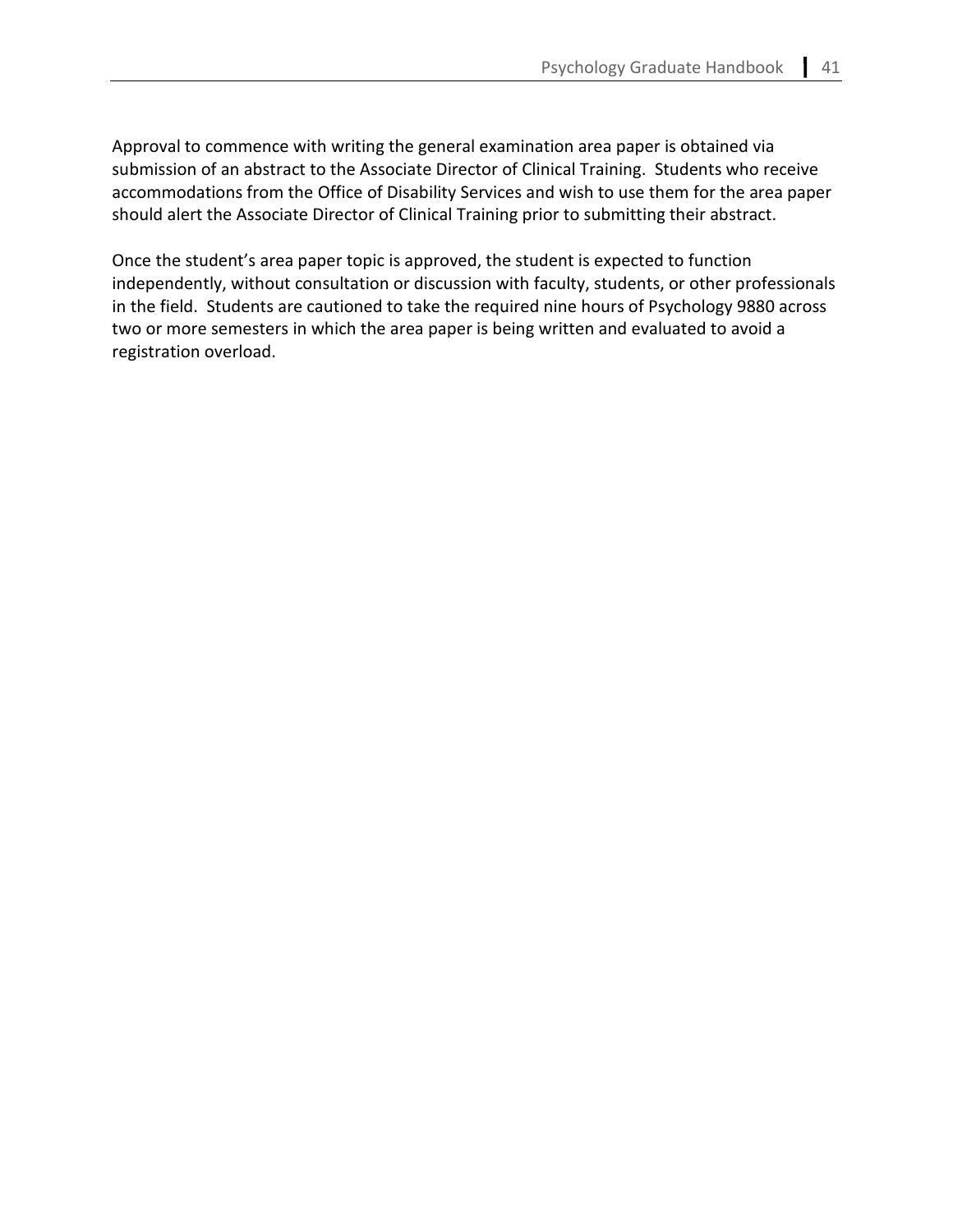Approval to commence with writing the general examination area paper is obtained via submission of an abstract to the Associate Director of Clinical Training. Students who receive accommodations from the Office of Disability Services and wish to use them for the area paper should alert the Associate Director of Clinical Training prior to submitting their abstract.

Once the student's area paper topic is approved, the student is expected to function independently, without consultation or discussion with faculty, students, or other professionals in the field. Students are cautioned to take the required nine hours of Psychology 9880 across two or more semesters in which the area paper is being written and evaluated to avoid a registration overload.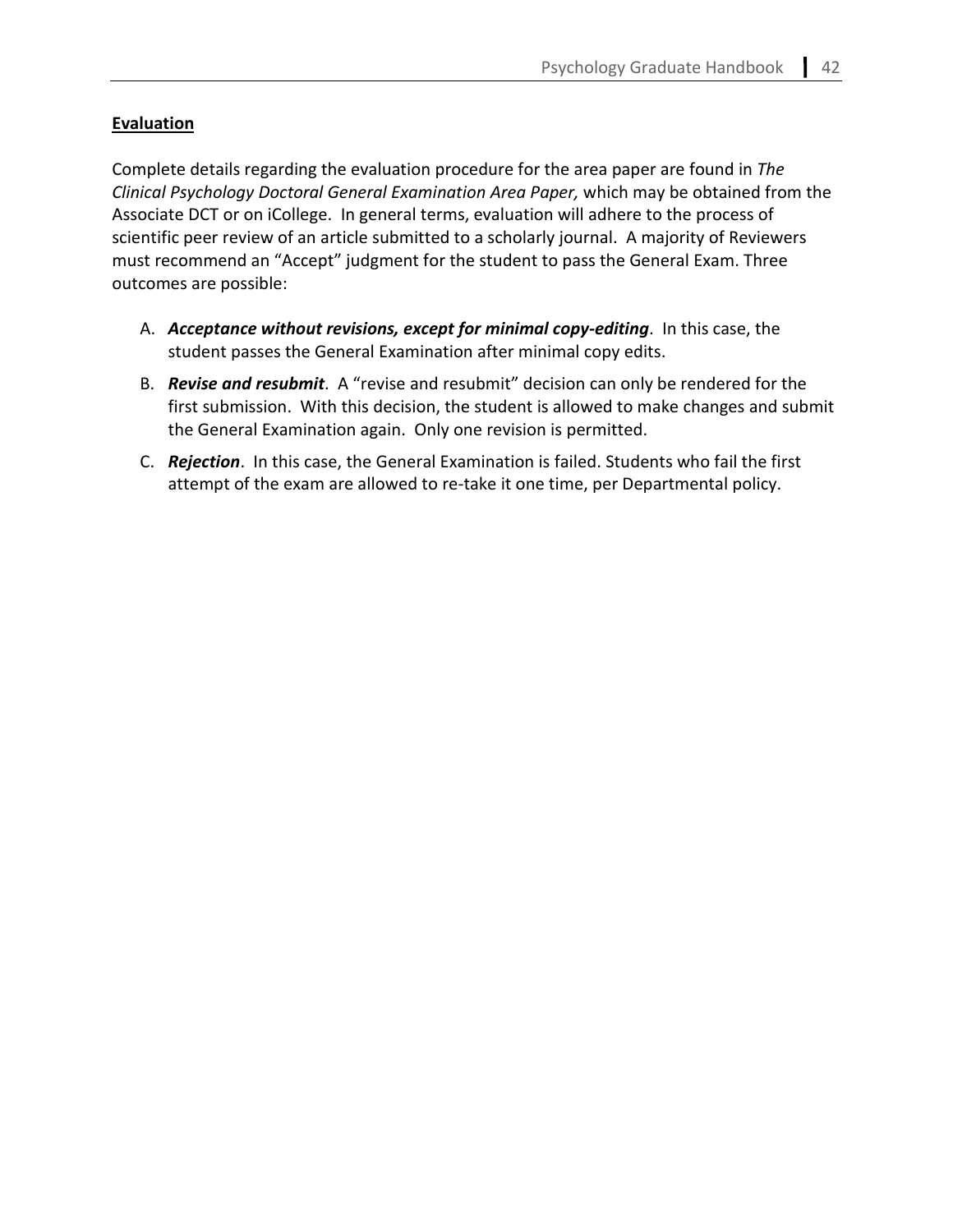# **Evaluation**

Complete details regarding the evaluation procedure for the area paper are found in *The Clinical Psychology Doctoral General Examination Area Paper,* which may be obtained from the Associate DCT or on iCollege. In general terms, evaluation will adhere to the process of scientific peer review of an article submitted to a scholarly journal. A majority of Reviewers must recommend an "Accept" judgment for the student to pass the General Exam. Three outcomes are possible:

- A. *Acceptance without revisions, except for minimal copy-editing*. In this case, the student passes the General Examination after minimal copy edits.
- B. *Revise and resubmit*. A "revise and resubmit" decision can only be rendered for the first submission. With this decision, the student is allowed to make changes and submit the General Examination again. Only one revision is permitted.
- C. *Rejection*. In this case, the General Examination is failed. Students who fail the first attempt of the exam are allowed to re-take it one time, per Departmental policy.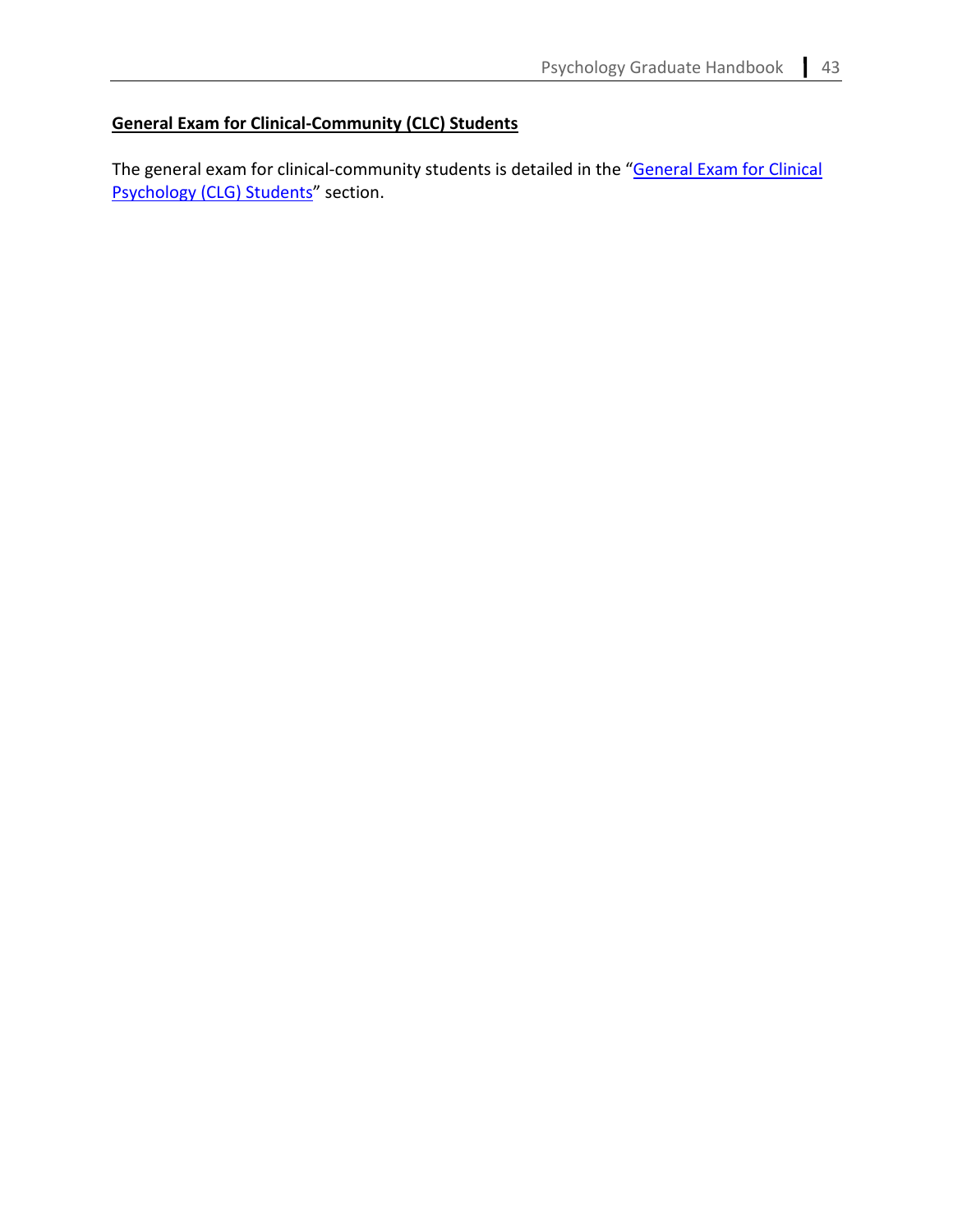# **General Exam for Clinical-Community (CLC) Students**

The general exam for clinical-community students is detailed in the "General Exam for Clinical [Psychology \(CLG\) Students"](#page-35-0) section.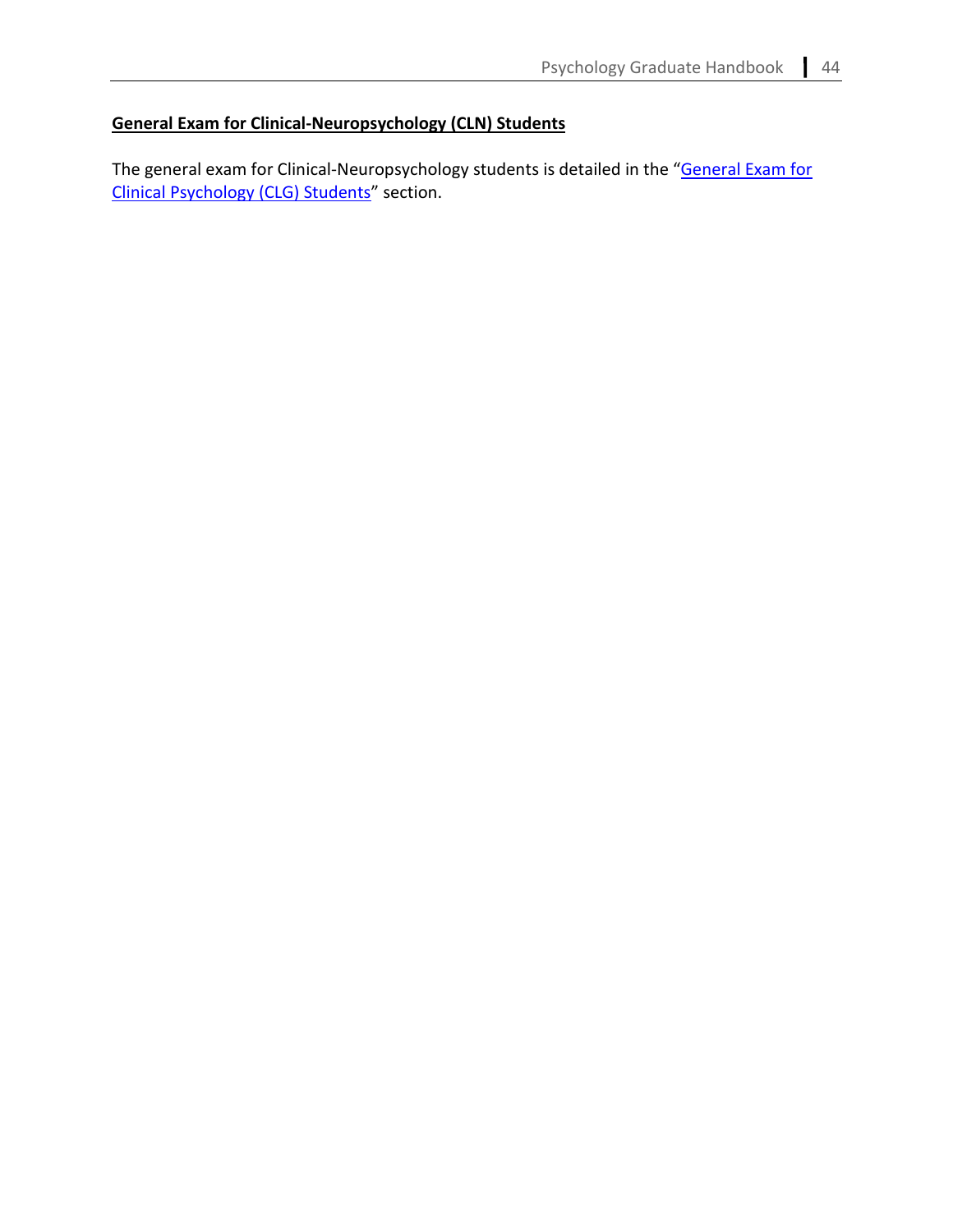# **General Exam for Clinical-Neuropsychology (CLN) Students**

The general exam for Clinical-Neuropsychology students is detailed in the "General Exam for [Clinical Psychology \(CLG\) Students"](#page-35-0) section.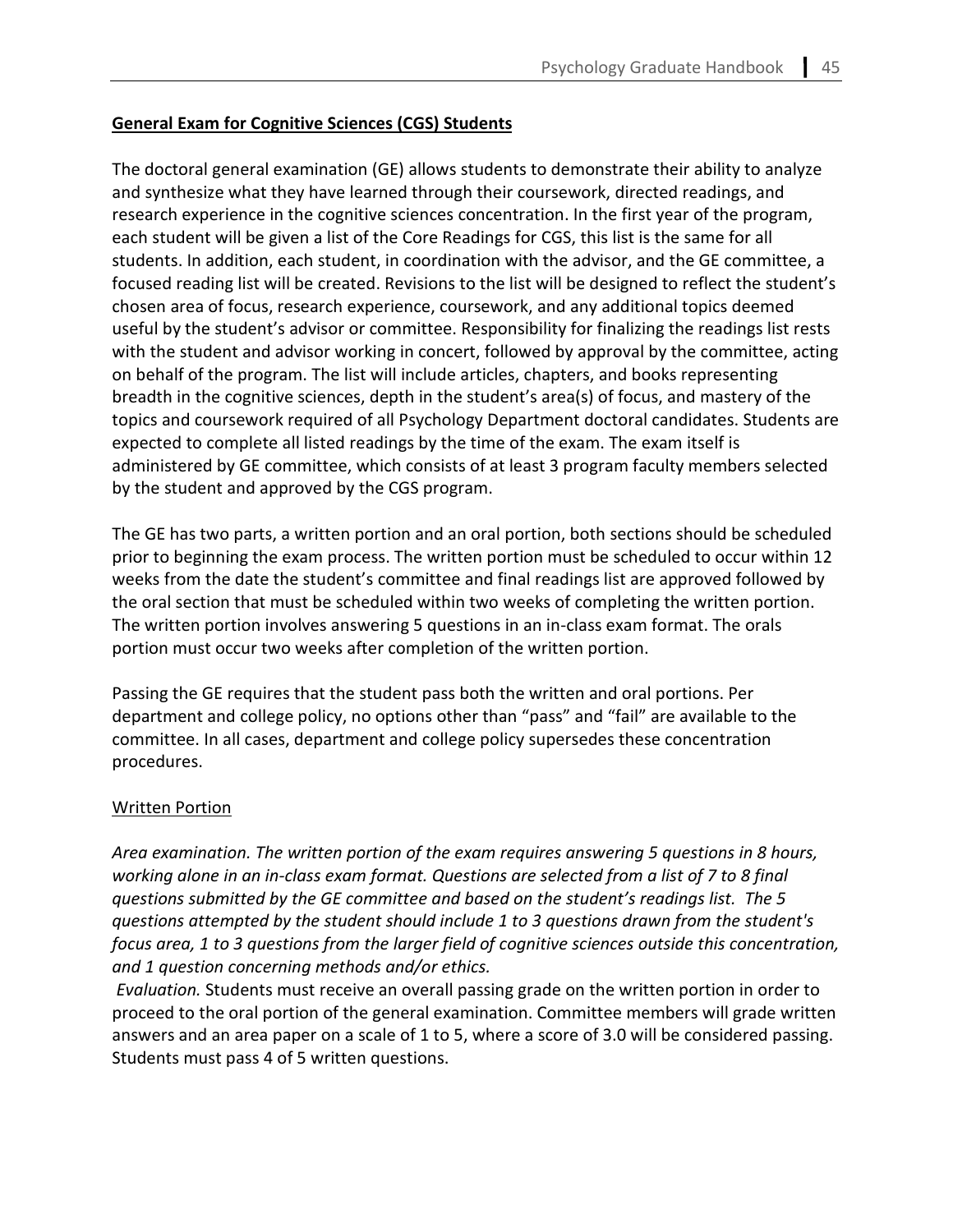# **General Exam for Cognitive Sciences (CGS) Students**

The doctoral general examination (GE) allows students to demonstrate their ability to analyze and synthesize what they have learned through their coursework, directed readings, and research experience in the cognitive sciences concentration. In the first year of the program, each student will be given a list of the Core Readings for CGS, this list is the same for all students. In addition, each student, in coordination with the advisor, and the GE committee, a focused reading list will be created. Revisions to the list will be designed to reflect the student's chosen area of focus, research experience, coursework, and any additional topics deemed useful by the student's advisor or committee. Responsibility for finalizing the readings list rests with the student and advisor working in concert, followed by approval by the committee, acting on behalf of the program. The list will include articles, chapters, and books representing breadth in the cognitive sciences, depth in the student's area(s) of focus, and mastery of the topics and coursework required of all Psychology Department doctoral candidates. Students are expected to complete all listed readings by the time of the exam. The exam itself is administered by GE committee, which consists of at least 3 program faculty members selected by the student and approved by the CGS program.

The GE has two parts, a written portion and an oral portion, both sections should be scheduled prior to beginning the exam process. The written portion must be scheduled to occur within 12 weeks from the date the student's committee and final readings list are approved followed by the oral section that must be scheduled within two weeks of completing the written portion. The written portion involves answering 5 questions in an in-class exam format. The orals portion must occur two weeks after completion of the written portion.

Passing the GE requires that the student pass both the written and oral portions. Per department and college policy, no options other than "pass" and "fail" are available to the committee. In all cases, department and college policy supersedes these concentration procedures.

# Written Portion

*Area examination. The written portion of the exam requires answering 5 questions in 8 hours, working alone in an in-class exam format. Questions are selected from a list of 7 to 8 final questions submitted by the GE committee and based on the student's readings list. The 5 questions attempted by the student should include 1 to 3 questions drawn from the student's focus area, 1 to 3 questions from the larger field of cognitive sciences outside this concentration, and 1 question concerning methods and/or ethics.*

*Evaluation.* Students must receive an overall passing grade on the written portion in order to proceed to the oral portion of the general examination. Committee members will grade written answers and an area paper on a scale of 1 to 5, where a score of 3.0 will be considered passing. Students must pass 4 of 5 written questions.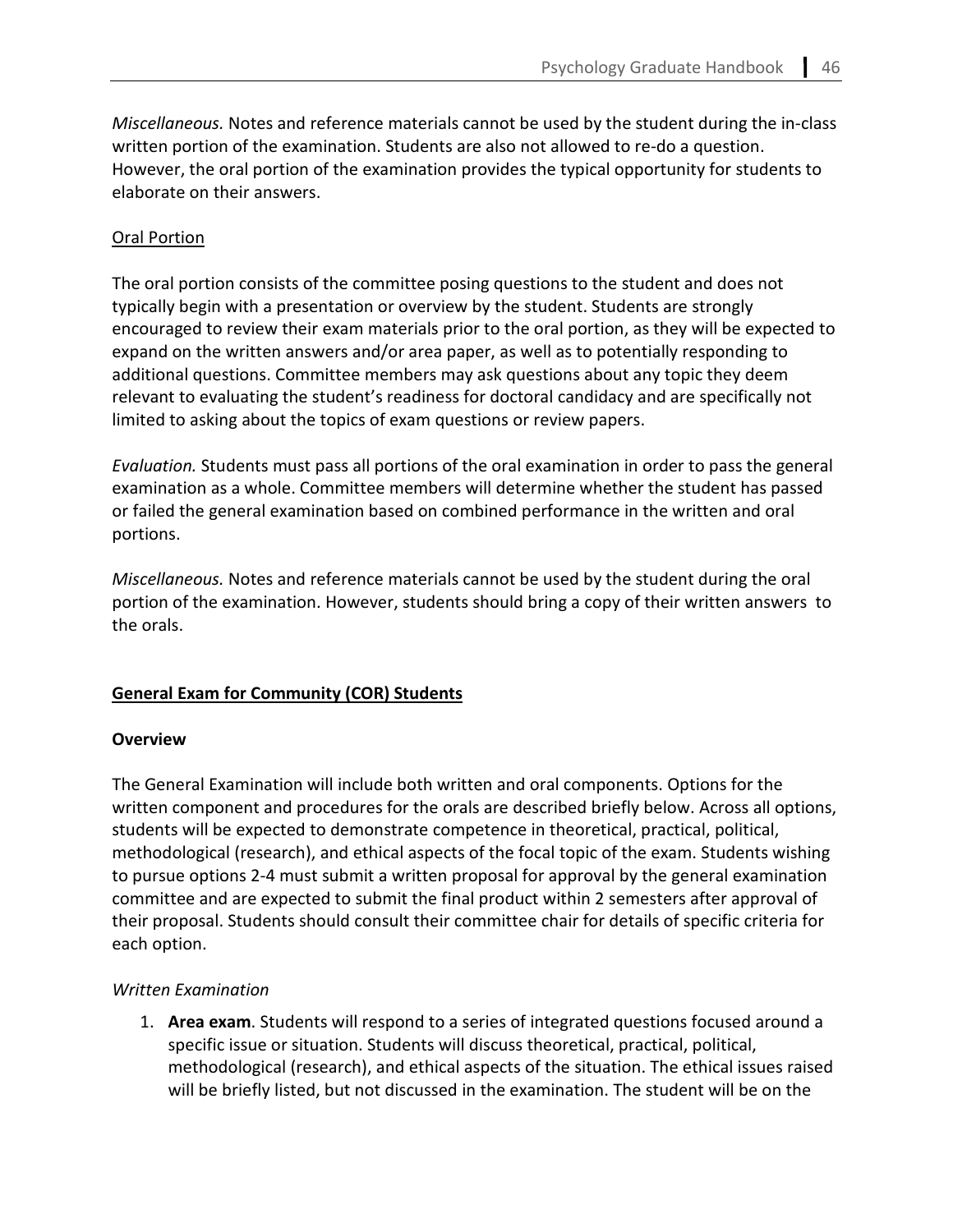*Miscellaneous.* Notes and reference materials cannot be used by the student during the in-class written portion of the examination. Students are also not allowed to re-do a question. However, the oral portion of the examination provides the typical opportunity for students to elaborate on their answers.

# Oral Portion

The oral portion consists of the committee posing questions to the student and does not typically begin with a presentation or overview by the student. Students are strongly encouraged to review their exam materials prior to the oral portion, as they will be expected to expand on the written answers and/or area paper, as well as to potentially responding to additional questions. Committee members may ask questions about any topic they deem relevant to evaluating the student's readiness for doctoral candidacy and are specifically not limited to asking about the topics of exam questions or review papers.

*Evaluation.* Students must pass all portions of the oral examination in order to pass the general examination as a whole. Committee members will determine whether the student has passed or failed the general examination based on combined performance in the written and oral portions.

*Miscellaneous.* Notes and reference materials cannot be used by the student during the oral portion of the examination. However, students should bring a copy of their written answers to the orals.

# **General Exam for Community (COR) Students**

# **Overview**

The General Examination will include both written and oral components. Options for the written component and procedures for the orals are described briefly below. Across all options, students will be expected to demonstrate competence in theoretical, practical, political, methodological (research), and ethical aspects of the focal topic of the exam. Students wishing to pursue options 2-4 must submit a written proposal for approval by the general examination committee and are expected to submit the final product within 2 semesters after approval of their proposal. Students should consult their committee chair for details of specific criteria for each option.

# *Written Examination*

1. **Area exam**. Students will respond to a series of integrated questions focused around a specific issue or situation. Students will discuss theoretical, practical, political, methodological (research), and ethical aspects of the situation. The ethical issues raised will be briefly listed, but not discussed in the examination. The student will be on the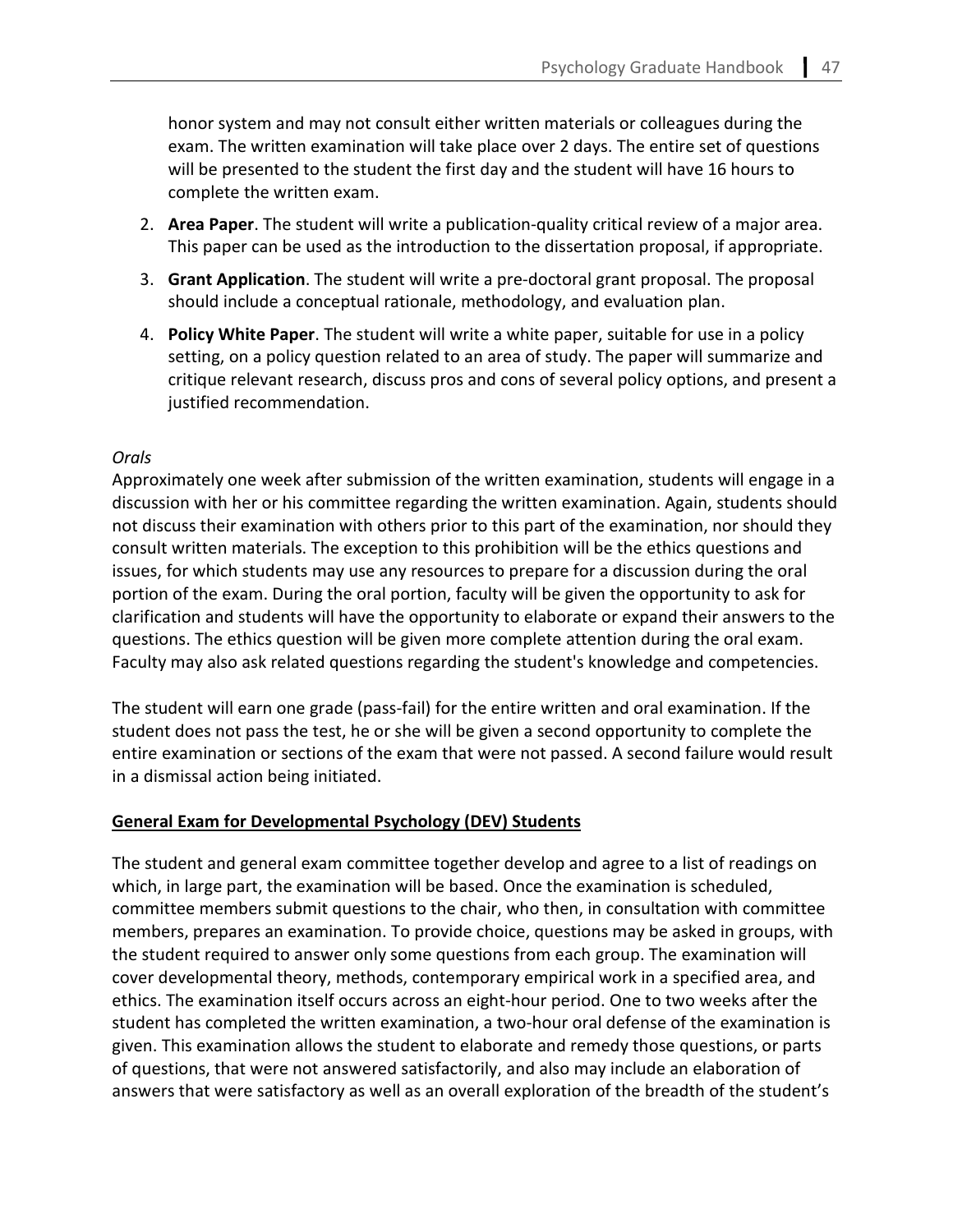honor system and may not consult either written materials or colleagues during the exam. The written examination will take place over 2 days. The entire set of questions will be presented to the student the first day and the student will have 16 hours to complete the written exam.

- 2. **Area Paper**. The student will write a publication-quality critical review of a major area. This paper can be used as the introduction to the dissertation proposal, if appropriate.
- 3. **Grant Application**. The student will write a pre-doctoral grant proposal. The proposal should include a conceptual rationale, methodology, and evaluation plan.
- 4. **Policy White Paper**. The student will write a white paper, suitable for use in a policy setting, on a policy question related to an area of study. The paper will summarize and critique relevant research, discuss pros and cons of several policy options, and present a justified recommendation.

# *Orals*

Approximately one week after submission of the written examination, students will engage in a discussion with her or his committee regarding the written examination. Again, students should not discuss their examination with others prior to this part of the examination, nor should they consult written materials. The exception to this prohibition will be the ethics questions and issues, for which students may use any resources to prepare for a discussion during the oral portion of the exam. During the oral portion, faculty will be given the opportunity to ask for clarification and students will have the opportunity to elaborate or expand their answers to the questions. The ethics question will be given more complete attention during the oral exam. Faculty may also ask related questions regarding the student's knowledge and competencies.

The student will earn one grade (pass-fail) for the entire written and oral examination. If the student does not pass the test, he or she will be given a second opportunity to complete the entire examination or sections of the exam that were not passed. A second failure would result in a dismissal action being initiated.

### **General Exam for Developmental Psychology (DEV) Students**

The student and general exam committee together develop and agree to a list of readings on which, in large part, the examination will be based. Once the examination is scheduled, committee members submit questions to the chair, who then, in consultation with committee members, prepares an examination. To provide choice, questions may be asked in groups, with the student required to answer only some questions from each group. The examination will cover developmental theory, methods, contemporary empirical work in a specified area, and ethics. The examination itself occurs across an eight-hour period. One to two weeks after the student has completed the written examination, a two-hour oral defense of the examination is given. This examination allows the student to elaborate and remedy those questions, or parts of questions, that were not answered satisfactorily, and also may include an elaboration of answers that were satisfactory as well as an overall exploration of the breadth of the student's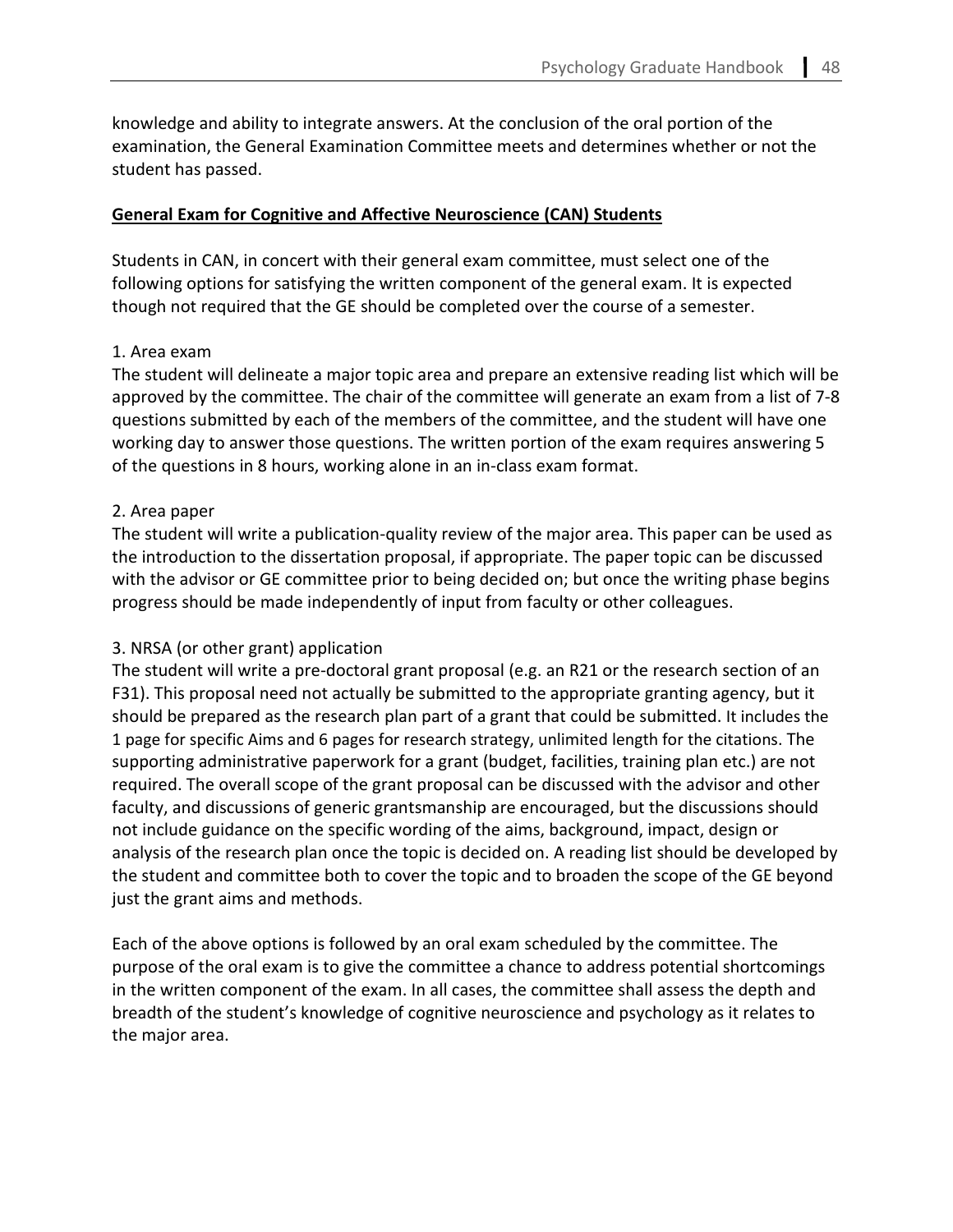knowledge and ability to integrate answers. At the conclusion of the oral portion of the examination, the General Examination Committee meets and determines whether or not the student has passed.

# **General Exam for Cognitive and Affective Neuroscience (CAN) Students**

Students in CAN, in concert with their general exam committee, must select one of the following options for satisfying the written component of the general exam. It is expected though not required that the GE should be completed over the course of a semester.

# 1. Area exam

The student will delineate a major topic area and prepare an extensive reading list which will be approved by the committee. The chair of the committee will generate an exam from a list of 7-8 questions submitted by each of the members of the committee, and the student will have one working day to answer those questions. The written portion of the exam requires answering 5 of the questions in 8 hours, working alone in an in-class exam format.

# 2. Area paper

The student will write a publication-quality review of the major area. This paper can be used as the introduction to the dissertation proposal, if appropriate. The paper topic can be discussed with the advisor or GE committee prior to being decided on; but once the writing phase begins progress should be made independently of input from faculty or other colleagues.

# 3. NRSA (or other grant) application

The student will write a pre-doctoral grant proposal (e.g. an R21 or the research section of an F31). This proposal need not actually be submitted to the appropriate granting agency, but it should be prepared as the research plan part of a grant that could be submitted. It includes the 1 page for specific Aims and 6 pages for research strategy, unlimited length for the citations. The supporting administrative paperwork for a grant (budget, facilities, training plan etc.) are not required. The overall scope of the grant proposal can be discussed with the advisor and other faculty, and discussions of generic grantsmanship are encouraged, but the discussions should not include guidance on the specific wording of the aims, background, impact, design or analysis of the research plan once the topic is decided on. A reading list should be developed by the student and committee both to cover the topic and to broaden the scope of the GE beyond just the grant aims and methods.

Each of the above options is followed by an oral exam scheduled by the committee. The purpose of the oral exam is to give the committee a chance to address potential shortcomings in the written component of the exam. In all cases, the committee shall assess the depth and breadth of the student's knowledge of cognitive neuroscience and psychology as it relates to the major area.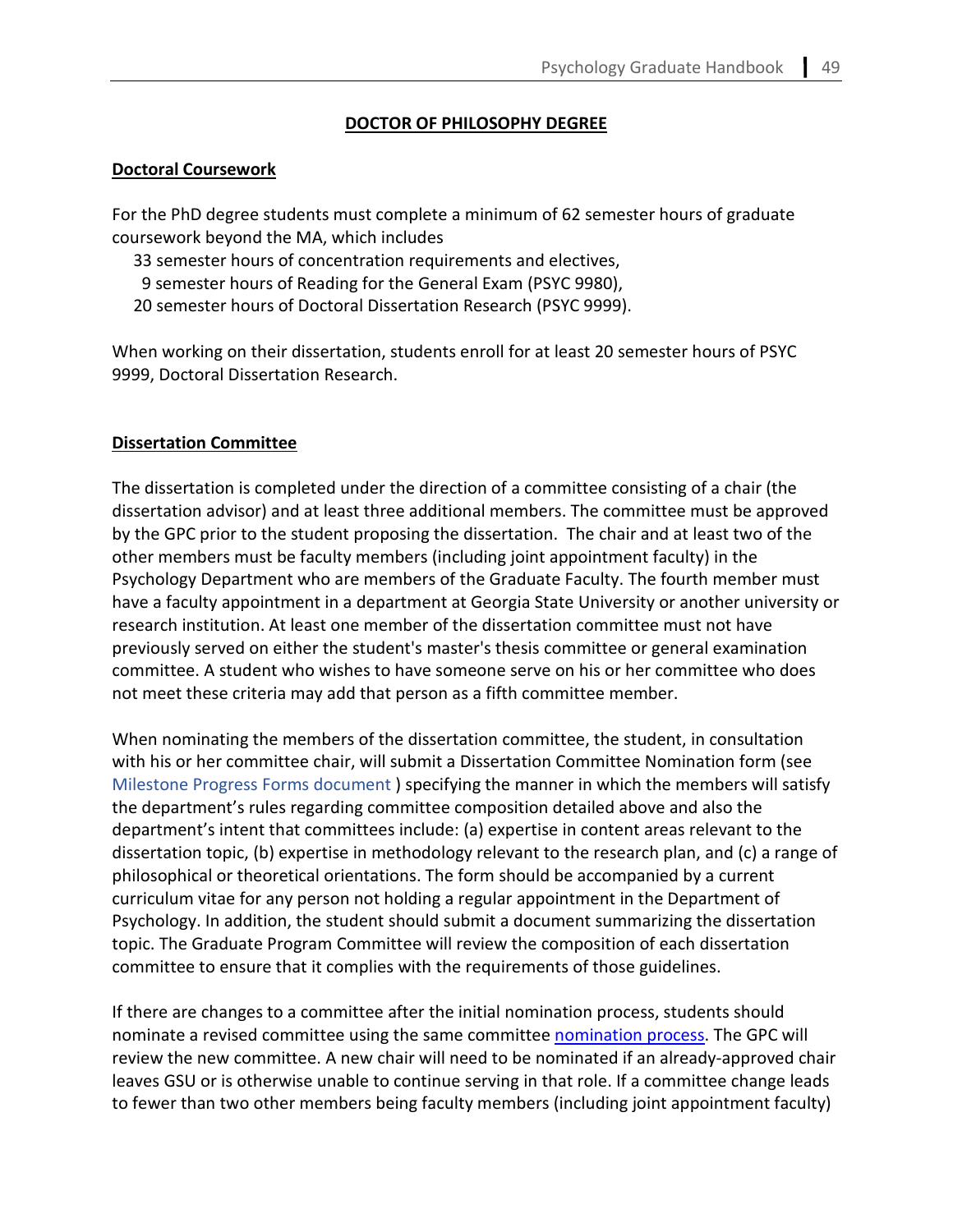# **DOCTOR OF PHILOSOPHY DEGREE**

#### **Doctoral Coursework**

For the PhD degree students must complete a minimum of 62 semester hours of graduate coursework beyond the MA, which includes

- 33 semester hours of concentration requirements and electives,
- 9 semester hours of Reading for the General Exam (PSYC 9980),
- 20 semester hours of Doctoral Dissertation Research (PSYC 9999).

When working on their dissertation, students enroll for at least 20 semester hours of PSYC 9999, Doctoral Dissertation Research.

#### **Dissertation Committee**

The dissertation is completed under the direction of a committee consisting of a chair (the dissertation advisor) and at least three additional members. The committee must be approved by the GPC prior to the student proposing the dissertation. The chair and at least two of the other members must be faculty members (including joint appointment faculty) in the Psychology Department who are members of the Graduate Faculty. The fourth member must have a faculty appointment in a department at Georgia State University or another university or research institution. At least one member of the dissertation committee must not have previously served on either the student's master's thesis committee or general examination committee. A student who wishes to have someone serve on his or her committee who does not meet these criteria may add that person as a fifth committee member.

When nominating the members of the dissertation committee, the student, in consultation with his or her committee chair, will submit a Dissertation Committee Nomination form (see Milestone Progress Forms document ) specifying the manner in which the members will satisfy the department's rules regarding committee composition detailed above and also the department's intent that committees include: (a) expertise in content areas relevant to the dissertation topic, (b) expertise in methodology relevant to the research plan, and (c) a range of philosophical or theoretical orientations. The form should be accompanied by a current curriculum vitae for any person not holding a regular appointment in the Department of Psychology. In addition, the student should submit a document summarizing the dissertation topic. The Graduate Program Committee will review the composition of each dissertation committee to ensure that it complies with the requirements of those guidelines.

If there are changes to a committee after the initial nomination process, students should nominate a revised committee using the same committee [nomination process.](#page-80-0) The GPC will review the new committee. A new chair will need to be nominated if an already-approved chair leaves GSU or is otherwise unable to continue serving in that role. If a committee change leads to fewer than two other members being faculty members (including joint appointment faculty)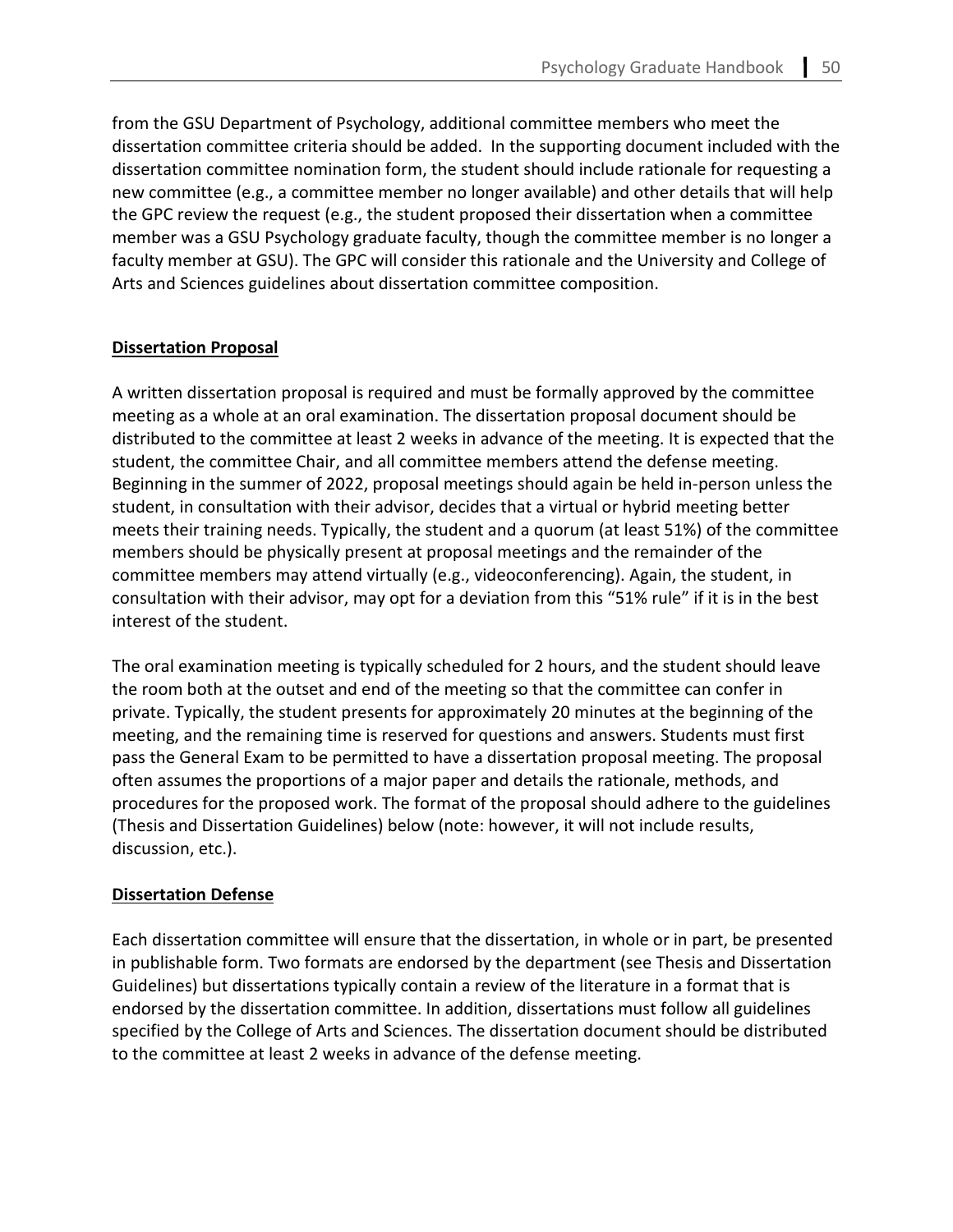from the GSU Department of Psychology, additional committee members who meet the dissertation committee criteria should be added. In the supporting document included with the dissertation committee nomination form, the student should include rationale for requesting a new committee (e.g., a committee member no longer available) and other details that will help the GPC review the request (e.g., the student proposed their dissertation when a committee member was a GSU Psychology graduate faculty, though the committee member is no longer a faculty member at GSU). The GPC will consider this rationale and the University and College of Arts and Sciences guidelines about dissertation committee composition.

# **Dissertation Proposal**

A written dissertation proposal is required and must be formally approved by the committee meeting as a whole at an oral examination. The dissertation proposal document should be distributed to the committee at least 2 weeks in advance of the meeting. It is expected that the student, the committee Chair, and all committee members attend the defense meeting. Beginning in the summer of 2022, proposal meetings should again be held in-person unless the student, in consultation with their advisor, decides that a virtual or hybrid meeting better meets their training needs. Typically, the student and a quorum (at least 51%) of the committee members should be physically present at proposal meetings and the remainder of the committee members may attend virtually (e.g., videoconferencing). Again, the student, in consultation with their advisor, may opt for a deviation from this "51% rule" if it is in the best interest of the student.

The oral examination meeting is typically scheduled for 2 hours, and the student should leave the room both at the outset and end of the meeting so that the committee can confer in private. Typically, the student presents for approximately 20 minutes at the beginning of the meeting, and the remaining time is reserved for questions and answers. Students must first pass the General Exam to be permitted to have a dissertation proposal meeting. The proposal often assumes the proportions of a major paper and details the rationale, methods, and procedures for the proposed work. The format of the proposal should adhere to the guidelines (Thesis and Dissertation Guidelines) below (note: however, it will not include results, discussion, etc.).

#### **Dissertation Defense**

Each dissertation committee will ensure that the dissertation, in whole or in part, be presented in publishable form. Two formats are endorsed by the department (see Thesis and [Dissertation](http://www2.gsu.edu/%7Ewwwpsy/PsycDeptDissertationGuidelines2007.pdf)  [Guidelines\)](http://www2.gsu.edu/%7Ewwwpsy/PsycDeptDissertationGuidelines2007.pdf) but dissertations typically contain a review of the literature in a format that is endorsed by the dissertation committee. In addition, dissertations must follow all guidelines specified by the College of Arts and Sciences. The dissertation document should be distributed to the committee at least 2 weeks in advance of the defense meeting.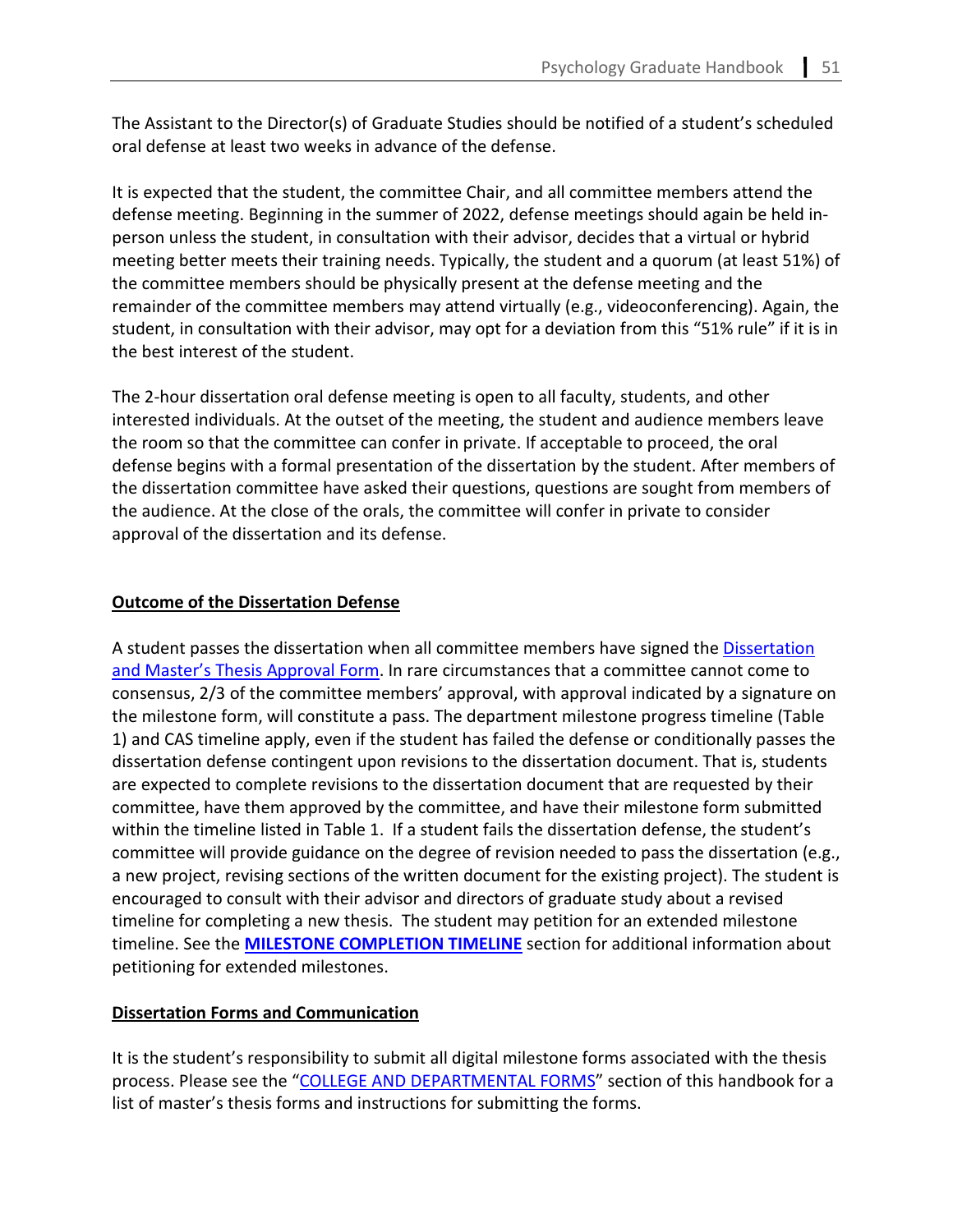The Assistant to the Director(s) of Graduate Studies should be notified of a student's scheduled oral defense at least two weeks in advance of the defense.

It is expected that the student, the committee Chair, and all committee members attend the defense meeting. Beginning in the summer of 2022, defense meetings should again be held inperson unless the student, in consultation with their advisor, decides that a virtual or hybrid meeting better meets their training needs. Typically, the student and a quorum (at least 51%) of the committee members should be physically present at the defense meeting and the remainder of the committee members may attend virtually (e.g., videoconferencing). Again, the student, in consultation with their advisor, may opt for a deviation from this "51% rule" if it is in the best interest of the student.

The 2-hour dissertation oral defense meeting is open to all faculty, students, and other interested individuals. At the outset of the meeting, the student and audience members leave the room so that the committee can confer in private. If acceptable to proceed, the oral defense begins with a formal presentation of the dissertation by the student. After members of the dissertation committee have asked their questions, questions are sought from members of the audience. At the close of the orals, the committee will confer in private to consider approval of the dissertation and its defense.

# **Outcome of the Dissertation Defense**

A student passes the dissertation when all committee members have signed th[e Dissertation](https://cas.gsu.edu/files/2019/11/Dissertation-or-Masters-Thesis-Approval-Form.pdf)  [and Master's Thesis Approval Form.](https://cas.gsu.edu/files/2019/11/Dissertation-or-Masters-Thesis-Approval-Form.pdf) In rare circumstances that a committee cannot come to consensus, 2/3 of the committee members' approval, with approval indicated by a signature on the milestone form, will constitute a pass. The department milestone progress timeline (Table 1) and CAS timeline apply, even if the student has failed the defense or conditionally passes the dissertation defense contingent upon revisions to the dissertation document. That is, students are expected to complete revisions to the dissertation document that are requested by their committee, have them approved by the committee, and have their milestone form submitted within the timeline listed in Table 1. If a student fails the dissertation defense, the student's committee will provide guidance on the degree of revision needed to pass the dissertation (e.g., a new project, revising sections of the written document for the existing project). The student is encouraged to consult with their advisor and directors of graduate study about a revised timeline for completing a new thesis. The student may petition for an extended milestone timeline. See the **[MILESTONE COMPLETION TIMELINE](#page-52-0)** section for additional information about petitioning for extended milestones.

# **Dissertation Forms and Communication**

It is the student's responsibility to submit all digital milestone forms associated with the thesis process. Please see the ["COLLEGE AND DEPARTMENTAL FORMS"](#page-80-0) section of this handbook for a list of master's thesis forms and instructions for submitting the forms.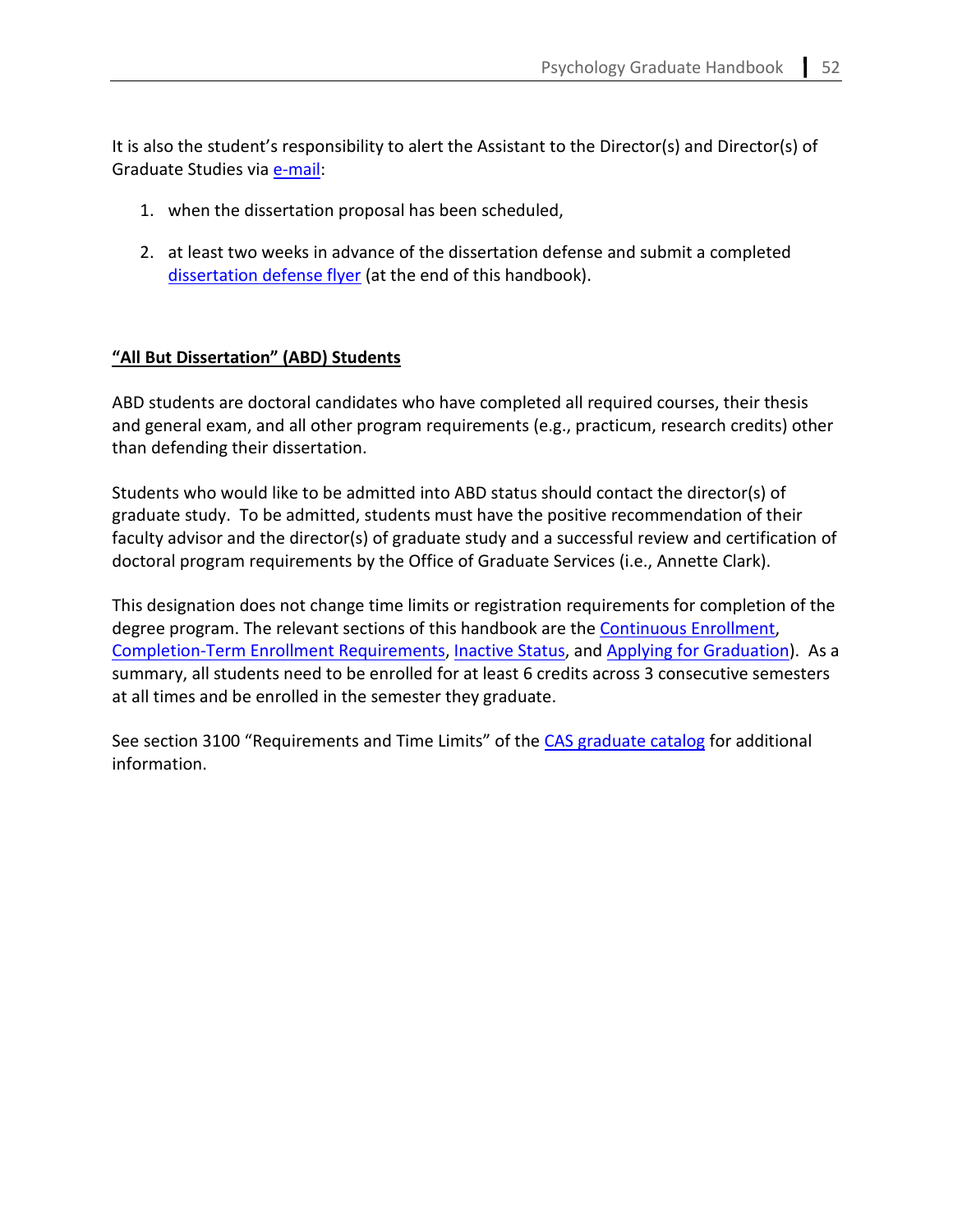It is also the student's responsibility to alert the Assistant to the Director(s) and Director(s) of Graduate Studies via [e-mail:](mailto:psygrad@gsu.edu)

- 1. when the dissertation proposal has been scheduled,
- 2. at least two weeks in advance of the dissertation defense and submit a completed [dissertation defense flyer](#page-89-0) (at the end of this handbook).

# **"All But Dissertation" (ABD) Students**

ABD students are doctoral candidates who have completed all required courses, their thesis and general exam, and all other program requirements (e.g., practicum, research credits) other than defending their dissertation.

Students who would like to be admitted into ABD status should contact the director(s) of graduate study. To be admitted, students must have the positive recommendation of their faculty advisor and the director(s) of graduate study and a successful review and certification of doctoral program requirements by the Office of Graduate Services (i.e., Annette Clark).

This designation does not change time limits or registration requirements for completion of the degree program. The relevant sections of this handbook are the [Continuous Enrollment,](#page-68-0) [Completion-Term Enrollment Requirements,](#page-69-0) [Inactive Status,](#page-69-1) and [Applying for Graduation\)](#page-31-0). As a summary, all students need to be enrolled for at least 6 credits across 3 consecutive semesters at all times and be enrolled in the semester they graduate.

See section 3100 "Requirements and Time Limits" of th[e CAS graduate catalog](https://catalogs.gsu.edu/content.php?catoid=5&navoid=699) for additional information.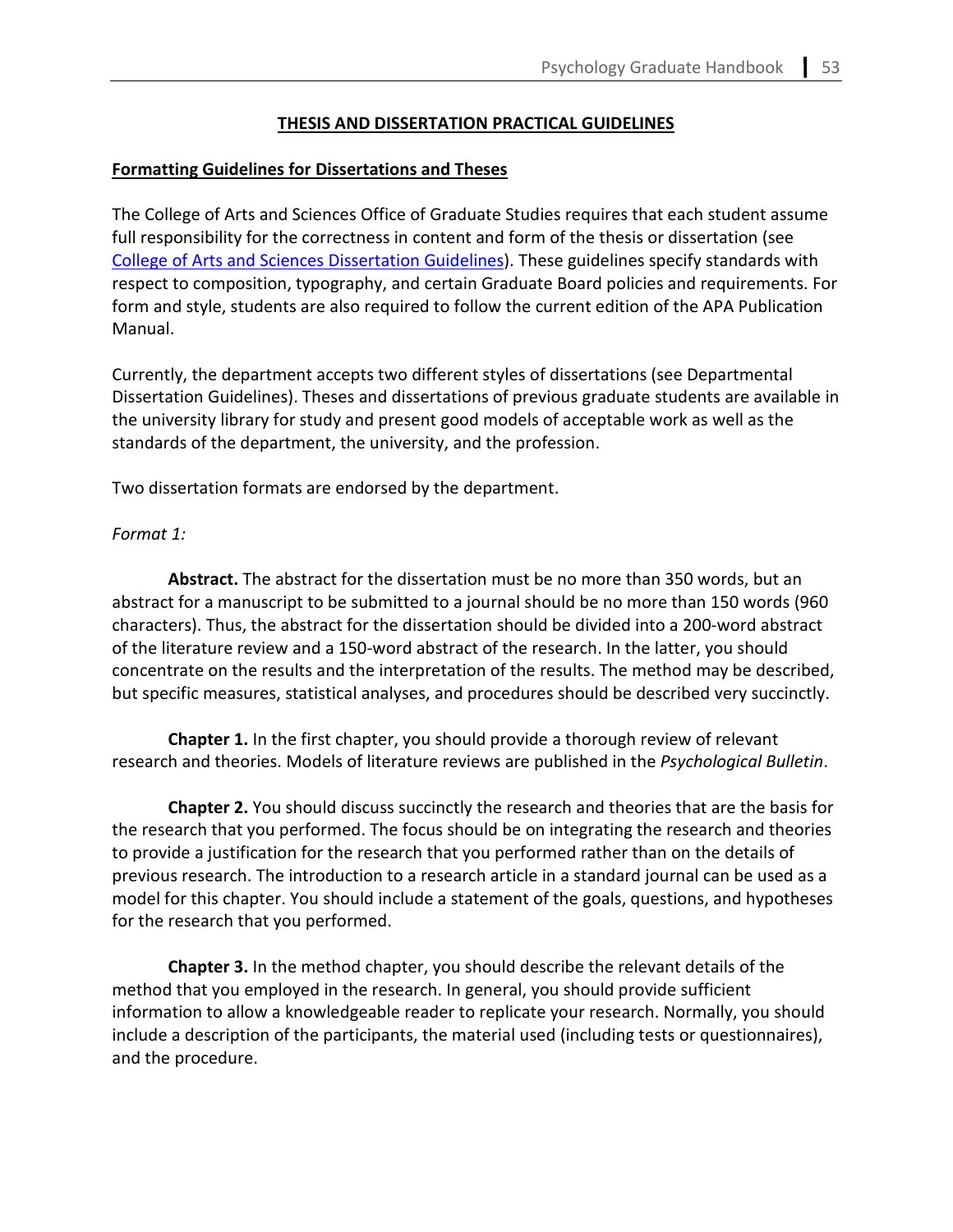### **THESIS AND DISSERTATION PRACTICAL GUIDELINES**

#### **Formatting Guidelines for Dissertations and Theses**

The College of Arts and Sciences Office of Graduate Studies requires that each student assume full responsibility for the correctness in content and form of the thesis or dissertation (see [College of Arts and Sciences Dissertation Guidelines\)](https://cas.gsu.edu/thesis-dissertation-formatting/). These guidelines specify standards with respect to composition, typography, and certain Graduate Board policies and requirements. For form and style, students are also required to follow the current edition of the APA Publication Manual.

Currently, the department accepts two different styles of dissertations (see Departmental Dissertation Guidelines). Theses and dissertations of previous graduate students are available in the university library for study and present good models of acceptable work as well as the standards of the department, the university, and the profession.

Two dissertation formats are endorsed by the department.

#### *Format 1:*

**Abstract.** The abstract for the dissertation must be no more than 350 words, but an abstract for a manuscript to be submitted to a journal should be no more than 150 words (960 characters). Thus, the abstract for the dissertation should be divided into a 200-word abstract of the literature review and a 150-word abstract of the research. In the latter, you should concentrate on the results and the interpretation of the results. The method may be described, but specific measures, statistical analyses, and procedures should be described very succinctly.

**Chapter 1.** In the first chapter, you should provide a thorough review of relevant research and theories. Models of literature reviews are published in the *Psychological Bulletin*.

**Chapter 2.** You should discuss succinctly the research and theories that are the basis for the research that you performed. The focus should be on integrating the research and theories to provide a justification for the research that you performed rather than on the details of previous research. The introduction to a research article in a standard journal can be used as a model for this chapter. You should include a statement of the goals, questions, and hypotheses for the research that you performed.

**Chapter 3.** In the method chapter, you should describe the relevant details of the method that you employed in the research. In general, you should provide sufficient information to allow a knowledgeable reader to replicate your research. Normally, you should include a description of the participants, the material used (including tests or questionnaires), and the procedure.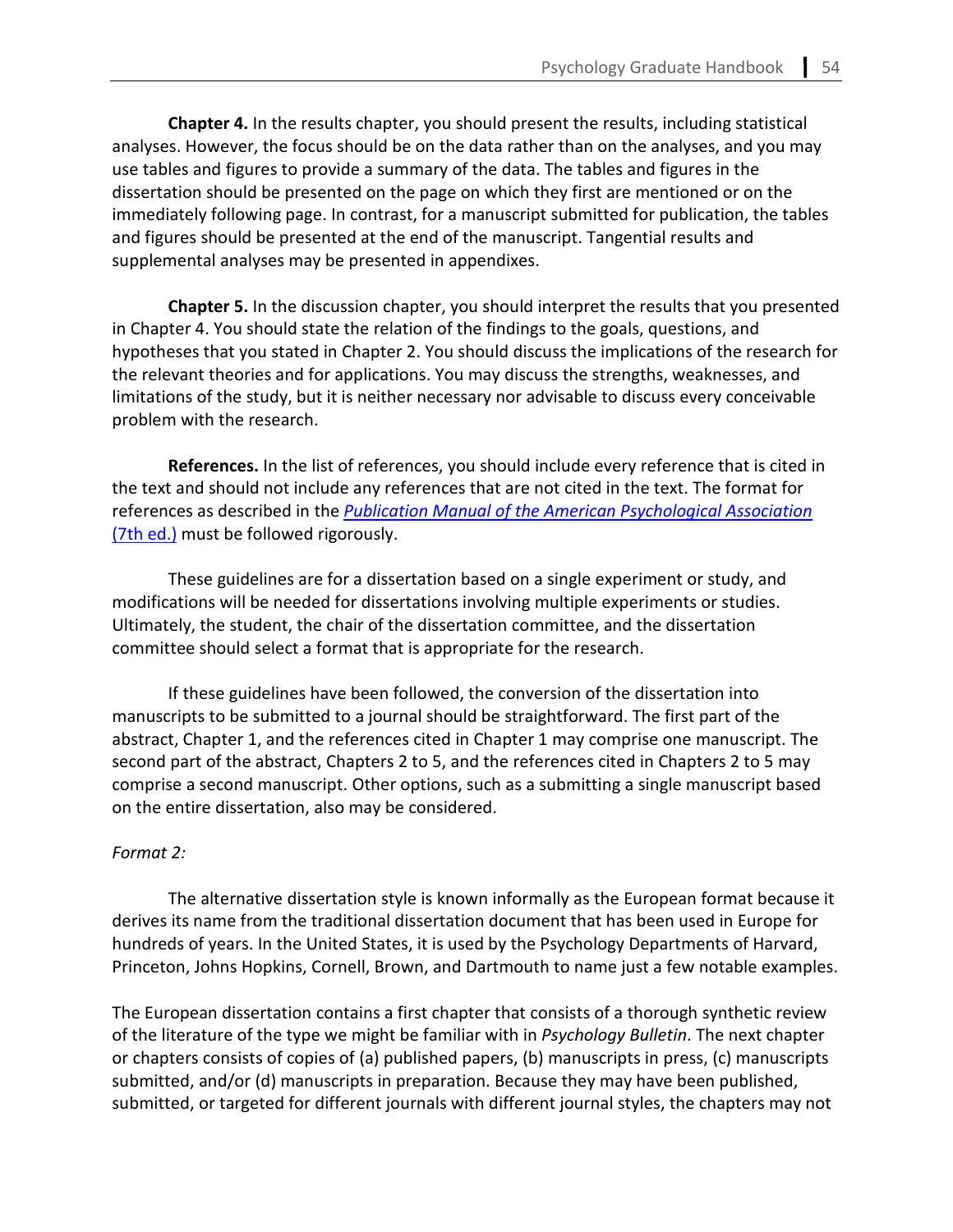**Chapter 4.** In the results chapter, you should present the results, including statistical analyses. However, the focus should be on the data rather than on the analyses, and you may use tables and figures to provide a summary of the data. The tables and figures in the dissertation should be presented on the page on which they first are mentioned or on the immediately following page. In contrast, for a manuscript submitted for publication, the tables and figures should be presented at the end of the manuscript. Tangential results and supplemental analyses may be presented in appendixes.

**Chapter 5.** In the discussion chapter, you should interpret the results that you presented in Chapter 4. You should state the relation of the findings to the goals, questions, and hypotheses that you stated in Chapter 2. You should discuss the implications of the research for the relevant theories and for applications. You may discuss the strengths, weaknesses, and limitations of the study, but it is neither necessary nor advisable to discuss every conceivable problem with the research.

**References.** In the list of references, you should include every reference that is cited in the text and should not include any references that are not cited in the text. The format for references as described in the *[Publication Manual of the American Psychological Association](https://apastyle.apa.org/instructional-aids/reference-guide.pdf)* [\(7th ed.\)](https://apastyle.apa.org/instructional-aids/reference-guide.pdf) must be followed rigorously.

These guidelines are for a dissertation based on a single experiment or study, and modifications will be needed for dissertations involving multiple experiments or studies. Ultimately, the student, the chair of the dissertation committee, and the dissertation committee should select a format that is appropriate for the research.

If these guidelines have been followed, the conversion of the dissertation into manuscripts to be submitted to a journal should be straightforward. The first part of the abstract, Chapter 1, and the references cited in Chapter 1 may comprise one manuscript. The second part of the abstract, Chapters 2 to 5, and the references cited in Chapters 2 to 5 may comprise a second manuscript. Other options, such as a submitting a single manuscript based on the entire dissertation, also may be considered.

#### *Format 2:*

The alternative dissertation style is known informally as the European format because it derives its name from the traditional dissertation document that has been used in Europe for hundreds of years. In the United States, it is used by the Psychology Departments of Harvard, Princeton, Johns Hopkins, Cornell, Brown, and Dartmouth to name just a few notable examples.

The European dissertation contains a first chapter that consists of a thorough synthetic review of the literature of the type we might be familiar with in *Psychology Bulletin*. The next chapter or chapters consists of copies of (a) published papers, (b) manuscripts in press, (c) manuscripts submitted, and/or (d) manuscripts in preparation. Because they may have been published, submitted, or targeted for different journals with different journal styles, the chapters may not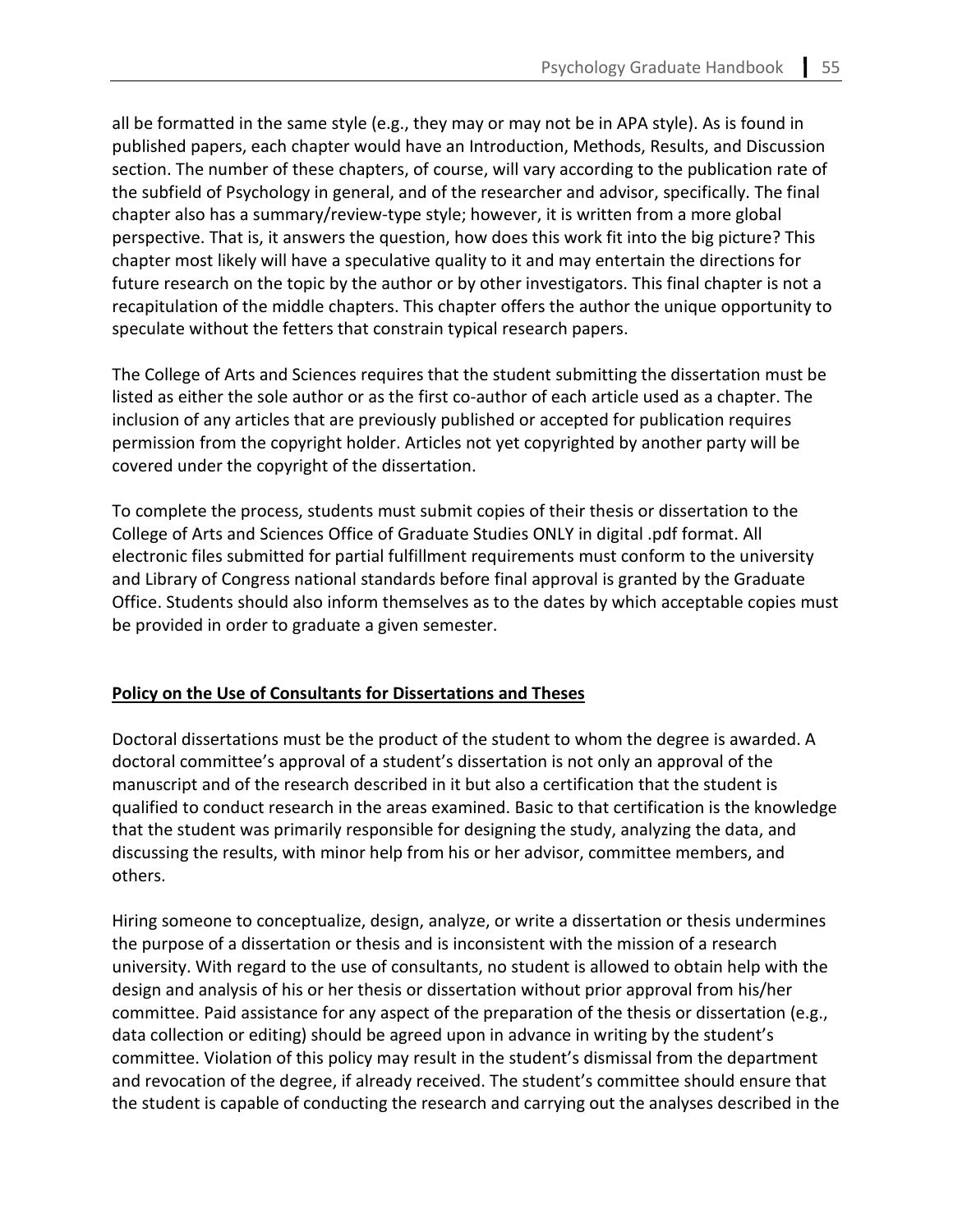all be formatted in the same style (e.g., they may or may not be in APA style). As is found in published papers, each chapter would have an Introduction, Methods, Results, and Discussion section. The number of these chapters, of course, will vary according to the publication rate of the subfield of Psychology in general, and of the researcher and advisor, specifically. The final chapter also has a summary/review-type style; however, it is written from a more global perspective. That is, it answers the question, how does this work fit into the big picture? This chapter most likely will have a speculative quality to it and may entertain the directions for future research on the topic by the author or by other investigators. This final chapter is not a recapitulation of the middle chapters. This chapter offers the author the unique opportunity to speculate without the fetters that constrain typical research papers.

The College of Arts and Sciences requires that the student submitting the dissertation must be listed as either the sole author or as the first co-author of each article used as a chapter. The inclusion of any articles that are previously published or accepted for publication requires permission from the copyright holder. Articles not yet copyrighted by another party will be covered under the copyright of the dissertation.

To complete the process, students must submit copies of their thesis or dissertation to the College of Arts and Sciences Office of Graduate Studies ONLY in digital .pdf format. All electronic files submitted for partial fulfillment requirements must conform to the university and Library of Congress national standards before final approval is granted by the Graduate Office. Students should also inform themselves as to the dates by which acceptable copies must be provided in order to graduate a given semester.

# **Policy on the Use of Consultants for Dissertations and Theses**

Doctoral dissertations must be the product of the student to whom the degree is awarded. A doctoral committee's approval of a student's dissertation is not only an approval of the manuscript and of the research described in it but also a certification that the student is qualified to conduct research in the areas examined. Basic to that certification is the knowledge that the student was primarily responsible for designing the study, analyzing the data, and discussing the results, with minor help from his or her advisor, committee members, and others.

Hiring someone to conceptualize, design, analyze, or write a dissertation or thesis undermines the purpose of a dissertation or thesis and is inconsistent with the mission of a research university. With regard to the use of consultants, no student is allowed to obtain help with the design and analysis of his or her thesis or dissertation without prior approval from his/her committee. Paid assistance for any aspect of the preparation of the thesis or dissertation (e.g., data collection or editing) should be agreed upon in advance in writing by the student's committee. Violation of this policy may result in the student's dismissal from the department and revocation of the degree, if already received. The student's committee should ensure that the student is capable of conducting the research and carrying out the analyses described in the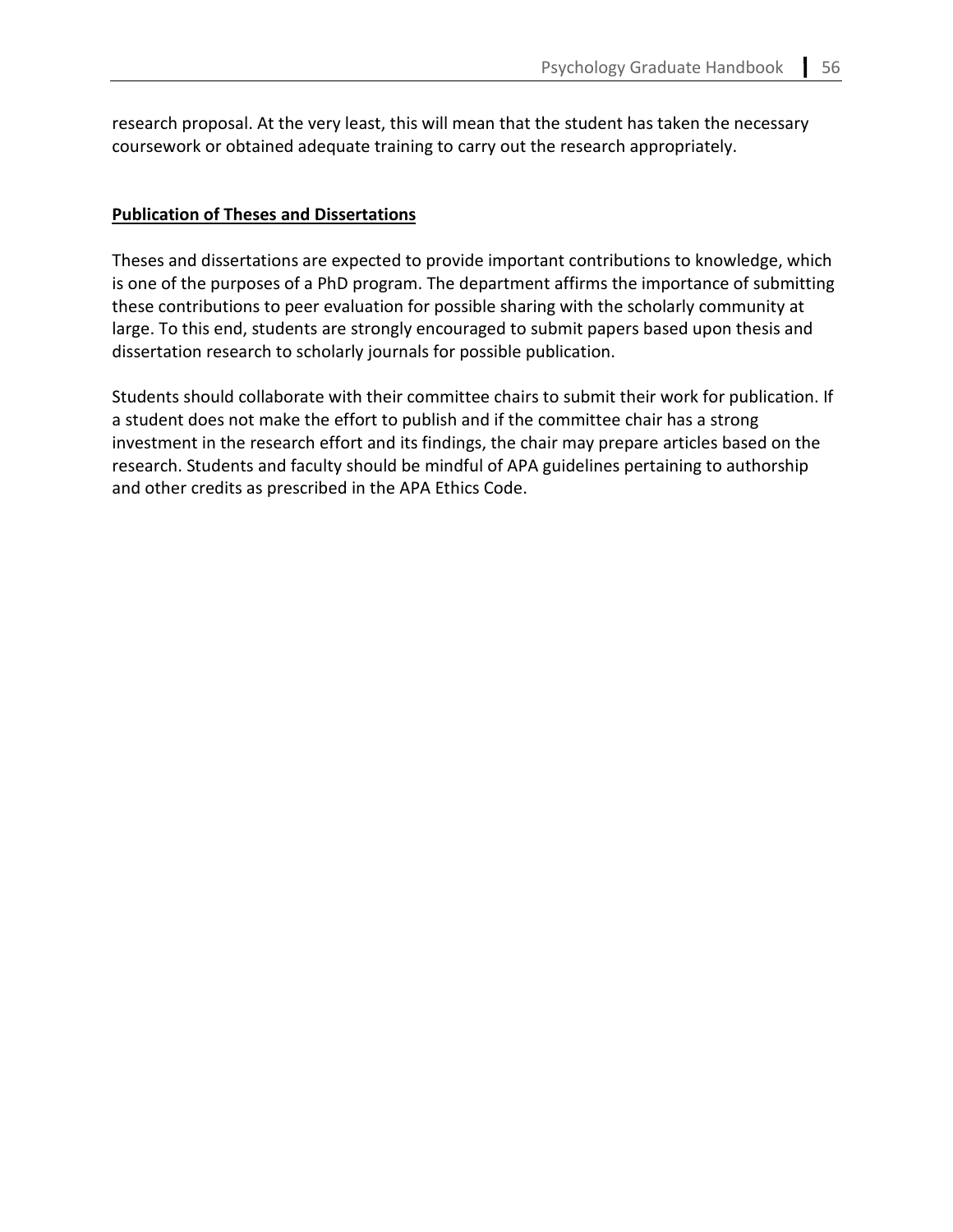research proposal. At the very least, this will mean that the student has taken the necessary coursework or obtained adequate training to carry out the research appropriately.

### **Publication of Theses and Dissertations**

Theses and dissertations are expected to provide important contributions to knowledge, which is one of the purposes of a PhD program. The department affirms the importance of submitting these contributions to peer evaluation for possible sharing with the scholarly community at large. To this end, students are strongly encouraged to submit papers based upon thesis and dissertation research to scholarly journals for possible publication.

Students should collaborate with their committee chairs to submit their work for publication. If a student does not make the effort to publish and if the committee chair has a strong investment in the research effort and its findings, the chair may prepare articles based on the research. Students and faculty should be mindful of APA guidelines pertaining to authorship and other credits as prescribed in the APA Ethics Code.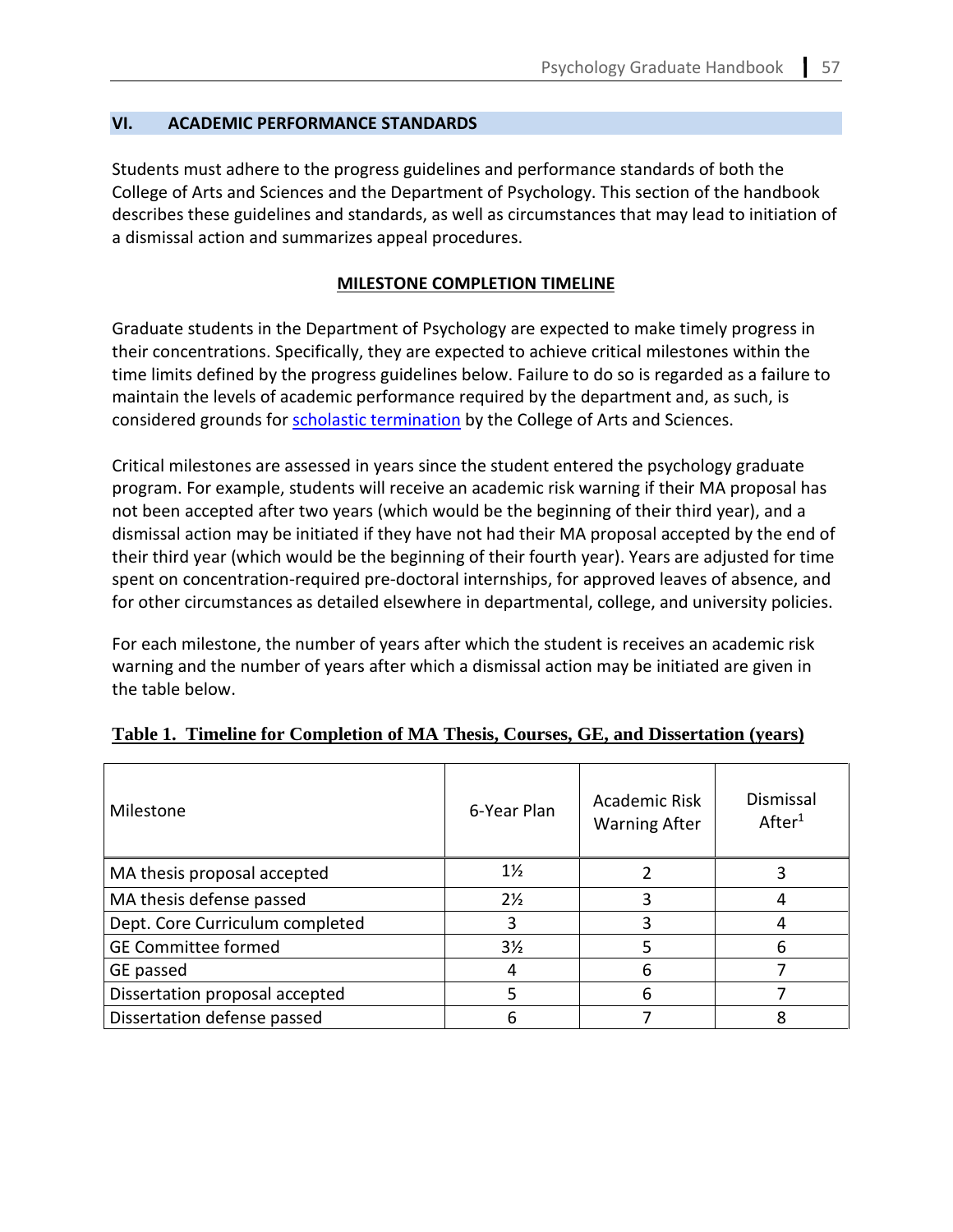# <span id="page-52-1"></span>**VI. ACADEMIC PERFORMANCE STANDARDS**

Students must adhere to the progress guidelines and performance standards of both the College of Arts and Sciences and the Department of Psychology. This section of the handbook describes these guidelines and standards, as well as circumstances that may lead to initiation of a dismissal action and summarizes appeal procedures.

#### **MILESTONE COMPLETION TIMELINE**

<span id="page-52-0"></span>Graduate students in the Department of Psychology are expected to make timely progress in their concentrations. Specifically, they are expected to achieve critical milestones within the time limits defined by the progress guidelines below. Failure to do so is regarded as a failure to maintain the levels of academic performance required by the department and, as such, is considered grounds for **scholastic termination** by the College of Arts and Sciences.

Critical milestones are assessed in years since the student entered the psychology graduate program. For example, students will receive an academic risk warning if their MA proposal has not been accepted after two years (which would be the beginning of their third year), and a dismissal action may be initiated if they have not had their MA proposal accepted by the end of their third year (which would be the beginning of their fourth year). Years are adjusted for time spent on concentration-required pre-doctoral internships, for approved leaves of absence, and for other circumstances as detailed elsewhere in departmental, college, and university policies.

For each milestone, the number of years after which the student is receives an academic risk warning and the number of years after which a dismissal action may be initiated are given in the table below.

| Milestone                       | 6-Year Plan    | Academic Risk<br><b>Warning After</b> | Dismissal<br>After <sup>1</sup> |
|---------------------------------|----------------|---------------------------------------|---------------------------------|
| MA thesis proposal accepted     | $1\frac{1}{2}$ |                                       |                                 |
| MA thesis defense passed        | $2\frac{1}{2}$ | ς                                     |                                 |
| Dept. Core Curriculum completed | 3              | 3                                     |                                 |
| <b>GE Committee formed</b>      | $3\frac{1}{2}$ | 5                                     | 6                               |
| GE passed                       |                | 6                                     |                                 |
| Dissertation proposal accepted  |                | 6                                     |                                 |
| Dissertation defense passed     |                |                                       | 8                               |

#### **Table 1. Timeline for Completion of MA Thesis, Courses, GE, and Dissertation (years)**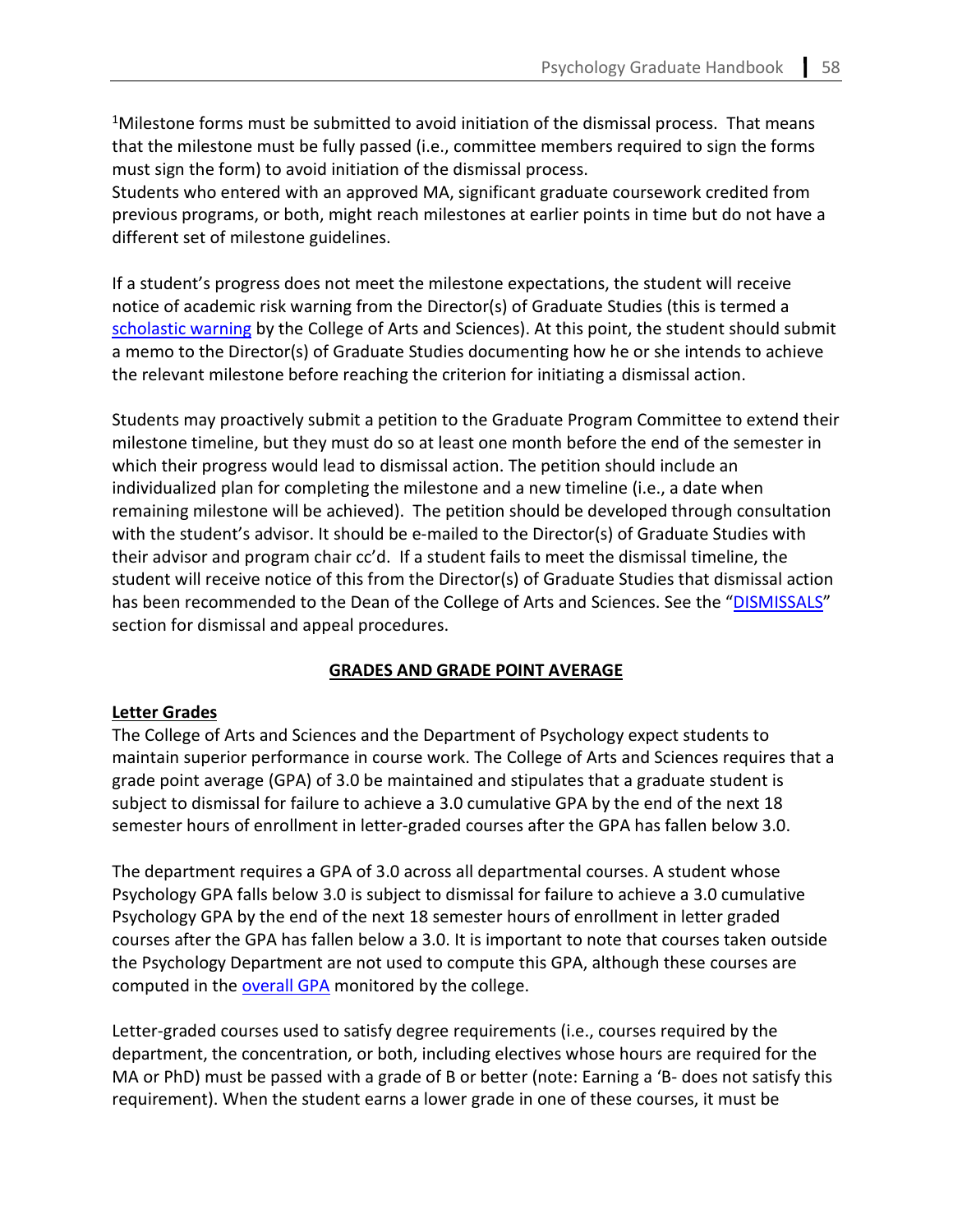<sup>1</sup>Milestone forms must be submitted to avoid initiation of the dismissal process. That means that the milestone must be fully passed (i.e., committee members required to sign the forms must sign the form) to avoid initiation of the dismissal process.

Students who entered with an approved MA, significant graduate coursework credited from previous programs, or both, might reach milestones at earlier points in time but do not have a different set of milestone guidelines.

If a student's progress does not meet the milestone expectations, the student will receive notice of academic risk warning from the Director(s) of Graduate Studies (this is termed a [scholastic warning](https://catalog.gsu.edu/graduate20202021/college-of-arts-and-sciences/#scholastic-warning-scholastic-termination) by the College of Arts and Sciences). At this point, the student should submit a memo to the Director(s) of Graduate Studies documenting how he or she intends to achieve the relevant milestone before reaching the criterion for initiating a dismissal action.

Students may proactively submit a petition to the Graduate Program Committee to extend their milestone timeline, but they must do so at least one month before the end of the semester in which their progress would lead to dismissal action. The petition should include an individualized plan for completing the milestone and a new timeline (i.e., a date when remaining milestone will be achieved). The petition should be developed through consultation with the student's advisor. It should be e-mailed to the Director(s) of Graduate Studies with their advisor and program chair cc'd. If a student fails to meet the dismissal timeline, the student will receive notice of this from the Director(s) of Graduate Studies that dismissal action has been recommended to the Dean of the College of Arts and Sciences. See the ["DISMISSALS"](#page-63-0) section for dismissal and appeal procedures.

# **GRADES AND GRADE POINT AVERAGE**

# **Letter Grades**

The College of Arts and Sciences and the Department of Psychology expect students to maintain superior performance in course work. The College of Arts and Sciences requires that a grade point average (GPA) of 3.0 be maintained and stipulates that a graduate student is subject to dismissal for failure to achieve a 3.0 cumulative GPA by the end of the next 18 semester hours of enrollment in letter-graded courses after the GPA has fallen below 3.0.

The department requires a GPA of 3.0 across all departmental courses. A student whose Psychology GPA falls below 3.0 is subject to dismissal for failure to achieve a 3.0 cumulative Psychology GPA by the end of the next 18 semester hours of enrollment in letter graded courses after the GPA has fallen below a 3.0. It is important to note that courses taken outside the Psychology Department are not used to compute this GPA, although these courses are computed in the [overall GPA](https://catalog.gsu.edu/graduate20202021/college-of-arts-and-sciences/#calculation-of-grade-point-average) monitored by the college.

Letter-graded courses used to satisfy degree requirements (i.e., courses required by the department, the concentration, or both, including electives whose hours are required for the MA or PhD) must be passed with a grade of B or better (note: Earning a 'B- does not satisfy this requirement). When the student earns a lower grade in one of these courses, it must be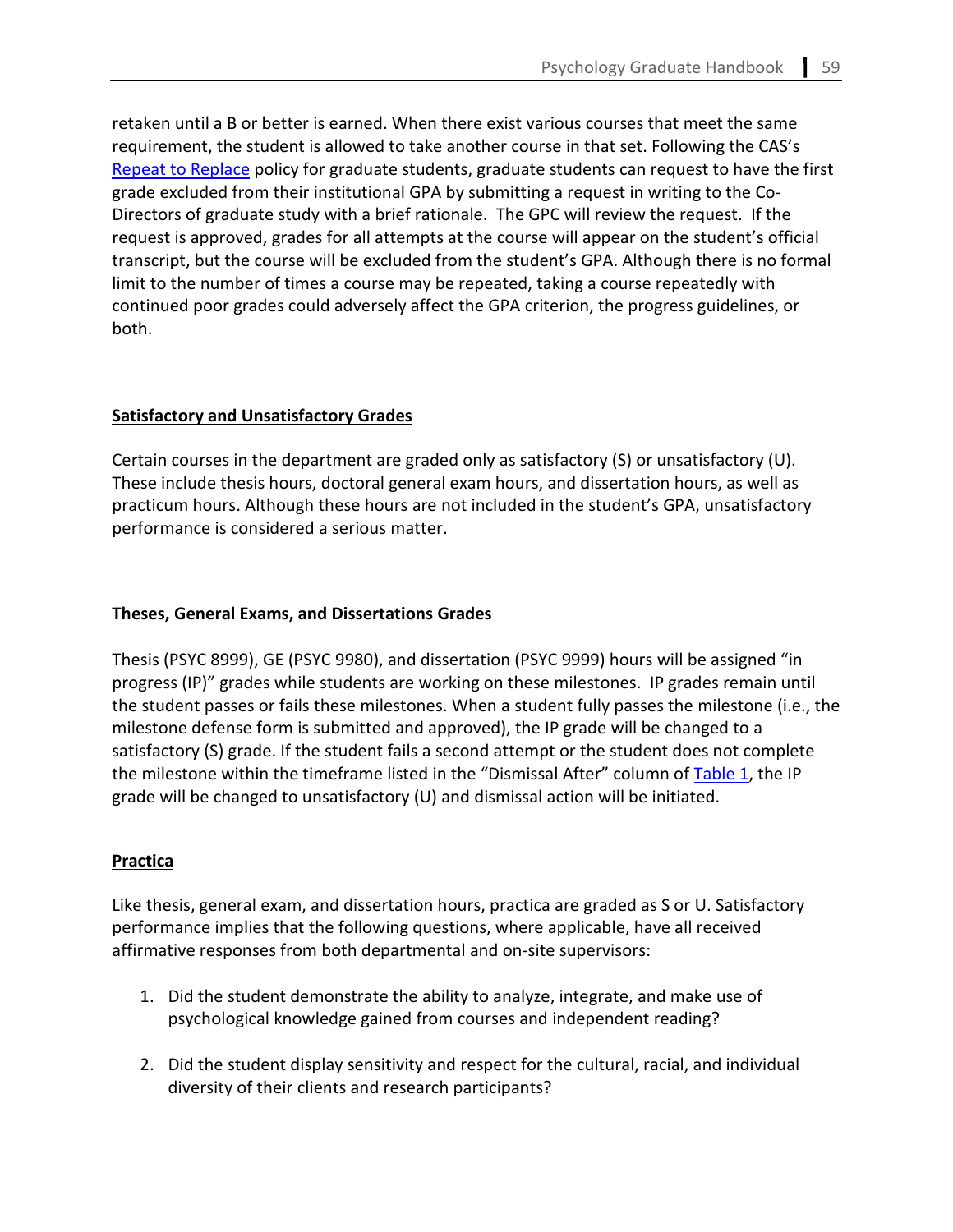retaken until a B or better is earned. When there exist various courses that meet the same requirement, the student is allowed to take another course in that set. Following the CAS's [Repeat to Replace](https://cas.gsu.edu/files/2021/03/Repeat-to-Replace-Policy-for-Graduate-Students.pdf) policy for graduate students, graduate students can request to have the first grade excluded from their institutional GPA by submitting a request in writing to the Co-Directors of graduate study with a brief rationale. The GPC will review the request. If the request is approved, grades for all attempts at the course will appear on the student's official transcript, but the course will be excluded from the student's GPA. Although there is no formal limit to the number of times a course may be repeated, taking a course repeatedly with continued poor grades could adversely affect the GPA criterion, the progress guidelines, or both.

# **Satisfactory and Unsatisfactory Grades**

Certain courses in the department are graded only as satisfactory (S) or unsatisfactory (U). These include thesis hours, doctoral general exam hours, and dissertation hours, as well as practicum hours. Although these hours are not included in the student's GPA, unsatisfactory performance is considered a serious matter.

# **Theses, General Exams, and Dissertations Grades**

Thesis (PSYC 8999), GE (PSYC 9980), and dissertation (PSYC 9999) hours will be assigned "in progress (IP)" grades while students are working on these milestones. IP grades remain until the student passes or fails these milestones. When a student fully passes the milestone (i.e., the milestone defense form is submitted and approved), the IP grade will be changed to a satisfactory (S) grade. If the student fails a second attempt or the student does not complete the milestone within the timeframe listed in the "Dismissal After" column of [Table 1,](#page-52-0) the IP grade will be changed to unsatisfactory (U) and dismissal action will be initiated.

# **Practica**

Like thesis, general exam, and dissertation hours, practica are graded as S or U. Satisfactory performance implies that the following questions, where applicable, have all received affirmative responses from both departmental and on-site supervisors:

- 1. Did the student demonstrate the ability to analyze, integrate, and make use of psychological knowledge gained from courses and independent reading?
- 2. Did the student display sensitivity and respect for the cultural, racial, and individual diversity of their clients and research participants?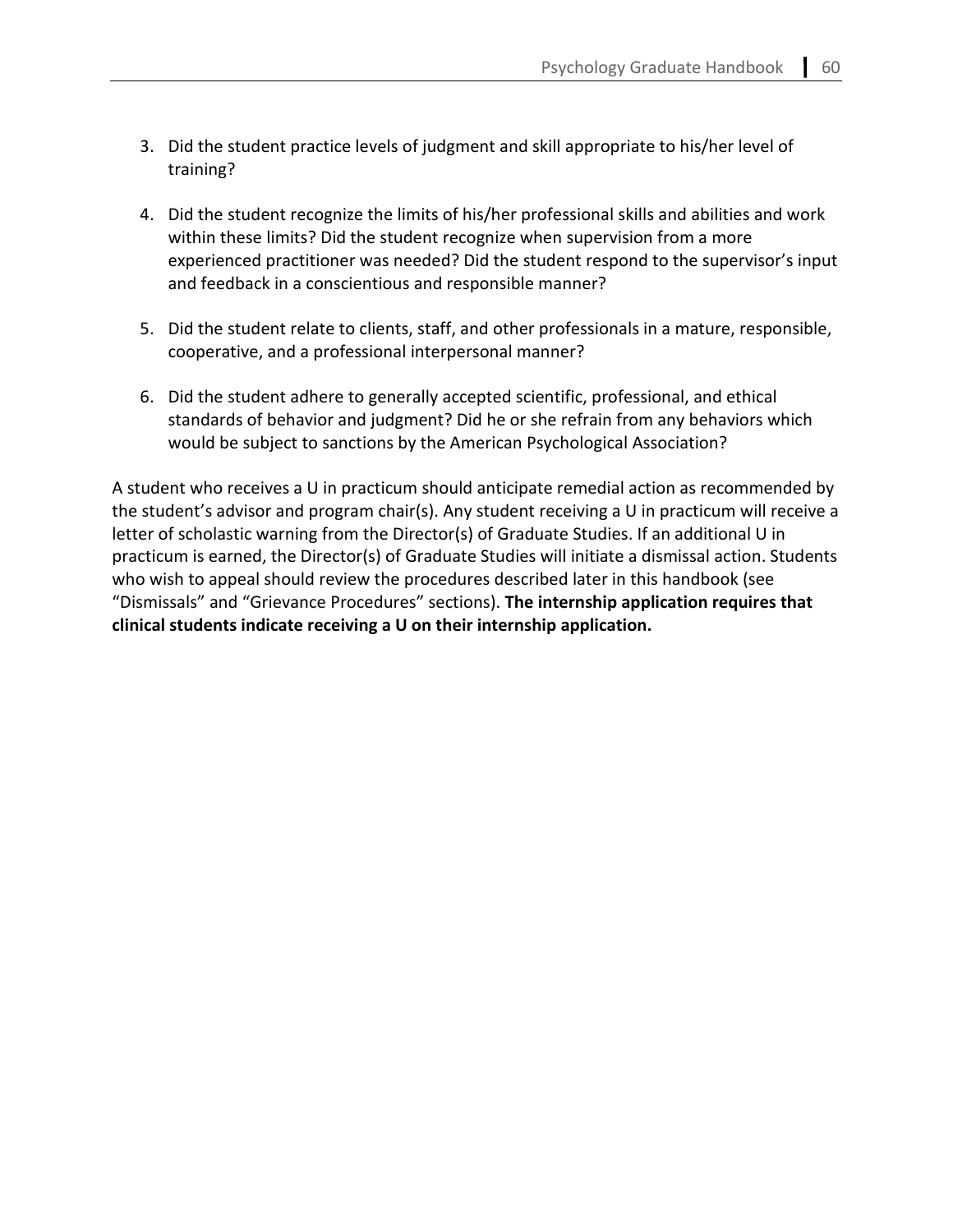- 3. Did the student practice levels of judgment and skill appropriate to his/her level of training?
- 4. Did the student recognize the limits of his/her professional skills and abilities and work within these limits? Did the student recognize when supervision from a more experienced practitioner was needed? Did the student respond to the supervisor's input and feedback in a conscientious and responsible manner?
- 5. Did the student relate to clients, staff, and other professionals in a mature, responsible, cooperative, and a professional interpersonal manner?
- 6. Did the student adhere to generally accepted scientific, professional, and ethical standards of behavior and judgment? Did he or she refrain from any behaviors which would be subject to sanctions by the American Psychological Association?

A student who receives a U in practicum should anticipate remedial action as recommended by the student's advisor and program chair(s). Any student receiving a U in practicum will receive a letter of scholastic warning from the Director(s) of Graduate Studies. If an additional U in practicum is earned, the Director(s) of Graduate Studies will initiate a dismissal action. Students who wish to appeal should review the procedures described later in this handbook (see "Dismissals" and "Grievance Procedures" sections). **The internship application requires that clinical students indicate receiving a U on their internship application.**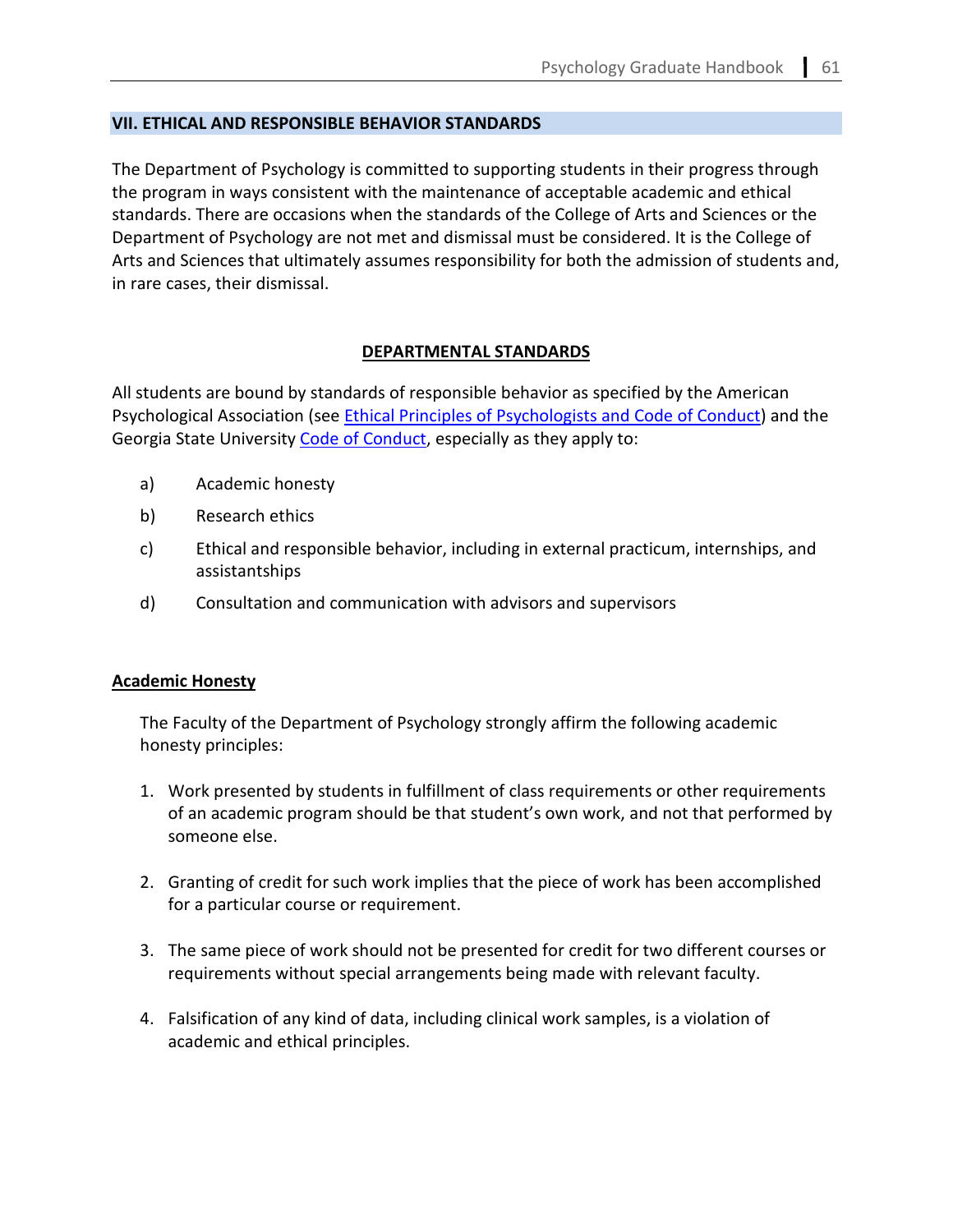### <span id="page-56-0"></span>**VII. ETHICAL AND RESPONSIBLE BEHAVIOR STANDARDS**

The Department of Psychology is committed to supporting students in their progress through the program in ways consistent with the maintenance of acceptable academic and ethical standards. There are occasions when the standards of the College of Arts and Sciences or the Department of Psychology are not met and dismissal must be considered. It is the College of Arts and Sciences that ultimately assumes responsibility for both the admission of students and, in rare cases, their dismissal.

### **DEPARTMENTAL STANDARDS**

All students are bound by standards of responsible behavior as specified by the American Psychological Association (see [Ethical Principles of Psychologists and Code of Conduct\)](https://www.apa.org/ethics/code/) and the Georgia State University [Code of Conduct,](https://codeofconduct.gsu.edu/) especially as they apply to:

- a) Academic honesty
- b) Research ethics
- c) Ethical and responsible behavior, including in external practicum, internships, and assistantships
- d) Consultation and communication with advisors and supervisors

# **Academic Honesty**

The Faculty of the Department of Psychology strongly affirm the following academic honesty principles:

- 1. Work presented by students in fulfillment of class requirements or other requirements of an academic program should be that student's own work, and not that performed by someone else.
- 2. Granting of credit for such work implies that the piece of work has been accomplished for a particular course or requirement.
- 3. The same piece of work should not be presented for credit for two different courses or requirements without special arrangements being made with relevant faculty.
- 4. Falsification of any kind of data, including clinical work samples, is a violation of academic and ethical principles.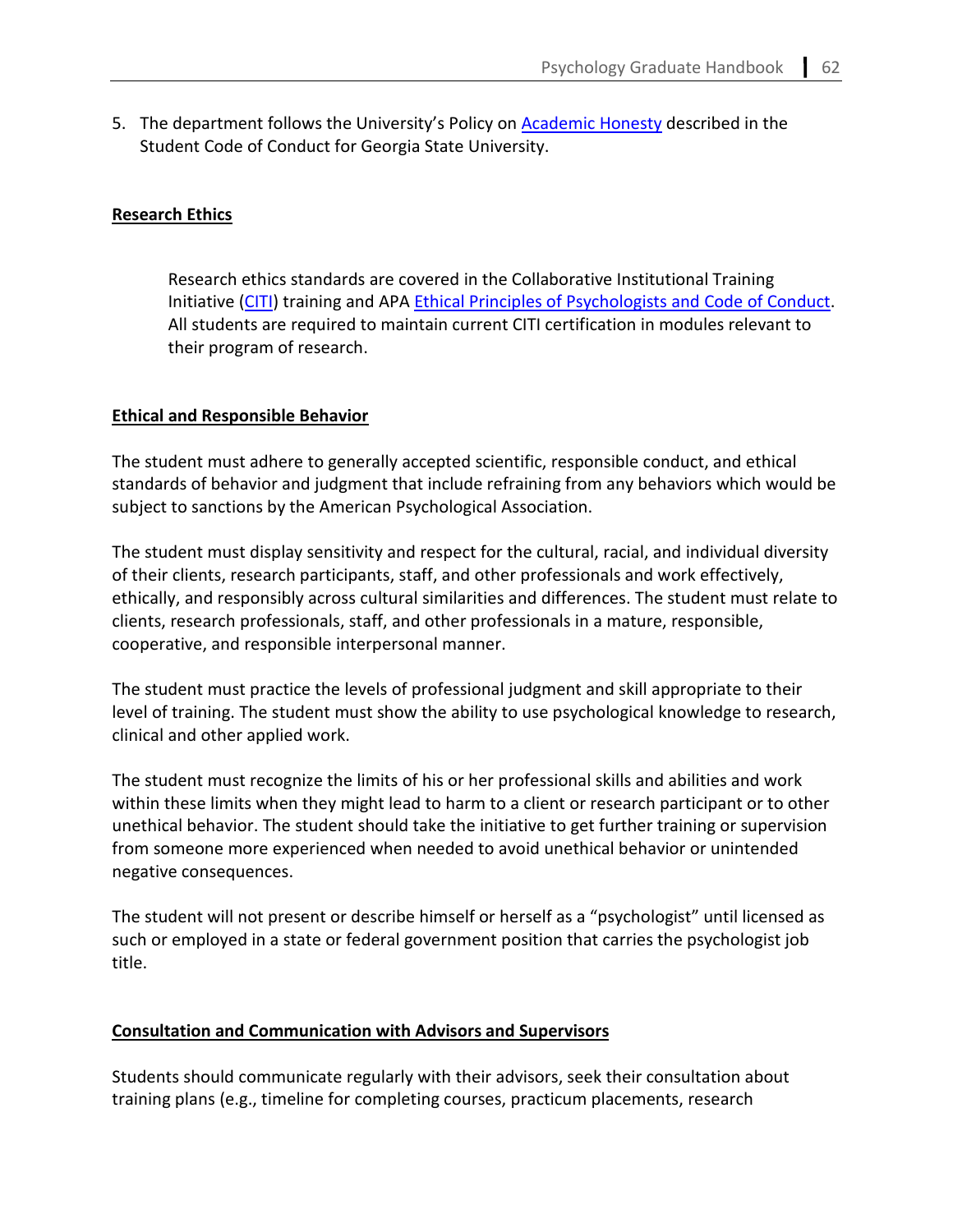5. The department follows the University's Policy on [Academic Honesty](https://codeofconduct.gsu.edu/) described in the Student Code of Conduct for Georgia State University.

### **Research Ethics**

Research ethics standards are covered in the Collaborative Institutional Training Initiative [\(CITI\)](https://about.citiprogram.org/) training and APA [Ethical Principles of Psychologists and Code of Conduct.](https://www.apa.org/ethics/code/) All students are required to maintain current CITI certification in modules relevant to their program of research.

### **Ethical and Responsible Behavior**

The student must adhere to generally accepted scientific, responsible conduct, and ethical standards of behavior and judgment that include refraining from any behaviors which would be subject to sanctions by the American Psychological Association.

The student must display sensitivity and respect for the cultural, racial, and individual diversity of their clients, research participants, staff, and other professionals and work effectively, ethically, and responsibly across cultural similarities and differences. The student must relate to clients, research professionals, staff, and other professionals in a mature, responsible, cooperative, and responsible interpersonal manner.

The student must practice the levels of professional judgment and skill appropriate to their level of training. The student must show the ability to use psychological knowledge to research, clinical and other applied work.

The student must recognize the limits of his or her professional skills and abilities and work within these limits when they might lead to harm to a client or research participant or to other unethical behavior. The student should take the initiative to get further training or supervision from someone more experienced when needed to avoid unethical behavior or unintended negative consequences.

The student will not present or describe himself or herself as a "psychologist" until licensed as such or employed in a state or federal government position that carries the psychologist job title.

# **Consultation and Communication with Advisors and Supervisors**

Students should communicate regularly with their advisors, seek their consultation about training plans (e.g., timeline for completing courses, practicum placements, research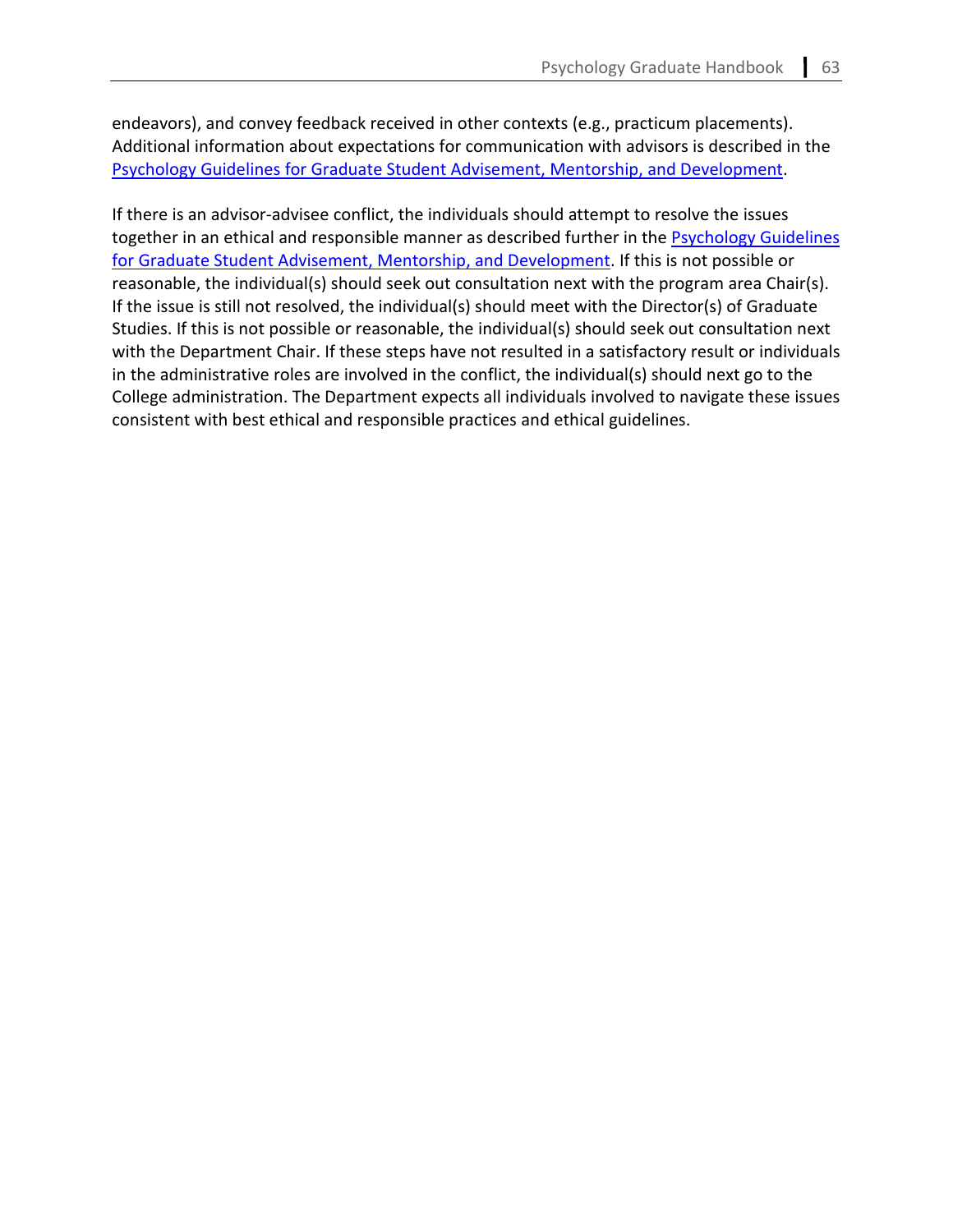endeavors), and convey feedback received in other contexts (e.g., practicum placements). Additional information about expectations for communication with advisors is described in the [Psychology Guidelines for Graduate Student Advisement, Mentorship, and Development.](https://psychology.gsu.edu/document/department-of-psychology-guidelines-for-graduate-student-advisement-mentorship-and-development/)

If there is an advisor-advisee conflict, the individuals should attempt to resolve the issues together in an ethical and responsible manner as described further in the **Psychology Guidelines** [for Graduate Student Advisement, Mentorship, and Development.](https://psychology.gsu.edu/document/department-of-psychology-guidelines-for-graduate-student-advisement-mentorship-and-development/) If this is not possible or reasonable, the individual(s) should seek out consultation next with the program area Chair(s). If the issue is still not resolved, the individual(s) should meet with the Director(s) of Graduate Studies. If this is not possible or reasonable, the individual(s) should seek out consultation next with the Department Chair. If these steps have not resulted in a satisfactory result or individuals in the administrative roles are involved in the conflict, the individual(s) should next go to the College administration. The Department expects all individuals involved to navigate these issues consistent with best ethical and responsible practices and ethical guidelines.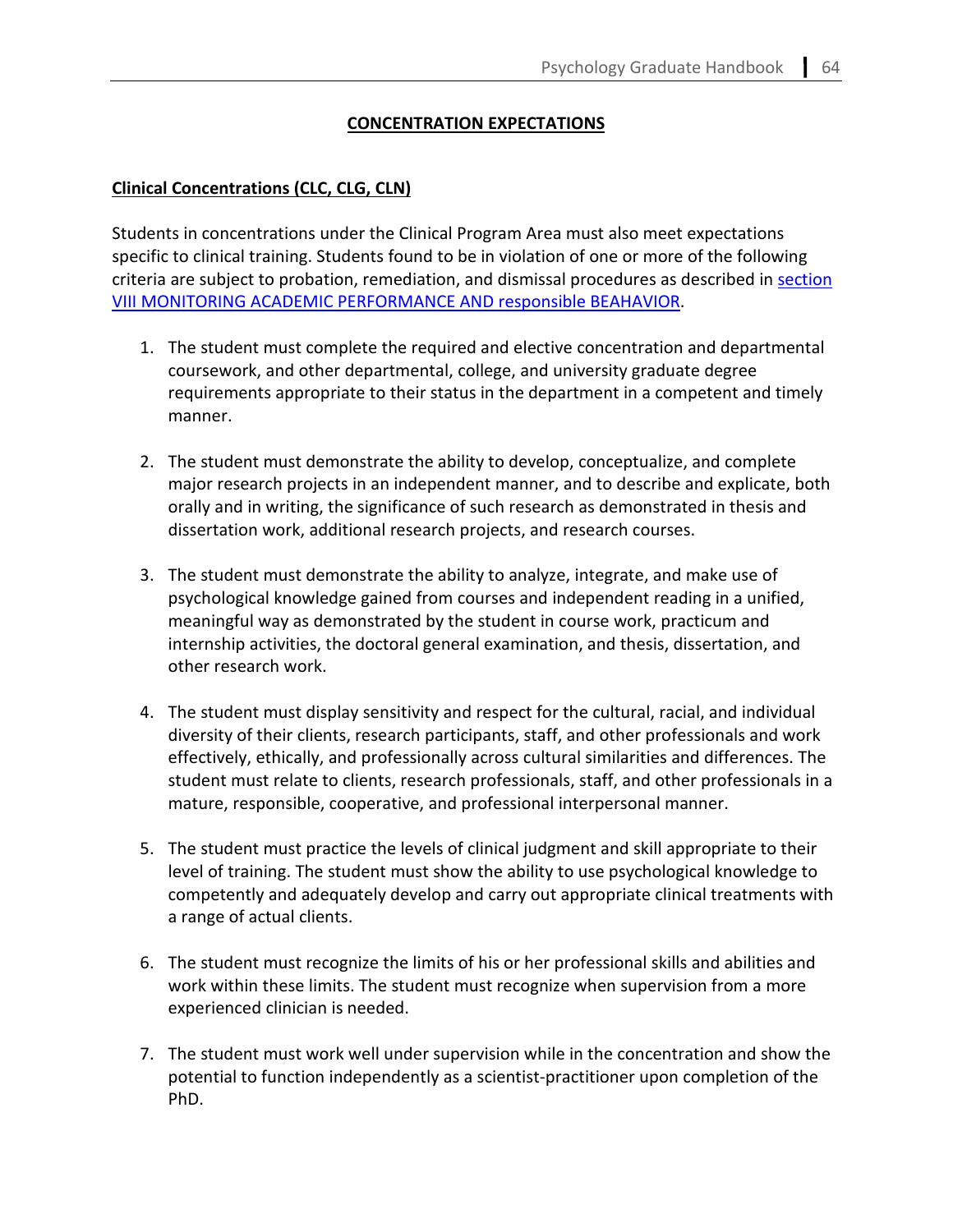# **CONCENTRATION EXPECTATIONS**

### **Clinical Concentrations (CLC, CLG, CLN)**

Students in concentrations under the Clinical Program Area must also meet expectations specific to clinical training. Students found to be in violation of one or more of the following criteria are subject to probation, remediation, and dismissal procedures as described in [section](#page-61-0)  [VIII MONITORING ACADEMIC PERFORMANCE AND responsible BEAHAVIOR.](#page-61-0)

- 1. The student must complete the required and elective concentration and departmental coursework, and other departmental, college, and university graduate degree requirements appropriate to their status in the department in a competent and timely manner.
- 2. The student must demonstrate the ability to develop, conceptualize, and complete major research projects in an independent manner, and to describe and explicate, both orally and in writing, the significance of such research as demonstrated in thesis and dissertation work, additional research projects, and research courses.
- 3. The student must demonstrate the ability to analyze, integrate, and make use of psychological knowledge gained from courses and independent reading in a unified, meaningful way as demonstrated by the student in course work, practicum and internship activities, the doctoral general examination, and thesis, dissertation, and other research work.
- 4. The student must display sensitivity and respect for the cultural, racial, and individual diversity of their clients, research participants, staff, and other professionals and work effectively, ethically, and professionally across cultural similarities and differences. The student must relate to clients, research professionals, staff, and other professionals in a mature, responsible, cooperative, and professional interpersonal manner.
- 5. The student must practice the levels of clinical judgment and skill appropriate to their level of training. The student must show the ability to use psychological knowledge to competently and adequately develop and carry out appropriate clinical treatments with a range of actual clients.
- 6. The student must recognize the limits of his or her professional skills and abilities and work within these limits. The student must recognize when supervision from a more experienced clinician is needed.
- 7. The student must work well under supervision while in the concentration and show the potential to function independently as a scientist-practitioner upon completion of the PhD.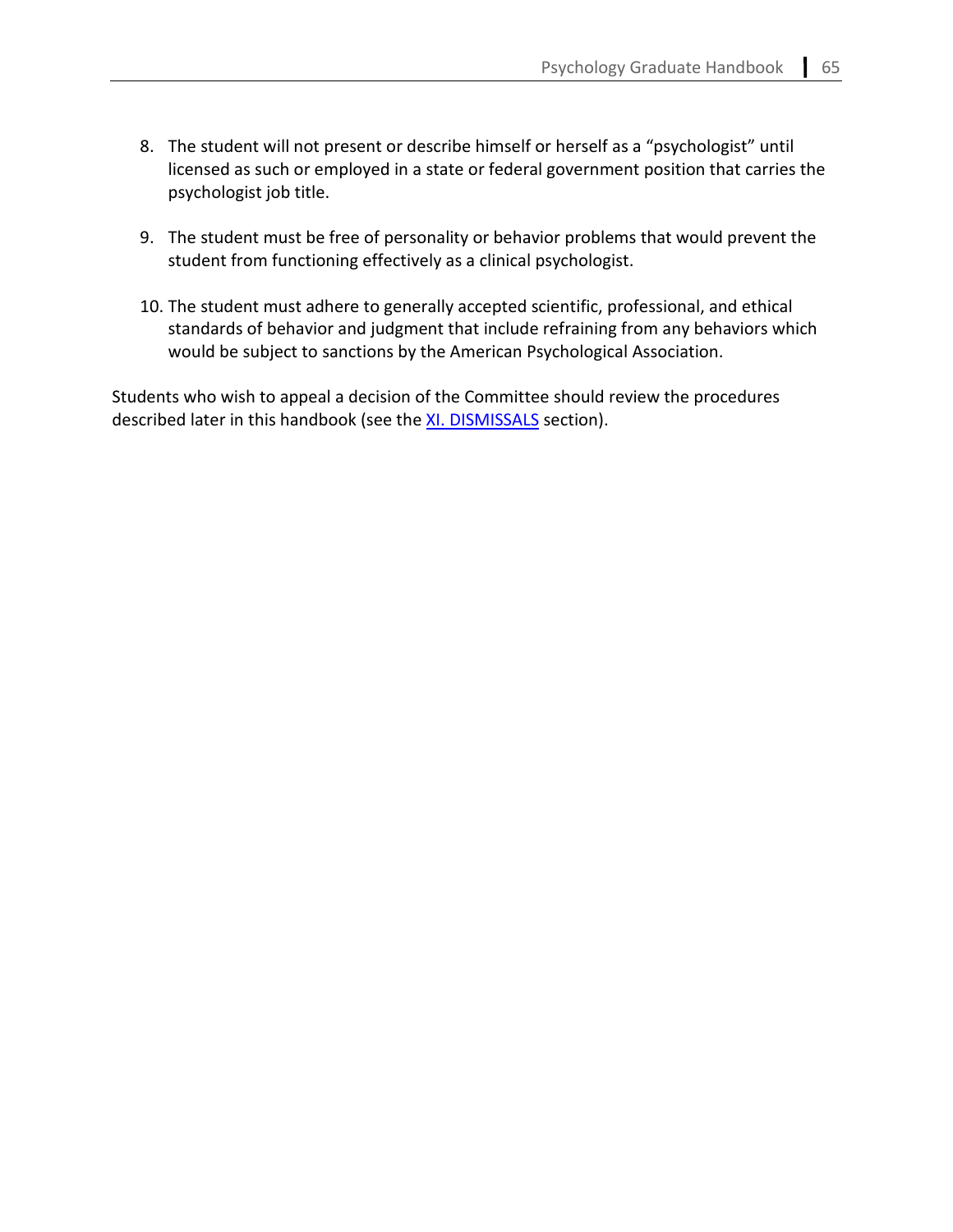- 8. The student will not present or describe himself or herself as a "psychologist" until licensed as such or employed in a state or federal government position that carries the psychologist job title.
- 9. The student must be free of personality or behavior problems that would prevent the student from functioning effectively as a clinical psychologist.
- 10. The student must adhere to generally accepted scientific, professional, and ethical standards of behavior and judgment that include refraining from any behaviors which would be subject to sanctions by the American Psychological Association.

Students who wish to appeal a decision of the Committee should review the procedures described later in this handbook (see th[e XI. DISMISSALS](#page-63-0) section).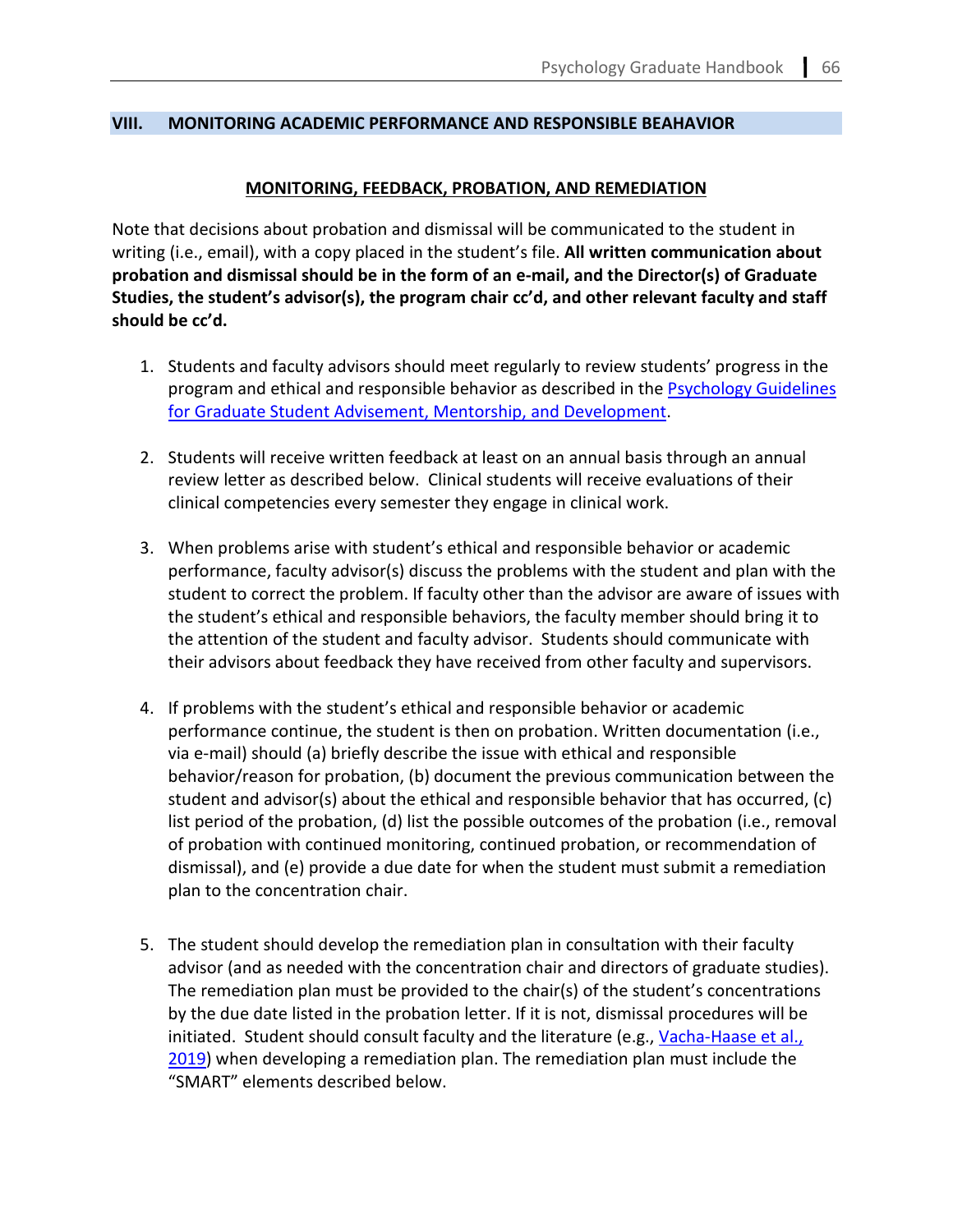#### <span id="page-61-1"></span>**VIII. MONITORING ACADEMIC PERFORMANCE AND RESPONSIBLE BEAHAVIOR**

### **MONITORING, FEEDBACK, PROBATION, AND REMEDIATION**

<span id="page-61-0"></span>Note that decisions about probation and dismissal will be communicated to the student in writing (i.e., email), with a copy placed in the student's file. **All written communication about probation and dismissal should be in the form of an e-mail, and the Director(s) of Graduate Studies, the student's advisor(s), the program chair cc'd, and other relevant faculty and staff should be cc'd.**

- 1. Students and faculty advisors should meet regularly to review students' progress in the program and ethical and responsible behavior as described in the [Psychology Guidelines](https://psychology.gsu.edu/document/department-of-psychology-guidelines-for-graduate-student-advisement-mentorship-and-development/)  [for Graduate Student Advisement, Mentorship, and Development.](https://psychology.gsu.edu/document/department-of-psychology-guidelines-for-graduate-student-advisement-mentorship-and-development/)
- 2. Students will receive written feedback at least on an annual basis through an annual review letter as described below. Clinical students will receive evaluations of their clinical competencies every semester they engage in clinical work.
- 3. When problems arise with student's ethical and responsible behavior or academic performance, faculty advisor(s) discuss the problems with the student and plan with the student to correct the problem. If faculty other than the advisor are aware of issues with the student's ethical and responsible behaviors, the faculty member should bring it to the attention of the student and faculty advisor. Students should communicate with their advisors about feedback they have received from other faculty and supervisors.
- 4. If problems with the student's ethical and responsible behavior or academic performance continue, the student is then on probation. Written documentation (i.e., via e-mail) should (a) briefly describe the issue with ethical and responsible behavior/reason for probation, (b) document the previous communication between the student and advisor(s) about the ethical and responsible behavior that has occurred, (c) list period of the probation, (d) list the possible outcomes of the probation (i.e., removal of probation with continued monitoring, continued probation, or recommendation of dismissal), and (e) provide a due date for when the student must submit a remediation plan to the concentration chair.
- 5. The student should develop the remediation plan in consultation with their faculty advisor (and as needed with the concentration chair and directors of graduate studies). The remediation plan must be provided to the chair(s) of the student's concentrations by the due date listed in the probation letter. If it is not, dismissal procedures will be initiated. Student should consult faculty and the literature (e.g., Vacha-Haase et al., [2019\)](https://psycnet.apa.org/record/2018-60126-001) when developing a remediation plan. The remediation plan must include the "SMART" elements described below.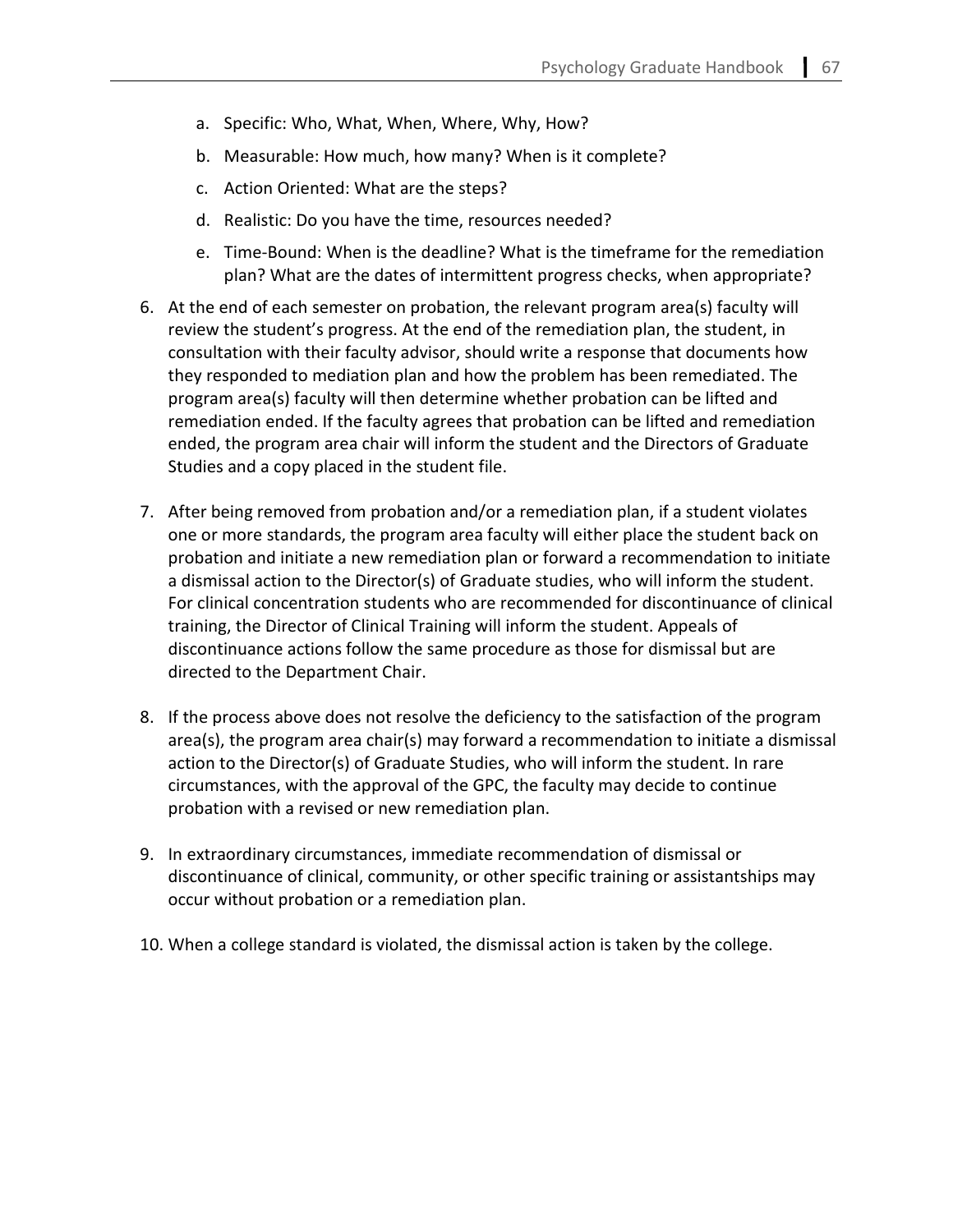- a. Specific: Who, What, When, Where, Why, How?
- b. Measurable: How much, how many? When is it complete?
- c. Action Oriented: What are the steps?
- d. Realistic: Do you have the time, resources needed?
- e. Time-Bound: When is the deadline? What is the timeframe for the remediation plan? What are the dates of intermittent progress checks, when appropriate?
- 6. At the end of each semester on probation, the relevant program area(s) faculty will review the student's progress. At the end of the remediation plan, the student, in consultation with their faculty advisor, should write a response that documents how they responded to mediation plan and how the problem has been remediated. The program area(s) faculty will then determine whether probation can be lifted and remediation ended. If the faculty agrees that probation can be lifted and remediation ended, the program area chair will inform the student and the Directors of Graduate Studies and a copy placed in the student file.
- 7. After being removed from probation and/or a remediation plan, if a student violates one or more standards, the program area faculty will either place the student back on probation and initiate a new remediation plan or forward a recommendation to initiate a dismissal action to the Director(s) of Graduate studies, who will inform the student. For clinical concentration students who are recommended for discontinuance of clinical training, the Director of Clinical Training will inform the student. Appeals of discontinuance actions follow the same procedure as those for dismissal but are directed to the Department Chair.
- 8. If the process above does not resolve the deficiency to the satisfaction of the program area(s), the program area chair(s) may forward a recommendation to initiate a dismissal action to the Director(s) of Graduate Studies, who will inform the student. In rare circumstances, with the approval of the GPC, the faculty may decide to continue probation with a revised or new remediation plan.
- 9. In extraordinary circumstances, immediate recommendation of dismissal or discontinuance of clinical, community, or other specific training or assistantships may occur without probation or a remediation plan.
- 10. When a college standard is violated, the dismissal action is taken by the college.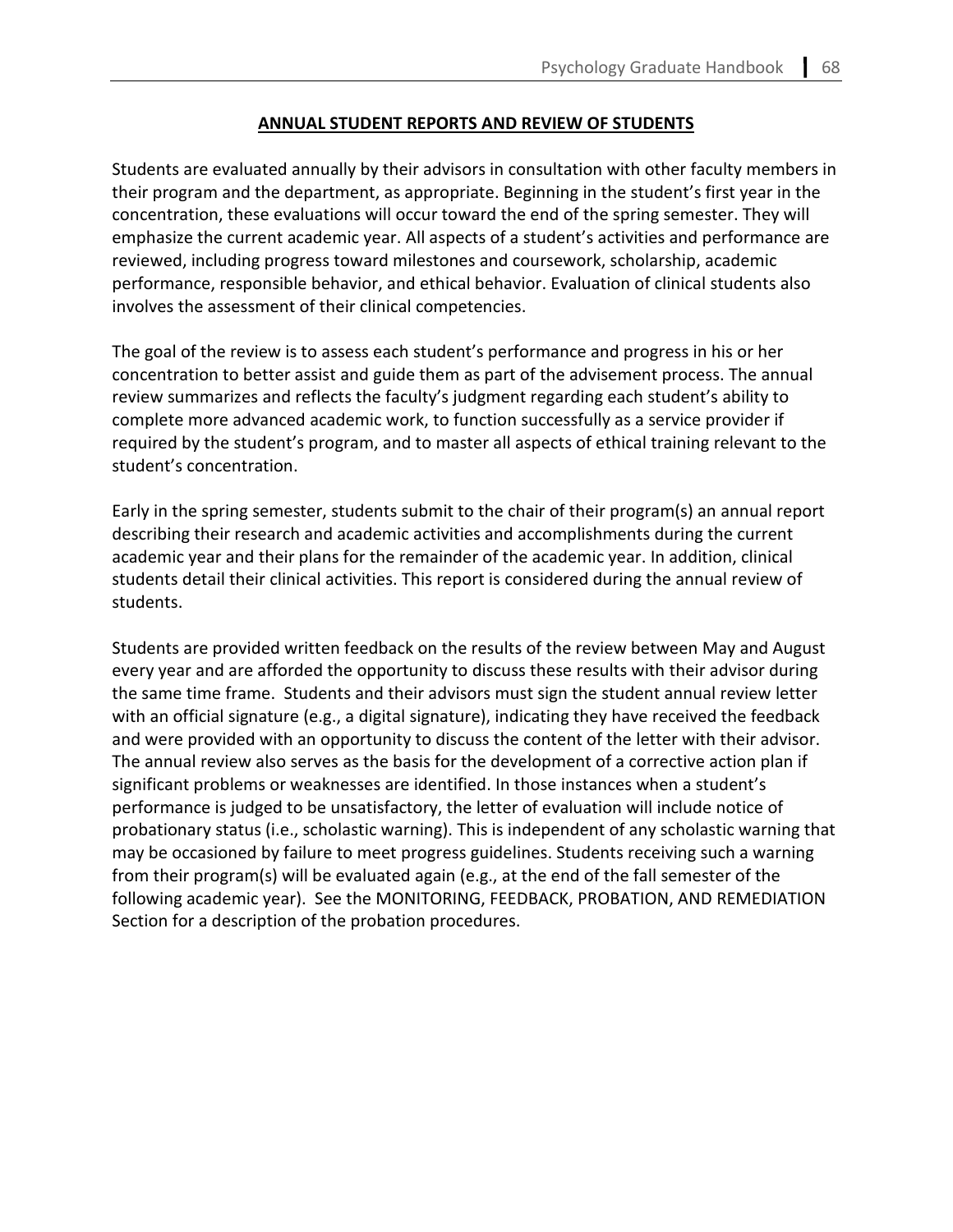### **ANNUAL STUDENT REPORTS AND REVIEW OF STUDENTS**

Students are evaluated annually by their advisors in consultation with other faculty members in their program and the department, as appropriate. Beginning in the student's first year in the concentration, these evaluations will occur toward the end of the spring semester. They will emphasize the current academic year. All aspects of a student's activities and performance are reviewed, including progress toward milestones and coursework, scholarship, academic performance, responsible behavior, and ethical behavior. Evaluation of clinical students also involves the assessment of their clinical competencies.

The goal of the review is to assess each student's performance and progress in his or her concentration to better assist and guide them as part of the advisement process. The annual review summarizes and reflects the faculty's judgment regarding each student's ability to complete more advanced academic work, to function successfully as a service provider if required by the student's program, and to master all aspects of ethical training relevant to the student's concentration.

Early in the spring semester, students submit to the chair of their program(s) an annual report describing their research and academic activities and accomplishments during the current academic year and their plans for the remainder of the academic year. In addition, clinical students detail their clinical activities. This report is considered during the annual review of students.

<span id="page-63-0"></span>Students are provided written feedback on the results of the review between May and August every year and are afforded the opportunity to discuss these results with their advisor during the same time frame. Students and their advisors must sign the student annual review letter with an official signature (e.g., a digital signature), indicating they have received the feedback and were provided with an opportunity to discuss the content of the letter with their advisor. The annual review also serves as the basis for the development of a corrective action plan if significant problems or weaknesses are identified. In those instances when a student's performance is judged to be unsatisfactory, the letter of evaluation will include notice of probationary status (i.e., scholastic warning). This is independent of any scholastic warning that may be occasioned by failure to meet progress guidelines. Students receiving such a warning from their program(s) will be evaluated again (e.g., at the end of the fall semester of the following academic year). See the MONITORING, FEEDBACK, PROBATION, AND REMEDIATION Section for a description of the probation procedures.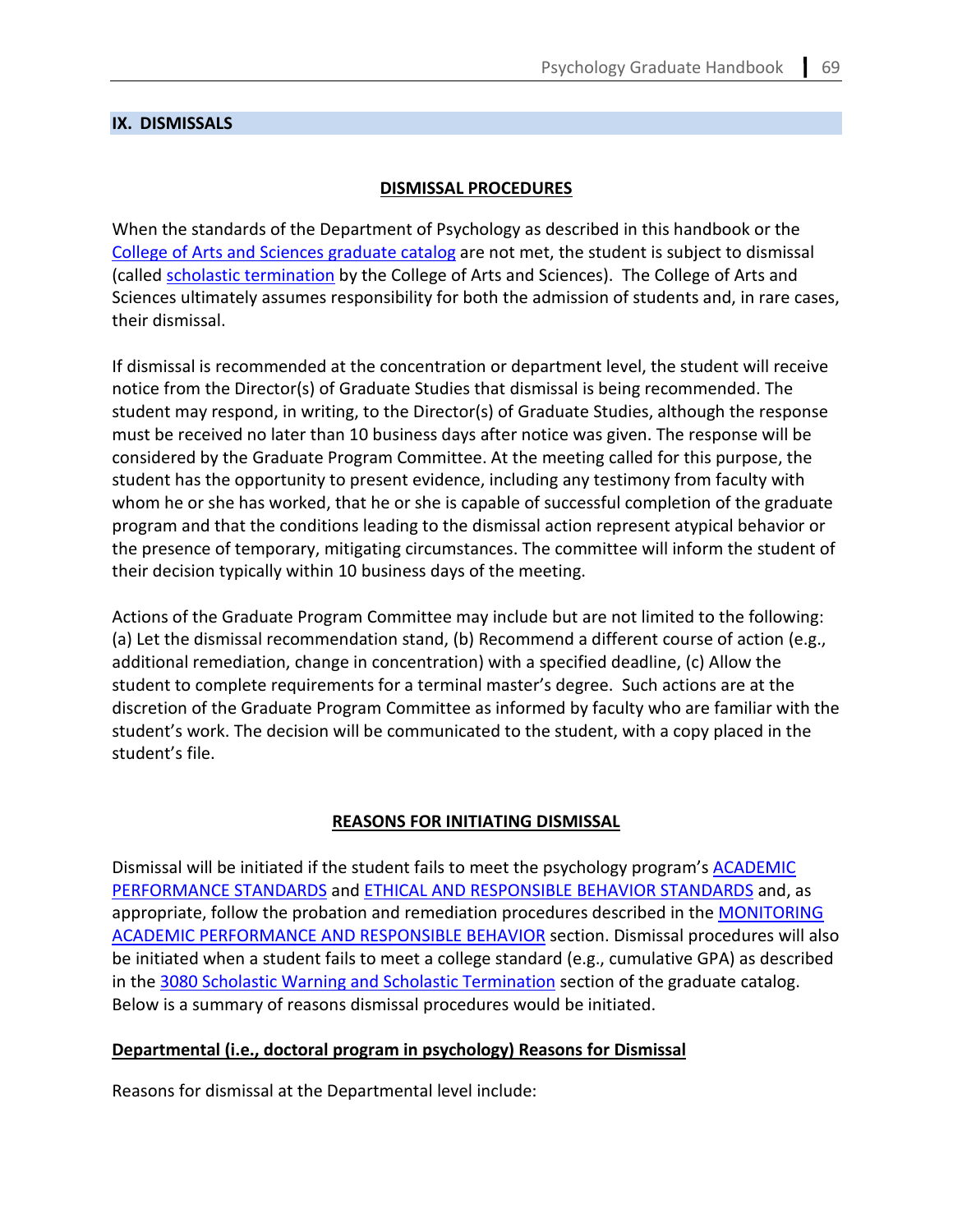### **IX. DISMISSALS**

# **DISMISSAL PROCEDURES**

When the standards of the Department of Psychology as described in this handbook or the [College of Arts and Sciences graduate catalog](https://catalogs.gsu.edu/content.php?catoid=5&navoid=699) are not met, the student is subject to dismissal (called [scholastic termination](https://catalogs.gsu.edu/content.php?catoid=5&navoid=699#3080-scholastic-warning-and-scholastic-termination) by the College of Arts and Sciences). The College of Arts and Sciences ultimately assumes responsibility for both the admission of students and, in rare cases, their dismissal.

If dismissal is recommended at the concentration or department level, the student will receive notice from the Director(s) of Graduate Studies that dismissal is being recommended. The student may respond, in writing, to the Director(s) of Graduate Studies, although the response must be received no later than 10 business days after notice was given. The response will be considered by the Graduate Program Committee. At the meeting called for this purpose, the student has the opportunity to present evidence, including any testimony from faculty with whom he or she has worked, that he or she is capable of successful completion of the graduate program and that the conditions leading to the dismissal action represent atypical behavior or the presence of temporary, mitigating circumstances. The committee will inform the student of their decision typically within 10 business days of the meeting.

Actions of the Graduate Program Committee may include but are not limited to the following: (a) Let the dismissal recommendation stand, (b) Recommend a different course of action (e.g., additional remediation, change in concentration) with a specified deadline, (c) Allow the student to complete requirements for a terminal master's degree. Such actions are at the discretion of the Graduate Program Committee as informed by faculty who are familiar with the student's work. The decision will be communicated to the student, with a copy placed in the student's file.

#### **REASONS FOR INITIATING DISMISSAL**

Dismissal will be initiated if the student fails to meet the psychology program's **ACADEMIC** [PERFORMANCE STANDARDS](#page-52-1) and [ETHICAL AND RESPONSIBLE BEHAVIOR STANDARDS](#page-56-0) and, as appropriate, follow the probation and remediation procedures described in the **MONITORING** [ACADEMIC PERFORMANCE AND RESPONSIBLE BEHAVIOR](#page-61-1) section. Dismissal procedures will also be initiated when a student fails to meet a college standard (e.g., cumulative GPA) as described in the [3080 Scholastic Warning and Scholastic Termination](https://catalogs.gsu.edu/content.php?catoid=5&navoid=699#3080-scholastic-warning-and-scholastic-termination) section of the graduate catalog. Below is a summary of reasons dismissal procedures would be initiated.

# **Departmental (i.e., doctoral program in psychology) Reasons for Dismissal**

Reasons for dismissal at the Departmental level include: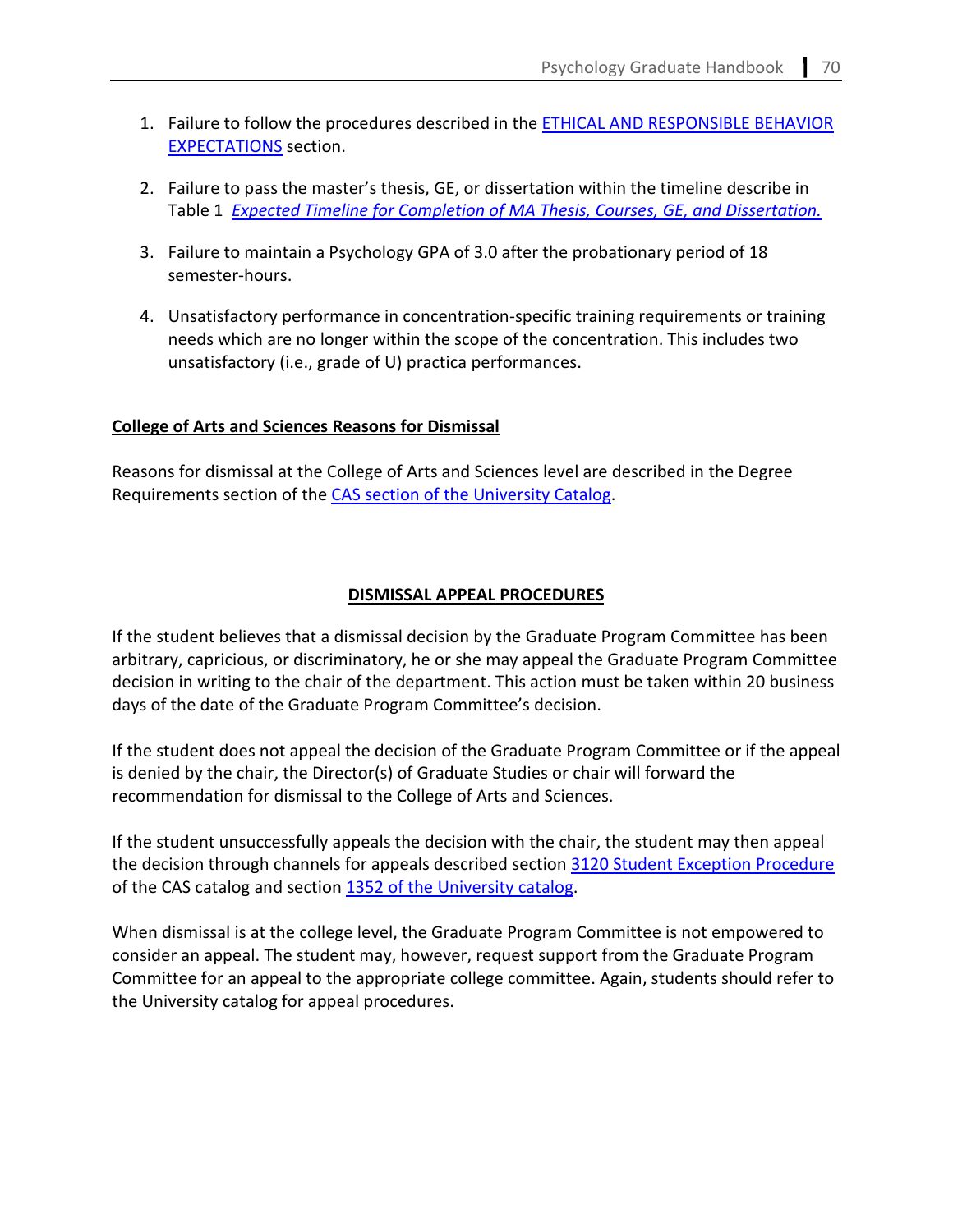- 1. Failure to follow the procedures described in the [ETHICAL AND RESPONSIBLE BEHAVIOR](#page-56-0) [EXPECTATIONS](#page-56-0) section.
- 2. Failure to pass the master's thesis, GE, or dissertation within the timeline describe in Table 1 *[Expected Timeline for Completion of MA Thesis, Courses, GE, and Dissertation.](#page-52-0)*
- 3. Failure to maintain a Psychology GPA of 3.0 after the probationary period of 18 semester-hours.
- 4. Unsatisfactory performance in concentration-specific training requirements or training needs which are no longer within the scope of the concentration. This includes two unsatisfactory (i.e., grade of U) practica performances.

# **College of Arts and Sciences Reasons for Dismissal**

Reasons for dismissal at the College of Arts and Sciences level are described in the Degree Requirements section of the [CAS section of the University Catalog.](https://catalogs.gsu.edu/content.php?catoid=5&navoid=699#3080-scholastic-warning-and-scholastic-termination)

# **DISMISSAL APPEAL PROCEDURES**

If the student believes that a dismissal decision by the Graduate Program Committee has been arbitrary, capricious, or discriminatory, he or she may appeal the Graduate Program Committee decision in writing to the chair of the department. This action must be taken within 20 business days of the date of the Graduate Program Committee's decision.

If the student does not appeal the decision of the Graduate Program Committee or if the appeal is denied by the chair, the Director(s) of Graduate Studies or chair will forward the recommendation for dismissal to the College of Arts and Sciences.

If the student unsuccessfully appeals the decision with the chair, the student may then appeal the decision through channels for appeals described section [3120 Student Exception Procedure](https://catalogs.gsu.edu/content.php?catoid=5&navoid=699#3120-student-exceptions-procedure) of the CAS catalog and section [1352 of the University catalog.](https://catalogs.gsu.edu/content.php?catoid=5&navoid=656)

When dismissal is at the college level, the Graduate Program Committee is not empowered to consider an appeal. The student may, however, request support from the Graduate Program Committee for an appeal to the appropriate college committee. Again, students should refer to the University catalog for appeal procedures.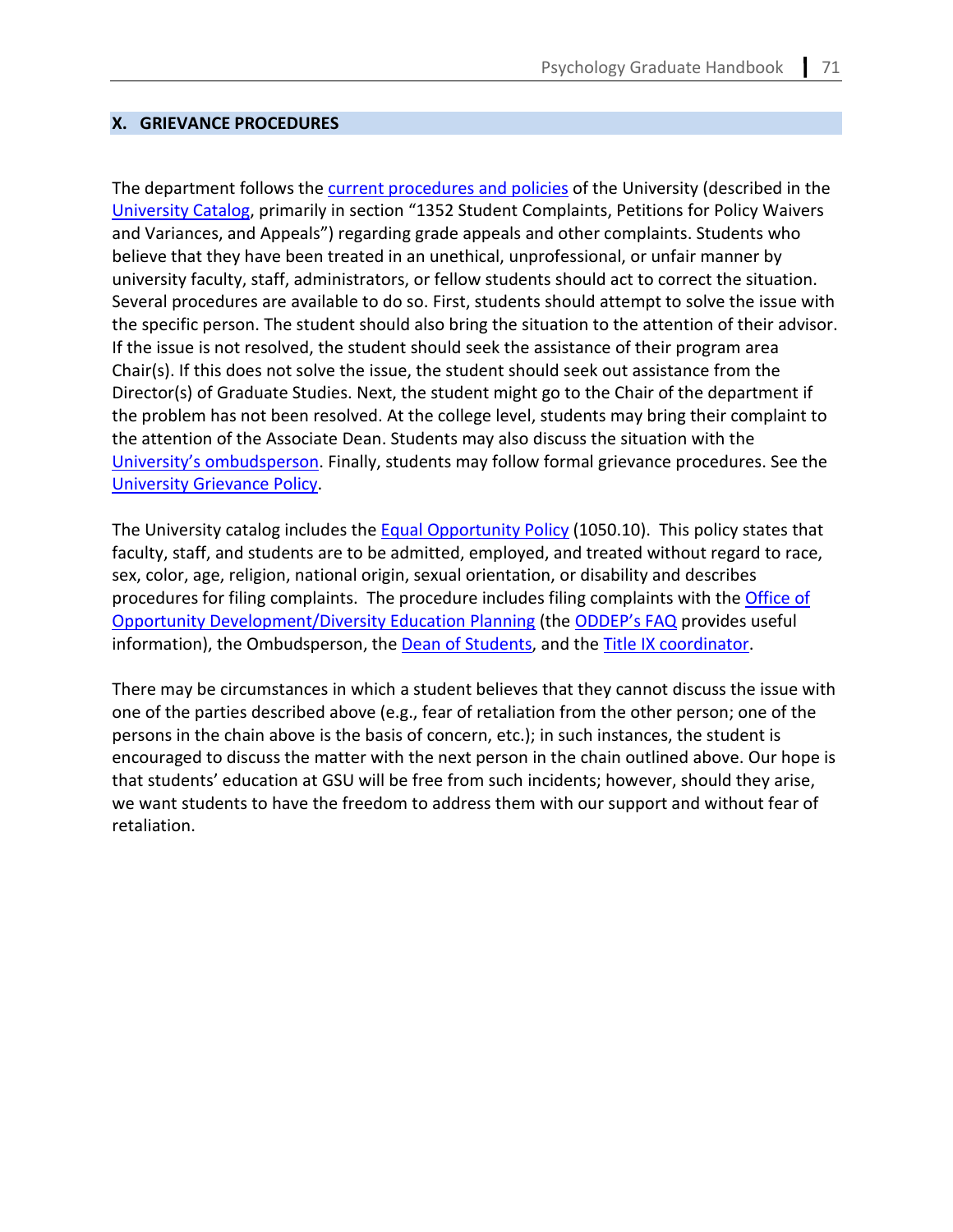### **X. GRIEVANCE PROCEDURES**

The department follows the [current procedures and policies](https://enrollment.gsu.edu/files/2017/09/Petitions_Appeals-2017.pdf) of the University (described in the [University Catalog,](https://catalog.gsu.edu/graduate20202021/university-information/) primarily in section "1352 Student Complaints, Petitions for Policy Waivers and Variances, and Appeals") regarding grade appeals and other complaints. Students who believe that they have been treated in an unethical, unprofessional, or unfair manner by university faculty, staff, administrators, or fellow students should act to correct the situation. Several procedures are available to do so. First, students should attempt to solve the issue with the specific person. The student should also bring the situation to the attention of their advisor. If the issue is not resolved, the student should seek the assistance of their program area Chair(s). If this does not solve the issue, the student should seek out assistance from the Director(s) of Graduate Studies. Next, the student might go to the Chair of the department if the problem has not been resolved. At the college level, students may bring their complaint to the attention of the Associate Dean. Students may also discuss the situation with the [University's ombudsperson.](https://ombuds.gsu.edu/) Finally, students may follow formal grievance procedures. See the [University Grievance Policy.](https://enrollment.gsu.edu/files/2017/09/Petitions_Appeals-2017.pdf)

The University catalog includes th[e Equal Opportunity Policy](https://catalog.gsu.edu/graduate20202021/university-information/#equal-opportunity-policy) (1050.10). This policy states that faculty, staff, and students are to be admitted, employed, and treated without regard to race, sex, color, age, religion, national origin, sexual orientation, or disability and describes procedures for filing complaints. The procedure includes filing complaints with the *Office of* [Opportunity Development/Diversity Education Planning](https://hr.gsu.edu/service-centers/diversity/about-diversity/) (the [ODDEP's](https://oie.gsu.edu/files/2014/04/ODDEP-Internal_Complaint_Process_FAQs_10-5-20091.pdf) FAQ provides useful information), the Ombudsperson, the [Dean of Students,](https://deanofstudents.gsu.edu/) and th[e Title IX coordinator.](https://deanofstudents.gsu.edu/title-ix/)

There may be circumstances in which a student believes that they cannot discuss the issue with one of the parties described above (e.g., fear of retaliation from the other person; one of the persons in the chain above is the basis of concern, etc.); in such instances, the student is encouraged to discuss the matter with the next person in the chain outlined above. Our hope is that students' education at GSU will be free from such incidents; however, should they arise, we want students to have the freedom to address them with our support and without fear of retaliation.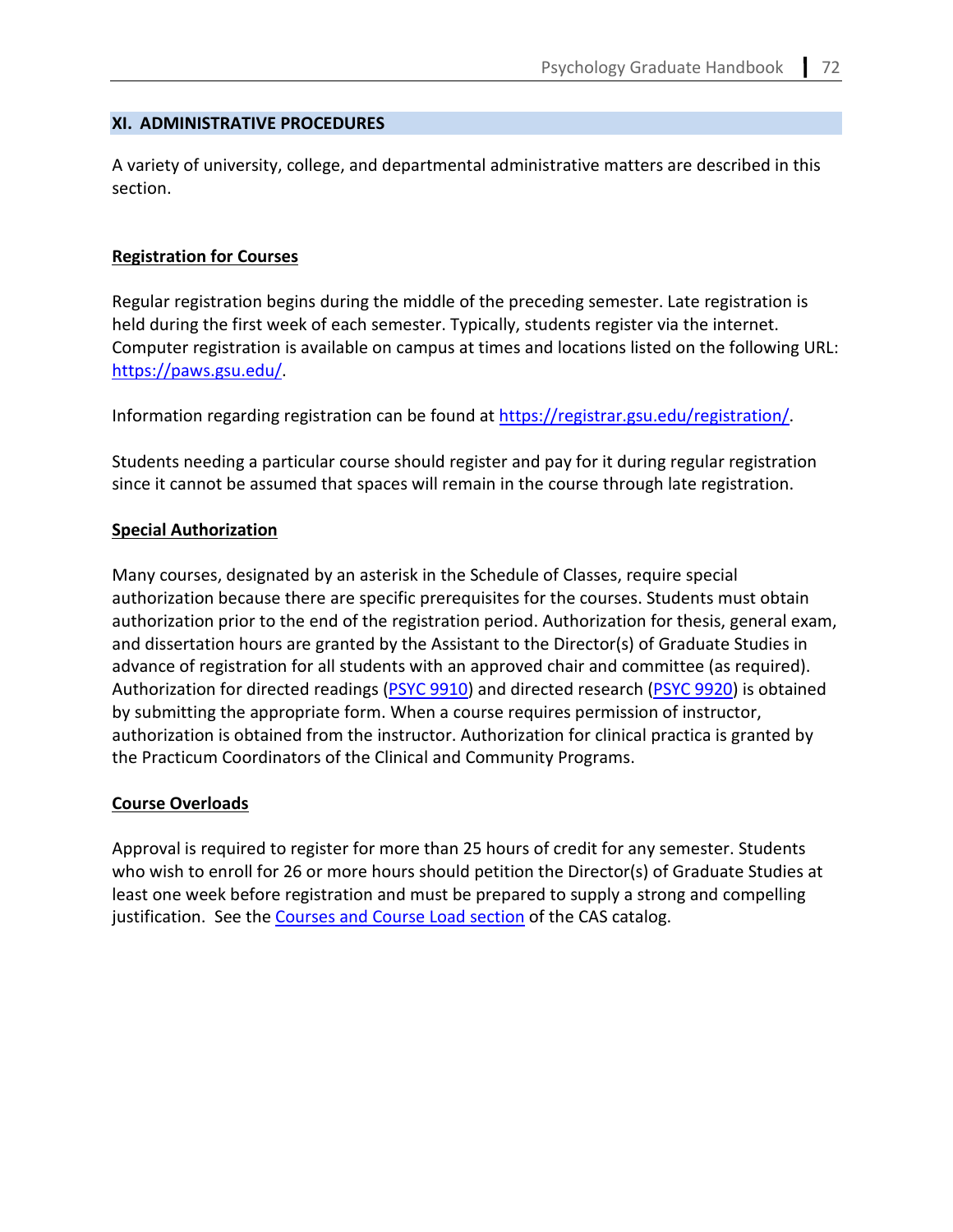### **XI. ADMINISTRATIVE PROCEDURES**

A variety of university, college, and departmental administrative matters are described in this section.

### **Registration for Courses**

Regular registration begins during the middle of the preceding semester. Late registration is held during the first week of each semester. Typically, students register via the internet. Computer registration is available on campus at times and locations listed on the following URL: [https://paws.gsu.edu/.](https://paws.gsu.edu/)

Information regarding registration can be found at [https://registrar.gsu.edu/registration/.](https://registrar.gsu.edu/registration/)

Students needing a particular course should register and pay for it during regular registration since it cannot be assumed that spaces will remain in the course through late registration.

# **Special Authorization**

Many courses, designated by an asterisk in the Schedule of Classes, require special authorization because there are specific prerequisites for the courses. Students must obtain authorization prior to the end of the registration period. Authorization for thesis, general exam, and dissertation hours are granted by the Assistant to the Director(s) of Graduate Studies in advance of registration for all students with an approved chair and committee (as required). Authorization for directed readings [\(PSYC 9910\)](https://cas.gsu.edu/request-for-authorization-for-psych-9910/) and directed research [\(PSYC 9920\)](https://cas.gsu.edu/request-for-authorization-psyc-9920/) is obtained by submitting the appropriate form. When a course requires permission of instructor, authorization is obtained from the instructor. Authorization for clinical practica is granted by the Practicum Coordinators of the Clinical and Community Programs.

# **Course Overloads**

Approval is required to register for more than 25 hours of credit for any semester. Students who wish to enroll for 26 or more hours should petition the Director(s) of Graduate Studies at least one week before registration and must be prepared to supply a strong and compelling justification. See the [Courses and Course Load section](https://catalogs.gsu.edu/content.php?catoid=5&navoid=699#3100-requirements-and-time-limits) of the CAS catalog.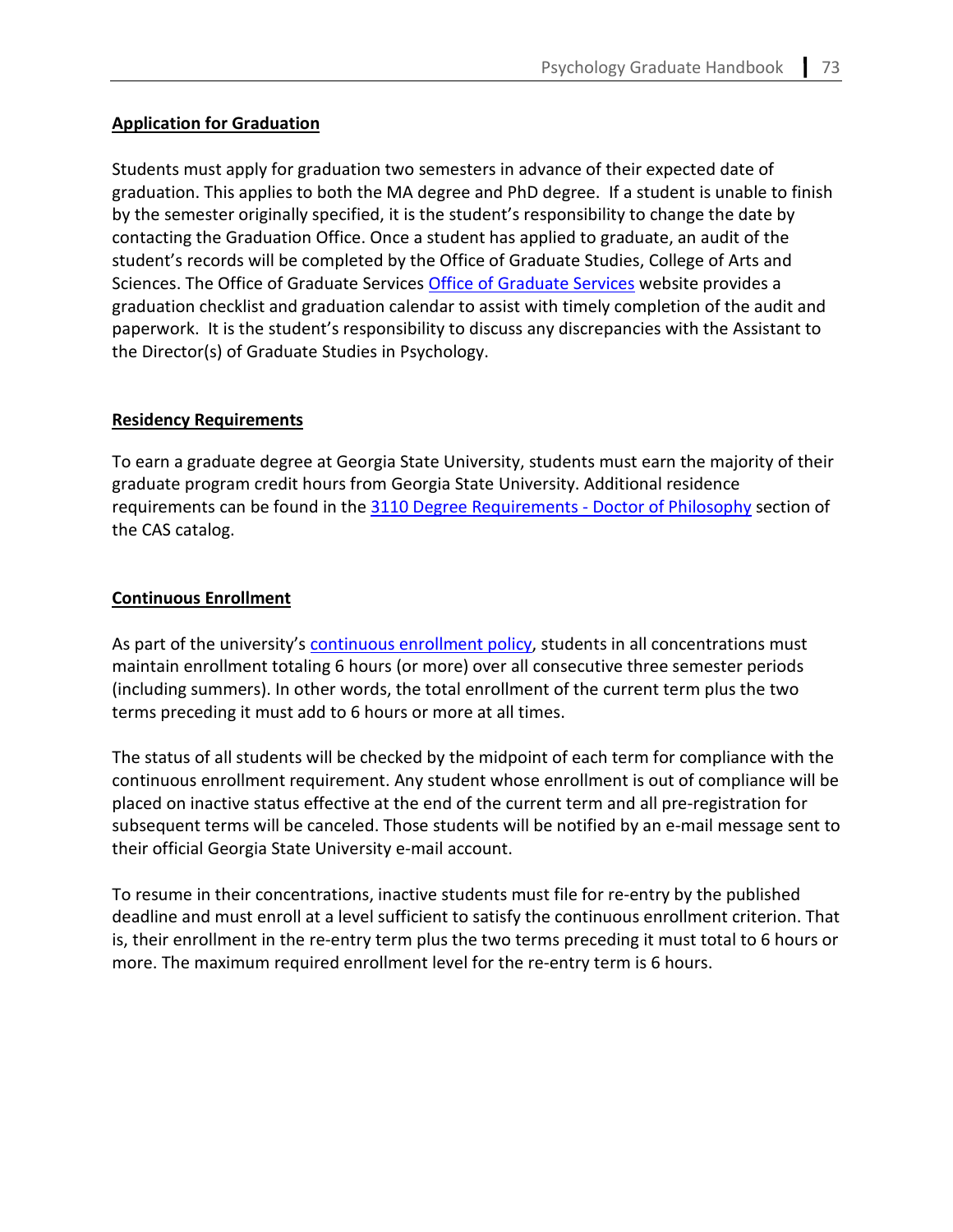# **Application for Graduation**

Students must apply for graduation two semesters in advance of their expected date of graduation. This applies to both the MA degree and PhD degree. If a student is unable to finish by the semester originally specified, it is the student's responsibility to change the date by contacting the Graduation Office. Once a student has applied to graduate, an audit of the student's records will be completed by the Office of Graduate Studies, College of Arts and Sciences. The Office of Graduate Services [Office of Graduate Services](https://cas.gsu.edu/graduate-services/student-resources/#graduation) website provides a graduation checklist and graduation calendar to assist with timely completion of the audit and paperwork. It is the student's responsibility to discuss any discrepancies with the Assistant to the Director(s) of Graduate Studies in Psychology.

# **Residency Requirements**

To earn a graduate degree at Georgia State University, students must earn the majority of their graduate program credit hours from Georgia State University. Additional residence requirements can be found in the [3110 Degree Requirements - Doctor of Philosophy](https://catalogs.gsu.edu/content.php?catoid=5&navoid=699#3110-degree-requirements) section of the CAS catalog.

# <span id="page-68-0"></span>**Continuous Enrollment**

As part of the university's [continuous enrollment policy,](https://cas.gsu.edu/graduate-student-continuous-enrollment-policy/) students in all concentrations must maintain enrollment totaling 6 hours (or more) over all consecutive three semester periods (including summers). In other words, the total enrollment of the current term plus the two terms preceding it must add to 6 hours or more at all times.

The status of all students will be checked by the midpoint of each term for compliance with the continuous enrollment requirement. Any student whose enrollment is out of compliance will be placed on inactive status effective at the end of the current term and all pre-registration for subsequent terms will be canceled. Those students will be notified by an e-mail message sent to their official Georgia State University e-mail account.

To resume in their concentrations, inactive students must file for re-entry by the published deadline and must enroll at a level sufficient to satisfy the continuous enrollment criterion. That is, their enrollment in the re-entry term plus the two terms preceding it must total to 6 hours or more. The maximum required enrollment level for the re-entry term is 6 hours.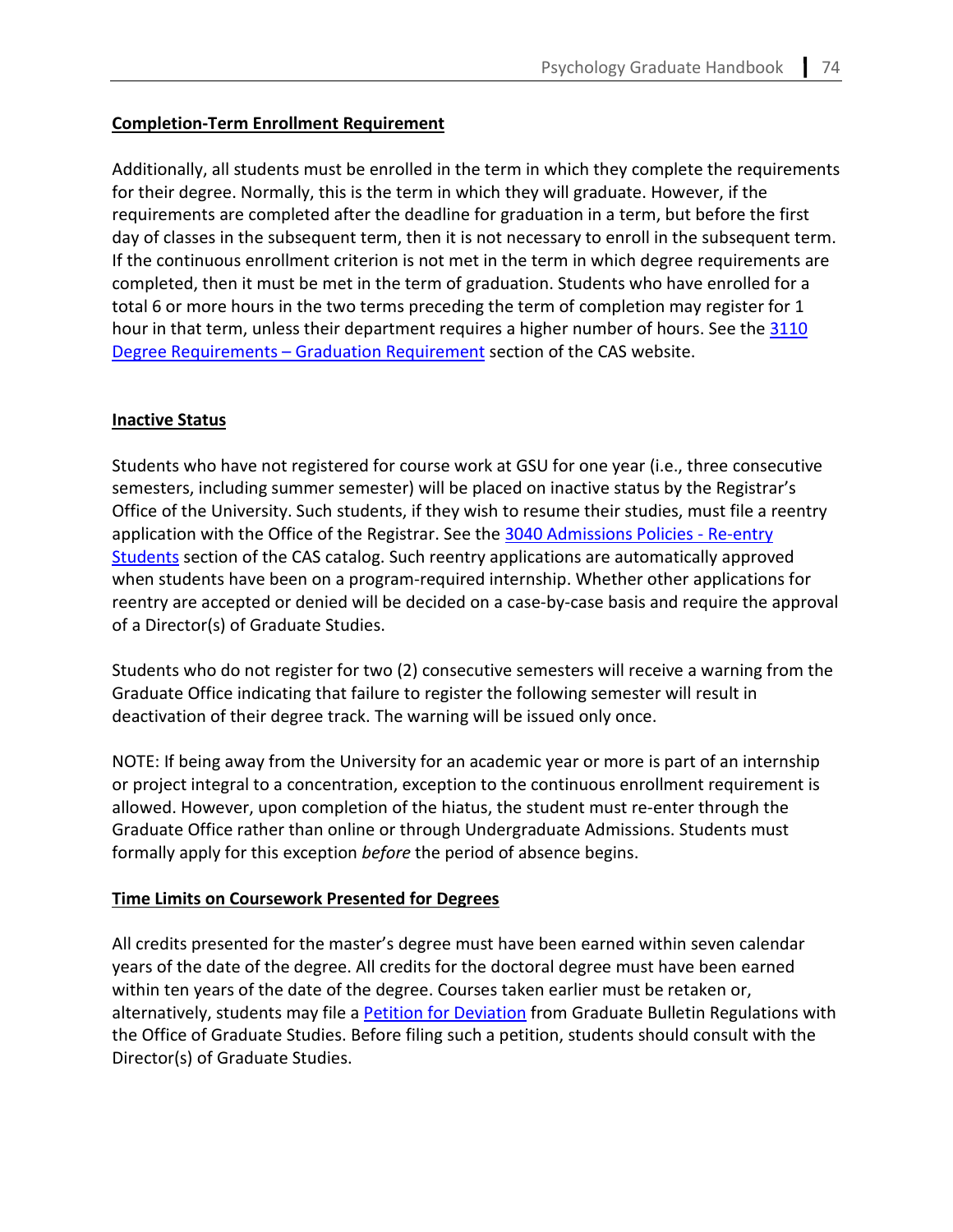# <span id="page-69-0"></span>**Completion-Term Enrollment Requirement**

Additionally, all students must be enrolled in the term in which they complete the requirements for their degree. Normally, this is the term in which they will graduate. However, if the requirements are completed after the deadline for graduation in a term, but before the first day of classes in the subsequent term, then it is not necessary to enroll in the subsequent term. If the continuous enrollment criterion is not met in the term in which degree requirements are completed, then it must be met in the term of graduation. Students who have enrolled for a total 6 or more hours in the two terms preceding the term of completion may register for 1 hour in that term, unless their department requires a higher number of hours. See the 3110 [Degree Requirements – Graduation Requirement](https://catalogs.gsu.edu/content.php?catoid=5&navoid=699#3110-degree-requirements) section of the CAS website.

# <span id="page-69-1"></span>**Inactive Status**

Students who have not registered for course work at GSU for one year (i.e., three consecutive semesters, including summer semester) will be placed on inactive status by the Registrar's Office of the University. Such students, if they wish to resume their studies, must file a reentry application with the Office of the Registrar. See the 3040 Admissions Policies - Re-entry [Students](https://catalogs.gsu.edu/content.php?catoid=5&navoid=699#3040-admission-policies) section of the CAS catalog. Such reentry applications are automatically approved when students have been on a program-required internship. Whether other applications for reentry are accepted or denied will be decided on a case-by-case basis and require the approval of a Director(s) of Graduate Studies.

Students who do not register for two (2) consecutive semesters will receive a warning from the Graduate Office indicating that failure to register the following semester will result in deactivation of their degree track. The warning will be issued only once.

NOTE: If being away from the University for an academic year or more is part of an internship or project integral to a concentration, exception to the continuous enrollment requirement is allowed. However, upon completion of the hiatus, the student must re-enter through the Graduate Office rather than online or through Undergraduate Admissions. Students must formally apply for this exception *before* the period of absence begins.

# **Time Limits on Coursework Presented for Degrees**

All credits presented for the master's degree must have been earned within seven calendar years of the date of the degree. All credits for the doctoral degree must have been earned within ten years of the date of the degree. Courses taken earlier must be retaken or, alternatively, students may file a [Petition for Deviation](https://cas.gsu.edu/graduate-student-petition-for-deviation-from-college-requirements/) from Graduate Bulletin Regulations with the Office of Graduate Studies. Before filing such a petition, students should consult with the Director(s) of Graduate Studies.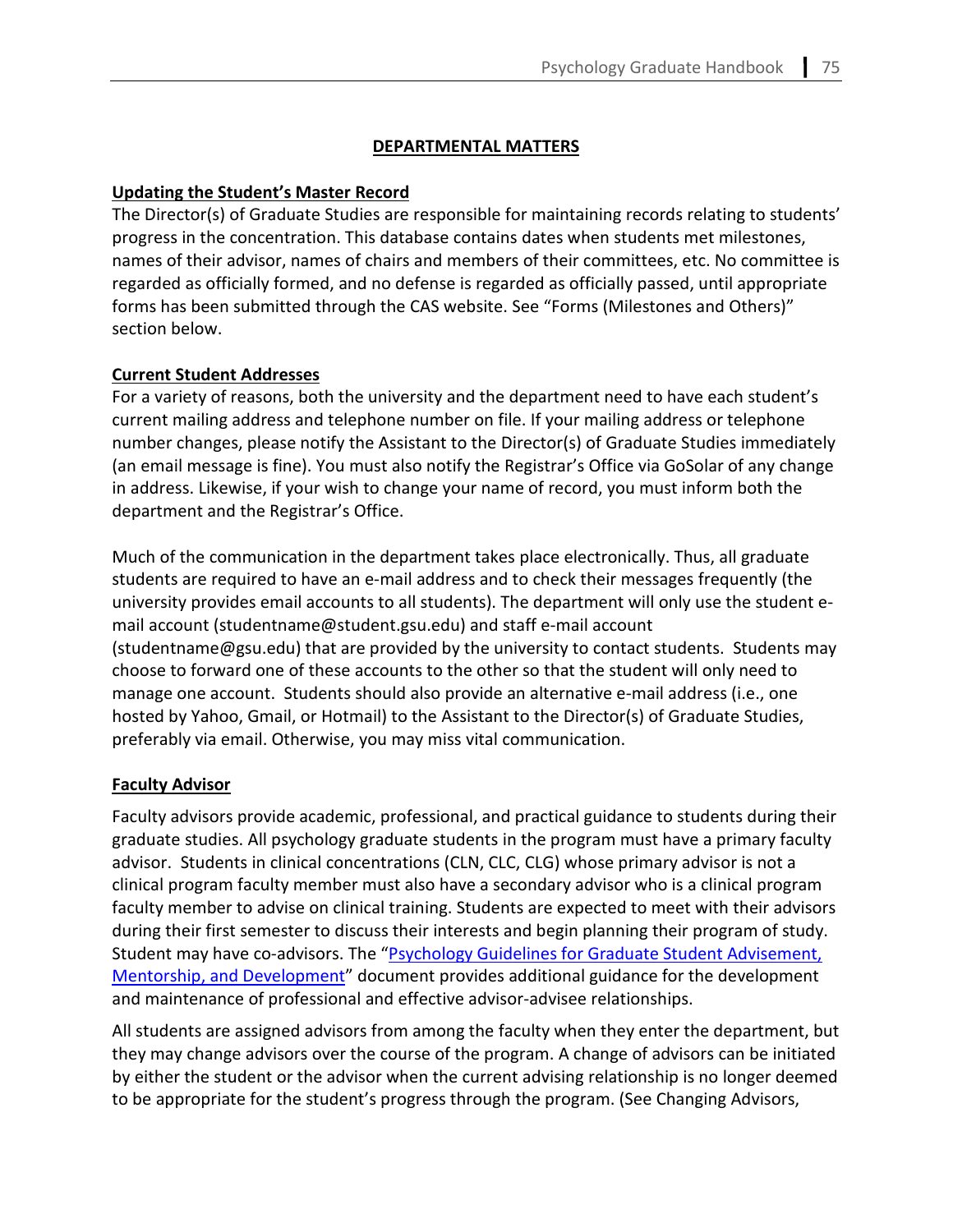# **DEPARTMENTAL MATTERS**

# **Updating the Student's Master Record**

The Director(s) of Graduate Studies are responsible for maintaining records relating to students' progress in the concentration. This database contains dates when students met milestones, names of their advisor, names of chairs and members of their committees, etc. No committee is regarded as officially formed, and no defense is regarded as officially passed, until appropriate forms has been submitted through the CAS website. See "Forms (Milestones and Others)" section below.

# **Current Student Addresses**

For a variety of reasons, both the university and the department need to have each student's current mailing address and telephone number on file. If your mailing address or telephone number changes, please notify the Assistant to the Director(s) of Graduate Studies immediately (an email message is fine). You must also notify the Registrar's Office via GoSolar of any change in address. Likewise, if your wish to change your name of record, you must inform both the department and the Registrar's Office.

Much of the communication in the department takes place electronically. Thus, all graduate students are required to have an e-mail address and to check their messages frequently (the university provides email accounts to all students). The department will only use the student email account [\(studentname@student.gsu.edu\)](mailto:studentname@student.gsu.edu) and staff e-mail account [\(studentname@gsu.edu\)](mailto:studentname@student.gsu.edu) that are provided by the university to contact students. Students may choose to forward one of these accounts to the other so that the student will only need to manage one account. Students should also provide an alternative e-mail address (i.e., one hosted by Yahoo, Gmail, or Hotmail) to the Assistant to the Director(s) of Graduate Studies, preferably via email. Otherwise, you may miss vital communication.

# **Faculty Advisor**

Faculty advisors provide academic, professional, and practical guidance to students during their graduate studies. All psychology graduate students in the program must have a primary faculty advisor. Students in clinical concentrations (CLN, CLC, CLG) whose primary advisor is not a clinical program faculty member must also have a secondary advisor who is a clinical program faculty member to advise on clinical training. Students are expected to meet with their advisors during their first semester to discuss their interests and begin planning their program of study. Student may have co-advisors. The ["Psychology Guidelines for Graduate Student Advisement,](https://psychology.gsu.edu/document/department-of-psychology-guidelines-for-graduate-student-advisement-mentorship-and-development/)  [Mentorship, and Development"](https://psychology.gsu.edu/document/department-of-psychology-guidelines-for-graduate-student-advisement-mentorship-and-development/) document provides additional guidance for the development and maintenance of professional and effective advisor-advisee relationships.

All students are assigned advisors from among the faculty when they enter the department, but they may change advisors over the course of the program. A change of advisors can be initiated by either the student or the advisor when the current advising relationship is no longer deemed to be appropriate for the student's progress through the program. (See Changing Advisors,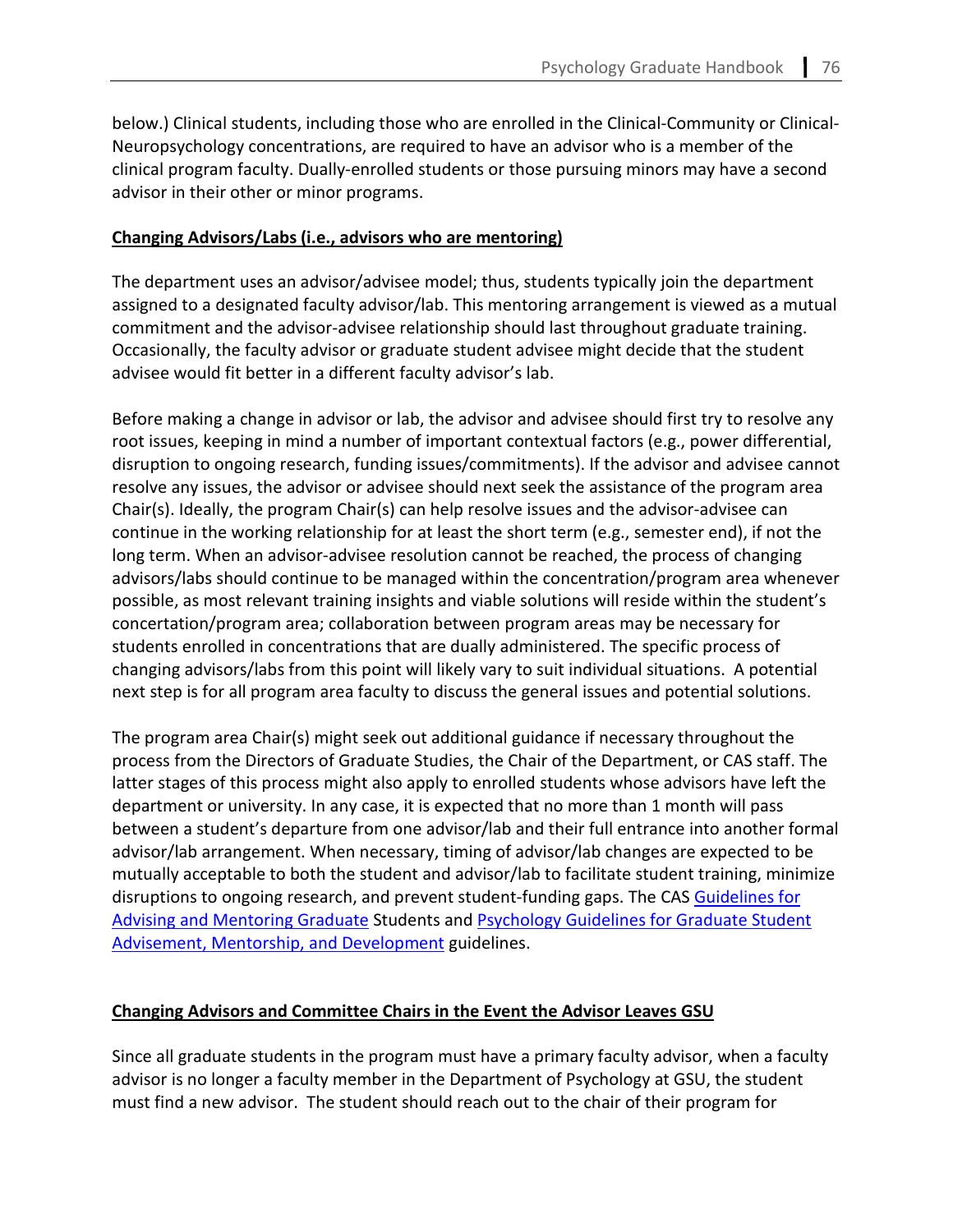below.) Clinical students, including those who are enrolled in the Clinical-Community or Clinical-Neuropsychology concentrations, are required to have an advisor who is a member of the clinical program faculty. Dually-enrolled students or those pursuing minors may have a second advisor in their other or minor programs.

# **[Changing Advisors/Labs](https://cas.gsu.edu/change-of-adviso%E2%80%A6t-psychology-phd/) (i.e., advisors who are mentoring)**

The department uses an advisor/advisee model; thus, students typically join the department assigned to a designated faculty advisor/lab. This mentoring arrangement is viewed as a mutual commitment and the advisor-advisee relationship should last throughout graduate training. Occasionally, the faculty advisor or graduate student advisee might decide that the student advisee would fit better in a different faculty advisor's lab.

Before making a change in advisor or lab, the advisor and advisee should first try to resolve any root issues, keeping in mind a number of important contextual factors (e.g., power differential, disruption to ongoing research, funding issues/commitments). If the advisor and advisee cannot resolve any issues, the advisor or advisee should next seek the assistance of the program area Chair(s). Ideally, the program Chair(s) can help resolve issues and the advisor-advisee can continue in the working relationship for at least the short term (e.g., semester end), if not the long term. When an advisor-advisee resolution cannot be reached, the process of changing advisors/labs should continue to be managed within the concentration/program area whenever possible, as most relevant training insights and viable solutions will reside within the student's concertation/program area; collaboration between program areas may be necessary for students enrolled in concentrations that are dually administered. The specific process of changing advisors/labs from this point will likely vary to suit individual situations. A potential next step is for all program area faculty to discuss the general issues and potential solutions.

The program area Chair(s) might seek out additional guidance if necessary throughout the process from the Directors of Graduate Studies, the Chair of the Department, or CAS staff. The latter stages of this process might also apply to enrolled students whose advisors have left the department or university. In any case, it is expected that no more than 1 month will pass between a student's departure from one advisor/lab and their full entrance into another formal advisor/lab arrangement. When necessary, timing of advisor/lab changes are expected to be mutually acceptable to both the student and advisor/lab to facilitate student training, minimize disruptions to ongoing research, and prevent student-funding gaps. The CAS Guidelines for [Advising and Mentoring Graduate](https://cas.gsu.edu/files/2020/03/COAS-Graduate-Advising-Mentoring-Guidelines.pdf) Students an[d Psychology Guidelines for Graduate Student](https://psychology.gsu.edu/document/department-of-psychology-guidelines-for-graduate-student-advisement-mentorship-and-development/)  [Advisement, Mentorship, and Development](https://psychology.gsu.edu/document/department-of-psychology-guidelines-for-graduate-student-advisement-mentorship-and-development/) guidelines.

# **Changing Advisors and Committee Chairs in the Event the Advisor Leaves GSU**

Since all graduate students in the program must have a primary faculty advisor, when a faculty advisor is no longer a faculty member in the Department of Psychology at GSU, the student must find a new advisor. The student should reach out to the chair of their program for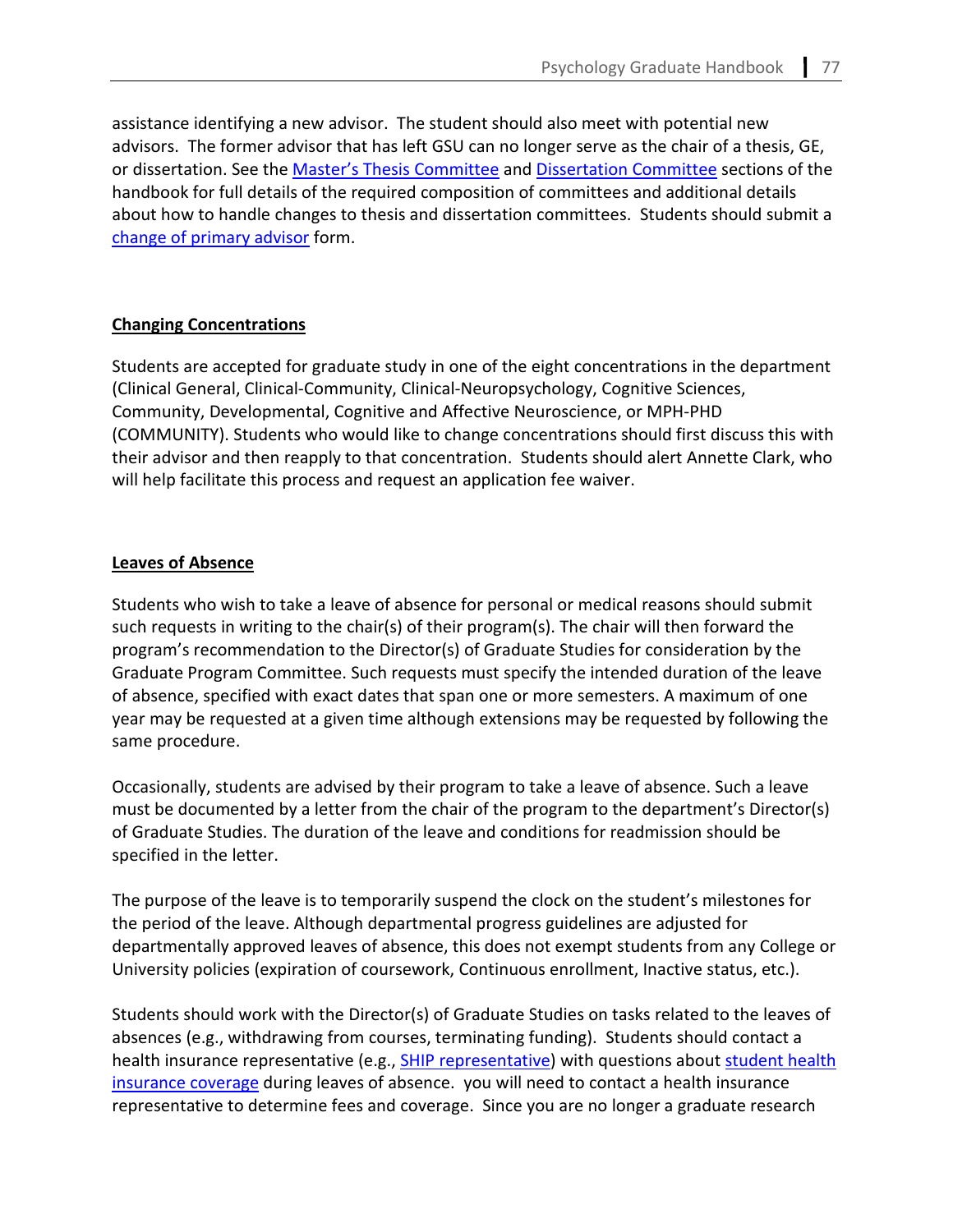assistance identifying a new advisor. The student should also meet with potential new advisors. The former advisor that has left GSU can no longer serve as the chair of a thesis, GE, or dissertation. See the [Master's Thesis Committee](#page-31-0) and [Dissertation Committee](#page-44-0) sections of the handbook for full details of the required composition of committees and additional details about how to handle changes to thesis and dissertation committees. Students should submit a [change of primary advisor](https://cas.gsu.edu/change-of-advisor-request-psychology/) form.

# **Changing Concentrations**

Students are accepted for graduate study in one of the eight concentrations in the department (Clinical General, Clinical-Community, Clinical-Neuropsychology, Cognitive Sciences, Community, Developmental, Cognitive and Affective Neuroscience, or MPH-PHD (COMMUNITY). Students who would like to change concentrations should first discuss this with their advisor and then reapply to that concentration. Students should alert Annette Clark, who will help facilitate this process and request an application fee waiver.

# **Leaves of Absence**

Students who wish to take a leave of absence for personal or medical reasons should submit such requests in writing to the chair(s) of their program(s). The chair will then forward the program's recommendation to the Director(s) of Graduate Studies for consideration by the Graduate Program Committee. Such requests must specify the intended duration of the leave of absence, specified with exact dates that span one or more semesters. A maximum of one year may be requested at a given time although extensions may be requested by following the same procedure.

Occasionally, students are advised by their program to take a leave of absence. Such a leave must be documented by a letter from the chair of the program to the department's Director(s) of Graduate Studies. The duration of the leave and conditions for readmission should be specified in the letter.

The purpose of the leave is to temporarily suspend the clock on the student's milestones for the period of the leave. Although departmental progress guidelines are adjusted for departmentally approved leaves of absence, this does not exempt students from any College or University policies (expiration of coursework, Continuous enrollment, Inactive status, etc.).

Students should work with the Director(s) of Graduate Studies on tasks related to the leaves of absences (e.g., withdrawing from courses, terminating funding). Students should contact a health insurance representative (e.g., **SHIP representative)** with questions about student health [insurance](https://sfs.gsu.edu/resources/student-health-insurance/) coverage during leaves of absence. you will need to contact a health insurance representative to determine fees and coverage. Since you are no longer a graduate research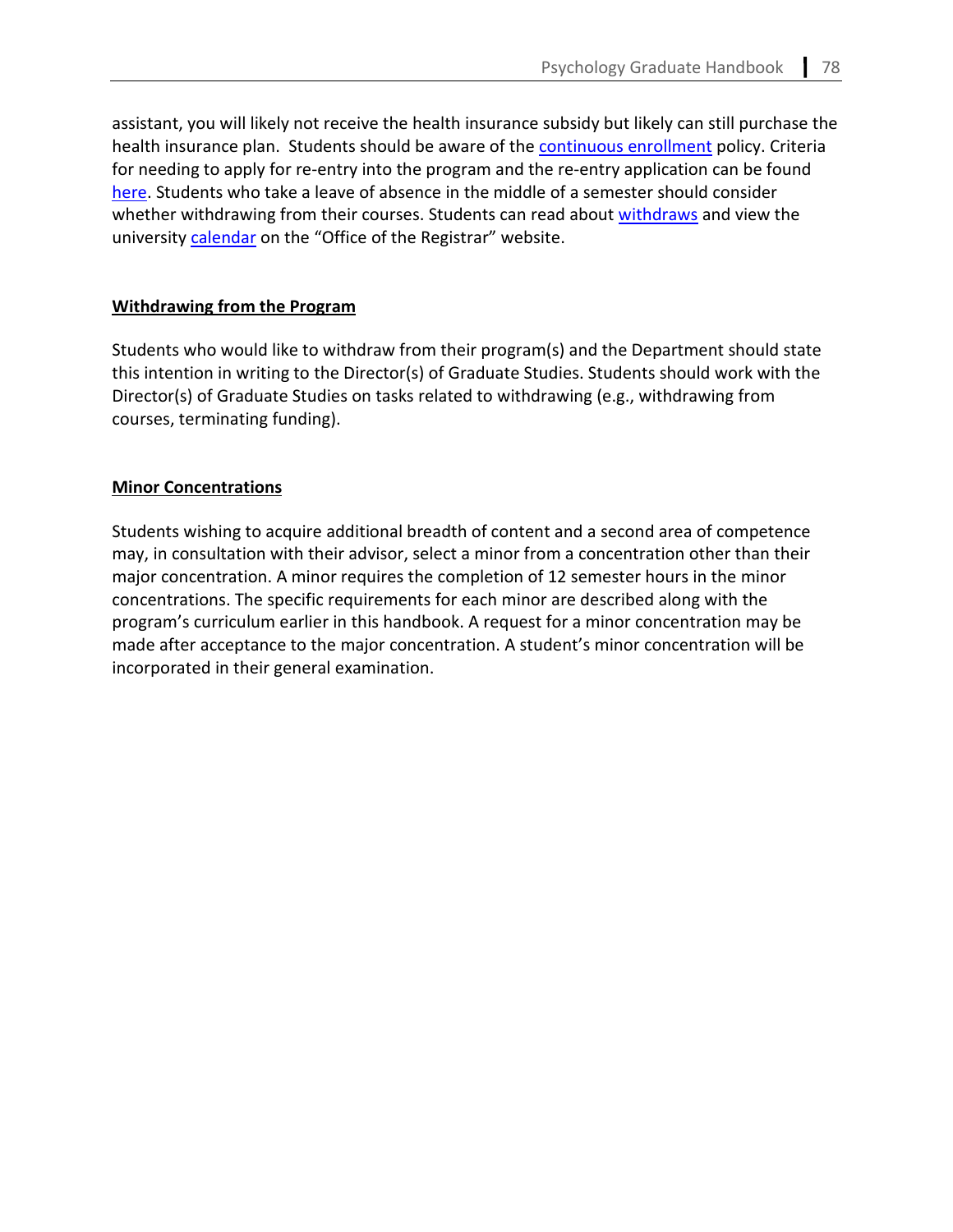assistant, you will likely not receive the health insurance subsidy but likely can still purchase the health insurance plan. Students should be aware of the [continuous enrollment](https://cas.gsu.edu/graduate-student-continuous-enrollment-policy/) policy. Criteria for needing to apply for re-entry into the program and the re-entry application can be found [here.](https://cas.gsu.edu/graduate-services/reentry-admission/) Students who take a leave of absence in the middle of a semester should consider whether withdrawing from their courses. Students can read about [withdraws](https://registrar.gsu.edu/registration/withdrawals/) and view the university [calendar](https://registrar.gsu.edu/registration/semester-calendars-exam-schedules/) on the "Office of the Registrar" website.

# **Withdrawing from the Program**

Students who would like to withdraw from their program(s) and the Department should state this intention in writing to the Director(s) of Graduate Studies. Students should work with the Director(s) of Graduate Studies on tasks related to withdrawing (e.g., withdrawing from courses, terminating funding).

# **Minor Concentrations**

Students wishing to acquire additional breadth of content and a second area of competence may, in consultation with their advisor, select a minor from a concentration other than their major concentration. A minor requires the completion of 12 semester hours in the minor concentrations. The specific requirements for each minor are described along with the program's curriculum earlier in this handbook. A request for a minor concentration may be made after acceptance to the major concentration. A student's minor concentration will be incorporated in their general examination.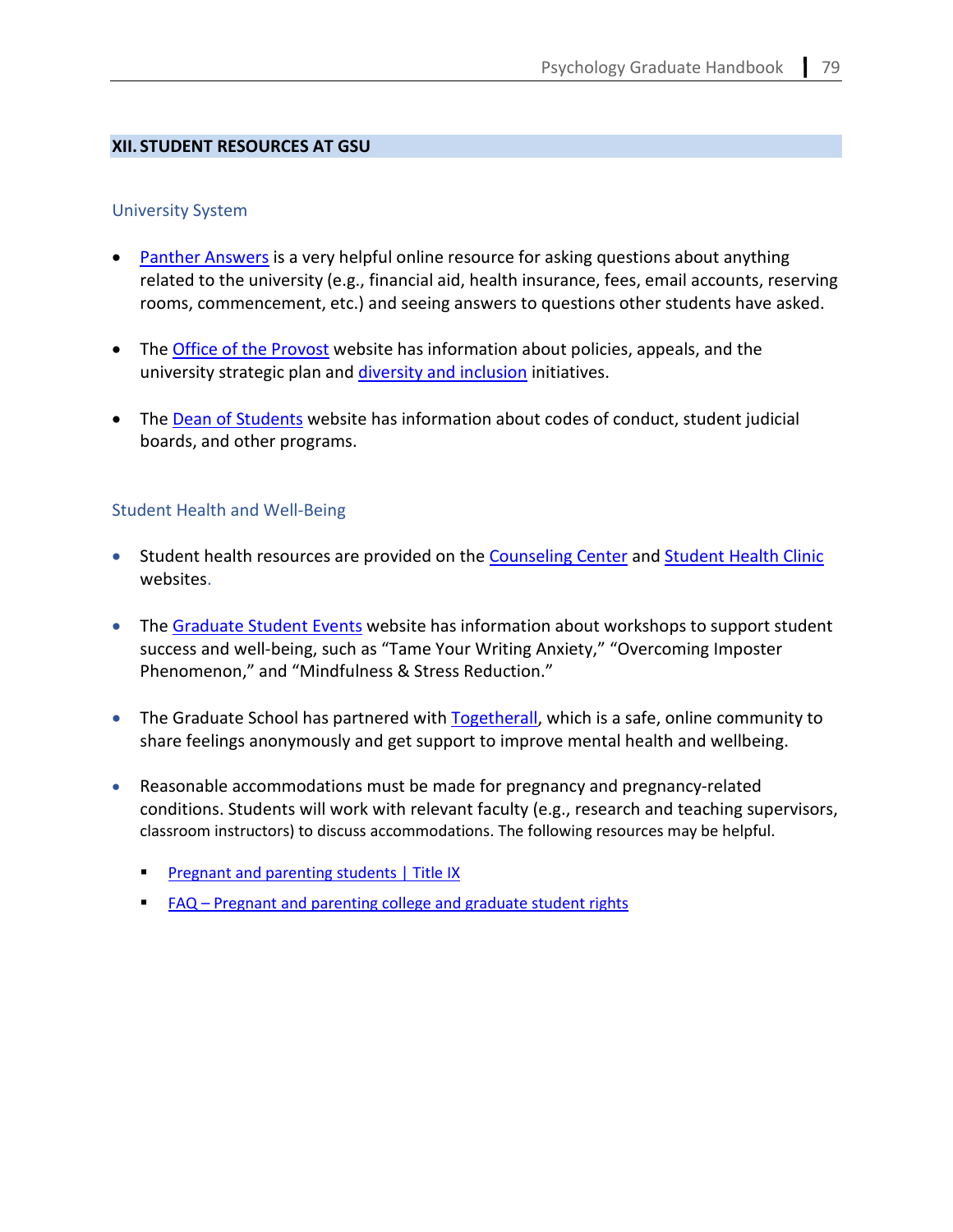# **XII. STUDENT RESOURCES AT GSU**

## University System

- [Panther Answers](https://georgiastateuniversity.force.com/support/s/) is a very helpful online resource for asking questions about anything related to the university (e.g., financial aid, health insurance, fees, email accounts, reserving rooms, commencement, etc.) and seeing answers to questions other students have asked.
- The **Office of the Provost** website has information about policies, appeals, and the university strategic plan and [diversity and inclusion](https://dei.gsu.edu/act/) initiatives.
- The [Dean of Students](https://deanofstudents.gsu.edu/student-conduct/) website has information about codes of conduct, student judicial boards, and other programs.

# Student Health and Well-Being

- Student health resources are provided on the [Counseling Center](https://counselingcenter.gsu.edu/) and [Student Health Clinic](https://health.gsu.edu/) websites.
- The [Graduate Student Events](https://cas.gsu.edu/graduate-student-events/) website has information about workshops to support student success and well-being, such as "Tame Your Writing Anxiety," "Overcoming Imposter Phenomenon," and "Mindfulness & Stress Reduction."
- The Graduate School has partnered with [Togetherall,](https://nam11.safelinks.protection.outlook.com/?url=https%3A%2F%2Ftogetherall.com%2Fen-us%2F&data=04%7C01%7Cetully2%40gsu.edu%7Ce1598712305a4f3ed44508d9fb83b67f%7C515ad73d8d5e4169895c9789dc742a70%7C0%7C0%7C637817365386135014%7CUnknown%7CTWFpbGZsb3d8eyJWIjoiMC4wLjAwMDAiLCJQIjoiV2luMzIiLCJBTiI6Ik1haWwiLCJXVCI6Mn0%3D%7C3000&sdata=Luj5TaB9w5IpcXa0SIWDP%2FzMjUuWH8Uv3PJuQ%2B5%2FL8w%3D&reserved=0) which is a safe, online community to share feelings anonymously and get support to improve mental health and wellbeing.
- Reasonable accommodations must be made for pregnancy and pregnancy-related conditions. Students will work with relevant faculty (e.g., research and teaching supervisors, classroom instructors) to discuss accommodations. The following resources may be helpful.
	- [Pregnant and parenting students](https://cetl.gsu.edu/files/2019/12/Title-IX-Pregnant-and-Parenting-Employee-Responsibilities-Final-11.26.19.pdf) | Title IX
	- [FAQ Pregnant and parenting college and graduate student rights](https://nwlc.org/wp-content/uploads/2016/08/FAQStudentRights_nwlc_PPToolkitAug2016.pdf)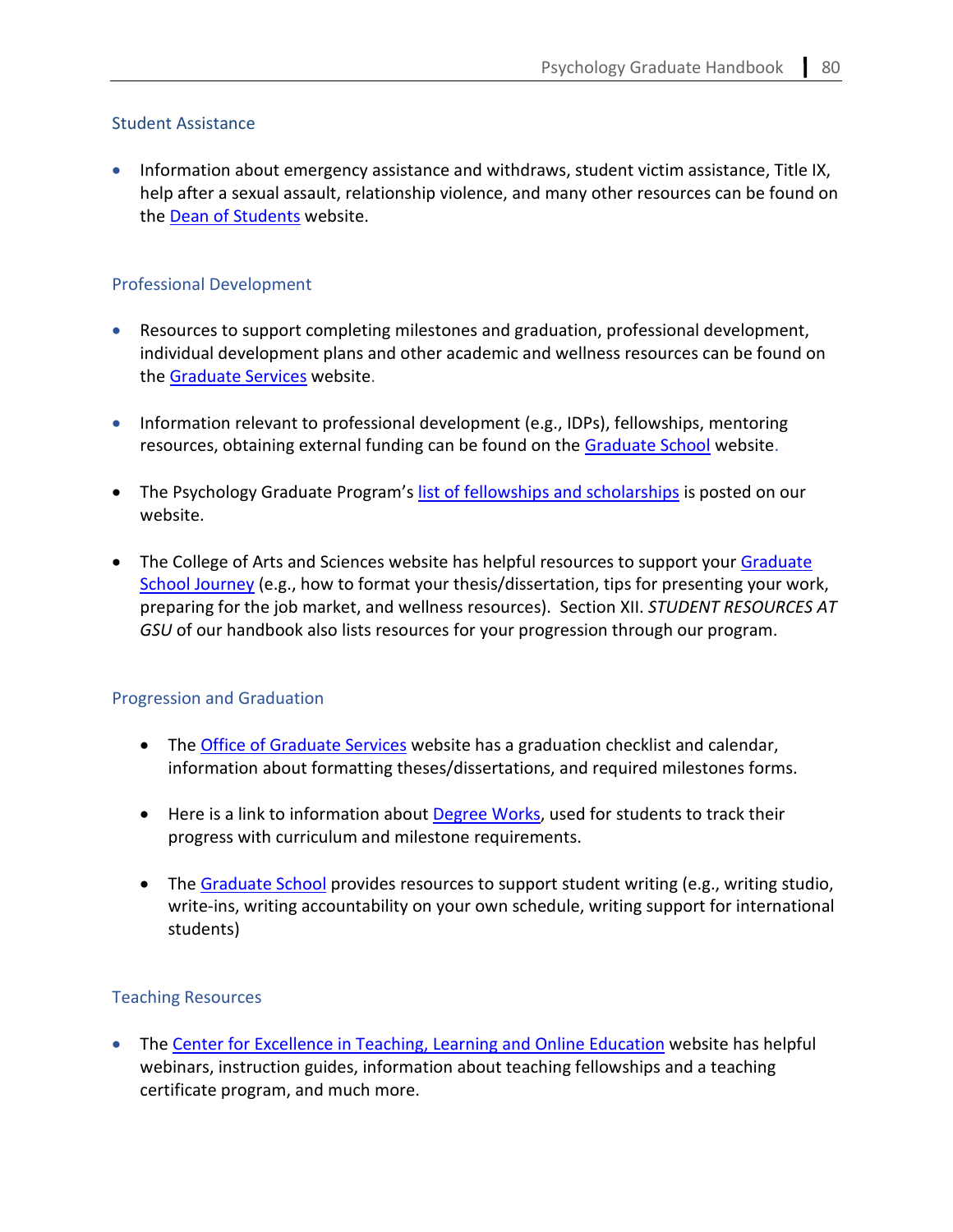# Student Assistance

• Information about emergency assistance and withdraws, student victim assistance, Title IX, help after a sexual assault, relationship violence, and many other resources can be found on the [Dean of Students](https://deanofstudents.gsu.edu/) website.

# Professional Development

- Resources to support completing milestones and graduation, professional development, individual development plans and other academic and wellness resources can be found on the [Graduate Services](https://cas.gsu.edu/graduate-services/student-resources/) website.
- Information relevant to professional development (e.g., IDPs), fellowships, mentoring resources, obtaining external funding can be found on th[e Graduate School](https://graduate.gsu.edu/current-students/) website.
- The Psychology Graduate Program's [list of fellowships and scholarships](https://psychology.gsu.edu/?wpdmdl=6086&ind=1629380438694) is posted on our website.
- The College of Arts and Sciences website has helpful resources to support your Graduate [School Journey](https://nam11.safelinks.protection.outlook.com/?url=https%3A%2F%2Fcas.gsu.edu%2Fgraduate-services%2Fstudent-resources%2F&data=05%7C01%7Cetully2%40gsu.edu%7C9cffd427fa934453fd8708da230adcc5%7C515ad73d8d5e4169895c9789dc742a70%7C0%7C0%7C637860826796577141%7CUnknown%7CTWFpbGZsb3d8eyJWIjoiMC4wLjAwMDAiLCJQIjoiV2luMzIiLCJBTiI6Ik1haWwiLCJXVCI6Mn0%3D%7C3000%7C%7C%7C&sdata=6g%2Br8MtIzU2feD2zk2UXQlBu5QUuNzJU9mfYRq5r2t8%3D&reserved=0) (e.g., how to format your thesis/dissertation, tips for presenting your work, preparing for the job market, and wellness resources). Section XII. *STUDENT RESOURCES AT GSU* of our handbook also lists resources for your progression through our program.

# Progression and Graduation

- The [Office of Graduate Services](https://cas.gsu.edu/graduate-services/student-resources/#graduation) website has a graduation checklist and calendar, information about formatting theses/dissertations, and required milestones forms.
- Here is a link to information about **Degree Works**, used for students to track their progress with curriculum and milestone requirements.
- The [Graduate School](https://graduate.gsu.edu/writing-support/) provides resources to support student writing (e.g., writing studio, write-ins, writing accountability on your own schedule, writing support for international students)

# Teaching Resources

• The [Center for Excellence in Teaching, Learning and Online Education](https://cetl.gsu.edu/) website has helpful webinars, instruction guides, information about teaching fellowships and a teaching certificate program, and much more.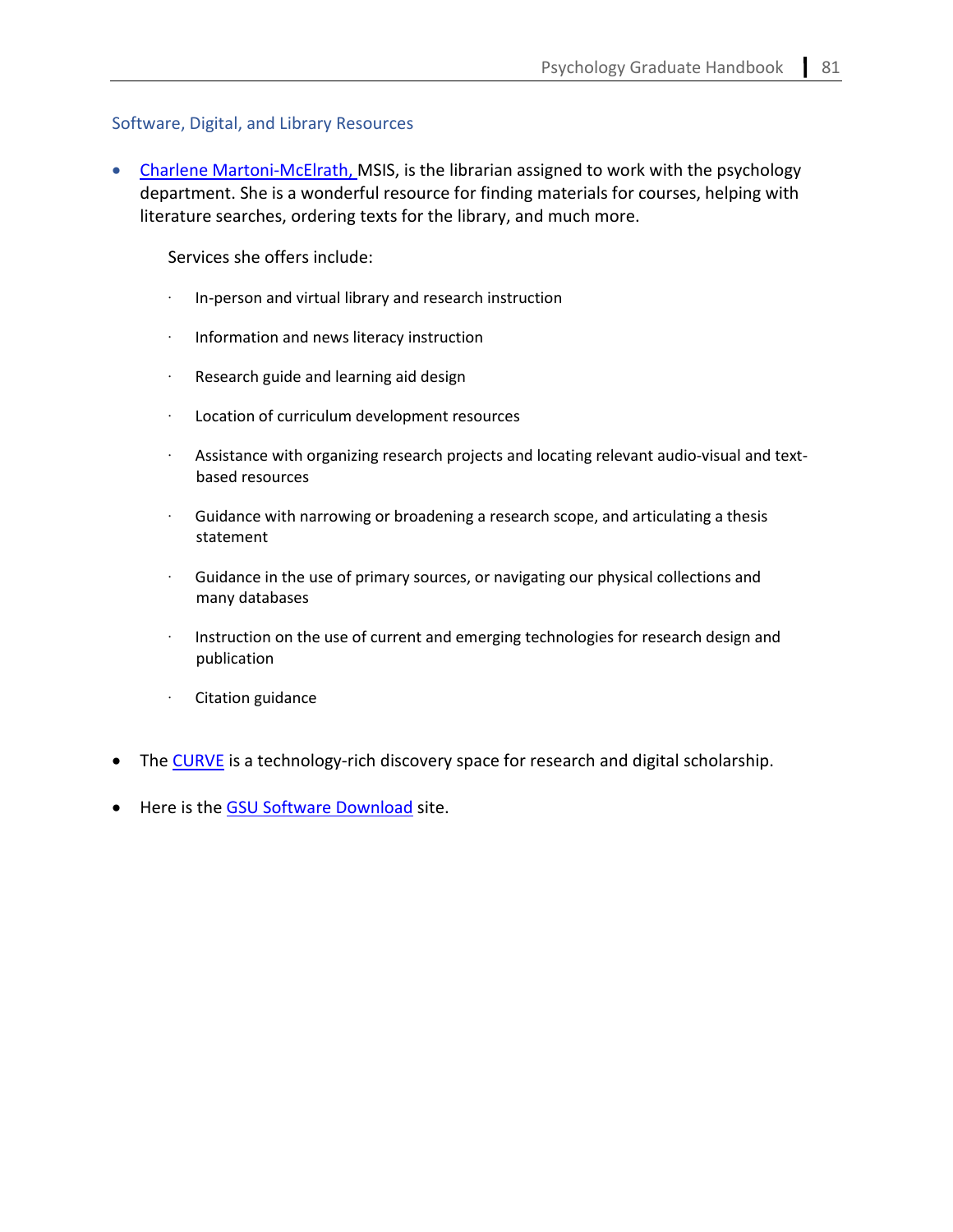# Software, Digital, and Library Resources

• [Charlene Martoni-McElrath,](mailto:cmartonimcelrath@gsu.edu) MSIS, is the librarian assigned to work with the psychology department. She is a wonderful resource for finding materials for courses, helping with literature searches, ordering texts for the library, and much more.

Services she offers include:

- · In-person and virtual library and research instruction
- · Information and news literacy instruction
- · Research guide and learning aid design
- · Location of curriculum development resources
- · Assistance with organizing research projects and locating relevant audio-visual and textbased resources
- Guidance with narrowing or broadening a research scope, and articulating a thesis statement
- · Guidance in the use of primary sources, or navigating our physical collections and many databases
- · Instruction on the use of current and emerging technologies for research design and publication
- · Citation guidance
- The [CURVE](https://library.gsu.edu/services-and-spaces/spaces-and-technology/curve/) is a technology-rich discovery space for research and digital scholarship.
- Here is the [GSU Software Download](http://gsu.onthehub.com/) site.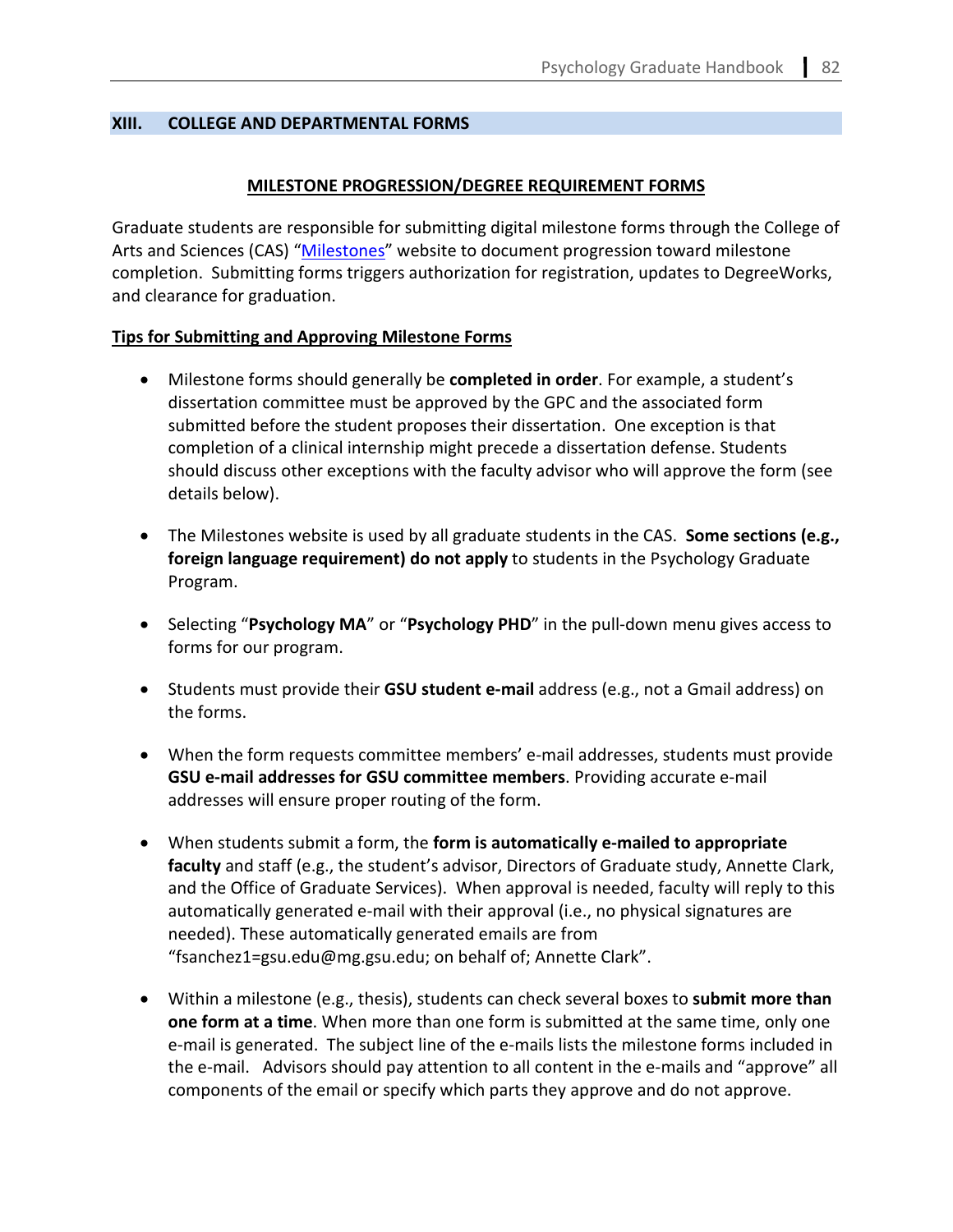## **XIII. COLLEGE AND DEPARTMENTAL FORMS**

## **MILESTONE PROGRESSION/DEGREE REQUIREMENT FORMS**

Graduate students are responsible for submitting digital milestone forms through the College of Arts and Sciences (CAS) ["Milestones"](https://cas.gsu.edu/academics-admissions/required-milestones/#1560433007170-f71e15e8-ff70) website to document progression toward milestone completion. Submitting forms triggers authorization for registration, updates to DegreeWorks, and clearance for graduation.

# **Tips for Submitting and Approving Milestone Forms**

- Milestone forms should generally be **completed in order**. For example, a student's dissertation committee must be approved by the GPC and the associated form submitted before the student proposes their dissertation. One exception is that completion of a clinical internship might precede a dissertation defense. Students should discuss other exceptions with the faculty advisor who will approve the form (see details below).
- The Milestones website is used by all graduate students in the CAS. **Some sections (e.g., foreign language requirement) do not apply** to students in the Psychology Graduate Program.
- Selecting "**Psychology MA**" or "**Psychology PHD**" in the pull-down menu gives access to forms for our program.
- Students must provide their **GSU student e-mail** address (e.g., not a Gmail address) on the forms.
- When the form requests committee members' e-mail addresses, students must provide **GSU e-mail addresses for GSU committee members**. Providing accurate e-mail addresses will ensure proper routing of the form.
- When students submit a form, the **form is automatically e-mailed to appropriate faculty** and staff (e.g., the student's advisor, Directors of Graduate study, Annette Clark, and the Office of Graduate Services). When approval is needed, faculty will reply to this automatically generated e-mail with their approval (i.e., no physical signatures are needed). These automatically generated emails are from "fsanchez1=gsu.edu@mg.gsu.edu; on behalf of; Annette Clark".
- Within a milestone (e.g., thesis), students can check several boxes to **submit more than one form at a time**. When more than one form is submitted at the same time, only one e-mail is generated. The subject line of the e-mails lists the milestone forms included in the e-mail. Advisors should pay attention to all content in the e-mails and "approve" all components of the email or specify which parts they approve and do not approve.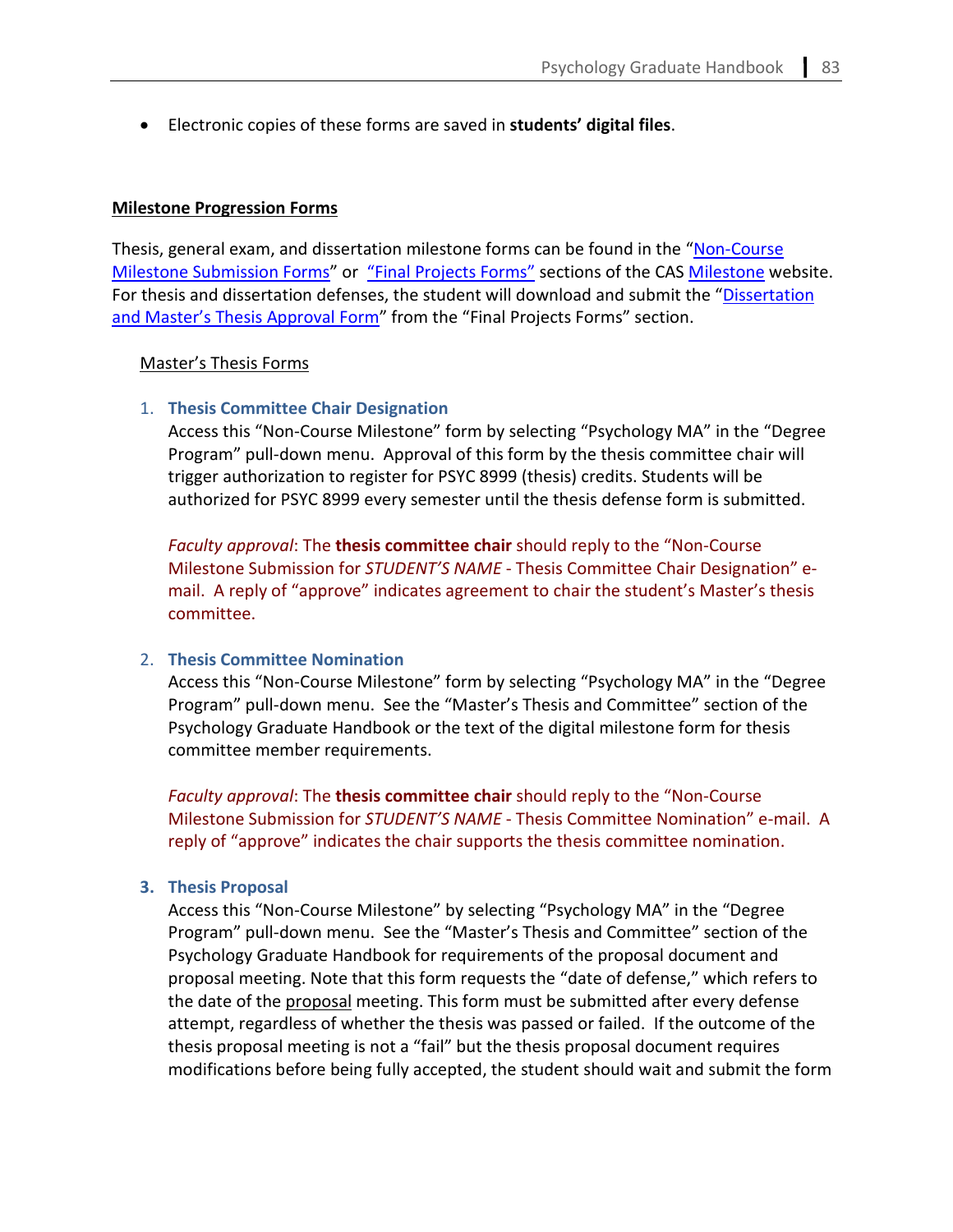• Electronic copies of these forms are saved in **students' digital files**.

#### **Milestone Progression Forms**

Thesis, general exam, and dissertation milestone forms can be found in the ["Non-Course](https://cas.gsu.edu/non-course-milestones/)  [Milestone Submission Forms"](https://cas.gsu.edu/non-course-milestones/) or ["Final Projects Forms"](https://cas.gsu.edu/academics-admissions/required-milestones/#1560433007170-f71e15e8-ff70) sections of the CAS [Milestone](https://cas.gsu.edu/academics-admissions/required-milestones/) website. For thesis and dissertation defenses, the student will download and submit the ["Dissertation](https://cas.gsu.edu/files/2019/11/Dissertation-or-Masters-Thesis-Approval-Form.pdf)  [and Master's Thesis Approval Form"](https://cas.gsu.edu/files/2019/11/Dissertation-or-Masters-Thesis-Approval-Form.pdf) from the "Final Projects Forms" section.

#### Master's Thesis Forms

#### 1. **Thesis Committee Chair Designation**

Access this "Non-Course Milestone" form by selecting "Psychology MA" in the "Degree Program" pull-down menu. Approval of this form by the thesis committee chair will trigger authorization to register for PSYC 8999 (thesis) credits. Students will be authorized for PSYC 8999 every semester until the thesis defense form is submitted.

*Faculty approval*: The **thesis committee chair** should reply to the "Non-Course Milestone Submission for *STUDENT'S NAME* - Thesis Committee Chair Designation" email. A reply of "approve" indicates agreement to chair the student's Master's thesis committee.

## 2. **Thesis Committee Nomination**

Access this "Non-Course Milestone" form by selecting "Psychology MA" in the "Degree Program" pull-down menu. See the "Master's Thesis and Committee" section of the Psychology Graduate Handbook or the text of the digital milestone form for thesis committee member requirements.

*Faculty approval*: The **thesis committee chair** should reply to the "Non-Course Milestone Submission for *STUDENT'S NAME* - Thesis Committee Nomination" e-mail. A reply of "approve" indicates the chair supports the thesis committee nomination.

#### **3. Thesis Proposal**

Access this "Non-Course Milestone" by selecting "Psychology MA" in the "Degree Program" pull-down menu. See the "Master's Thesis and Committee" section of the Psychology Graduate Handbook for requirements of the proposal document and proposal meeting. Note that this form requests the "date of defense," which refers to the date of the proposal meeting. This form must be submitted after every defense attempt, regardless of whether the thesis was passed or failed. If the outcome of the thesis proposal meeting is not a "fail" but the thesis proposal document requires modifications before being fully accepted, the student should wait and submit the form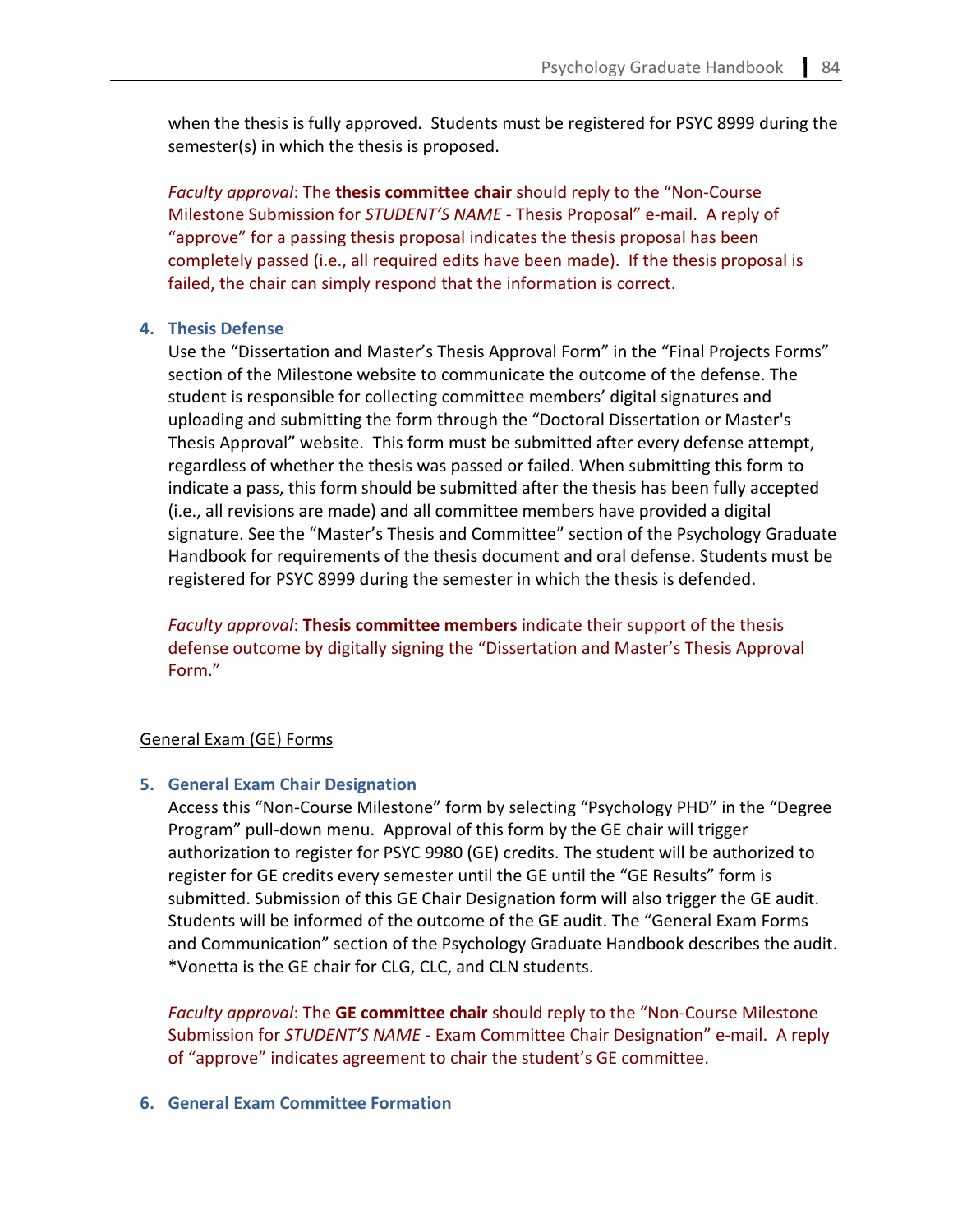when the thesis is fully approved. Students must be registered for PSYC 8999 during the semester(s) in which the thesis is proposed.

*Faculty approval*: The **thesis committee chair** should reply to the "Non-Course Milestone Submission for *STUDENT'S NAME* - Thesis Proposal" e-mail. A reply of "approve" for a passing thesis proposal indicates the thesis proposal has been completely passed (i.e., all required edits have been made). If the thesis proposal is failed, the chair can simply respond that the information is correct.

## **4. Thesis Defense**

Use the "Dissertation and Master's Thesis Approval Form" in the "Final Projects Forms" section of the Milestone website to communicate the outcome of the defense. The student is responsible for collecting committee members' digital signatures and uploading and submitting the form through the "Doctoral Dissertation or Master's Thesis Approval" website. This form must be submitted after every defense attempt, regardless of whether the thesis was passed or failed. When submitting this form to indicate a pass, this form should be submitted after the thesis has been fully accepted (i.e., all revisions are made) and all committee members have provided a digital signature. See the "Master's Thesis and Committee" section of the Psychology Graduate Handbook for requirements of the thesis document and oral defense. Students must be registered for PSYC 8999 during the semester in which the thesis is defended.

*Faculty approval*: **Thesis committee members** indicate their support of the thesis defense outcome by digitally signing the "Dissertation and Master's Thesis Approval Form."

#### General Exam (GE) Forms

#### **5. General Exam Chair Designation**

Access this "Non-Course Milestone" form by selecting "Psychology PHD" in the "Degree Program" pull-down menu. Approval of this form by the GE chair will trigger authorization to register for PSYC 9980 (GE) credits. The student will be authorized to register for GE credits every semester until the GE until the "GE Results" form is submitted. Submission of this GE Chair Designation form will also trigger the GE audit. Students will be informed of the outcome of the GE audit. The "General Exam Forms and Communication" section of the Psychology Graduate Handbook describes the audit. \*Vonetta is the GE chair for CLG, CLC, and CLN students.

*Faculty approval*: The **GE committee chair** should reply to the "Non-Course Milestone Submission for *STUDENT'S NAME* - Exam Committee Chair Designation" e-mail. A reply of "approve" indicates agreement to chair the student's GE committee.

## **6. General Exam Committee Formation**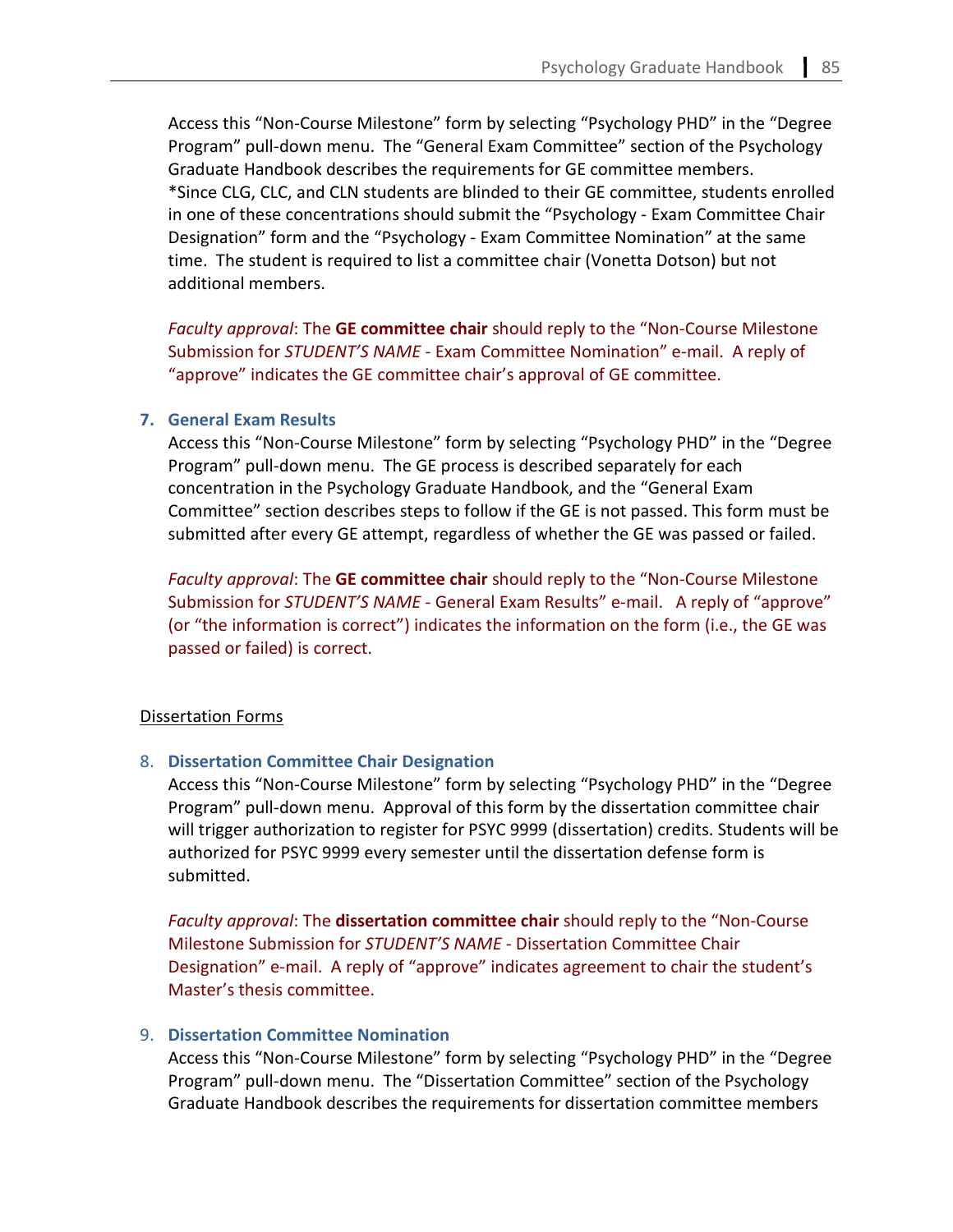Access this "Non-Course Milestone" form by selecting "Psychology PHD" in the "Degree Program" pull-down menu. The "General Exam Committee" section of the Psychology Graduate Handbook describes the requirements for GE committee members. \*Since CLG, CLC, and CLN students are blinded to their GE committee, students enrolled in one of these concentrations should submit the "Psychology - Exam Committee Chair Designation" form and the "Psychology - Exam Committee Nomination" at the same time. The student is required to list a committee chair (Vonetta Dotson) but not additional members.

*Faculty approval*: The **GE committee chair** should reply to the "Non-Course Milestone Submission for *STUDENT'S NAME* - Exam Committee Nomination" e-mail. A reply of "approve" indicates the GE committee chair's approval of GE committee.

## **7. General Exam Results**

Access this "Non-Course Milestone" form by selecting "Psychology PHD" in the "Degree Program" pull-down menu. The GE process is described separately for each concentration in the Psychology Graduate Handbook, and the "General Exam Committee" section describes steps to follow if the GE is not passed. This form must be submitted after every GE attempt, regardless of whether the GE was passed or failed.

*Faculty approval*: The **GE committee chair** should reply to the "Non-Course Milestone Submission for *STUDENT'S NAME* - General Exam Results" e-mail. A reply of "approve" (or "the information is correct") indicates the information on the form (i.e., the GE was passed or failed) is correct.

#### Dissertation Forms

## 8. **Dissertation Committee Chair Designation**

Access this "Non-Course Milestone" form by selecting "Psychology PHD" in the "Degree Program" pull-down menu. Approval of this form by the dissertation committee chair will trigger authorization to register for PSYC 9999 (dissertation) credits. Students will be authorized for PSYC 9999 every semester until the dissertation defense form is submitted.

*Faculty approval*: The **dissertation committee chair** should reply to the "Non-Course Milestone Submission for *STUDENT'S NAME* - Dissertation Committee Chair Designation" e-mail. A reply of "approve" indicates agreement to chair the student's Master's thesis committee.

## 9. **Dissertation Committee Nomination**

Access this "Non-Course Milestone" form by selecting "Psychology PHD" in the "Degree Program" pull-down menu. The "Dissertation Committee" section of the Psychology Graduate Handbook describes the requirements for dissertation committee members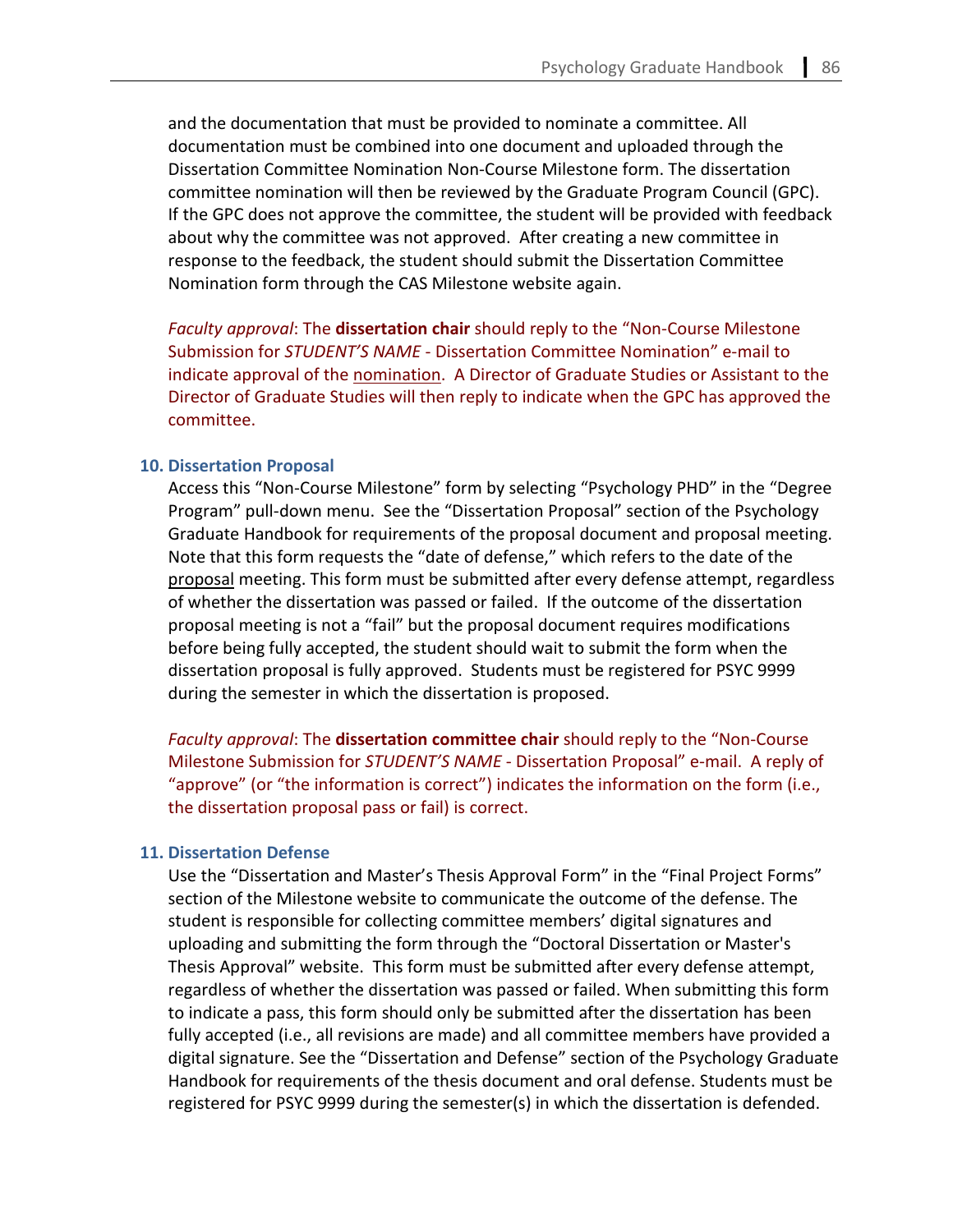and the documentation that must be provided to nominate a committee. All documentation must be combined into one document and uploaded through the Dissertation Committee Nomination Non-Course Milestone form. The dissertation committee nomination will then be reviewed by the Graduate Program Council (GPC). If the GPC does not approve the committee, the student will be provided with feedback about why the committee was not approved. After creating a new committee in response to the feedback, the student should submit the Dissertation Committee Nomination form through the CAS Milestone website again.

*Faculty approval*: The **dissertation chair** should reply to the "Non-Course Milestone Submission for *STUDENT'S NAME* - Dissertation Committee Nomination" e-mail to indicate approval of the nomination. A Director of Graduate Studies or Assistant to the Director of Graduate Studies will then reply to indicate when the GPC has approved the committee.

#### **10. Dissertation Proposal**

Access this "Non-Course Milestone" form by selecting "Psychology PHD" in the "Degree Program" pull-down menu. See the "Dissertation Proposal" section of the Psychology Graduate Handbook for requirements of the proposal document and proposal meeting. Note that this form requests the "date of defense," which refers to the date of the proposal meeting. This form must be submitted after every defense attempt, regardless of whether the dissertation was passed or failed. If the outcome of the dissertation proposal meeting is not a "fail" but the proposal document requires modifications before being fully accepted, the student should wait to submit the form when the dissertation proposal is fully approved. Students must be registered for PSYC 9999 during the semester in which the dissertation is proposed.

*Faculty approval*: The **dissertation committee chair** should reply to the "Non-Course Milestone Submission for *STUDENT'S NAME* - Dissertation Proposal" e-mail. A reply of "approve" (or "the information is correct") indicates the information on the form (i.e., the dissertation proposal pass or fail) is correct.

## **11. Dissertation Defense**

Use the "Dissertation and Master's Thesis Approval Form" in the "Final Project Forms" section of the Milestone website to communicate the outcome of the defense. The student is responsible for collecting committee members' digital signatures and uploading and submitting the form through the "Doctoral Dissertation or Master's Thesis Approval" website. This form must be submitted after every defense attempt, regardless of whether the dissertation was passed or failed. When submitting this form to indicate a pass, this form should only be submitted after the dissertation has been fully accepted (i.e., all revisions are made) and all committee members have provided a digital signature. See the "Dissertation and Defense" section of the Psychology Graduate Handbook for requirements of the thesis document and oral defense. Students must be registered for PSYC 9999 during the semester(s) in which the dissertation is defended.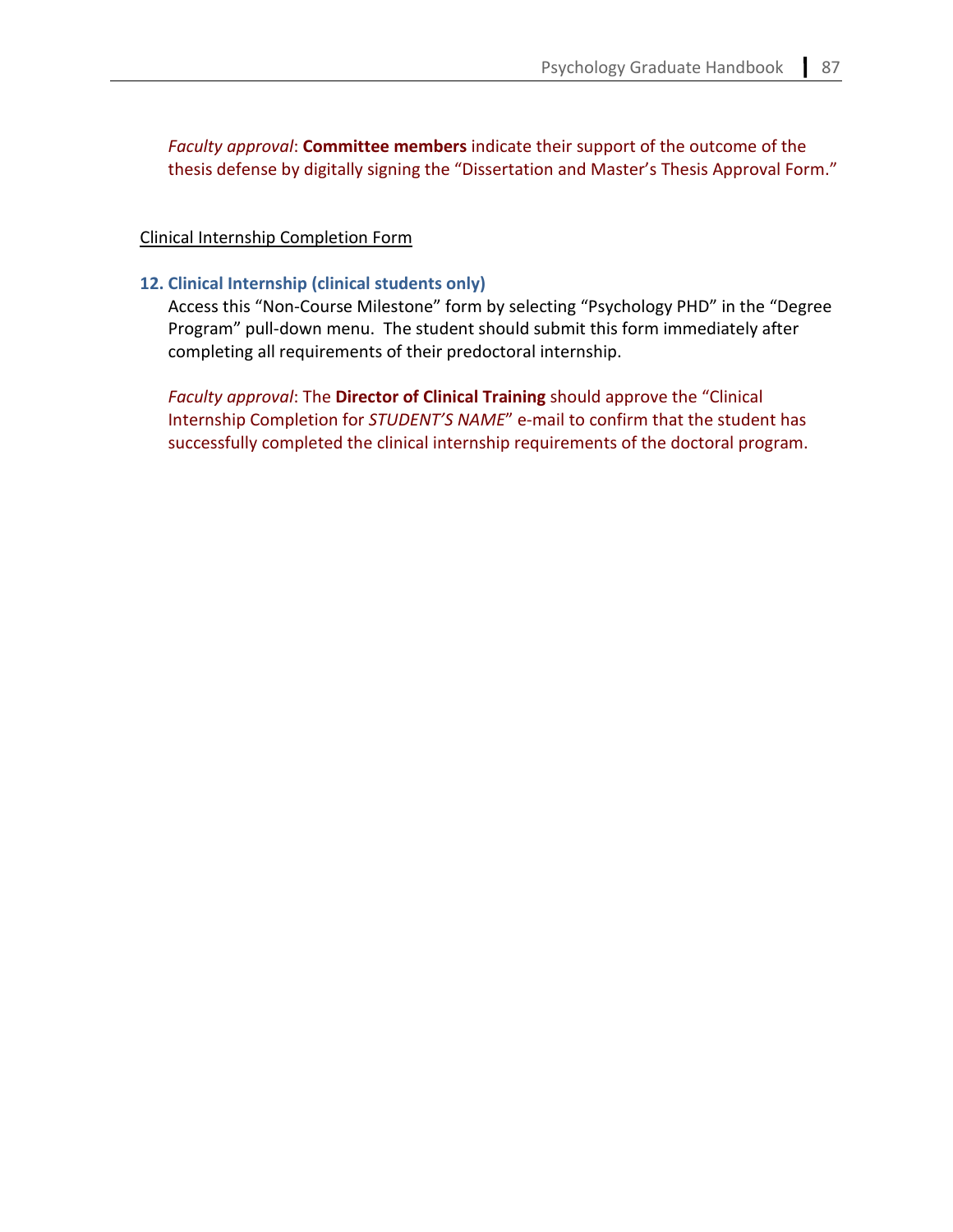*Faculty approval*: **Committee members** indicate their support of the outcome of the thesis defense by digitally signing the "Dissertation and Master's Thesis Approval Form."

## Clinical Internship Completion Form

## **12. Clinical Internship (clinical students only)**

Access this "Non-Course Milestone" form by selecting "Psychology PHD" in the "Degree Program" pull-down menu. The student should submit this form immediately after completing all requirements of their predoctoral internship.

*Faculty approval*: The **Director of Clinical Training** should approve the "Clinical Internship Completion for *STUDENT'S NAME*" e-mail to confirm that the student has successfully completed the clinical internship requirements of the doctoral program.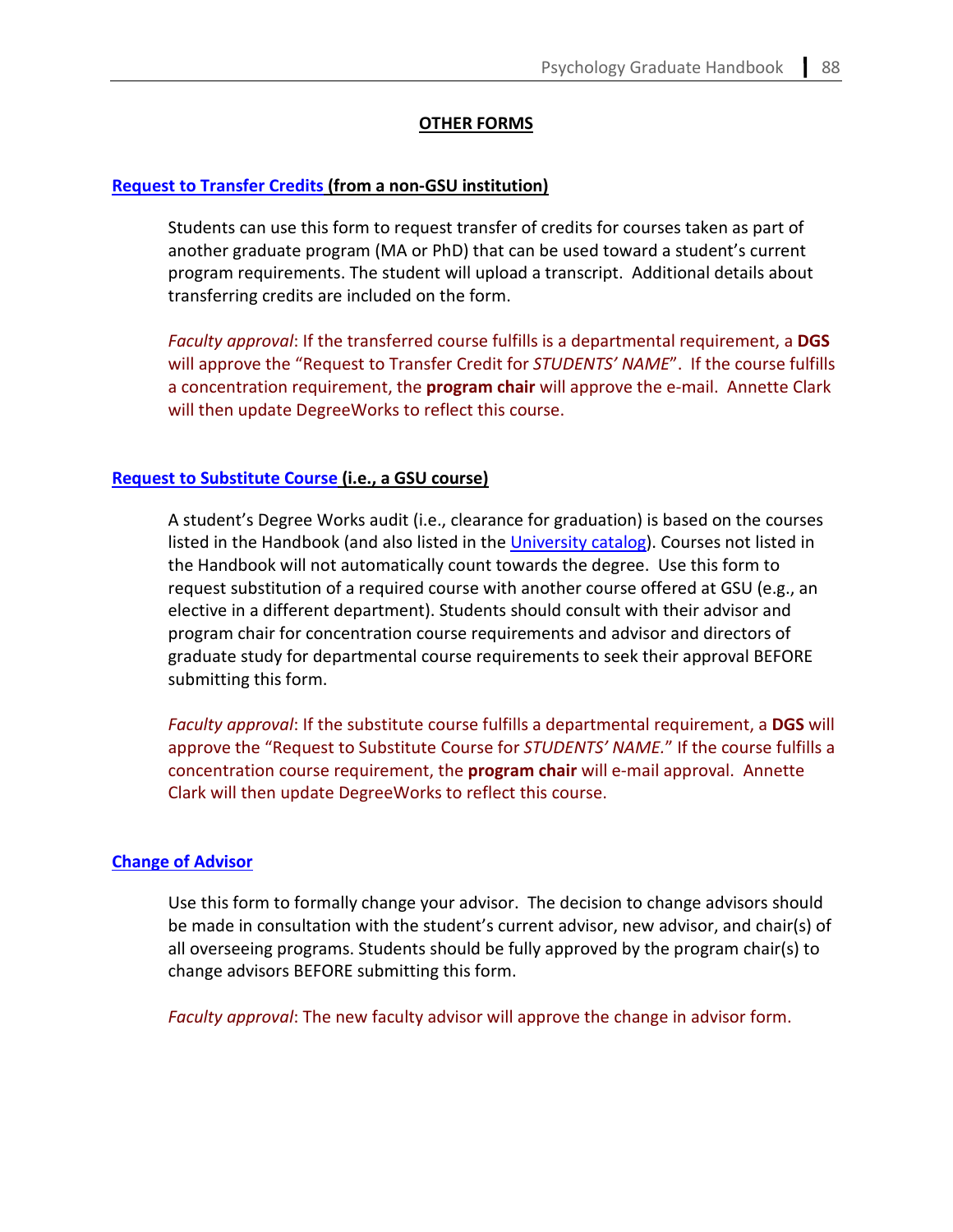## **OTHER FORMS**

## **[Request to Transfer Credits](https://cas.gsu.edu/request-to-transfer-credit/) (from a non-GSU institution)**

Students can use this form to request transfer of credits for courses taken as part of another graduate program (MA or PhD) that can be used toward a student's current program requirements. The student will upload a transcript. Additional details about transferring credits are included on the form.

*Faculty approval*: If the transferred course fulfills is a departmental requirement, a **DGS** will approve the "Request to Transfer Credit for *STUDENTS' NAME*". If the course fulfills a concentration requirement, the **program chair** will approve the e-mail. Annette Clark will then update DegreeWorks to reflect this course.

## **[Request to Substitute Course](https://cas.gsu.edu/request-to-substitute-courses/) (i.e., a GSU course)**

A student's Degree Works audit (i.e., clearance for graduation) is based on the courses listed in the Handbook (and also listed in the [University catalog\)](https://enrollment.gsu.edu/catalogs/). Courses not listed in the Handbook will not automatically count towards the degree. Use this form to request substitution of a required course with another course offered at GSU (e.g., an elective in a different department). Students should consult with their advisor and program chair for concentration course requirements and advisor and directors of graduate study for departmental course requirements to seek their approval BEFORE submitting this form.

*Faculty approval*: If the substitute course fulfills a departmental requirement, a **DGS** will approve the "Request to Substitute Course for *STUDENTS' NAME.*" If the course fulfills a concentration course requirement, the **program chair** will e-mail approval. Annette Clark will then update DegreeWorks to reflect this course.

#### **[Change of Advisor](https://cas.gsu.edu/change-of-advisor-request-psychology/)**

Use this form to formally change your advisor. The decision to change advisors should be made in consultation with the student's current advisor, new advisor, and chair(s) of all overseeing programs. Students should be fully approved by the program chair(s) to change advisors BEFORE submitting this form.

*Faculty approval*: The new faculty advisor will approve the change in advisor form.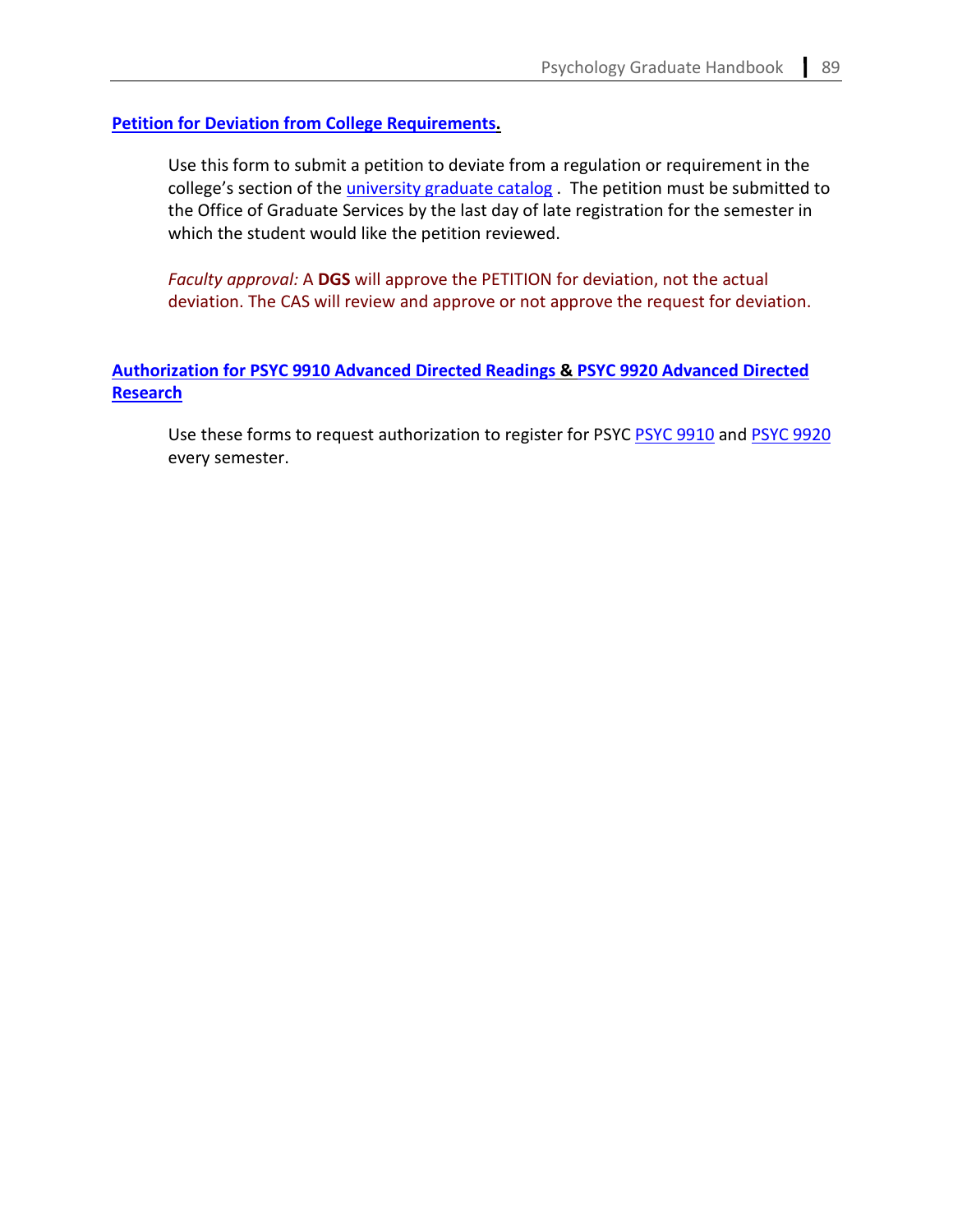# **[Petition for Deviation from College Requirements.](https://cas.gsu.edu/graduate-student-petition-for-deviation-from-college-requirements/)**

Use this form to submit a petition to deviate from a regulation or requirement in the college's section of the [university graduate catalog](https://enrollment.gsu.edu/catalogs/) . The petition must be submitted to the Office of Graduate Services by the last day of late registration for the semester in which the student would like the petition reviewed.

*Faculty approval:* A **DGS** will approve the PETITION for deviation, not the actual deviation. The CAS will review and approve or not approve the request for deviation.

# **Authorization for PSYC 9910 [Advanced Directed Readings](https://cas.gsu.edu/request-for-authorization-for-psych-9910/) & PSYC 9920 [Advanced Directed](https://cas.gsu.edu/request-for-authorization-psyc-9920/)  [Research](https://cas.gsu.edu/request-for-authorization-psyc-9920/)**

Use these forms to request authorization to register for PSYC [PSYC 9910](https://cas.gsu.edu/request-for-authorization-for-psych-9910/) and [PSYC 9920](https://cas.gsu.edu/request-for-authorization-psyc-9920/) every semester.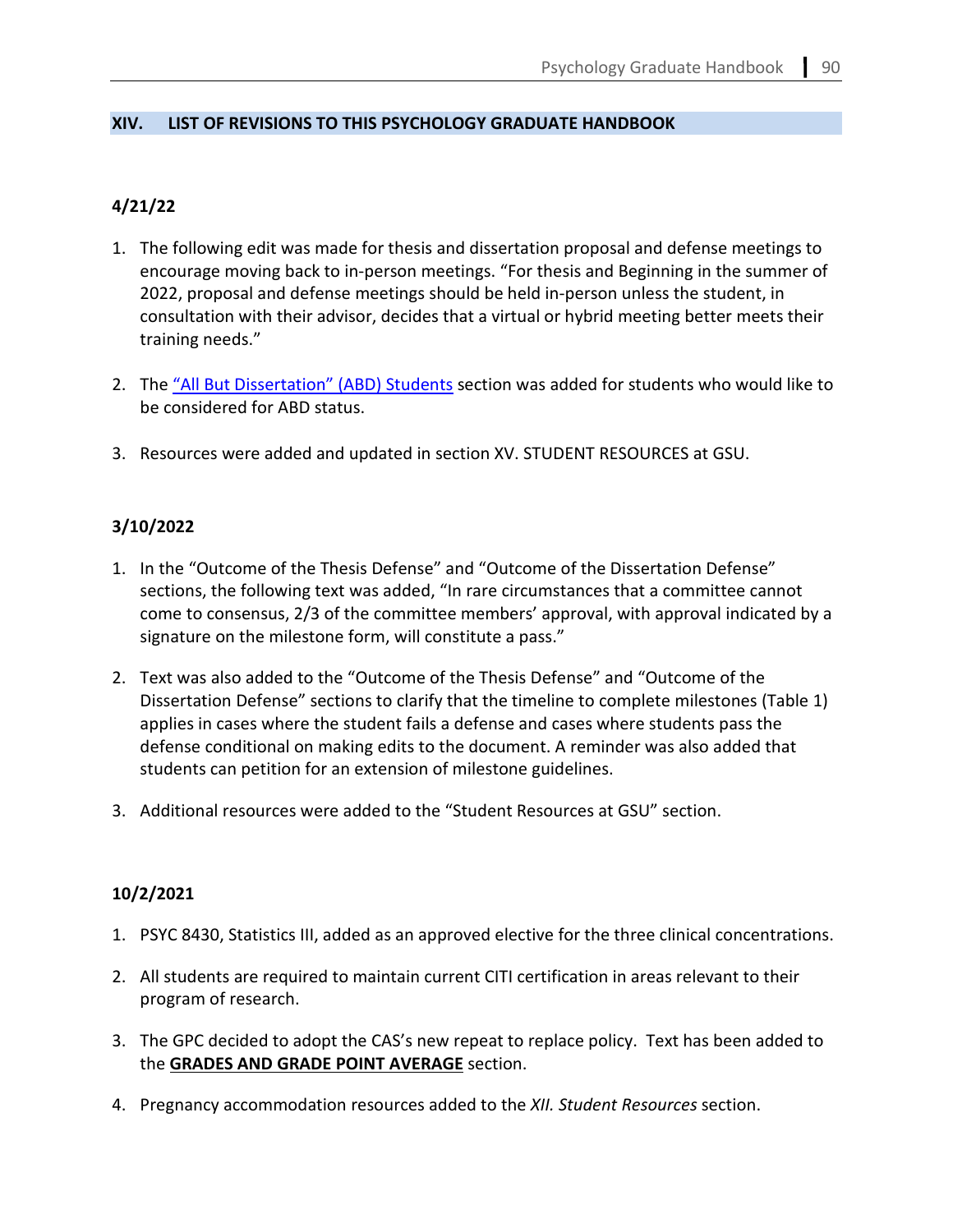# **XIV. LIST OF REVISIONS TO THIS PSYCHOLOGY GRADUATE HANDBOOK**

# **4/21/22**

- 1. The following edit was made for thesis and dissertation proposal and defense meetings to encourage moving back to in-person meetings. "For thesis and Beginning in the summer of 2022, proposal and defense meetings should be held in-person unless the student, in consultation with their advisor, decides that a virtual or hybrid meeting better meets their training needs."
- 2. The ["All But Dissertation" \(ABD\) Students](#page-47-0) section was added for students who would like to be considered for ABD status.
- 3. Resources were added and updated in section XV. STUDENT RESOURCES at GSU.

# **3/10/2022**

- 1. In the "Outcome of the Thesis Defense" and "Outcome of the Dissertation Defense" sections, the following text was added, "In rare circumstances that a committee cannot come to consensus, 2/3 of the committee members' approval, with approval indicated by a signature on the milestone form, will constitute a pass."
- 2. Text was also added to the "Outcome of the Thesis Defense" and "Outcome of the Dissertation Defense" sections to clarify that the timeline to complete milestones (Table 1) applies in cases where the student fails a defense and cases where students pass the defense conditional on making edits to the document. A reminder was also added that students can petition for an extension of milestone guidelines.
- 3. Additional resources were added to the "Student Resources at GSU" section.

# **10/2/2021**

- 1. PSYC 8430, Statistics III, added as an approved elective for the three clinical concentrations.
- 2. All students are required to maintain current CITI certification in areas relevant to their program of research.
- 3. The GPC decided to adopt the CAS's new repeat to replace policy. Text has been added to the **GRADES AND GRADE POINT AVERAGE** section.
- 4. Pregnancy accommodation resources added to the *XII. Student Resources* section.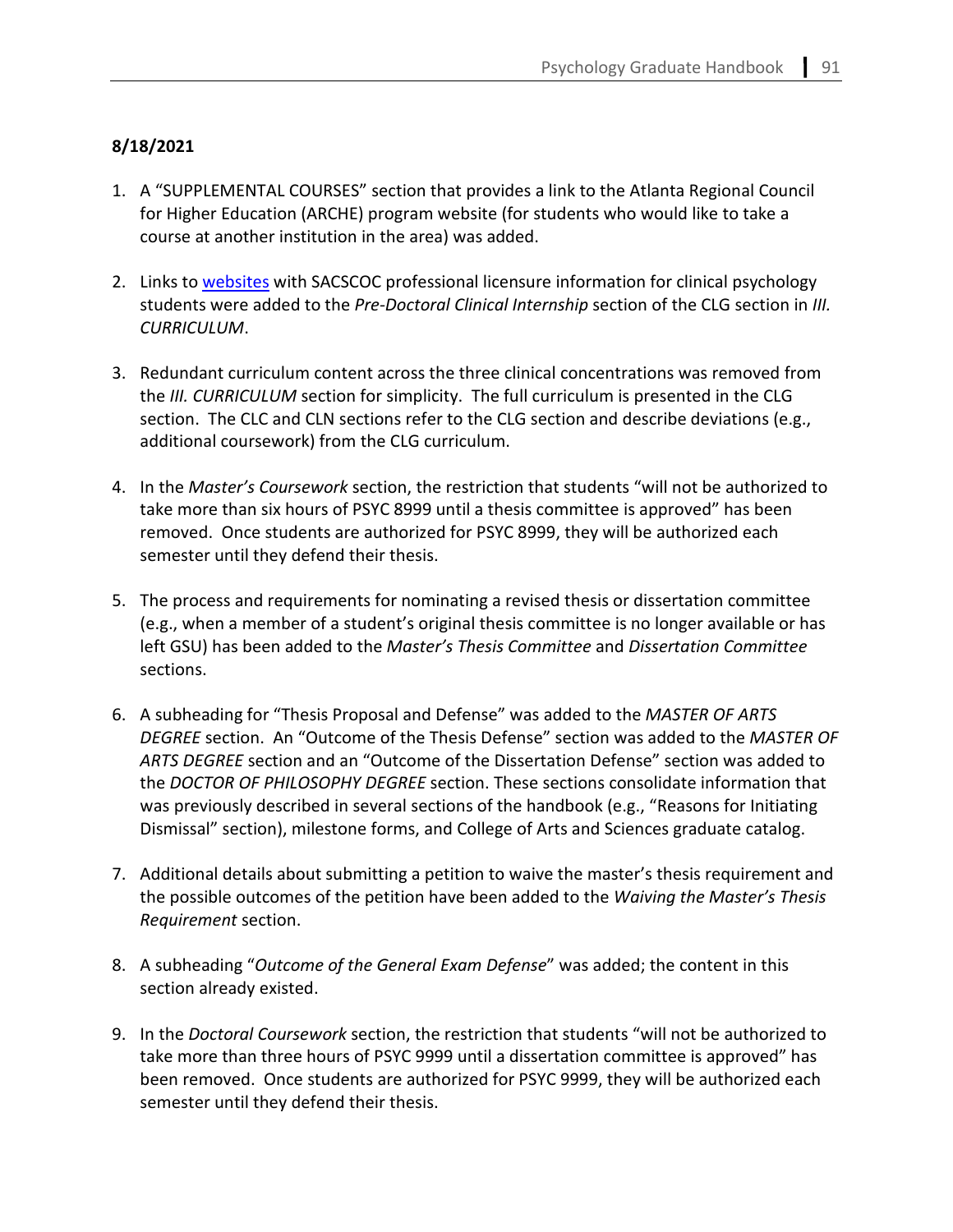# **8/18/2021**

- 1. A "SUPPLEMENTAL COURSES" section that provides a link to the Atlanta Regional Council for Higher Education (ARCHE) program website (for students who would like to take a course at another institution in the area) was added.
- 2. Links to [websites](https://sacscoc.gsu.edu/student-consumer-info/professional-licensure/) with SACSCOC professional licensure information for clinical psychology students were added to the *Pre-Doctoral Clinical Internship* section of the CLG section in *III. CURRICULUM*.
- 3. Redundant curriculum content across the three clinical concentrations was removed from the *III. CURRICULUM* section for simplicity. The full curriculum is presented in the CLG section. The CLC and CLN sections refer to the CLG section and describe deviations (e.g., additional coursework) from the CLG curriculum.
- 4. In the *Master's Coursework* section, the restriction that students "will not be authorized to take more than six hours of PSYC 8999 until a thesis committee is approved" has been removed. Once students are authorized for PSYC 8999, they will be authorized each semester until they defend their thesis.
- 5. The process and requirements for nominating a revised thesis or dissertation committee (e.g., when a member of a student's original thesis committee is no longer available or has left GSU) has been added to the *Master's Thesis Committee* and *Dissertation Committee*  sections.
- 6. A subheading for "Thesis Proposal and Defense" was added to the *MASTER OF ARTS DEGREE* section. An "Outcome of the Thesis Defense" section was added to the *MASTER OF ARTS DEGREE* section and an "Outcome of the Dissertation Defense" section was added to the *DOCTOR OF PHILOSOPHY DEGREE* section. These sections consolidate information that was previously described in several sections of the handbook (e.g., "Reasons for Initiating Dismissal" section), milestone forms, and College of Arts and Sciences graduate catalog.
- 7. Additional details about submitting a petition to waive the master's thesis requirement and the possible outcomes of the petition have been added to the *Waiving the Master's Thesis Requirement* section.
- 8. A subheading "*Outcome of the General Exam Defense*" was added; the content in this section already existed.
- 9. In the *Doctoral Coursework* section, the restriction that students "will not be authorized to take more than three hours of PSYC 9999 until a dissertation committee is approved" has been removed. Once students are authorized for PSYC 9999, they will be authorized each semester until they defend their thesis.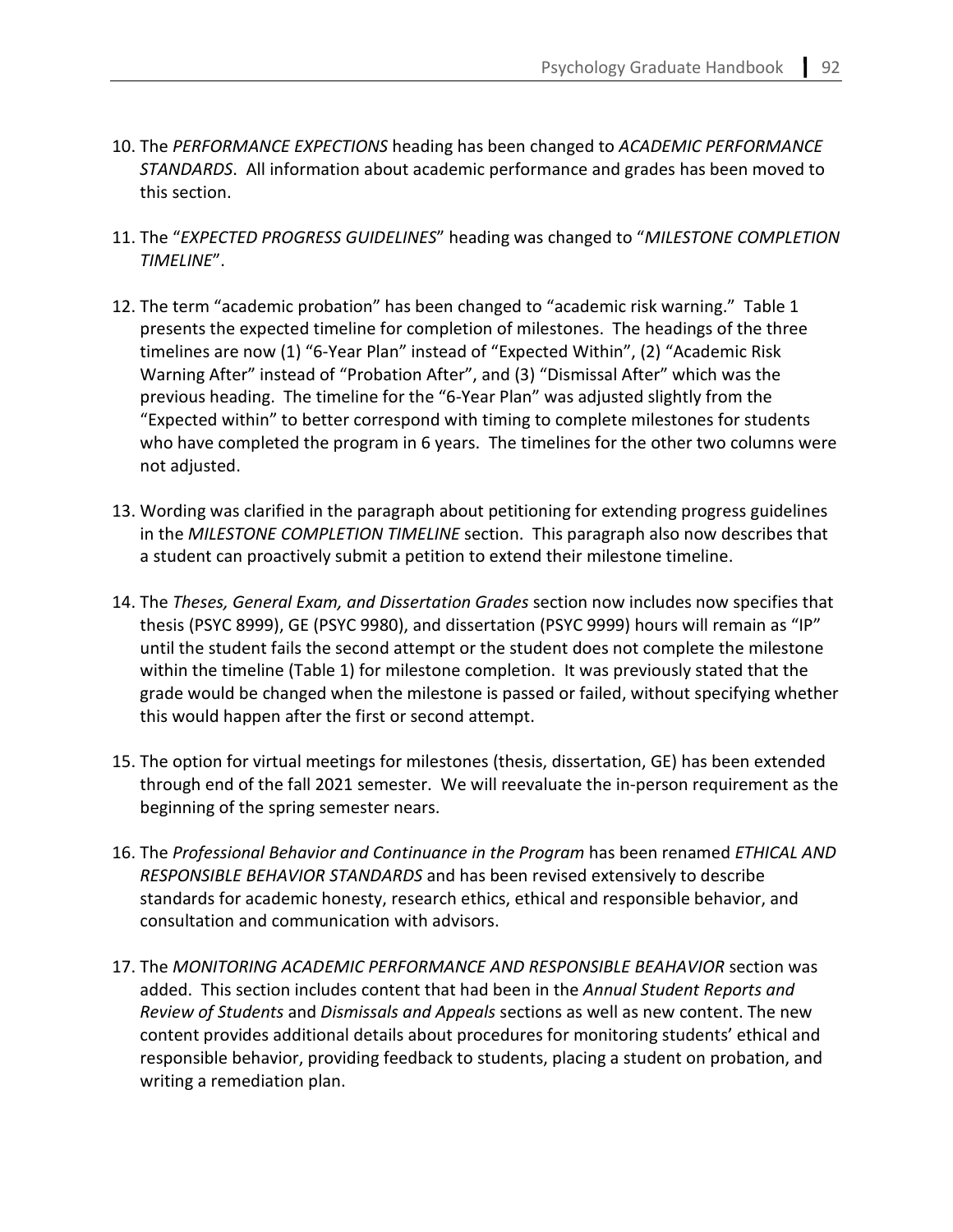- 10. The *PERFORMANCE EXPECTIONS* heading has been changed to *ACADEMIC PERFORMANCE STANDARDS*. All information about academic performance and grades has been moved to this section.
- 11. The "*EXPECTED PROGRESS GUIDELINES*" heading was changed to "*MILESTONE COMPLETION TIMELINE*".
- 12. The term "academic probation" has been changed to "academic risk warning." Table 1 presents the expected timeline for completion of milestones. The headings of the three timelines are now (1) "6-Year Plan" instead of "Expected Within", (2) "Academic Risk Warning After" instead of "Probation After", and (3) "Dismissal After" which was the previous heading. The timeline for the "6-Year Plan" was adjusted slightly from the "Expected within" to better correspond with timing to complete milestones for students who have completed the program in 6 years. The timelines for the other two columns were not adjusted.
- 13. Wording was clarified in the paragraph about petitioning for extending progress guidelines in the *MILESTONE COMPLETION TIMELINE* section. This paragraph also now describes that a student can proactively submit a petition to extend their milestone timeline.
- 14. The *Theses, General Exam, and Dissertation Grades* section now includes now specifies that thesis (PSYC 8999), GE (PSYC 9980), and dissertation (PSYC 9999) hours will remain as "IP" until the student fails the second attempt or the student does not complete the milestone within the timeline (Table 1) for milestone completion. It was previously stated that the grade would be changed when the milestone is passed or failed, without specifying whether this would happen after the first or second attempt.
- 15. The option for virtual meetings for milestones (thesis, dissertation, GE) has been extended through end of the fall 2021 semester. We will reevaluate the in-person requirement as the beginning of the spring semester nears.
- 16. The *Professional Behavior and Continuance in the Program* has been renamed *ETHICAL AND RESPONSIBLE BEHAVIOR STANDARDS* and has been revised extensively to describe standards for academic honesty, research ethics, ethical and responsible behavior, and consultation and communication with advisors.
- 17. The *MONITORING ACADEMIC PERFORMANCE AND RESPONSIBLE BEAHAVIOR* section was added. This section includes content that had been in the *Annual Student Reports and Review of Students* and *Dismissals and Appeals* sections as well as new content. The new content provides additional details about procedures for monitoring students' ethical and responsible behavior, providing feedback to students, placing a student on probation, and writing a remediation plan.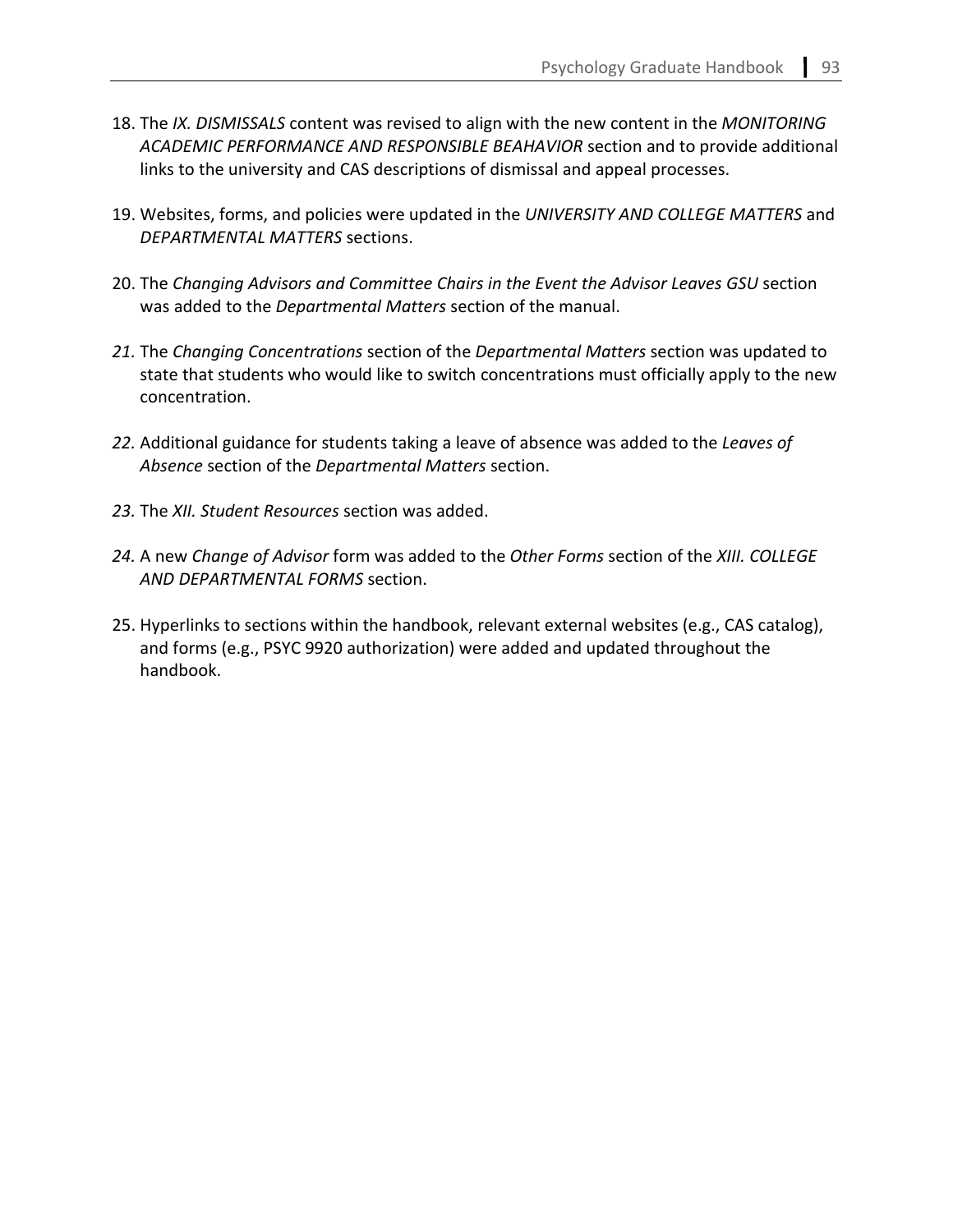- 18. The *IX. DISMISSALS* content was revised to align with the new content in the *MONITORING ACADEMIC PERFORMANCE AND RESPONSIBLE BEAHAVIOR* section and to provide additional links to the university and CAS descriptions of dismissal and appeal processes.
- 19. Websites, forms, and policies were updated in the *UNIVERSITY AND COLLEGE MATTERS* and *DEPARTMENTAL MATTERS* sections.
- 20. The *Changing Advisors and Committee Chairs in the Event the Advisor Leaves GSU* section was added to the *Departmental Matters* section of the manual.
- *21.* The *Changing Concentrations* section of the *Departmental Matters* section was updated to state that students who would like to switch concentrations must officially apply to the new concentration.
- *22.* Additional guidance for students taking a leave of absence was added to the *Leaves of Absence* section of the *Departmental Matters* section.
- *23.* The *XII. Student Resources* section was added.
- *24.* A new *Change of Advisor* form was added to the *Other Forms* section of the *XIII. COLLEGE AND DEPARTMENTAL FORMS* section.
- 25. Hyperlinks to sections within the handbook, relevant external websites (e.g., CAS catalog), and forms (e.g., PSYC 9920 authorization) were added and updated throughout the handbook.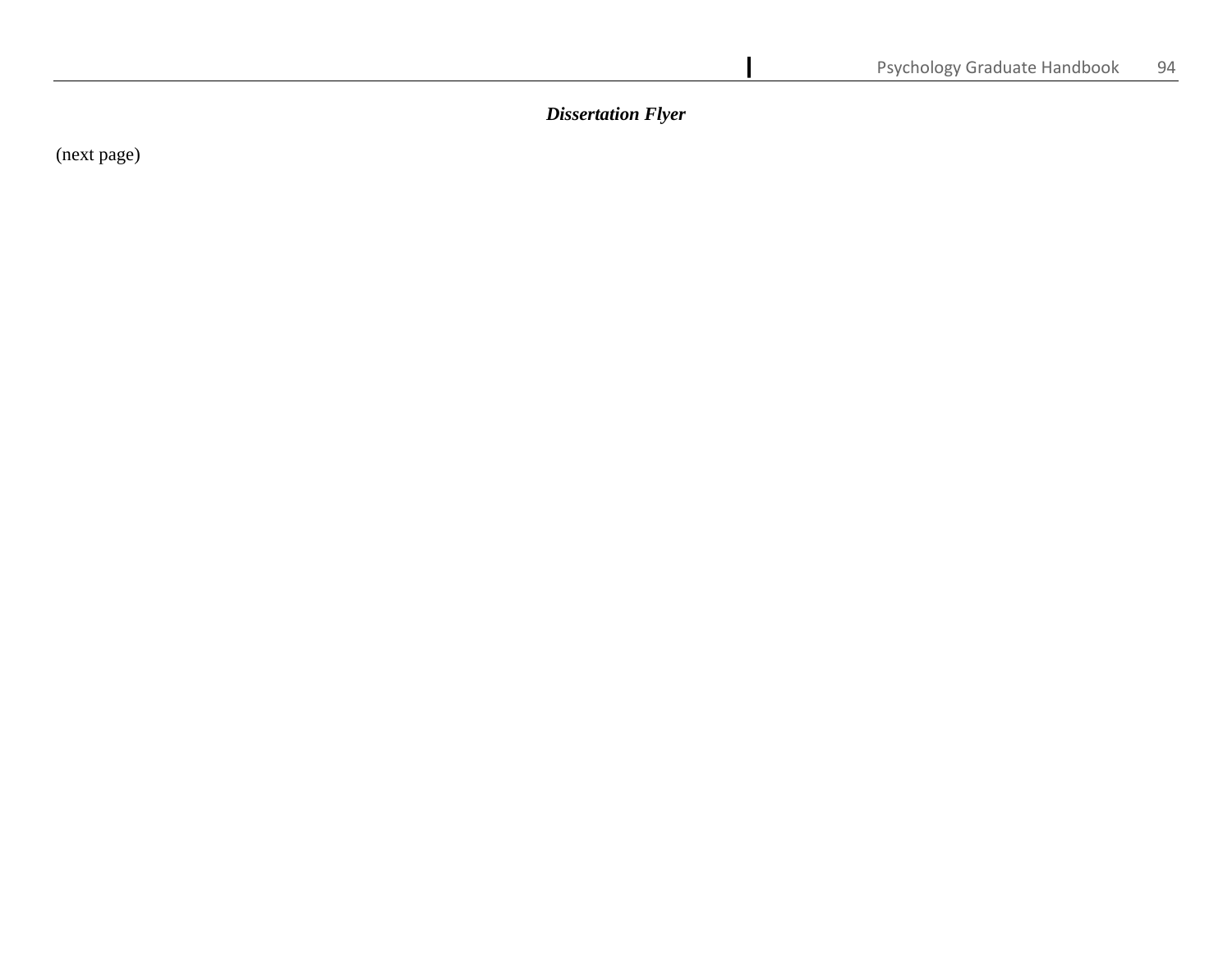*Dissertation Flyer*

(next page)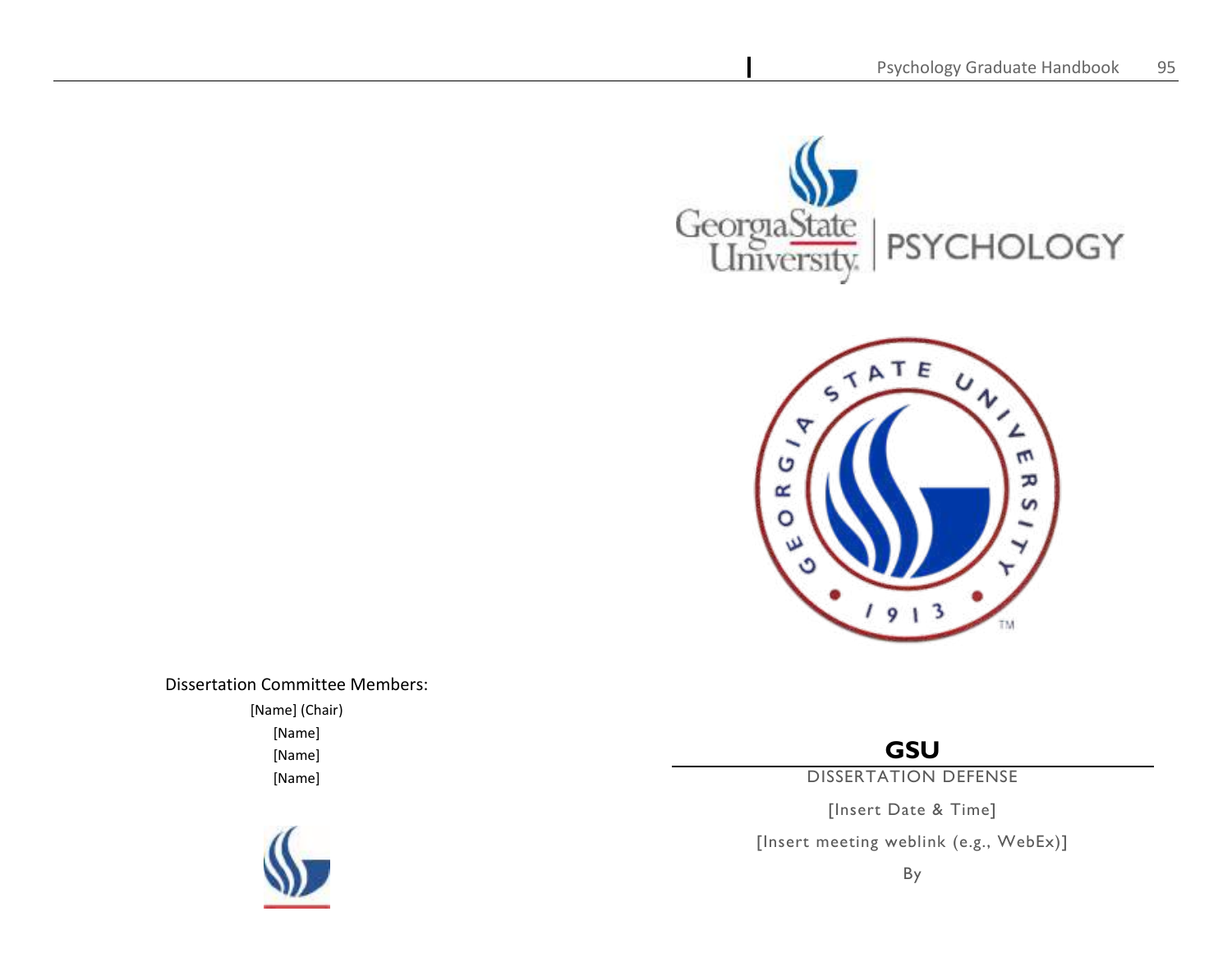

Dissertation Committee Members: [Name] (Chair) [Name]

[Name] [Name]

# **GSU**

DISSERTATION DEFENSE

[Insert Date & Time]

[Insert meeting weblink (e.g., WebEx)]